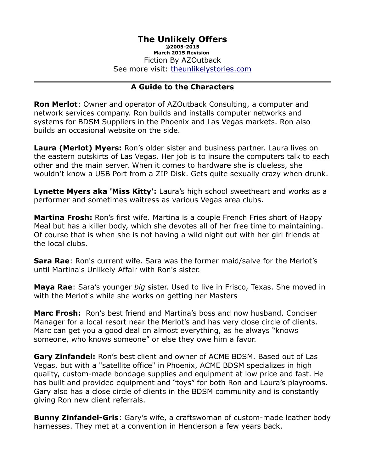# **The Unlikely Offers**

**©2005-2015 March 2015 Revision**  Fiction By AZOutback See more visit: [theunlikelystories.com](http://theunlikelystories.com/)

#### **A Guide to the Characters**

**Ron Merlot**: Owner and operator of AZOutback Consulting, a computer and network services company. Ron builds and installs computer networks and systems for BDSM Suppliers in the Phoenix and Las Vegas markets. Ron also builds an occasional website on the side.

**Laura (Merlot) Myers:** Ron's older sister and business partner. Laura lives on the eastern outskirts of Las Vegas. Her job is to insure the computers talk to each other and the main server. When it comes to hardware she is clueless, she wouldn't know a USB Port from a ZIP Disk. Gets quite sexually crazy when drunk.

**Lynette Myers aka 'Miss Kitty':** Laura's high school sweetheart and works as a performer and sometimes waitress as various Vegas area clubs.

**Martina Frosh:** Ron's first wife. Martina is a couple French Fries short of Happy Meal but has a killer body, which she devotes all of her free time to maintaining. Of course that is when she is not having a wild night out with her girl friends at the local clubs.

**Sara Rae**: Ron's current wife. Sara was the former maid/salve for the Merlot's until Martina's Unlikely Affair with Ron's sister.

**Maya Rae**: Sara's younger *big* sister. Used to live in Frisco, Texas. She moved in with the Merlot's while she works on getting her Masters

**Marc Frosh:** Ron's best friend and Martina's boss and now husband. Conciser Manager for a local resort near the Merlot's and has very close circle of clients. Marc can get you a good deal on almost everything, as he always "knows someone, who knows someone" or else they owe him a favor.

**Gary Zinfandel:** Ron's best client and owner of ACME BDSM. Based out of Las Vegas, but with a "satellite office" in Phoenix, ACME BDSM specializes in high quality, custom-made bondage supplies and equipment at low price and fast. He has built and provided equipment and "toys" for both Ron and Laura's playrooms. Gary also has a close circle of clients in the BDSM community and is constantly giving Ron new client referrals.

**Bunny Zinfandel-Gris**: Gary's wife, a craftswoman of custom-made leather body harnesses. They met at a convention in Henderson a few years back.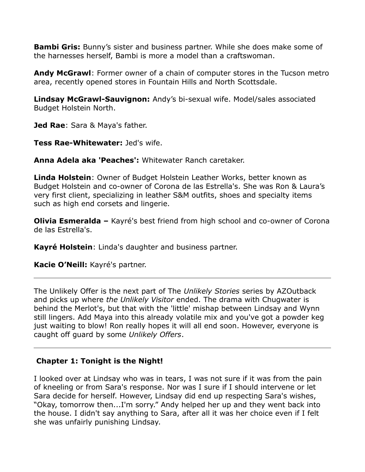**Bambi Gris:** Bunny's sister and business partner. While she does make some of the harnesses herself, Bambi is more a model than a craftswoman.

**Andy McGrawl**: Former owner of a chain of computer stores in the Tucson metro area, recently opened stores in Fountain Hills and North Scottsdale.

**Lindsay McGrawl-Sauvignon:** Andy's bi-sexual wife. Model/sales associated Budget Holstein North.

**Jed Rae**: Sara & Maya's father.

**Tess Rae-Whitewater:** Jed's wife.

**Anna Adela aka 'Peaches':** Whitewater Ranch caretaker.

**Linda Holstein**: Owner of Budget Holstein Leather Works, better known as Budget Holstein and co-owner of Corona de las Estrella's. She was Ron & Laura's very first client, specializing in leather S&M outfits, shoes and specialty items such as high end corsets and lingerie.

**Olivia Esmeralda –** Kayré's best friend from high school and co-owner of Corona de las Estrella's.

**Kayré Holstein**: Linda's daughter and business partner.

**Kacie O'Neill:** Kayré's partner.

The Unlikely Offer is the next part of The *Unlikely Stories* series by AZOutback and picks up where *the Unlikely Visitor* ended. The drama with Chugwater is behind the Merlot's, but that with the 'little' mishap between Lindsay and Wynn still lingers. Add Maya into this already volatile mix and you've got a powder keg just waiting to blow! Ron really hopes it will all end soon. However, everyone is caught off guard by some *Unlikely Offers*.

# **Chapter 1: Tonight is the Night!**

I looked over at Lindsay who was in tears, I was not sure if it was from the pain of kneeling or from Sara's response. Nor was I sure if I should intervene or let Sara decide for herself. However, Lindsay did end up respecting Sara's wishes, "Okay, tomorrow then...I'm sorry." Andy helped her up and they went back into the house. I didn't say anything to Sara, after all it was her choice even if I felt she was unfairly punishing Lindsay.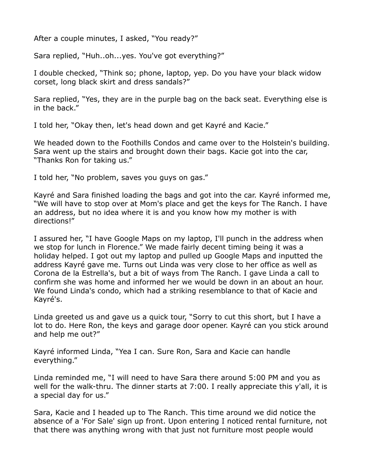After a couple minutes, I asked, "You ready?"

Sara replied, "Huh..oh...yes. You've got everything?"

I double checked, "Think so; phone, laptop, yep. Do you have your black widow corset, long black skirt and dress sandals?"

Sara replied, "Yes, they are in the purple bag on the back seat. Everything else is in the back."

I told her, "Okay then, let's head down and get Kayré and Kacie."

We headed down to the Foothills Condos and came over to the Holstein's building. Sara went up the stairs and brought down their bags. Kacie got into the car, "Thanks Ron for taking us."

I told her, "No problem, saves you guys on gas."

Kayré and Sara finished loading the bags and got into the car. Kayré informed me, "We will have to stop over at Mom's place and get the keys for The Ranch. I have an address, but no idea where it is and you know how my mother is with directions!"

I assured her, "I have Google Maps on my laptop, I'll punch in the address when we stop for lunch in Florence." We made fairly decent timing being it was a holiday helped. I got out my laptop and pulled up Google Maps and inputted the address Kayré gave me. Turns out Linda was very close to her office as well as Corona de la Estrella's, but a bit of ways from The Ranch. I gave Linda a call to confirm she was home and informed her we would be down in an about an hour. We found Linda's condo, which had a striking resemblance to that of Kacie and Kayré's.

Linda greeted us and gave us a quick tour, "Sorry to cut this short, but I have a lot to do. Here Ron, the keys and garage door opener. Kayré can you stick around and help me out?"

Kayré informed Linda, "Yea I can. Sure Ron, Sara and Kacie can handle everything."

Linda reminded me, "I will need to have Sara there around 5:00 PM and you as well for the walk-thru. The dinner starts at 7:00. I really appreciate this y'all, it is a special day for us."

Sara, Kacie and I headed up to The Ranch. This time around we did notice the absence of a 'For Sale' sign up front. Upon entering I noticed rental furniture, not that there was anything wrong with that just not furniture most people would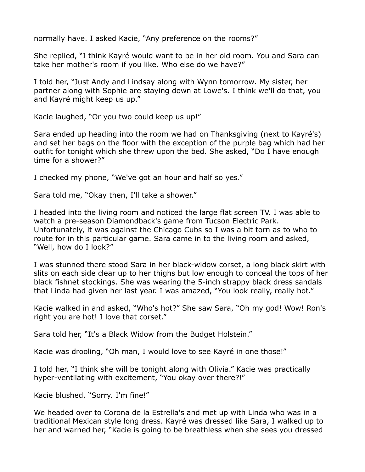normally have. I asked Kacie, "Any preference on the rooms?"

She replied, "I think Kayré would want to be in her old room. You and Sara can take her mother's room if you like. Who else do we have?"

I told her, "Just Andy and Lindsay along with Wynn tomorrow. My sister, her partner along with Sophie are staying down at Lowe's. I think we'll do that, you and Kayré might keep us up."

Kacie laughed, "Or you two could keep us up!"

Sara ended up heading into the room we had on Thanksgiving (next to Kayré's) and set her bags on the floor with the exception of the purple bag which had her outfit for tonight which she threw upon the bed. She asked, "Do I have enough time for a shower?"

I checked my phone, "We've got an hour and half so yes."

Sara told me, "Okay then, I'll take a shower."

I headed into the living room and noticed the large flat screen TV. I was able to watch a pre-season Diamondback's game from Tucson Electric Park. Unfortunately, it was against the Chicago Cubs so I was a bit torn as to who to route for in this particular game. Sara came in to the living room and asked, "Well, how do I look?"

I was stunned there stood Sara in her black-widow corset, a long black skirt with slits on each side clear up to her thighs but low enough to conceal the tops of her black fishnet stockings. She was wearing the 5-inch strappy black dress sandals that Linda had given her last year. I was amazed, "You look really, really hot."

Kacie walked in and asked, "Who's hot?" She saw Sara, "Oh my god! Wow! Ron's right you are hot! I love that corset."

Sara told her, "It's a Black Widow from the Budget Holstein."

Kacie was drooling, "Oh man, I would love to see Kayré in one those!"

I told her, "I think she will be tonight along with Olivia." Kacie was practically hyper-ventilating with excitement, "You okay over there?!"

Kacie blushed, "Sorry. I'm fine!"

We headed over to Corona de la Estrella's and met up with Linda who was in a traditional Mexican style long dress. Kayré was dressed like Sara, I walked up to her and warned her, "Kacie is going to be breathless when she sees you dressed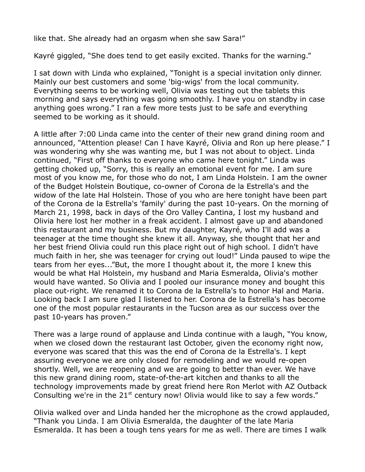like that. She already had an orgasm when she saw Sara!"

Kayré giggled, "She does tend to get easily excited. Thanks for the warning."

I sat down with Linda who explained, "Tonight is a special invitation only dinner. Mainly our best customers and some 'big-wigs' from the local community. Everything seems to be working well, Olivia was testing out the tablets this morning and says everything was going smoothly. I have you on standby in case anything goes wrong." I ran a few more tests just to be safe and everything seemed to be working as it should.

A little after 7:00 Linda came into the center of their new grand dining room and announced, "Attention please! Can I have Kayré, Olivia and Ron up here please." I was wondering why she was wanting me, but I was not about to object. Linda continued, "First off thanks to everyone who came here tonight." Linda was getting choked up, "Sorry, this is really an emotional event for me. I am sure most of you know me, for those who do not, I am Linda Holstein. I am the owner of the Budget Holstein Boutique, co-owner of Corona de la Estrella's and the widow of the late Hal Holstein. Those of you who are here tonight have been part of the Corona de la Estrella's 'family' during the past 10-years. On the morning of March 21, 1998, back in days of the Oro Valley Cantina, I lost my husband and Olivia here lost her mother in a freak accident. I almost gave up and abandoned this restaurant and my business. But my daughter, Kayré, who I'll add was a teenager at the time thought she knew it all. Anyway, she thought that her and her best friend Olivia could run this place right out of high school. I didn't have much faith in her, she was teenager for crying out loud!" Linda paused to wipe the tears from her eyes..."But, the more I thought about it, the more I knew this would be what Hal Holstein, my husband and Maria Esmeralda, Olivia's mother would have wanted. So Olivia and I pooled our insurance money and bought this place out-right. We renamed it to Corona de la Estrella's to honor Hal and Maria. Looking back I am sure glad I listened to her. Corona de la Estrella's has become one of the most popular restaurants in the Tucson area as our success over the past 10-years has proven."

There was a large round of applause and Linda continue with a laugh, "You know, when we closed down the restaurant last October, given the economy right now, everyone was scared that this was the end of Corona de la Estrella's. I kept assuring everyone we are only closed for remodeling and we would re-open shortly. Well, we are reopening and we are going to better than ever. We have this new grand dining room, state-of-the-art kitchen and thanks to all the technology improvements made by great friend here Ron Merlot with AZ Outback Consulting we're in the  $21<sup>st</sup>$  century now! Olivia would like to say a few words."

Olivia walked over and Linda handed her the microphone as the crowd applauded, "Thank you Linda. I am Olivia Esmeralda, the daughter of the late Maria Esmeralda. It has been a tough tens years for me as well. There are times I walk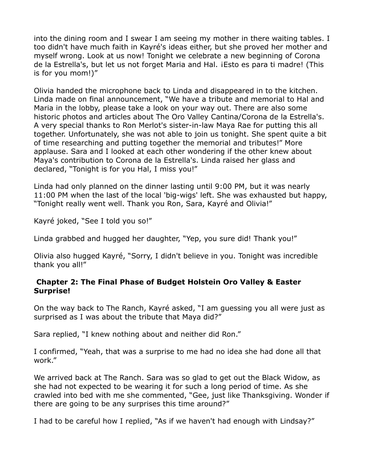into the dining room and I swear I am seeing my mother in there waiting tables. I too didn't have much faith in Kayré's ideas either, but she proved her mother and myself wrong. Look at us now! Tonight we celebrate a new beginning of Corona de la Estrella's, but let us not forget Maria and Hal. ¡Esto es para ti madre! (This is for you mom!)"

Olivia handed the microphone back to Linda and disappeared in to the kitchen. Linda made on final announcement, "We have a tribute and memorial to Hal and Maria in the lobby, please take a look on your way out. There are also some historic photos and articles about The Oro Valley Cantina/Corona de la Estrella's. A very special thanks to Ron Merlot's sister-in-law Maya Rae for putting this all together. Unfortunately, she was not able to join us tonight. She spent quite a bit of time researching and putting together the memorial and tributes!" More applause. Sara and I looked at each other wondering if the other knew about Maya's contribution to Corona de la Estrella's. Linda raised her glass and declared, "Tonight is for you Hal, I miss you!"

Linda had only planned on the dinner lasting until 9:00 PM, but it was nearly 11:00 PM when the last of the local 'big-wigs' left. She was exhausted but happy, "Tonight really went well. Thank you Ron, Sara, Kayré and Olivia!"

Kayré joked, "See I told you so!"

Linda grabbed and hugged her daughter, "Yep, you sure did! Thank you!"

Olivia also hugged Kayré, "Sorry, I didn't believe in you. Tonight was incredible thank you all!"

#### **Chapter 2: The Final Phase of Budget Holstein Oro Valley & Easter Surprise!**

On the way back to The Ranch, Kayré asked, "I am guessing you all were just as surprised as I was about the tribute that Maya did?"

Sara replied, "I knew nothing about and neither did Ron."

I confirmed, "Yeah, that was a surprise to me had no idea she had done all that work."

We arrived back at The Ranch. Sara was so glad to get out the Black Widow, as she had not expected to be wearing it for such a long period of time. As she crawled into bed with me she commented, "Gee, just like Thanksgiving. Wonder if there are going to be any surprises this time around?"

I had to be careful how I replied, "As if we haven't had enough with Lindsay?"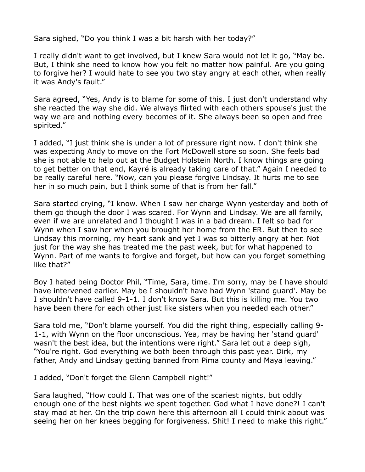Sara sighed, "Do you think I was a bit harsh with her today?"

I really didn't want to get involved, but I knew Sara would not let it go, "May be. But, I think she need to know how you felt no matter how painful. Are you going to forgive her? I would hate to see you two stay angry at each other, when really it was Andy's fault."

Sara agreed, "Yes, Andy is to blame for some of this. I just don't understand why she reacted the way she did. We always flirted with each others spouse's just the way we are and nothing every becomes of it. She always been so open and free spirited."

I added, "I just think she is under a lot of pressure right now. I don't think she was expecting Andy to move on the Fort McDowell store so soon. She feels bad she is not able to help out at the Budget Holstein North. I know things are going to get better on that end, Kayré is already taking care of that." Again I needed to be really careful here. "Now, can you please forgive Lindsay. It hurts me to see her in so much pain, but I think some of that is from her fall."

Sara started crying, "I know. When I saw her charge Wynn yesterday and both of them go though the door I was scared. For Wynn and Lindsay. We are all family, even if we are unrelated and I thought I was in a bad dream. I felt so bad for Wynn when I saw her when you brought her home from the ER. But then to see Lindsay this morning, my heart sank and yet I was so bitterly angry at her. Not just for the way she has treated me the past week, but for what happened to Wynn. Part of me wants to forgive and forget, but how can you forget something like that?"

Boy I hated being Doctor Phil, "Time, Sara, time. I'm sorry, may be I have should have intervened earlier. May be I shouldn't have had Wynn 'stand guard'. May be I shouldn't have called 9-1-1. I don't know Sara. But this is killing me. You two have been there for each other just like sisters when you needed each other."

Sara told me, "Don't blame yourself. You did the right thing, especially calling 9- 1-1, with Wynn on the floor unconscious. Yea, may be having her 'stand guard' wasn't the best idea, but the intentions were right." Sara let out a deep sigh, "You're right. God everything we both been through this past year. Dirk, my father, Andy and Lindsay getting banned from Pima county and Maya leaving."

I added, "Don't forget the Glenn Campbell night!"

Sara laughed, "How could I. That was one of the scariest nights, but oddly enough one of the best nights we spent together. God what I have done?! I can't stay mad at her. On the trip down here this afternoon all I could think about was seeing her on her knees begging for forgiveness. Shit! I need to make this right."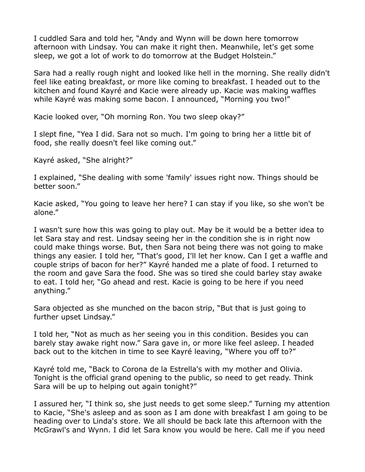I cuddled Sara and told her, "Andy and Wynn will be down here tomorrow afternoon with Lindsay. You can make it right then. Meanwhile, let's get some sleep, we got a lot of work to do tomorrow at the Budget Holstein."

Sara had a really rough night and looked like hell in the morning. She really didn't feel like eating breakfast, or more like coming to breakfast. I headed out to the kitchen and found Kayré and Kacie were already up. Kacie was making waffles while Kayré was making some bacon. I announced, "Morning you two!"

Kacie looked over, "Oh morning Ron. You two sleep okay?"

I slept fine, "Yea I did. Sara not so much. I'm going to bring her a little bit of food, she really doesn't feel like coming out."

Kayré asked, "She alright?"

I explained, "She dealing with some 'family' issues right now. Things should be better soon."

Kacie asked, "You going to leave her here? I can stay if you like, so she won't be alone."

I wasn't sure how this was going to play out. May be it would be a better idea to let Sara stay and rest. Lindsay seeing her in the condition she is in right now could make things worse. But, then Sara not being there was not going to make things any easier. I told her, "That's good, I'll let her know. Can I get a waffle and couple strips of bacon for her?" Kayré handed me a plate of food. I returned to the room and gave Sara the food. She was so tired she could barley stay awake to eat. I told her, "Go ahead and rest. Kacie is going to be here if you need anything."

Sara objected as she munched on the bacon strip, "But that is just going to further upset Lindsay."

I told her, "Not as much as her seeing you in this condition. Besides you can barely stay awake right now." Sara gave in, or more like feel asleep. I headed back out to the kitchen in time to see Kayré leaving, "Where you off to?"

Kayré told me, "Back to Corona de la Estrella's with my mother and Olivia. Tonight is the official grand opening to the public, so need to get ready. Think Sara will be up to helping out again tonight?"

I assured her, "I think so, she just needs to get some sleep." Turning my attention to Kacie, "She's asleep and as soon as I am done with breakfast I am going to be heading over to Linda's store. We all should be back late this afternoon with the McGrawl's and Wynn. I did let Sara know you would be here. Call me if you need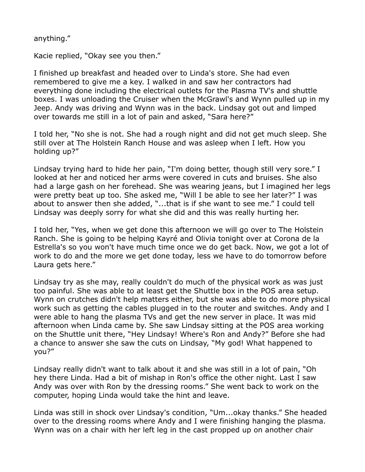anything."

Kacie replied, "Okay see you then."

I finished up breakfast and headed over to Linda's store. She had even remembered to give me a key. I walked in and saw her contractors had everything done including the electrical outlets for the Plasma TV's and shuttle boxes. I was unloading the Cruiser when the McGrawl's and Wynn pulled up in my Jeep. Andy was driving and Wynn was in the back. Lindsay got out and limped over towards me still in a lot of pain and asked, "Sara here?"

I told her, "No she is not. She had a rough night and did not get much sleep. She still over at The Holstein Ranch House and was asleep when I left. How you holding up?"

Lindsay trying hard to hide her pain, "I'm doing better, though still very sore." I looked at her and noticed her arms were covered in cuts and bruises. She also had a large gash on her forehead. She was wearing jeans, but I imagined her legs were pretty beat up too. She asked me, "Will I be able to see her later?" I was about to answer then she added, "...that is if she want to see me." I could tell Lindsay was deeply sorry for what she did and this was really hurting her.

I told her, "Yes, when we get done this afternoon we will go over to The Holstein Ranch. She is going to be helping Kayré and Olivia tonight over at Corona de la Estrella's so you won't have much time once we do get back. Now, we got a lot of work to do and the more we get done today, less we have to do tomorrow before Laura gets here."

Lindsay try as she may, really couldn't do much of the physical work as was just too painful. She was able to at least get the Shuttle box in the POS area setup. Wynn on crutches didn't help matters either, but she was able to do more physical work such as getting the cables plugged in to the router and switches. Andy and I were able to hang the plasma TVs and get the new server in place. It was mid afternoon when Linda came by. She saw Lindsay sitting at the POS area working on the Shuttle unit there, "Hey Lindsay! Where's Ron and Andy?" Before she had a chance to answer she saw the cuts on Lindsay, "My god! What happened to you?"

Lindsay really didn't want to talk about it and she was still in a lot of pain, "Oh hey there Linda. Had a bit of mishap in Ron's office the other night. Last I saw Andy was over with Ron by the dressing rooms." She went back to work on the computer, hoping Linda would take the hint and leave.

Linda was still in shock over Lindsay's condition, "Um...okay thanks." She headed over to the dressing rooms where Andy and I were finishing hanging the plasma. Wynn was on a chair with her left leg in the cast propped up on another chair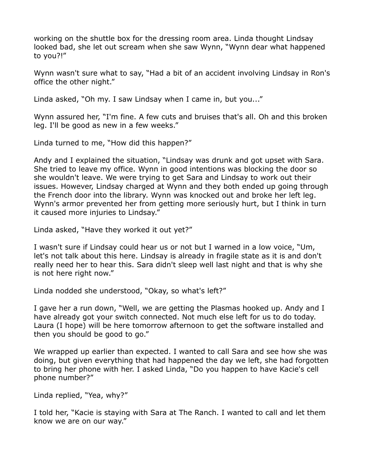working on the shuttle box for the dressing room area. Linda thought Lindsay looked bad, she let out scream when she saw Wynn, "Wynn dear what happened to you?!"

Wynn wasn't sure what to say, "Had a bit of an accident involving Lindsay in Ron's office the other night."

Linda asked, "Oh my. I saw Lindsay when I came in, but you..."

Wynn assured her, "I'm fine. A few cuts and bruises that's all. Oh and this broken leg. I'll be good as new in a few weeks."

Linda turned to me, "How did this happen?"

Andy and I explained the situation, "Lindsay was drunk and got upset with Sara. She tried to leave my office. Wynn in good intentions was blocking the door so she wouldn't leave. We were trying to get Sara and Lindsay to work out their issues. However, Lindsay charged at Wynn and they both ended up going through the French door into the library. Wynn was knocked out and broke her left leg. Wynn's armor prevented her from getting more seriously hurt, but I think in turn it caused more injuries to Lindsay."

Linda asked, "Have they worked it out yet?"

I wasn't sure if Lindsay could hear us or not but I warned in a low voice, "Um, let's not talk about this here. Lindsay is already in fragile state as it is and don't really need her to hear this. Sara didn't sleep well last night and that is why she is not here right now."

Linda nodded she understood, "Okay, so what's left?"

I gave her a run down, "Well, we are getting the Plasmas hooked up. Andy and I have already got your switch connected. Not much else left for us to do today. Laura (I hope) will be here tomorrow afternoon to get the software installed and then you should be good to go."

We wrapped up earlier than expected. I wanted to call Sara and see how she was doing, but given everything that had happened the day we left, she had forgotten to bring her phone with her. I asked Linda, "Do you happen to have Kacie's cell phone number?"

Linda replied, "Yea, why?"

I told her, "Kacie is staying with Sara at The Ranch. I wanted to call and let them know we are on our way."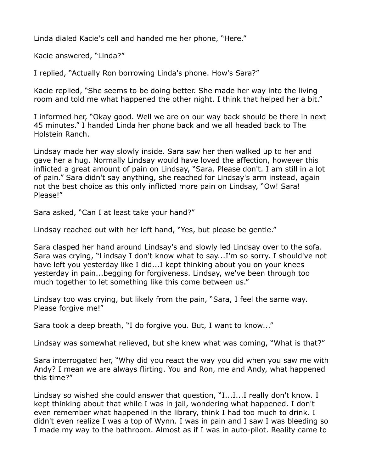Linda dialed Kacie's cell and handed me her phone, "Here."

Kacie answered, "Linda?"

I replied, "Actually Ron borrowing Linda's phone. How's Sara?"

Kacie replied, "She seems to be doing better. She made her way into the living room and told me what happened the other night. I think that helped her a bit."

I informed her, "Okay good. Well we are on our way back should be there in next 45 minutes." I handed Linda her phone back and we all headed back to The Holstein Ranch.

Lindsay made her way slowly inside. Sara saw her then walked up to her and gave her a hug. Normally Lindsay would have loved the affection, however this inflicted a great amount of pain on Lindsay, "Sara. Please don't. I am still in a lot of pain." Sara didn't say anything, she reached for Lindsay's arm instead, again not the best choice as this only inflicted more pain on Lindsay, "Ow! Sara! Please!"

Sara asked, "Can I at least take your hand?"

Lindsay reached out with her left hand, "Yes, but please be gentle."

Sara clasped her hand around Lindsay's and slowly led Lindsay over to the sofa. Sara was crying, "Lindsay I don't know what to say...I'm so sorry. I should've not have left you yesterday like I did...I kept thinking about you on your knees yesterday in pain...begging for forgiveness. Lindsay, we've been through too much together to let something like this come between us."

Lindsay too was crying, but likely from the pain, "Sara, I feel the same way. Please forgive me!"

Sara took a deep breath, "I do forgive you. But, I want to know..."

Lindsay was somewhat relieved, but she knew what was coming, "What is that?"

Sara interrogated her, "Why did you react the way you did when you saw me with Andy? I mean we are always flirting. You and Ron, me and Andy, what happened this time?"

Lindsay so wished she could answer that question, "I...I...I really don't know. I kept thinking about that while I was in jail, wondering what happened. I don't even remember what happened in the library, think I had too much to drink. I didn't even realize I was a top of Wynn. I was in pain and I saw I was bleeding so I made my way to the bathroom. Almost as if I was in auto-pilot. Reality came to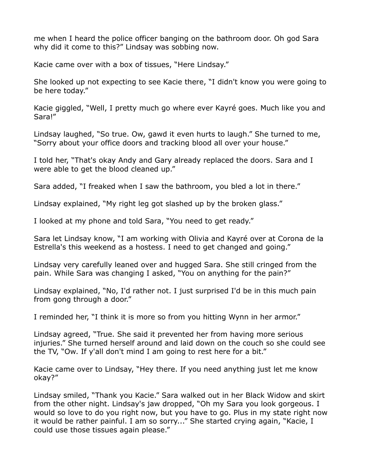me when I heard the police officer banging on the bathroom door. Oh god Sara why did it come to this?" Lindsay was sobbing now.

Kacie came over with a box of tissues, "Here Lindsay."

She looked up not expecting to see Kacie there, "I didn't know you were going to be here today."

Kacie giggled, "Well, I pretty much go where ever Kayré goes. Much like you and Sara!"

Lindsay laughed, "So true. Ow, gawd it even hurts to laugh." She turned to me, "Sorry about your office doors and tracking blood all over your house."

I told her, "That's okay Andy and Gary already replaced the doors. Sara and I were able to get the blood cleaned up."

Sara added, "I freaked when I saw the bathroom, you bled a lot in there."

Lindsay explained, "My right leg got slashed up by the broken glass."

I looked at my phone and told Sara, "You need to get ready."

Sara let Lindsay know, "I am working with Olivia and Kayré over at Corona de la Estrella's this weekend as a hostess. I need to get changed and going."

Lindsay very carefully leaned over and hugged Sara. She still cringed from the pain. While Sara was changing I asked, "You on anything for the pain?"

Lindsay explained, "No, I'd rather not. I just surprised I'd be in this much pain from gong through a door."

I reminded her, "I think it is more so from you hitting Wynn in her armor."

Lindsay agreed, "True. She said it prevented her from having more serious injuries." She turned herself around and laid down on the couch so she could see the TV, "Ow. If y'all don't mind I am going to rest here for a bit."

Kacie came over to Lindsay, "Hey there. If you need anything just let me know okay?"

Lindsay smiled, "Thank you Kacie." Sara walked out in her Black Widow and skirt from the other night. Lindsay's jaw dropped, "Oh my Sara you look gorgeous. I would so love to do you right now, but you have to go. Plus in my state right now it would be rather painful. I am so sorry..." She started crying again, "Kacie, I could use those tissues again please."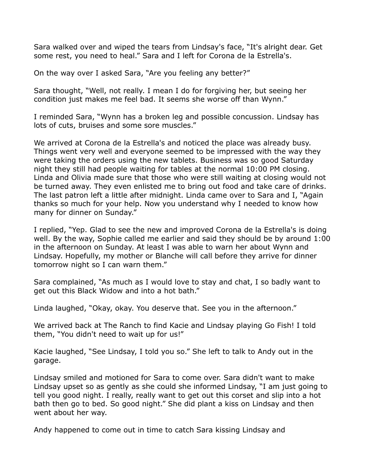Sara walked over and wiped the tears from Lindsay's face, "It's alright dear. Get some rest, you need to heal." Sara and I left for Corona de la Estrella's.

On the way over I asked Sara, "Are you feeling any better?"

Sara thought, "Well, not really. I mean I do for forgiving her, but seeing her condition just makes me feel bad. It seems she worse off than Wynn."

I reminded Sara, "Wynn has a broken leg and possible concussion. Lindsay has lots of cuts, bruises and some sore muscles."

We arrived at Corona de la Estrella's and noticed the place was already busy. Things went very well and everyone seemed to be impressed with the way they were taking the orders using the new tablets. Business was so good Saturday night they still had people waiting for tables at the normal 10:00 PM closing. Linda and Olivia made sure that those who were still waiting at closing would not be turned away. They even enlisted me to bring out food and take care of drinks. The last patron left a little after midnight. Linda came over to Sara and I, "Again thanks so much for your help. Now you understand why I needed to know how many for dinner on Sunday."

I replied, "Yep. Glad to see the new and improved Corona de la Estrella's is doing well. By the way, Sophie called me earlier and said they should be by around 1:00 in the afternoon on Sunday. At least I was able to warn her about Wynn and Lindsay. Hopefully, my mother or Blanche will call before they arrive for dinner tomorrow night so I can warn them."

Sara complained, "As much as I would love to stay and chat, I so badly want to get out this Black Widow and into a hot bath."

Linda laughed, "Okay, okay. You deserve that. See you in the afternoon."

We arrived back at The Ranch to find Kacie and Lindsay playing Go Fish! I told them, "You didn't need to wait up for us!"

Kacie laughed, "See Lindsay, I told you so." She left to talk to Andy out in the garage.

Lindsay smiled and motioned for Sara to come over. Sara didn't want to make Lindsay upset so as gently as she could she informed Lindsay, "I am just going to tell you good night. I really, really want to get out this corset and slip into a hot bath then go to bed. So good night." She did plant a kiss on Lindsay and then went about her way.

Andy happened to come out in time to catch Sara kissing Lindsay and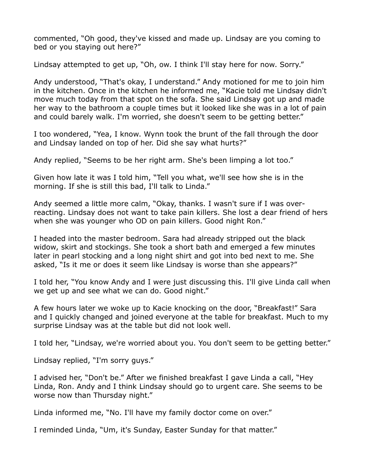commented, "Oh good, they've kissed and made up. Lindsay are you coming to bed or you staying out here?"

Lindsay attempted to get up, "Oh, ow. I think I'll stay here for now. Sorry."

Andy understood, "That's okay, I understand." Andy motioned for me to join him in the kitchen. Once in the kitchen he informed me, "Kacie told me Lindsay didn't move much today from that spot on the sofa. She said Lindsay got up and made her way to the bathroom a couple times but it looked like she was in a lot of pain and could barely walk. I'm worried, she doesn't seem to be getting better."

I too wondered, "Yea, I know. Wynn took the brunt of the fall through the door and Lindsay landed on top of her. Did she say what hurts?"

Andy replied, "Seems to be her right arm. She's been limping a lot too."

Given how late it was I told him, "Tell you what, we'll see how she is in the morning. If she is still this bad, I'll talk to Linda."

Andy seemed a little more calm, "Okay, thanks. I wasn't sure if I was overreacting. Lindsay does not want to take pain killers. She lost a dear friend of hers when she was younger who OD on pain killers. Good night Ron."

I headed into the master bedroom. Sara had already stripped out the black widow, skirt and stockings. She took a short bath and emerged a few minutes later in pearl stocking and a long night shirt and got into bed next to me. She asked, "Is it me or does it seem like Lindsay is worse than she appears?"

I told her, "You know Andy and I were just discussing this. I'll give Linda call when we get up and see what we can do. Good night."

A few hours later we woke up to Kacie knocking on the door, "Breakfast!" Sara and I quickly changed and joined everyone at the table for breakfast. Much to my surprise Lindsay was at the table but did not look well.

I told her, "Lindsay, we're worried about you. You don't seem to be getting better."

Lindsay replied, "I'm sorry guys."

I advised her, "Don't be." After we finished breakfast I gave Linda a call, "Hey Linda, Ron. Andy and I think Lindsay should go to urgent care. She seems to be worse now than Thursday night."

Linda informed me, "No. I'll have my family doctor come on over."

I reminded Linda, "Um, it's Sunday, Easter Sunday for that matter."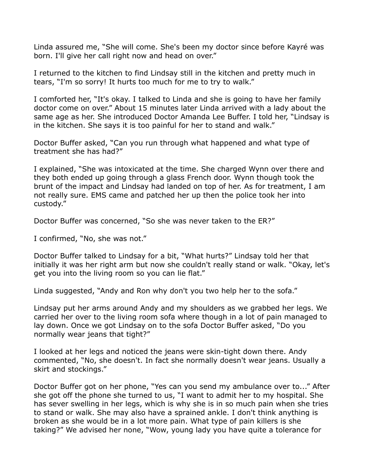Linda assured me, "She will come. She's been my doctor since before Kayré was born. I'll give her call right now and head on over."

I returned to the kitchen to find Lindsay still in the kitchen and pretty much in tears, "I'm so sorry! It hurts too much for me to try to walk."

I comforted her, "It's okay. I talked to Linda and she is going to have her family doctor come on over." About 15 minutes later Linda arrived with a lady about the same age as her. She introduced Doctor Amanda Lee Buffer. I told her, "Lindsay is in the kitchen. She says it is too painful for her to stand and walk."

Doctor Buffer asked, "Can you run through what happened and what type of treatment she has had?"

I explained, "She was intoxicated at the time. She charged Wynn over there and they both ended up going through a glass French door. Wynn though took the brunt of the impact and Lindsay had landed on top of her. As for treatment, I am not really sure. EMS came and patched her up then the police took her into custody."

Doctor Buffer was concerned, "So she was never taken to the ER?"

I confirmed, "No, she was not."

Doctor Buffer talked to Lindsay for a bit, "What hurts?" Lindsay told her that initially it was her right arm but now she couldn't really stand or walk. "Okay, let's get you into the living room so you can lie flat."

Linda suggested, "Andy and Ron why don't you two help her to the sofa."

Lindsay put her arms around Andy and my shoulders as we grabbed her legs. We carried her over to the living room sofa where though in a lot of pain managed to lay down. Once we got Lindsay on to the sofa Doctor Buffer asked, "Do you normally wear jeans that tight?"

I looked at her legs and noticed the jeans were skin-tight down there. Andy commented, "No, she doesn't. In fact she normally doesn't wear jeans. Usually a skirt and stockings."

Doctor Buffer got on her phone, "Yes can you send my ambulance over to..." After she got off the phone she turned to us, "I want to admit her to my hospital. She has sever swelling in her legs, which is why she is in so much pain when she tries to stand or walk. She may also have a sprained ankle. I don't think anything is broken as she would be in a lot more pain. What type of pain killers is she taking?" We advised her none, "Wow, young lady you have quite a tolerance for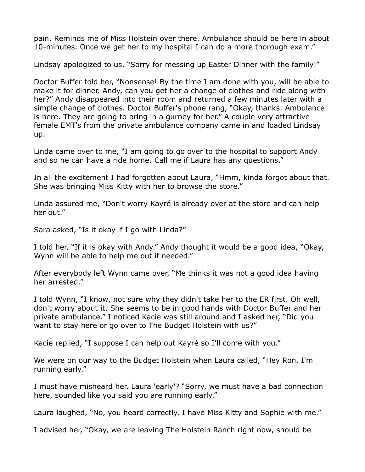pain. Reminds me of Miss Holstein over there. Ambulance should be here in about 10-minutes. Once we get her to my hospital I can do a more thorough exam."

Lindsay apologized to us, "Sorry for messing up Easter Dinner with the family!"

Doctor Buffer told her, "Nonsense! By the time I am done with you, will be able to make it for dinner. Andy, can you get her a change of clothes and ride along with her?" Andy disappeared into their room and returned a few minutes later with a simple change of clothes. Doctor Buffer's phone rang, "Okay, thanks. Ambulance is here. They are going to bring in a gurney for her." A couple very attractive female EMT's from the private ambulance company came in and loaded Lindsay up.

Linda came over to me, "I am going to go over to the hospital to support Andy and so he can have a ride home. Call me if Laura has any questions."

In all the excitement I had forgotten about Laura, "Hmm, kinda forgot about that. She was bringing Miss Kitty with her to browse the store."

Linda assured me, "Don't worry Kayré is already over at the store and can help her out."

Sara asked, "Is it okay if I go with Linda?"

I told her, "If it is okay with Andy." Andy thought it would be a good idea, "Okay, Wynn will be able to help me out if needed."

After everybody left Wynn came over, "Me thinks it was not a good idea having her arrested."

I told Wynn, "I know, not sure why they didn't take her to the ER first. Oh well, don't worry about it. She seems to be in good hands with Doctor Buffer and her private ambulance." I noticed Kacie was still around and I asked her, "Did you want to stay here or go over to The Budget Holstein with us?"

Kacie replied, "I suppose I can help out Kayré so I'll come with you."

We were on our way to the Budget Holstein when Laura called, "Hey Ron. I'm running early."

I must have misheard her, Laura 'early'? "Sorry, we must have a bad connection here, sounded like you said you are running early."

Laura laughed, "No, you heard correctly. I have Miss Kitty and Sophie with me."

I advised her, "Okay, we are leaving The Holstein Ranch right now, should be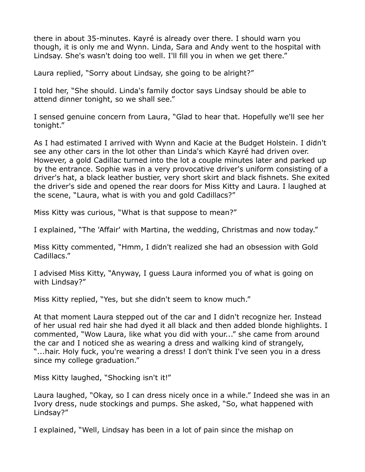there in about 35-minutes. Kayré is already over there. I should warn you though, it is only me and Wynn. Linda, Sara and Andy went to the hospital with Lindsay. She's wasn't doing too well. I'll fill you in when we get there."

Laura replied, "Sorry about Lindsay, she going to be alright?"

I told her, "She should. Linda's family doctor says Lindsay should be able to attend dinner tonight, so we shall see."

I sensed genuine concern from Laura, "Glad to hear that. Hopefully we'll see her tonight."

As I had estimated I arrived with Wynn and Kacie at the Budget Holstein. I didn't see any other cars in the lot other than Linda's which Kayré had driven over. However, a gold Cadillac turned into the lot a couple minutes later and parked up by the entrance. Sophie was in a very provocative driver's uniform consisting of a driver's hat, a black leather bustier, very short skirt and black fishnets. She exited the driver's side and opened the rear doors for Miss Kitty and Laura. I laughed at the scene, "Laura, what is with you and gold Cadillacs?"

Miss Kitty was curious, "What is that suppose to mean?"

I explained, "The 'Affair' with Martina, the wedding, Christmas and now today."

Miss Kitty commented, "Hmm, I didn't realized she had an obsession with Gold Cadillacs."

I advised Miss Kitty, "Anyway, I guess Laura informed you of what is going on with Lindsay?"

Miss Kitty replied, "Yes, but she didn't seem to know much."

At that moment Laura stepped out of the car and I didn't recognize her. Instead of her usual red hair she had dyed it all black and then added blonde highlights. I commented, "Wow Laura, like what you did with your..." she came from around the car and I noticed she as wearing a dress and walking kind of strangely, "...hair. Holy fuck, you're wearing a dress! I don't think I've seen you in a dress since my college graduation."

Miss Kitty laughed, "Shocking isn't it!"

Laura laughed, "Okay, so I can dress nicely once in a while." Indeed she was in an Ivory dress, nude stockings and pumps. She asked, "So, what happened with Lindsay?"

I explained, "Well, Lindsay has been in a lot of pain since the mishap on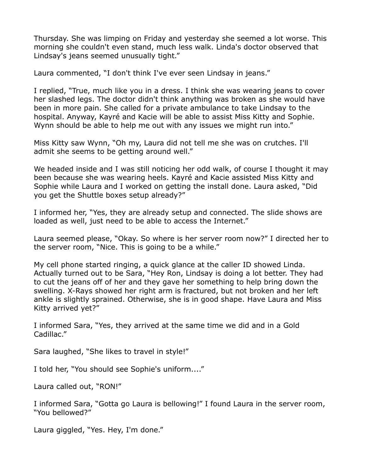Thursday. She was limping on Friday and yesterday she seemed a lot worse. This morning she couldn't even stand, much less walk. Linda's doctor observed that Lindsay's jeans seemed unusually tight."

Laura commented, "I don't think I've ever seen Lindsay in jeans."

I replied, "True, much like you in a dress. I think she was wearing jeans to cover her slashed legs. The doctor didn't think anything was broken as she would have been in more pain. She called for a private ambulance to take Lindsay to the hospital. Anyway, Kayré and Kacie will be able to assist Miss Kitty and Sophie. Wynn should be able to help me out with any issues we might run into."

Miss Kitty saw Wynn, "Oh my, Laura did not tell me she was on crutches. I'll admit she seems to be getting around well."

We headed inside and I was still noticing her odd walk, of course I thought it may been because she was wearing heels. Kayré and Kacie assisted Miss Kitty and Sophie while Laura and I worked on getting the install done. Laura asked, "Did you get the Shuttle boxes setup already?"

I informed her, "Yes, they are already setup and connected. The slide shows are loaded as well, just need to be able to access the Internet."

Laura seemed please, "Okay. So where is her server room now?" I directed her to the server room, "Nice. This is going to be a while."

My cell phone started ringing, a quick glance at the caller ID showed Linda. Actually turned out to be Sara, "Hey Ron, Lindsay is doing a lot better. They had to cut the jeans off of her and they gave her something to help bring down the swelling. X-Rays showed her right arm is fractured, but not broken and her left ankle is slightly sprained. Otherwise, she is in good shape. Have Laura and Miss Kitty arrived yet?"

I informed Sara, "Yes, they arrived at the same time we did and in a Gold Cadillac."

Sara laughed, "She likes to travel in style!"

I told her, "You should see Sophie's uniform...."

Laura called out, "RON!"

I informed Sara, "Gotta go Laura is bellowing!" I found Laura in the server room, "You bellowed?"

Laura giggled, "Yes. Hey, I'm done."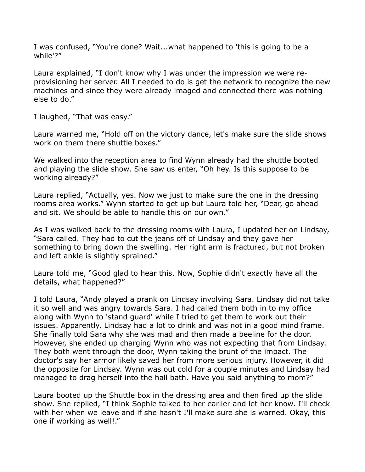I was confused, "You're done? Wait...what happened to 'this is going to be a while'?"

Laura explained, "I don't know why I was under the impression we were reprovisioning her server. All I needed to do is get the network to recognize the new machines and since they were already imaged and connected there was nothing else to do."

I laughed, "That was easy."

Laura warned me, "Hold off on the victory dance, let's make sure the slide shows work on them there shuttle boxes."

We walked into the reception area to find Wynn already had the shuttle booted and playing the slide show. She saw us enter, "Oh hey. Is this suppose to be working already?"

Laura replied, "Actually, yes. Now we just to make sure the one in the dressing rooms area works." Wynn started to get up but Laura told her, "Dear, go ahead and sit. We should be able to handle this on our own."

As I was walked back to the dressing rooms with Laura, I updated her on Lindsay, "Sara called. They had to cut the jeans off of Lindsay and they gave her something to bring down the swelling. Her right arm is fractured, but not broken and left ankle is slightly sprained."

Laura told me, "Good glad to hear this. Now, Sophie didn't exactly have all the details, what happened?"

I told Laura, "Andy played a prank on Lindsay involving Sara. Lindsay did not take it so well and was angry towards Sara. I had called them both in to my office along with Wynn to 'stand guard' while I tried to get them to work out their issues. Apparently, Lindsay had a lot to drink and was not in a good mind frame. She finally told Sara why she was mad and then made a beeline for the door. However, she ended up charging Wynn who was not expecting that from Lindsay. They both went through the door, Wynn taking the brunt of the impact. The doctor's say her armor likely saved her from more serious injury. However, it did the opposite for Lindsay. Wynn was out cold for a couple minutes and Lindsay had managed to drag herself into the hall bath. Have you said anything to mom?"

Laura booted up the Shuttle box in the dressing area and then fired up the slide show. She replied, "I think Sophie talked to her earlier and let her know. I'll check with her when we leave and if she hasn't I'll make sure she is warned. Okay, this one if working as well!."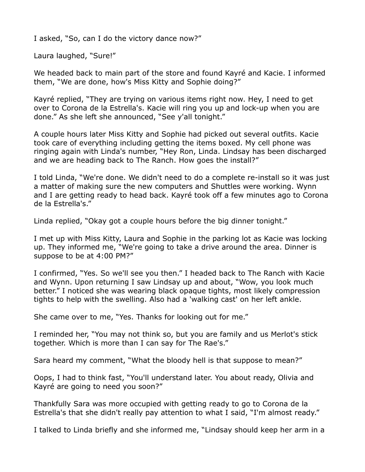I asked, "So, can I do the victory dance now?"

Laura laughed, "Sure!"

We headed back to main part of the store and found Kayré and Kacie. I informed them, "We are done, how's Miss Kitty and Sophie doing?"

Kayré replied, "They are trying on various items right now. Hey, I need to get over to Corona de la Estrella's. Kacie will ring you up and lock-up when you are done." As she left she announced, "See y'all tonight."

A couple hours later Miss Kitty and Sophie had picked out several outfits. Kacie took care of everything including getting the items boxed. My cell phone was ringing again with Linda's number, "Hey Ron, Linda. Lindsay has been discharged and we are heading back to The Ranch. How goes the install?"

I told Linda, "We're done. We didn't need to do a complete re-install so it was just a matter of making sure the new computers and Shuttles were working. Wynn and I are getting ready to head back. Kayré took off a few minutes ago to Corona de la Estrella's."

Linda replied, "Okay got a couple hours before the big dinner tonight."

I met up with Miss Kitty, Laura and Sophie in the parking lot as Kacie was locking up. They informed me, "We're going to take a drive around the area. Dinner is suppose to be at 4:00 PM?"

I confirmed, "Yes. So we'll see you then." I headed back to The Ranch with Kacie and Wynn. Upon returning I saw Lindsay up and about, "Wow, you look much better." I noticed she was wearing black opaque tights, most likely compression tights to help with the swelling. Also had a 'walking cast' on her left ankle.

She came over to me, "Yes. Thanks for looking out for me."

I reminded her, "You may not think so, but you are family and us Merlot's stick together. Which is more than I can say for The Rae's."

Sara heard my comment, "What the bloody hell is that suppose to mean?"

Oops, I had to think fast, "You'll understand later. You about ready, Olivia and Kayré are going to need you soon?"

Thankfully Sara was more occupied with getting ready to go to Corona de la Estrella's that she didn't really pay attention to what I said, "I'm almost ready."

I talked to Linda briefly and she informed me, "Lindsay should keep her arm in a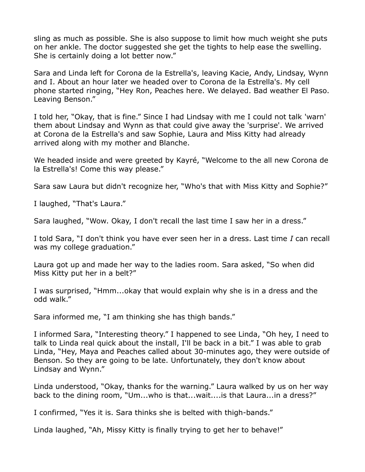sling as much as possible. She is also suppose to limit how much weight she puts on her ankle. The doctor suggested she get the tights to help ease the swelling. She is certainly doing a lot better now."

Sara and Linda left for Corona de la Estrella's, leaving Kacie, Andy, Lindsay, Wynn and I. About an hour later we headed over to Corona de la Estrella's. My cell phone started ringing, "Hey Ron, Peaches here. We delayed. Bad weather El Paso. Leaving Benson."

I told her, "Okay, that is fine." Since I had Lindsay with me I could not talk 'warn' them about Lindsay and Wynn as that could give away the 'surprise'. We arrived at Corona de la Estrella's and saw Sophie, Laura and Miss Kitty had already arrived along with my mother and Blanche.

We headed inside and were greeted by Kayré, "Welcome to the all new Corona de la Estrella's! Come this way please."

Sara saw Laura but didn't recognize her, "Who's that with Miss Kitty and Sophie?"

I laughed, "That's Laura."

Sara laughed, "Wow. Okay, I don't recall the last time I saw her in a dress."

I told Sara, "I don't think you have ever seen her in a dress. Last time *I* can recall was my college graduation."

Laura got up and made her way to the ladies room. Sara asked, "So when did Miss Kitty put her in a belt?"

I was surprised, "Hmm...okay that would explain why she is in a dress and the odd walk."

Sara informed me, "I am thinking she has thigh bands."

I informed Sara, "Interesting theory." I happened to see Linda, "Oh hey, I need to talk to Linda real quick about the install, I'll be back in a bit." I was able to grab Linda, "Hey, Maya and Peaches called about 30-minutes ago, they were outside of Benson. So they are going to be late. Unfortunately, they don't know about Lindsay and Wynn."

Linda understood, "Okay, thanks for the warning." Laura walked by us on her way back to the dining room, "Um...who is that...wait....is that Laura...in a dress?"

I confirmed, "Yes it is. Sara thinks she is belted with thigh-bands."

Linda laughed, "Ah, Missy Kitty is finally trying to get her to behave!"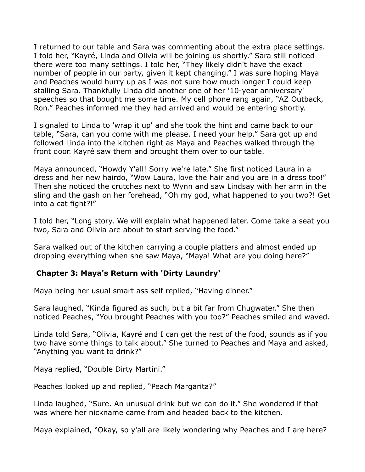I returned to our table and Sara was commenting about the extra place settings. I told her, "Kayré, Linda and Olivia will be joining us shortly." Sara still noticed there were too many settings. I told her, "They likely didn't have the exact number of people in our party, given it kept changing." I was sure hoping Maya and Peaches would hurry up as I was not sure how much longer I could keep stalling Sara. Thankfully Linda did another one of her '10-year anniversary' speeches so that bought me some time. My cell phone rang again, "AZ Outback, Ron." Peaches informed me they had arrived and would be entering shortly.

I signaled to Linda to 'wrap it up' and she took the hint and came back to our table, "Sara, can you come with me please. I need your help." Sara got up and followed Linda into the kitchen right as Maya and Peaches walked through the front door. Kayré saw them and brought them over to our table.

Maya announced, "Howdy Y'all! Sorry we're late." She first noticed Laura in a dress and her new hairdo, "Wow Laura, love the hair and you are in a dress too!" Then she noticed the crutches next to Wynn and saw Lindsay with her arm in the sling and the gash on her forehead, "Oh my god, what happened to you two?! Get into a cat fight?!"

I told her, "Long story. We will explain what happened later. Come take a seat you two, Sara and Olivia are about to start serving the food."

Sara walked out of the kitchen carrying a couple platters and almost ended up dropping everything when she saw Maya, "Maya! What are you doing here?"

## **Chapter 3: Maya's Return with 'Dirty Laundry'**

Maya being her usual smart ass self replied, "Having dinner."

Sara laughed, "Kinda figured as such, but a bit far from Chugwater." She then noticed Peaches, "You brought Peaches with you too?" Peaches smiled and waved.

Linda told Sara, "Olivia, Kayré and I can get the rest of the food, sounds as if you two have some things to talk about." She turned to Peaches and Maya and asked, "Anything you want to drink?"

Maya replied, "Double Dirty Martini."

Peaches looked up and replied, "Peach Margarita?"

Linda laughed, "Sure. An unusual drink but we can do it." She wondered if that was where her nickname came from and headed back to the kitchen.

Maya explained, "Okay, so y'all are likely wondering why Peaches and I are here?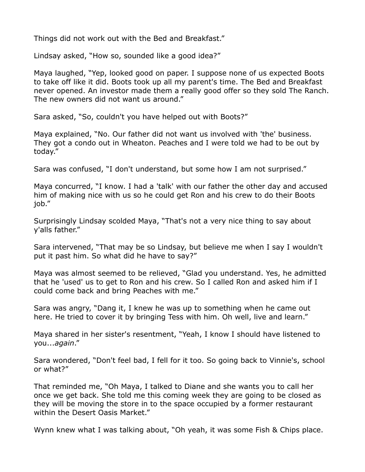Things did not work out with the Bed and Breakfast."

Lindsay asked, "How so, sounded like a good idea?"

Maya laughed, "Yep, looked good on paper. I suppose none of us expected Boots to take off like it did. Boots took up all my parent's time. The Bed and Breakfast never opened. An investor made them a really good offer so they sold The Ranch. The new owners did not want us around."

Sara asked, "So, couldn't you have helped out with Boots?"

Maya explained, "No. Our father did not want us involved with 'the' business. They got a condo out in Wheaton. Peaches and I were told we had to be out by today."

Sara was confused, "I don't understand, but some how I am not surprised."

Maya concurred, "I know. I had a 'talk' with our father the other day and accused him of making nice with us so he could get Ron and his crew to do their Boots job."

Surprisingly Lindsay scolded Maya, "That's not a very nice thing to say about y'alls father."

Sara intervened, "That may be so Lindsay, but believe me when I say I wouldn't put it past him. So what did he have to say?"

Maya was almost seemed to be relieved, "Glad you understand. Yes, he admitted that he 'used' us to get to Ron and his crew. So I called Ron and asked him if I could come back and bring Peaches with me."

Sara was angry, "Dang it, I knew he was up to something when he came out here. He tried to cover it by bringing Tess with him. Oh well, live and learn."

Maya shared in her sister's resentment, "Yeah, I know I should have listened to you...*again*."

Sara wondered, "Don't feel bad, I fell for it too. So going back to Vinnie's, school or what?"

That reminded me, "Oh Maya, I talked to Diane and she wants you to call her once we get back. She told me this coming week they are going to be closed as they will be moving the store in to the space occupied by a former restaurant within the Desert Oasis Market."

Wynn knew what I was talking about, "Oh yeah, it was some Fish & Chips place.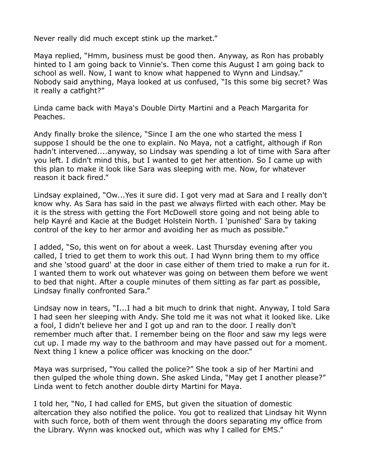Never really did much except stink up the market."

Maya replied, "Hmm, business must be good then. Anyway, as Ron has probably hinted to I am going back to Vinnie's. Then come this August I am going back to school as well. Now, I want to know what happened to Wynn and Lindsay." Nobody said anything, Maya looked at us confused, "Is this some big secret? Was it really a catfight?"

Linda came back with Maya's Double Dirty Martini and a Peach Margarita for Peaches.

Andy finally broke the silence, "Since I am the one who started the mess I suppose I should be the one to explain. No Maya, not a catfight, although if Ron hadn't intervened....anyway, so Lindsay was spending a lot of time with Sara after you left. I didn't mind this, but I wanted to get her attention. So I came up with this plan to make it look like Sara was sleeping with me. Now, for whatever reason it back fired."

Lindsay explained, "Ow...Yes it sure did. I got very mad at Sara and I really don't know why. As Sara has said in the past we always flirted with each other. May be it is the stress with getting the Fort McDowell store going and not being able to help Kayré and Kacie at the Budget Holstein North. I 'punished' Sara by taking control of the key to her armor and avoiding her as much as possible."

I added, "So, this went on for about a week. Last Thursday evening after you called, I tried to get them to work this out. I had Wynn bring them to my office and she 'stood guard' at the door in case either of them tried to make a run for it. I wanted them to work out whatever was going on between them before we went to bed that night. After a couple minutes of them sitting as far part as possible, Lindsay finally confronted Sara."

Lindsay now in tears, "I...I had a bit much to drink that night. Anyway, I told Sara I had seen her sleeping with Andy. She told me it was not what it looked like. Like a fool, I didn't believe her and I got up and ran to the door. I really don't remember much after that. I remember being on the floor and saw my legs were cut up. I made my way to the bathroom and may have passed out for a moment. Next thing I knew a police officer was knocking on the door."

Maya was surprised, "You called the police?" She took a sip of her Martini and then gulped the whole thing down. She asked Linda, "May get I another please?" Linda went to fetch another double dirty Martini for Maya.

I told her, "No, I had called for EMS, but given the situation of domestic altercation they also notified the police. You got to realized that Lindsay hit Wynn with such force, both of them went through the doors separating my office from the Library. Wynn was knocked out, which was why I called for EMS."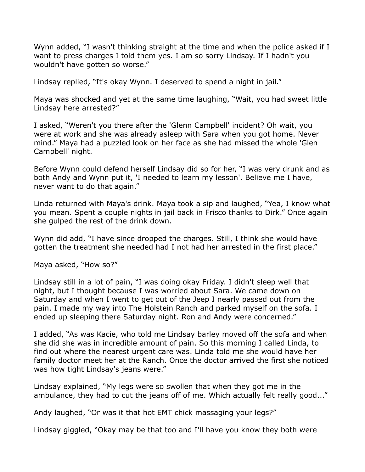Wynn added, "I wasn't thinking straight at the time and when the police asked if I want to press charges I told them yes. I am so sorry Lindsay. If I hadn't you wouldn't have gotten so worse."

Lindsay replied, "It's okay Wynn. I deserved to spend a night in jail."

Maya was shocked and yet at the same time laughing, "Wait, you had sweet little Lindsay here arrested?"

I asked, "Weren't you there after the 'Glenn Campbell' incident? Oh wait, you were at work and she was already asleep with Sara when you got home. Never mind." Maya had a puzzled look on her face as she had missed the whole 'Glen Campbell' night.

Before Wynn could defend herself Lindsay did so for her, "I was very drunk and as both Andy and Wynn put it, 'I needed to learn my lesson'. Believe me I have, never want to do that again."

Linda returned with Maya's drink. Maya took a sip and laughed, "Yea, I know what you mean. Spent a couple nights in jail back in Frisco thanks to Dirk." Once again she gulped the rest of the drink down.

Wynn did add, "I have since dropped the charges. Still, I think she would have gotten the treatment she needed had I not had her arrested in the first place."

Maya asked, "How so?"

Lindsay still in a lot of pain, "I was doing okay Friday. I didn't sleep well that night, but I thought because I was worried about Sara. We came down on Saturday and when I went to get out of the Jeep I nearly passed out from the pain. I made my way into The Holstein Ranch and parked myself on the sofa. I ended up sleeping there Saturday night. Ron and Andy were concerned."

I added, "As was Kacie, who told me Lindsay barley moved off the sofa and when she did she was in incredible amount of pain. So this morning I called Linda, to find out where the nearest urgent care was. Linda told me she would have her family doctor meet her at the Ranch. Once the doctor arrived the first she noticed was how tight Lindsay's jeans were."

Lindsay explained, "My legs were so swollen that when they got me in the ambulance, they had to cut the jeans off of me. Which actually felt really good..."

Andy laughed, "Or was it that hot EMT chick massaging your legs?"

Lindsay giggled, "Okay may be that too and I'll have you know they both were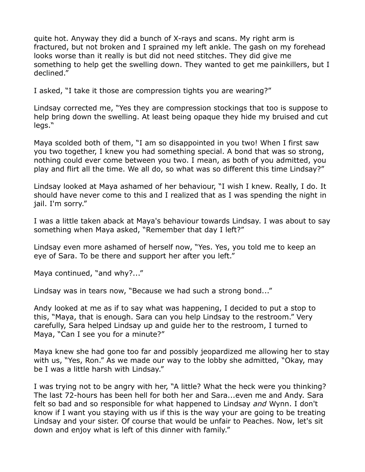quite hot. Anyway they did a bunch of X-rays and scans. My right arm is fractured, but not broken and I sprained my left ankle. The gash on my forehead looks worse than it really is but did not need stitches. They did give me something to help get the swelling down. They wanted to get me painkillers, but I declined."

I asked, "I take it those are compression tights you are wearing?"

Lindsay corrected me, "Yes they are compression stockings that too is suppose to help bring down the swelling. At least being opaque they hide my bruised and cut legs."

Maya scolded both of them, "I am so disappointed in you two! When I first saw you two together, I knew you had something special. A bond that was so strong, nothing could ever come between you two. I mean, as both of you admitted, you play and flirt all the time. We all do, so what was so different this time Lindsay?"

Lindsay looked at Maya ashamed of her behaviour, "I wish I knew. Really, I do. It should have never come to this and I realized that as I was spending the night in jail. I'm sorry."

I was a little taken aback at Maya's behaviour towards Lindsay. I was about to say something when Maya asked, "Remember that day I left?"

Lindsay even more ashamed of herself now, "Yes. Yes, you told me to keep an eye of Sara. To be there and support her after you left."

Maya continued, "and why?..."

Lindsay was in tears now, "Because we had such a strong bond..."

Andy looked at me as if to say what was happening, I decided to put a stop to this, "Maya, that is enough. Sara can you help Lindsay to the restroom." Very carefully, Sara helped Lindsay up and guide her to the restroom, I turned to Maya, "Can I see you for a minute?"

Maya knew she had gone too far and possibly jeopardized me allowing her to stay with us, "Yes, Ron." As we made our way to the lobby she admitted, "Okay, may be I was a little harsh with Lindsay."

I was trying not to be angry with her, "A little? What the heck were you thinking? The last 72-hours has been hell for both her and Sara...even me and Andy. Sara felt so bad and so responsible for what happened to Lindsay *and* Wynn. I don't know if I want you staying with us if this is the way your are going to be treating Lindsay and your sister. Of course that would be unfair to Peaches. Now, let's sit down and enjoy what is left of this dinner with family."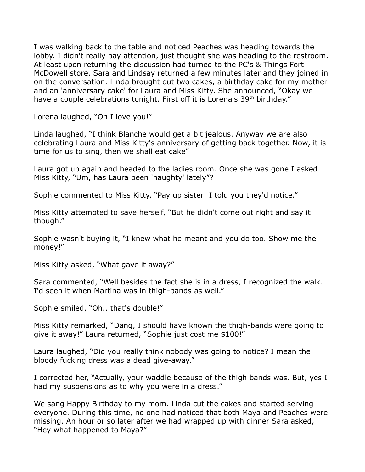I was walking back to the table and noticed Peaches was heading towards the lobby. I didn't really pay attention, just thought she was heading to the restroom. At least upon returning the discussion had turned to the PC's & Things Fort McDowell store. Sara and Lindsay returned a few minutes later and they joined in on the conversation. Linda brought out two cakes, a birthday cake for my mother and an 'anniversary cake' for Laura and Miss Kitty. She announced, "Okay we have a couple celebrations tonight. First off it is Lorena's 39<sup>th</sup> birthday."

Lorena laughed, "Oh I love you!"

Linda laughed, "I think Blanche would get a bit jealous. Anyway we are also celebrating Laura and Miss Kitty's anniversary of getting back together. Now, it is time for us to sing, then we shall eat cake"

Laura got up again and headed to the ladies room. Once she was gone I asked Miss Kitty, "Um, has Laura been 'naughty' lately"?

Sophie commented to Miss Kitty, "Pay up sister! I told you they'd notice."

Miss Kitty attempted to save herself, "But he didn't come out right and say it though."

Sophie wasn't buying it, "I knew what he meant and you do too. Show me the money!"

Miss Kitty asked, "What gave it away?"

Sara commented, "Well besides the fact she is in a dress, I recognized the walk. I'd seen it when Martina was in thigh-bands as well."

Sophie smiled, "Oh...that's double!"

Miss Kitty remarked, "Dang, I should have known the thigh-bands were going to give it away!" Laura returned, "Sophie just cost me \$100!"

Laura laughed, "Did you really think nobody was going to notice? I mean the bloody fucking dress was a dead give-away."

I corrected her, "Actually, your waddle because of the thigh bands was. But, yes I had my suspensions as to why you were in a dress."

We sang Happy Birthday to my mom. Linda cut the cakes and started serving everyone. During this time, no one had noticed that both Maya and Peaches were missing. An hour or so later after we had wrapped up with dinner Sara asked, "Hey what happened to Maya?"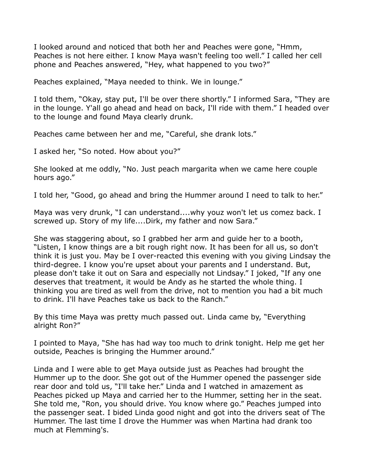I looked around and noticed that both her and Peaches were gone, "Hmm, Peaches is not here either. I know Maya wasn't feeling too well." I called her cell phone and Peaches answered, "Hey, what happened to you two?"

Peaches explained, "Maya needed to think. We in lounge."

I told them, "Okay, stay put, I'll be over there shortly." I informed Sara, "They are in the lounge. Y'all go ahead and head on back, I'll ride with them." I headed over to the lounge and found Maya clearly drunk.

Peaches came between her and me, "Careful, she drank lots."

I asked her, "So noted. How about you?"

She looked at me oddly, "No. Just peach margarita when we came here couple hours ago."

I told her, "Good, go ahead and bring the Hummer around I need to talk to her."

Maya was very drunk, "I can understand....why youz won't let us comez back. I screwed up. Story of my life....Dirk, my father and now Sara."

She was staggering about, so I grabbed her arm and guide her to a booth, "Listen, I know things are a bit rough right now. It has been for all us, so don't think it is just you. May be I over-reacted this evening with you giving Lindsay the third-degree. I know you're upset about your parents and I understand. But, please don't take it out on Sara and especially not Lindsay." I joked, "If any one deserves that treatment, it would be Andy as he started the whole thing. I thinking you are tired as well from the drive, not to mention you had a bit much to drink. I'll have Peaches take us back to the Ranch."

By this time Maya was pretty much passed out. Linda came by, "Everything alright Ron?"

I pointed to Maya, "She has had way too much to drink tonight. Help me get her outside, Peaches is bringing the Hummer around."

Linda and I were able to get Maya outside just as Peaches had brought the Hummer up to the door. She got out of the Hummer opened the passenger side rear door and told us, "I'll take her." Linda and I watched in amazement as Peaches picked up Maya and carried her to the Hummer, setting her in the seat. She told me, "Ron, you should drive. You know where go." Peaches jumped into the passenger seat. I bided Linda good night and got into the drivers seat of The Hummer. The last time I drove the Hummer was when Martina had drank too much at Flemming's.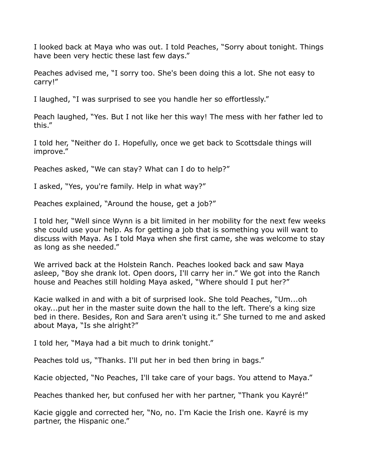I looked back at Maya who was out. I told Peaches, "Sorry about tonight. Things have been very hectic these last few days."

Peaches advised me, "I sorry too. She's been doing this a lot. She not easy to carry!"

I laughed, "I was surprised to see you handle her so effortlessly."

Peach laughed, "Yes. But I not like her this way! The mess with her father led to this."

I told her, "Neither do I. Hopefully, once we get back to Scottsdale things will improve."

Peaches asked, "We can stay? What can I do to help?"

I asked, "Yes, you're family. Help in what way?"

Peaches explained, "Around the house, get a job?"

I told her, "Well since Wynn is a bit limited in her mobility for the next few weeks she could use your help. As for getting a job that is something you will want to discuss with Maya. As I told Maya when she first came, she was welcome to stay as long as she needed."

We arrived back at the Holstein Ranch. Peaches looked back and saw Maya asleep, "Boy she drank lot. Open doors, I'll carry her in." We got into the Ranch house and Peaches still holding Maya asked, "Where should I put her?"

Kacie walked in and with a bit of surprised look. She told Peaches, "Um...oh okay...put her in the master suite down the hall to the left. There's a king size bed in there. Besides, Ron and Sara aren't using it." She turned to me and asked about Maya, "Is she alright?"

I told her, "Maya had a bit much to drink tonight."

Peaches told us, "Thanks. I'll put her in bed then bring in bags."

Kacie objected, "No Peaches, I'll take care of your bags. You attend to Maya."

Peaches thanked her, but confused her with her partner, "Thank you Kayré!"

Kacie giggle and corrected her, "No, no. I'm Kacie the Irish one. Kayré is my partner, the Hispanic one."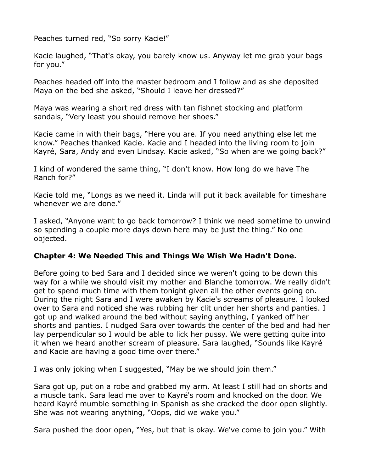Peaches turned red, "So sorry Kacie!"

Kacie laughed, "That's okay, you barely know us. Anyway let me grab your bags for you."

Peaches headed off into the master bedroom and I follow and as she deposited Maya on the bed she asked, "Should I leave her dressed?"

Maya was wearing a short red dress with tan fishnet stocking and platform sandals, "Very least you should remove her shoes."

Kacie came in with their bags, "Here you are. If you need anything else let me know." Peaches thanked Kacie. Kacie and I headed into the living room to join Kayré, Sara, Andy and even Lindsay. Kacie asked, "So when are we going back?"

I kind of wondered the same thing, "I don't know. How long do we have The Ranch for?"

Kacie told me, "Longs as we need it. Linda will put it back available for timeshare whenever we are done."

I asked, "Anyone want to go back tomorrow? I think we need sometime to unwind so spending a couple more days down here may be just the thing." No one objected.

## **Chapter 4: We Needed This and Things We Wish We Hadn't Done.**

Before going to bed Sara and I decided since we weren't going to be down this way for a while we should visit my mother and Blanche tomorrow. We really didn't get to spend much time with them tonight given all the other events going on. During the night Sara and I were awaken by Kacie's screams of pleasure. I looked over to Sara and noticed she was rubbing her clit under her shorts and panties. I got up and walked around the bed without saying anything, I yanked off her shorts and panties. I nudged Sara over towards the center of the bed and had her lay perpendicular so I would be able to lick her pussy. We were getting quite into it when we heard another scream of pleasure. Sara laughed, "Sounds like Kayré and Kacie are having a good time over there."

I was only joking when I suggested, "May be we should join them."

Sara got up, put on a robe and grabbed my arm. At least I still had on shorts and a muscle tank. Sara lead me over to Kayré's room and knocked on the door. We heard Kayré mumble something in Spanish as she cracked the door open slightly. She was not wearing anything, "Oops, did we wake you."

Sara pushed the door open, "Yes, but that is okay. We've come to join you." With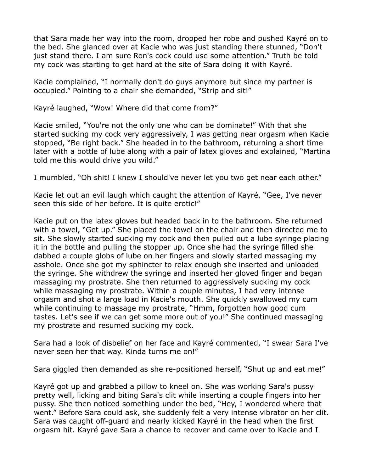that Sara made her way into the room, dropped her robe and pushed Kayré on to the bed. She glanced over at Kacie who was just standing there stunned, "Don't just stand there. I am sure Ron's cock could use some attention." Truth be told my cock was starting to get hard at the site of Sara doing it with Kayré.

Kacie complained, "I normally don't do guys anymore but since my partner is occupied." Pointing to a chair she demanded, "Strip and sit!"

Kayré laughed, "Wow! Where did that come from?"

Kacie smiled, "You're not the only one who can be dominate!" With that she started sucking my cock very aggressively, I was getting near orgasm when Kacie stopped, "Be right back." She headed in to the bathroom, returning a short time later with a bottle of lube along with a pair of latex gloves and explained, "Martina told me this would drive you wild."

I mumbled, "Oh shit! I knew I should've never let you two get near each other."

Kacie let out an evil laugh which caught the attention of Kayré, "Gee, I've never seen this side of her before. It is quite erotic!"

Kacie put on the latex gloves but headed back in to the bathroom. She returned with a towel, "Get up." She placed the towel on the chair and then directed me to sit. She slowly started sucking my cock and then pulled out a lube syringe placing it in the bottle and pulling the stopper up. Once she had the syringe filled she dabbed a couple globs of lube on her fingers and slowly started massaging my asshole. Once she got my sphincter to relax enough she inserted and unloaded the syringe. She withdrew the syringe and inserted her gloved finger and began massaging my prostrate. She then returned to aggressively sucking my cock while massaging my prostrate. Within a couple minutes, I had very intense orgasm and shot a large load in Kacie's mouth. She quickly swallowed my cum while continuing to massage my prostrate, "Hmm, forgotten how good cum tastes. Let's see if we can get some more out of you!" She continued massaging my prostrate and resumed sucking my cock.

Sara had a look of disbelief on her face and Kayré commented, "I swear Sara I've never seen her that way. Kinda turns me on!"

Sara giggled then demanded as she re-positioned herself, "Shut up and eat me!"

Kayré got up and grabbed a pillow to kneel on. She was working Sara's pussy pretty well, licking and biting Sara's clit while inserting a couple fingers into her pussy. She then noticed something under the bed, "Hey, I wondered where that went." Before Sara could ask, she suddenly felt a very intense vibrator on her clit. Sara was caught off-guard and nearly kicked Kayré in the head when the first orgasm hit. Kayré gave Sara a chance to recover and came over to Kacie and I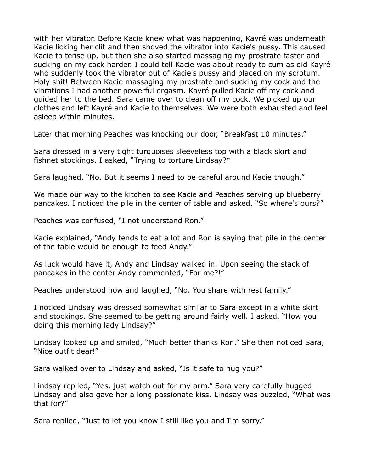with her vibrator. Before Kacie knew what was happening, Kayré was underneath Kacie licking her clit and then shoved the vibrator into Kacie's pussy. This caused Kacie to tense up, but then she also started massaging my prostrate faster and sucking on my cock harder. I could tell Kacie was about ready to cum as did Kayré who suddenly took the vibrator out of Kacie's pussy and placed on my scrotum. Holy shit! Between Kacie massaging my prostrate and sucking my cock and the vibrations I had another powerful orgasm. Kayré pulled Kacie off my cock and guided her to the bed. Sara came over to clean off my cock. We picked up our clothes and left Kayré and Kacie to themselves. We were both exhausted and feel asleep within minutes.

Later that morning Peaches was knocking our door, "Breakfast 10 minutes."

Sara dressed in a very tight turquoises sleeveless top with a black skirt and fishnet stockings. I asked, "Trying to torture Lindsay?"

Sara laughed, "No. But it seems I need to be careful around Kacie though."

We made our way to the kitchen to see Kacie and Peaches serving up blueberry pancakes. I noticed the pile in the center of table and asked, "So where's ours?"

Peaches was confused, "I not understand Ron."

Kacie explained, "Andy tends to eat a lot and Ron is saying that pile in the center of the table would be enough to feed Andy."

As luck would have it, Andy and Lindsay walked in. Upon seeing the stack of pancakes in the center Andy commented, "For me?!"

Peaches understood now and laughed, "No. You share with rest family."

I noticed Lindsay was dressed somewhat similar to Sara except in a white skirt and stockings. She seemed to be getting around fairly well. I asked, "How you doing this morning lady Lindsay?"

Lindsay looked up and smiled, "Much better thanks Ron." She then noticed Sara, "Nice outfit dear!"

Sara walked over to Lindsay and asked, "Is it safe to hug you?"

Lindsay replied, "Yes, just watch out for my arm." Sara very carefully hugged Lindsay and also gave her a long passionate kiss. Lindsay was puzzled, "What was that for?"

Sara replied, "Just to let you know I still like you and I'm sorry."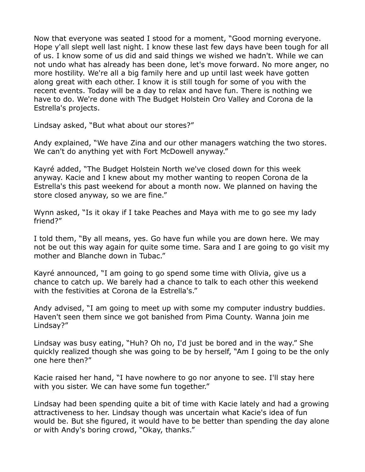Now that everyone was seated I stood for a moment, "Good morning everyone. Hope y'all slept well last night. I know these last few days have been tough for all of us. I know some of us did and said things we wished we hadn't. While we can not undo what has already has been done, let's move forward. No more anger, no more hostility. We're all a big family here and up until last week have gotten along great with each other. I know it is still tough for some of you with the recent events. Today will be a day to relax and have fun. There is nothing we have to do. We're done with The Budget Holstein Oro Valley and Corona de la Estrella's projects.

Lindsay asked, "But what about our stores?"

Andy explained, "We have Zina and our other managers watching the two stores. We can't do anything yet with Fort McDowell anyway."

Kayré added, "The Budget Holstein North we've closed down for this week anyway. Kacie and I knew about my mother wanting to reopen Corona de la Estrella's this past weekend for about a month now. We planned on having the store closed anyway, so we are fine."

Wynn asked, "Is it okay if I take Peaches and Maya with me to go see my lady friend?"

I told them, "By all means, yes. Go have fun while you are down here. We may not be out this way again for quite some time. Sara and I are going to go visit my mother and Blanche down in Tubac."

Kayré announced, "I am going to go spend some time with Olivia, give us a chance to catch up. We barely had a chance to talk to each other this weekend with the festivities at Corona de la Estrella's."

Andy advised, "I am going to meet up with some my computer industry buddies. Haven't seen them since we got banished from Pima County. Wanna join me Lindsay?"

Lindsay was busy eating, "Huh? Oh no, I'd just be bored and in the way." She quickly realized though she was going to be by herself, "Am I going to be the only one here then?"

Kacie raised her hand, "I have nowhere to go nor anyone to see. I'll stay here with you sister. We can have some fun together."

Lindsay had been spending quite a bit of time with Kacie lately and had a growing attractiveness to her. Lindsay though was uncertain what Kacie's idea of fun would be. But she figured, it would have to be better than spending the day alone or with Andy's boring crowd, "Okay, thanks."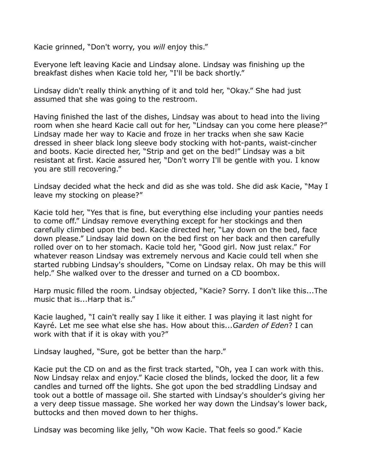Kacie grinned, "Don't worry, you *will* enjoy this."

Everyone left leaving Kacie and Lindsay alone. Lindsay was finishing up the breakfast dishes when Kacie told her, "I'll be back shortly."

Lindsay didn't really think anything of it and told her, "Okay." She had just assumed that she was going to the restroom.

Having finished the last of the dishes, Lindsay was about to head into the living room when she heard Kacie call out for her, "Lindsay can you come here please?" Lindsay made her way to Kacie and froze in her tracks when she saw Kacie dressed in sheer black long sleeve body stocking with hot-pants, waist-cincher and boots. Kacie directed her, "Strip and get on the bed!" Lindsay was a bit resistant at first. Kacie assured her, "Don't worry I'll be gentle with you. I know you are still recovering."

Lindsay decided what the heck and did as she was told. She did ask Kacie, "May I leave my stocking on please?"

Kacie told her, "Yes that is fine, but everything else including your panties needs to come off." Lindsay remove everything except for her stockings and then carefully climbed upon the bed. Kacie directed her, "Lay down on the bed, face down please." Lindsay laid down on the bed first on her back and then carefully rolled over on to her stomach. Kacie told her, "Good girl. Now just relax." For whatever reason Lindsay was extremely nervous and Kacie could tell when she started rubbing Lindsay's shoulders, "Come on Lindsay relax. Oh may be this will help." She walked over to the dresser and turned on a CD boombox.

Harp music filled the room. Lindsay objected, "Kacie? Sorry. I don't like this...The music that is...Harp that is."

Kacie laughed, "I cain't really say I like it either. I was playing it last night for Kayré. Let me see what else she has. How about this...*Garden of Eden*? I can work with that if it is okay with you?"

Lindsay laughed, "Sure, got be better than the harp."

Kacie put the CD on and as the first track started, "Oh, yea I can work with this. Now Lindsay relax and enjoy." Kacie closed the blinds, locked the door, lit a few candles and turned off the lights. She got upon the bed straddling Lindsay and took out a bottle of massage oil. She started with Lindsay's shoulder's giving her a very deep tissue massage. She worked her way down the Lindsay's lower back, buttocks and then moved down to her thighs.

Lindsay was becoming like jelly, "Oh wow Kacie. That feels so good." Kacie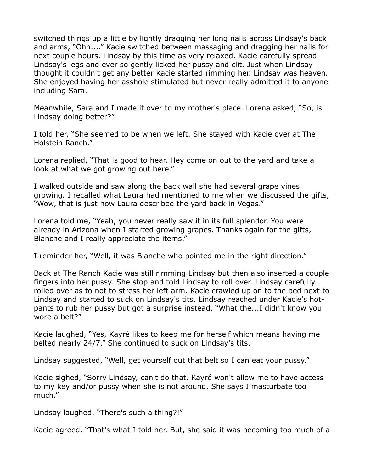switched things up a little by lightly dragging her long nails across Lindsay's back and arms, "Ohh...." Kacie switched between massaging and dragging her nails for next couple hours. Lindsay by this time as very relaxed. Kacie carefully spread Lindsay's legs and ever so gently licked her pussy and clit. Just when Lindsay thought it couldn't get any better Kacie started rimming her. Lindsay was heaven. She enjoyed having her asshole stimulated but never really admitted it to anyone including Sara.

Meanwhile, Sara and I made it over to my mother's place. Lorena asked, "So, is Lindsay doing better?"

I told her, "She seemed to be when we left. She stayed with Kacie over at The Holstein Ranch."

Lorena replied, "That is good to hear. Hey come on out to the yard and take a look at what we got growing out here."

I walked outside and saw along the back wall she had several grape vines growing. I recalled what Laura had mentioned to me when we discussed the gifts, "Wow, that is just how Laura described the yard back in Vegas."

Lorena told me, "Yeah, you never really saw it in its full splendor. You were already in Arizona when I started growing grapes. Thanks again for the gifts, Blanche and I really appreciate the items."

I reminder her, "Well, it was Blanche who pointed me in the right direction."

Back at The Ranch Kacie was still rimming Lindsay but then also inserted a couple fingers into her pussy. She stop and told Lindsay to roll over. Lindsay carefully rolled over as to not to stress her left arm. Kacie crawled up on to the bed next to Lindsay and started to suck on Lindsay's tits. Lindsay reached under Kacie's hotpants to rub her pussy but got a surprise instead, "What the...I didn't know you wore a belt?"

Kacie laughed, "Yes, Kayré likes to keep me for herself which means having me belted nearly 24/7." She continued to suck on Lindsay's tits.

Lindsay suggested, "Well, get yourself out that belt so I can eat your pussy."

Kacie sighed, "Sorry Lindsay, can't do that. Kayré won't allow me to have access to my key and/or pussy when she is not around. She says I masturbate too much."

Lindsay laughed, "There's such a thing?!"

Kacie agreed, "That's what I told her. But, she said it was becoming too much of a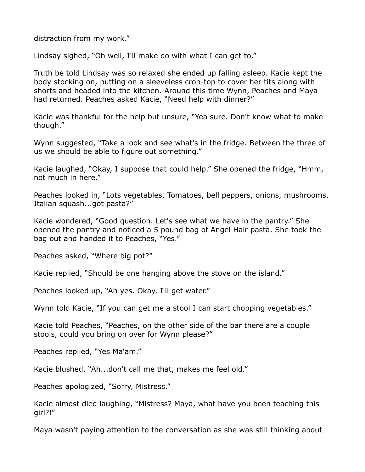distraction from my work."

Lindsay sighed, "Oh well, I'll make do with what I can get to."

Truth be told Lindsay was so relaxed she ended up falling asleep. Kacie kept the body stocking on, putting on a sleeveless crop-top to cover her tits along with shorts and headed into the kitchen. Around this time Wynn, Peaches and Maya had returned. Peaches asked Kacie, "Need help with dinner?"

Kacie was thankful for the help but unsure, "Yea sure. Don't know what to make though."

Wynn suggested, "Take a look and see what's in the fridge. Between the three of us we should be able to figure out something."

Kacie laughed, "Okay, I suppose that could help." She opened the fridge, "Hmm, not much in here."

Peaches looked in, "Lots vegetables. Tomatoes, bell peppers, onions, mushrooms, Italian squash...got pasta?"

Kacie wondered, "Good question. Let's see what we have in the pantry." She opened the pantry and noticed a 5 pound bag of Angel Hair pasta. She took the bag out and handed it to Peaches, "Yes."

Peaches asked, "Where big pot?"

Kacie replied, "Should be one hanging above the stove on the island."

Peaches looked up, "Ah yes. Okay. I'll get water."

Wynn told Kacie, "If you can get me a stool I can start chopping vegetables."

Kacie told Peaches, "Peaches, on the other side of the bar there are a couple stools, could you bring on over for Wynn please?"

Peaches replied, "Yes Ma'am."

Kacie blushed, "Ah...don't call me that, makes me feel old."

Peaches apologized, "Sorry, Mistress."

Kacie almost died laughing, "Mistress? Maya, what have you been teaching this girl?!"

Maya wasn't paying attention to the conversation as she was still thinking about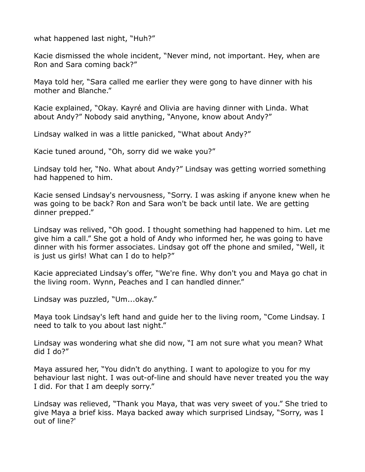what happened last night, "Huh?"

Kacie dismissed the whole incident, "Never mind, not important. Hey, when are Ron and Sara coming back?"

Maya told her, "Sara called me earlier they were gong to have dinner with his mother and Blanche."

Kacie explained, "Okay. Kayré and Olivia are having dinner with Linda. What about Andy?" Nobody said anything, "Anyone, know about Andy?"

Lindsay walked in was a little panicked, "What about Andy?"

Kacie tuned around, "Oh, sorry did we wake you?"

Lindsay told her, "No. What about Andy?" Lindsay was getting worried something had happened to him.

Kacie sensed Lindsay's nervousness, "Sorry. I was asking if anyone knew when he was going to be back? Ron and Sara won't be back until late. We are getting dinner prepped."

Lindsay was relived, "Oh good. I thought something had happened to him. Let me give him a call." She got a hold of Andy who informed her, he was going to have dinner with his former associates. Lindsay got off the phone and smiled, "Well, it is just us girls! What can I do to help?"

Kacie appreciated Lindsay's offer, "We're fine. Why don't you and Maya go chat in the living room. Wynn, Peaches and I can handled dinner."

Lindsay was puzzled, "Um...okay."

Maya took Lindsay's left hand and guide her to the living room, "Come Lindsay. I need to talk to you about last night."

Lindsay was wondering what she did now, "I am not sure what you mean? What did I do?"

Maya assured her, "You didn't do anything. I want to apologize to you for my behaviour last night. I was out-of-line and should have never treated you the way I did. For that I am deeply sorry."

Lindsay was relieved, "Thank you Maya, that was very sweet of you." She tried to give Maya a brief kiss. Maya backed away which surprised Lindsay, "Sorry, was I out of line?'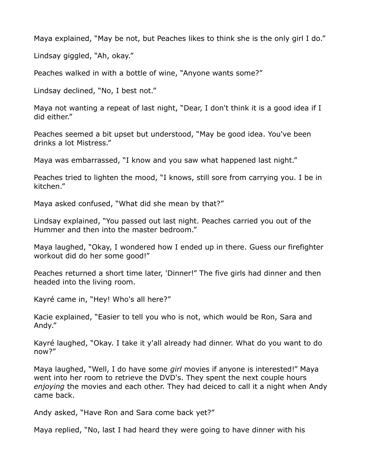Maya explained, "May be not, but Peaches likes to think she is the only girl I do."

Lindsay giggled, "Ah, okay."

Peaches walked in with a bottle of wine, "Anyone wants some?"

Lindsay declined, "No, I best not."

Maya not wanting a repeat of last night, "Dear, I don't think it is a good idea if I did either."

Peaches seemed a bit upset but understood, "May be good idea. You've been drinks a lot Mistress."

Maya was embarrassed, "I know and you saw what happened last night."

Peaches tried to lighten the mood, "I knows, still sore from carrying you. I be in kitchen."

Maya asked confused, "What did she mean by that?"

Lindsay explained, "You passed out last night. Peaches carried you out of the Hummer and then into the master bedroom."

Maya laughed, "Okay, I wondered how I ended up in there. Guess our firefighter workout did do her some good!"

Peaches returned a short time later, 'Dinner!" The five girls had dinner and then headed into the living room.

Kayré came in, "Hey! Who's all here?"

Kacie explained, "Easier to tell you who is not, which would be Ron, Sara and Andy."

Kayré laughed, "Okay. I take it y'all already had dinner. What do you want to do now?"

Maya laughed, "Well, I do have some *girl* movies if anyone is interested!" Maya went into her room to retrieve the DVD's. They spent the next couple hours *enjoying* the movies and each other. They had deiced to call it a night when Andy came back.

Andy asked, "Have Ron and Sara come back yet?"

Maya replied, "No, last I had heard they were going to have dinner with his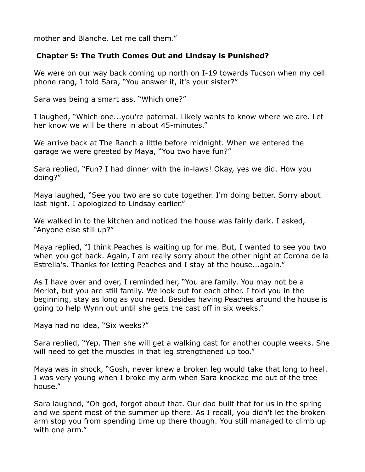mother and Blanche. Let me call them."

## **Chapter 5: The Truth Comes Out and Lindsay is Punished?**

We were on our way back coming up north on I-19 towards Tucson when my cell phone rang, I told Sara, "You answer it, it's your sister?"

Sara was being a smart ass, "Which one?"

I laughed, "Which one...you're paternal. Likely wants to know where we are. Let her know we will be there in about 45-minutes."

We arrive back at The Ranch a little before midnight. When we entered the garage we were greeted by Maya, "You two have fun?"

Sara replied, "Fun? I had dinner with the in-laws! Okay, yes we did. How you doing?"

Maya laughed, "See you two are so cute together. I'm doing better. Sorry about last night. I apologized to Lindsay earlier."

We walked in to the kitchen and noticed the house was fairly dark. I asked, "Anyone else still up?"

Maya replied, "I think Peaches is waiting up for me. But, I wanted to see you two when you got back. Again, I am really sorry about the other night at Corona de la Estrella's. Thanks for letting Peaches and I stay at the house...again."

As I have over and over, I reminded her, "You are family. You may not be a Merlot, but you are still family. We look out for each other. I told you in the beginning, stay as long as you need. Besides having Peaches around the house is going to help Wynn out until she gets the cast off in six weeks."

Maya had no idea, "Six weeks?"

Sara replied, "Yep. Then she will get a walking cast for another couple weeks. She will need to get the muscles in that leg strengthened up too."

Maya was in shock, "Gosh, never knew a broken leg would take that long to heal. I was very young when I broke my arm when Sara knocked me out of the tree house."

Sara laughed, "Oh god, forgot about that. Our dad built that for us in the spring and we spent most of the summer up there. As I recall, you didn't let the broken arm stop you from spending time up there though. You still managed to climb up with one arm."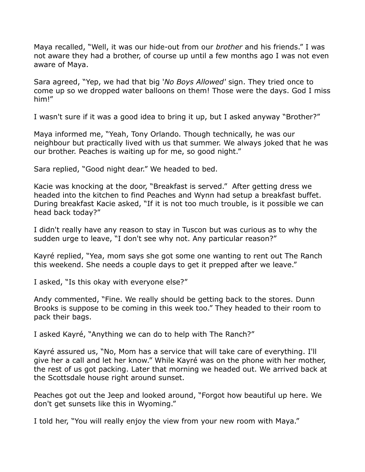Maya recalled, "Well, it was our hide-out from our *brother* and his friends." I was not aware they had a brother, of course up until a few months ago I was not even aware of Maya.

Sara agreed, "Yep, we had that big '*No Boys Allowed'* sign. They tried once to come up so we dropped water balloons on them! Those were the days. God I miss him!"

I wasn't sure if it was a good idea to bring it up, but I asked anyway "Brother?"

Maya informed me, "Yeah, Tony Orlando. Though technically, he was our neighbour but practically lived with us that summer. We always joked that he was our brother. Peaches is waiting up for me, so good night."

Sara replied, "Good night dear." We headed to bed.

Kacie was knocking at the door, "Breakfast is served." After getting dress we headed into the kitchen to find Peaches and Wynn had setup a breakfast buffet. During breakfast Kacie asked, "If it is not too much trouble, is it possible we can head back today?"

I didn't really have any reason to stay in Tuscon but was curious as to why the sudden urge to leave, "I don't see why not. Any particular reason?"

Kayré replied, "Yea, mom says she got some one wanting to rent out The Ranch this weekend. She needs a couple days to get it prepped after we leave."

I asked, "Is this okay with everyone else?"

Andy commented, "Fine. We really should be getting back to the stores. Dunn Brooks is suppose to be coming in this week too." They headed to their room to pack their bags.

I asked Kayré, "Anything we can do to help with The Ranch?"

Kayré assured us, "No, Mom has a service that will take care of everything. I'll give her a call and let her know." While Kayré was on the phone with her mother, the rest of us got packing. Later that morning we headed out. We arrived back at the Scottsdale house right around sunset.

Peaches got out the Jeep and looked around, "Forgot how beautiful up here. We don't get sunsets like this in Wyoming."

I told her, "You will really enjoy the view from your new room with Maya."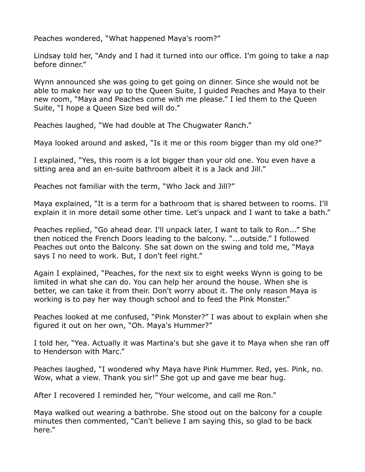Peaches wondered, "What happened Maya's room?"

Lindsay told her, "Andy and I had it turned into our office. I'm going to take a nap before dinner."

Wynn announced she was going to get going on dinner. Since she would not be able to make her way up to the Queen Suite, I guided Peaches and Maya to their new room, "Maya and Peaches come with me please." I led them to the Queen Suite, "I hope a Queen Size bed will do."

Peaches laughed, "We had double at The Chugwater Ranch."

Maya looked around and asked, "Is it me or this room bigger than my old one?"

I explained, "Yes, this room is a lot bigger than your old one. You even have a sitting area and an en-suite bathroom albeit it is a Jack and Jill."

Peaches not familiar with the term, "Who Jack and Jill?"

Maya explained, "It is a term for a bathroom that is shared between to rooms. I'll explain it in more detail some other time. Let's unpack and I want to take a bath."

Peaches replied, "Go ahead dear. I'll unpack later, I want to talk to Ron..." She then noticed the French Doors leading to the balcony. "...outside." I followed Peaches out onto the Balcony. She sat down on the swing and told me, "Maya says I no need to work. But, I don't feel right."

Again I explained, "Peaches, for the next six to eight weeks Wynn is going to be limited in what she can do. You can help her around the house. When she is better, we can take it from their. Don't worry about it. The only reason Maya is working is to pay her way though school and to feed the Pink Monster."

Peaches looked at me confused, "Pink Monster?" I was about to explain when she figured it out on her own, "Oh. Maya's Hummer?"

I told her, "Yea. Actually it was Martina's but she gave it to Maya when she ran off to Henderson with Marc."

Peaches laughed, "I wondered why Maya have Pink Hummer. Red, yes. Pink, no. Wow, what a view. Thank you sir!" She got up and gave me bear hug.

After I recovered I reminded her, "Your welcome, and call me Ron."

Maya walked out wearing a bathrobe. She stood out on the balcony for a couple minutes then commented, "Can't believe I am saying this, so glad to be back here."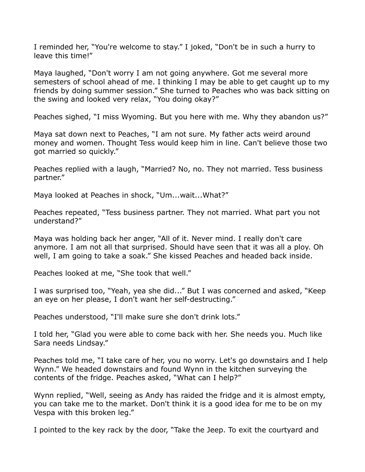I reminded her, "You're welcome to stay." I joked, "Don't be in such a hurry to leave this time!"

Maya laughed, "Don't worry I am not going anywhere. Got me several more semesters of school ahead of me. I thinking I may be able to get caught up to my friends by doing summer session." She turned to Peaches who was back sitting on the swing and looked very relax, "You doing okay?"

Peaches sighed, "I miss Wyoming. But you here with me. Why they abandon us?"

Maya sat down next to Peaches, "I am not sure. My father acts weird around money and women. Thought Tess would keep him in line. Can't believe those two got married so quickly."

Peaches replied with a laugh, "Married? No, no. They not married. Tess business partner."

Maya looked at Peaches in shock, "Um...wait...What?"

Peaches repeated, "Tess business partner. They not married. What part you not understand?"

Maya was holding back her anger, "All of it. Never mind. I really don't care anymore. I am not all that surprised. Should have seen that it was all a ploy. Oh well, I am going to take a soak." She kissed Peaches and headed back inside.

Peaches looked at me, "She took that well."

I was surprised too, "Yeah, yea she did..." But I was concerned and asked, "Keep an eye on her please, I don't want her self-destructing."

Peaches understood, "I'll make sure she don't drink lots."

I told her, "Glad you were able to come back with her. She needs you. Much like Sara needs Lindsay."

Peaches told me, "I take care of her, you no worry. Let's go downstairs and I help Wynn." We headed downstairs and found Wynn in the kitchen surveying the contents of the fridge. Peaches asked, "What can I help?"

Wynn replied, "Well, seeing as Andy has raided the fridge and it is almost empty, you can take me to the market. Don't think it is a good idea for me to be on my Vespa with this broken leg."

I pointed to the key rack by the door, "Take the Jeep. To exit the courtyard and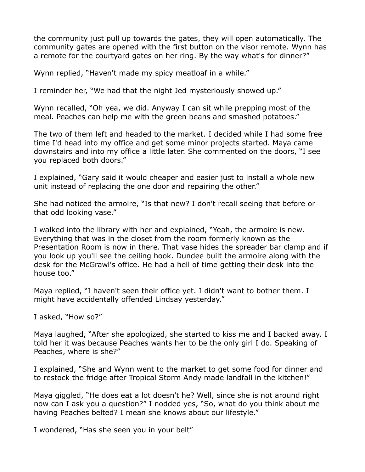the community just pull up towards the gates, they will open automatically. The community gates are opened with the first button on the visor remote. Wynn has a remote for the courtyard gates on her ring. By the way what's for dinner?"

Wynn replied, "Haven't made my spicy meatloaf in a while."

I reminder her, "We had that the night Jed mysteriously showed up."

Wynn recalled, "Oh yea, we did. Anyway I can sit while prepping most of the meal. Peaches can help me with the green beans and smashed potatoes."

The two of them left and headed to the market. I decided while I had some free time I'd head into my office and get some minor projects started. Maya came downstairs and into my office a little later. She commented on the doors, "I see you replaced both doors."

I explained, "Gary said it would cheaper and easier just to install a whole new unit instead of replacing the one door and repairing the other."

She had noticed the armoire, "Is that new? I don't recall seeing that before or that odd looking vase."

I walked into the library with her and explained, "Yeah, the armoire is new. Everything that was in the closet from the room formerly known as the Presentation Room is now in there. That vase hides the spreader bar clamp and if you look up you'll see the ceiling hook. Dundee built the armoire along with the desk for the McGrawl's office. He had a hell of time getting their desk into the house too."

Maya replied, "I haven't seen their office yet. I didn't want to bother them. I might have accidentally offended Lindsay yesterday."

I asked, "How so?"

Maya laughed, "After she apologized, she started to kiss me and I backed away. I told her it was because Peaches wants her to be the only girl I do. Speaking of Peaches, where is she?"

I explained, "She and Wynn went to the market to get some food for dinner and to restock the fridge after Tropical Storm Andy made landfall in the kitchen!"

Maya giggled, "He does eat a lot doesn't he? Well, since she is not around right now can I ask you a question?" I nodded yes, "So, what do you think about me having Peaches belted? I mean she knows about our lifestyle."

I wondered, "Has she seen you in your belt"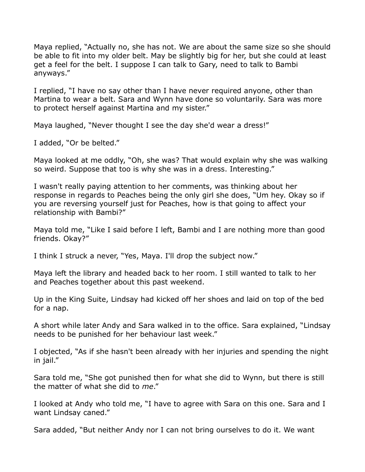Maya replied, "Actually no, she has not. We are about the same size so she should be able to fit into my older belt. May be slightly big for her, but she could at least get a feel for the belt. I suppose I can talk to Gary, need to talk to Bambi anyways."

I replied, "I have no say other than I have never required anyone, other than Martina to wear a belt. Sara and Wynn have done so voluntarily. Sara was more to protect herself against Martina and my sister."

Maya laughed, "Never thought I see the day she'd wear a dress!"

I added, "Or be belted."

Maya looked at me oddly, "Oh, she was? That would explain why she was walking so weird. Suppose that too is why she was in a dress. Interesting."

I wasn't really paying attention to her comments, was thinking about her response in regards to Peaches being the only girl she does, "Um hey. Okay so if you are reversing yourself just for Peaches, how is that going to affect your relationship with Bambi?"

Maya told me, "Like I said before I left, Bambi and I are nothing more than good friends. Okay?"

I think I struck a never, "Yes, Maya. I'll drop the subject now."

Maya left the library and headed back to her room. I still wanted to talk to her and Peaches together about this past weekend.

Up in the King Suite, Lindsay had kicked off her shoes and laid on top of the bed for a nap.

A short while later Andy and Sara walked in to the office. Sara explained, "Lindsay needs to be punished for her behaviour last week."

I objected, "As if she hasn't been already with her injuries and spending the night in jail."

Sara told me, "She got punished then for what she did to Wynn, but there is still the matter of what she did to *me*."

I looked at Andy who told me, "I have to agree with Sara on this one. Sara and I want Lindsay caned."

Sara added, "But neither Andy nor I can not bring ourselves to do it. We want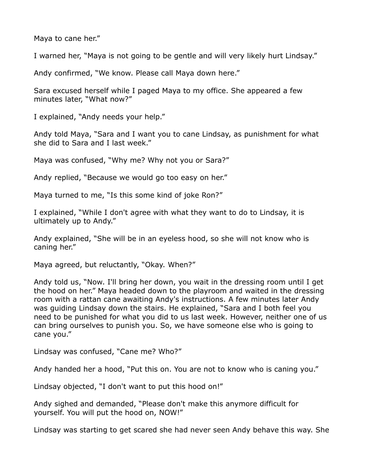Maya to cane her."

I warned her, "Maya is not going to be gentle and will very likely hurt Lindsay."

Andy confirmed, "We know. Please call Maya down here."

Sara excused herself while I paged Maya to my office. She appeared a few minutes later, "What now?"

I explained, "Andy needs your help."

Andy told Maya, "Sara and I want you to cane Lindsay, as punishment for what she did to Sara and I last week."

Maya was confused, "Why me? Why not you or Sara?"

Andy replied, "Because we would go too easy on her."

Maya turned to me, "Is this some kind of joke Ron?"

I explained, "While I don't agree with what they want to do to Lindsay, it is ultimately up to Andy."

Andy explained, "She will be in an eyeless hood, so she will not know who is caning her."

Maya agreed, but reluctantly, "Okay. When?"

Andy told us, "Now. I'll bring her down, you wait in the dressing room until I get the hood on her." Maya headed down to the playroom and waited in the dressing room with a rattan cane awaiting Andy's instructions. A few minutes later Andy was guiding Lindsay down the stairs. He explained, "Sara and I both feel you need to be punished for what you did to us last week. However, neither one of us can bring ourselves to punish you. So, we have someone else who is going to cane you."

Lindsay was confused, "Cane me? Who?"

Andy handed her a hood, "Put this on. You are not to know who is caning you."

Lindsay objected, "I don't want to put this hood on!"

Andy sighed and demanded, "Please don't make this anymore difficult for yourself. You will put the hood on, NOW!"

Lindsay was starting to get scared she had never seen Andy behave this way. She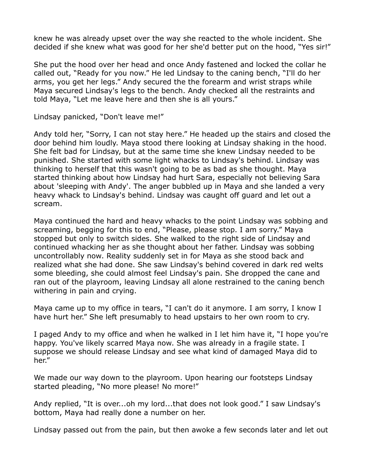knew he was already upset over the way she reacted to the whole incident. She decided if she knew what was good for her she'd better put on the hood, "Yes sir!"

She put the hood over her head and once Andy fastened and locked the collar he called out, "Ready for you now." He led Lindsay to the caning bench, "I'll do her arms, you get her legs." Andy secured the the forearm and wrist straps while Maya secured Lindsay's legs to the bench. Andy checked all the restraints and told Maya, "Let me leave here and then she is all yours."

Lindsay panicked, "Don't leave me!"

Andy told her, "Sorry, I can not stay here." He headed up the stairs and closed the door behind him loudly. Maya stood there looking at Lindsay shaking in the hood. She felt bad for Lindsay, but at the same time she knew Lindsay needed to be punished. She started with some light whacks to Lindsay's behind. Lindsay was thinking to herself that this wasn't going to be as bad as she thought. Maya started thinking about how Lindsay had hurt Sara, especially not believing Sara about 'sleeping with Andy'. The anger bubbled up in Maya and she landed a very heavy whack to Lindsay's behind. Lindsay was caught off guard and let out a scream.

Maya continued the hard and heavy whacks to the point Lindsay was sobbing and screaming, begging for this to end, "Please, please stop. I am sorry." Maya stopped but only to switch sides. She walked to the right side of Lindsay and continued whacking her as she thought about her father. Lindsay was sobbing uncontrollably now. Reality suddenly set in for Maya as she stood back and realized what she had done. She saw Lindsay's behind covered in dark red welts some bleeding, she could almost feel Lindsay's pain. She dropped the cane and ran out of the playroom, leaving Lindsay all alone restrained to the caning bench withering in pain and crying.

Maya came up to my office in tears, "I can't do it anymore. I am sorry, I know I have hurt her." She left presumably to head upstairs to her own room to cry.

I paged Andy to my office and when he walked in I let him have it, "I hope you're happy. You've likely scarred Maya now. She was already in a fragile state. I suppose we should release Lindsay and see what kind of damaged Maya did to her."

We made our way down to the playroom. Upon hearing our footsteps Lindsay started pleading, "No more please! No more!"

Andy replied, "It is over...oh my lord...that does not look good." I saw Lindsay's bottom, Maya had really done a number on her.

Lindsay passed out from the pain, but then awoke a few seconds later and let out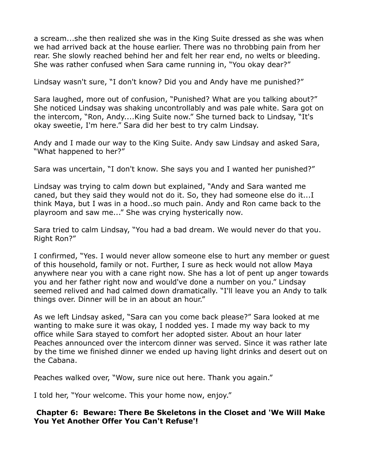a scream...she then realized she was in the King Suite dressed as she was when we had arrived back at the house earlier. There was no throbbing pain from her rear. She slowly reached behind her and felt her rear end, no welts or bleeding. She was rather confused when Sara came running in, "You okay dear?"

Lindsay wasn't sure, "I don't know? Did you and Andy have me punished?"

Sara laughed, more out of confusion, "Punished? What are you talking about?" She noticed Lindsay was shaking uncontrollably and was pale white. Sara got on the intercom, "Ron, Andy....King Suite now." She turned back to Lindsay, "It's okay sweetie, I'm here." Sara did her best to try calm Lindsay.

Andy and I made our way to the King Suite. Andy saw Lindsay and asked Sara, "What happened to her?"

Sara was uncertain, "I don't know. She says you and I wanted her punished?"

Lindsay was trying to calm down but explained, "Andy and Sara wanted me caned, but they said they would not do it. So, they had someone else do it...I think Maya, but I was in a hood..so much pain. Andy and Ron came back to the playroom and saw me..." She was crying hysterically now.

Sara tried to calm Lindsay, "You had a bad dream. We would never do that you. Right Ron?"

I confirmed, "Yes. I would never allow someone else to hurt any member or guest of this household, family or not. Further, I sure as heck would not allow Maya anywhere near you with a cane right now. She has a lot of pent up anger towards you and her father right now and would've done a number on you." Lindsay seemed relived and had calmed down dramatically. "I'll leave you an Andy to talk things over. Dinner will be in an about an hour."

As we left Lindsay asked, "Sara can you come back please?" Sara looked at me wanting to make sure it was okay, I nodded yes. I made my way back to my office while Sara stayed to comfort her adopted sister. About an hour later Peaches announced over the intercom dinner was served. Since it was rather late by the time we finished dinner we ended up having light drinks and desert out on the Cabana.

Peaches walked over, "Wow, sure nice out here. Thank you again."

I told her, "Your welcome. This your home now, enjoy."

**Chapter 6: Beware: There Be Skeletons in the Closet and 'We Will Make You Yet Another Offer You Can't Refuse'!**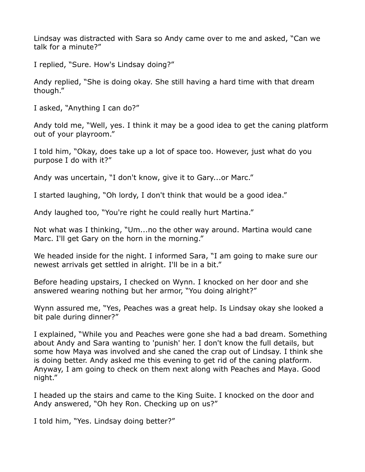Lindsay was distracted with Sara so Andy came over to me and asked, "Can we talk for a minute?"

I replied, "Sure. How's Lindsay doing?"

Andy replied, "She is doing okay. She still having a hard time with that dream though."

I asked, "Anything I can do?"

Andy told me, "Well, yes. I think it may be a good idea to get the caning platform out of your playroom."

I told him, "Okay, does take up a lot of space too. However, just what do you purpose I do with it?"

Andy was uncertain, "I don't know, give it to Gary...or Marc."

I started laughing, "Oh lordy, I don't think that would be a good idea."

Andy laughed too, "You're right he could really hurt Martina."

Not what was I thinking, "Um...no the other way around. Martina would cane Marc. I'll get Gary on the horn in the morning."

We headed inside for the night. I informed Sara, "I am going to make sure our newest arrivals get settled in alright. I'll be in a bit."

Before heading upstairs, I checked on Wynn. I knocked on her door and she answered wearing nothing but her armor, "You doing alright?"

Wynn assured me, "Yes, Peaches was a great help. Is Lindsay okay she looked a bit pale during dinner?"

I explained, "While you and Peaches were gone she had a bad dream. Something about Andy and Sara wanting to 'punish' her. I don't know the full details, but some how Maya was involved and she caned the crap out of Lindsay. I think she is doing better. Andy asked me this evening to get rid of the caning platform. Anyway, I am going to check on them next along with Peaches and Maya. Good night."

I headed up the stairs and came to the King Suite. I knocked on the door and Andy answered, "Oh hey Ron. Checking up on us?"

I told him, "Yes. Lindsay doing better?"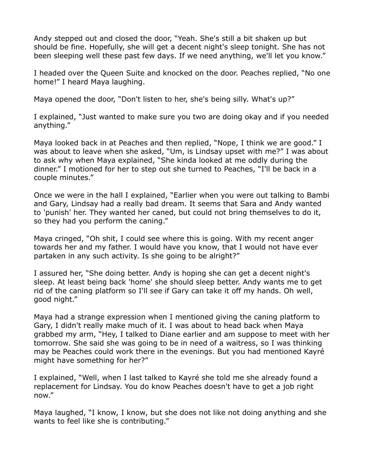Andy stepped out and closed the door, "Yeah. She's still a bit shaken up but should be fine. Hopefully, she will get a decent night's sleep tonight. She has not been sleeping well these past few days. If we need anything, we'll let you know."

I headed over the Queen Suite and knocked on the door. Peaches replied, "No one home!" I heard Maya laughing.

Maya opened the door, "Don't listen to her, she's being silly. What's up?"

I explained, "Just wanted to make sure you two are doing okay and if you needed anything."

Maya looked back in at Peaches and then replied, "Nope, I think we are good." I was about to leave when she asked, "Um, is Lindsay upset with me?" I was about to ask why when Maya explained, "She kinda looked at me oddly during the dinner." I motioned for her to step out she turned to Peaches, "I'll be back in a couple minutes."

Once we were in the hall I explained, "Earlier when you were out talking to Bambi and Gary, Lindsay had a really bad dream. It seems that Sara and Andy wanted to 'punish' her. They wanted her caned, but could not bring themselves to do it, so they had you perform the caning."

Maya cringed, "Oh shit, I could see where this is going. With my recent anger towards her and my father. I would have you know, that I would not have ever partaken in any such activity. Is she going to be alright?"

I assured her, "She doing better. Andy is hoping she can get a decent night's sleep. At least being back 'home' she should sleep better. Andy wants me to get rid of the caning platform so I'll see if Gary can take it off my hands. Oh well, good night."

Maya had a strange expression when I mentioned giving the caning platform to Gary, I didn't really make much of it. I was about to head back when Maya grabbed my arm, "Hey, I talked to Diane earlier and am suppose to meet with her tomorrow. She said she was going to be in need of a waitress, so I was thinking may be Peaches could work there in the evenings. But you had mentioned Kayré might have something for her?"

I explained, "Well, when I last talked to Kayré she told me she already found a replacement for Lindsay. You do know Peaches doesn't have to get a job right now."

Maya laughed, "I know, I know, but she does not like not doing anything and she wants to feel like she is contributing."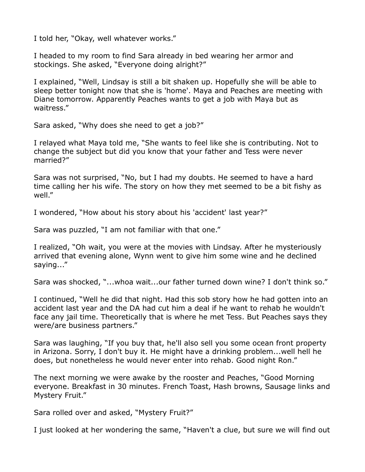I told her, "Okay, well whatever works."

I headed to my room to find Sara already in bed wearing her armor and stockings. She asked, "Everyone doing alright?"

I explained, "Well, Lindsay is still a bit shaken up. Hopefully she will be able to sleep better tonight now that she is 'home'. Maya and Peaches are meeting with Diane tomorrow. Apparently Peaches wants to get a job with Maya but as waitress."

Sara asked, "Why does she need to get a job?"

I relayed what Maya told me, "She wants to feel like she is contributing. Not to change the subject but did you know that your father and Tess were never married?"

Sara was not surprised, "No, but I had my doubts. He seemed to have a hard time calling her his wife. The story on how they met seemed to be a bit fishy as well."

I wondered, "How about his story about his 'accident' last year?"

Sara was puzzled, "I am not familiar with that one."

I realized, "Oh wait, you were at the movies with Lindsay. After he mysteriously arrived that evening alone, Wynn went to give him some wine and he declined saying..."

Sara was shocked, "...whoa wait...our father turned down wine? I don't think so."

I continued, "Well he did that night. Had this sob story how he had gotten into an accident last year and the DA had cut him a deal if he want to rehab he wouldn't face any jail time. Theoretically that is where he met Tess. But Peaches says they were/are business partners."

Sara was laughing, "If you buy that, he'll also sell you some ocean front property in Arizona. Sorry, I don't buy it. He might have a drinking problem...well hell he does, but nonetheless he would never enter into rehab. Good night Ron."

The next morning we were awake by the rooster and Peaches, "Good Morning everyone. Breakfast in 30 minutes. French Toast, Hash browns, Sausage links and Mystery Fruit."

Sara rolled over and asked, "Mystery Fruit?"

I just looked at her wondering the same, "Haven't a clue, but sure we will find out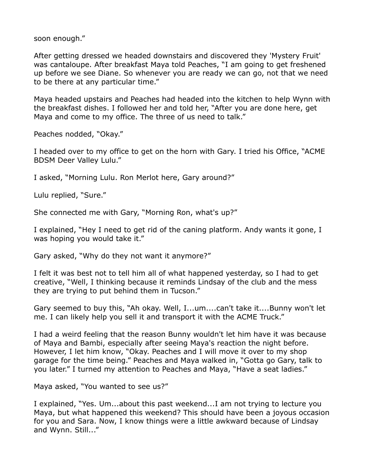soon enough."

After getting dressed we headed downstairs and discovered they 'Mystery Fruit' was cantaloupe. After breakfast Maya told Peaches, "I am going to get freshened up before we see Diane. So whenever you are ready we can go, not that we need to be there at any particular time."

Maya headed upstairs and Peaches had headed into the kitchen to help Wynn with the breakfast dishes. I followed her and told her, "After you are done here, get Maya and come to my office. The three of us need to talk."

Peaches nodded, "Okay."

I headed over to my office to get on the horn with Gary. I tried his Office, "ACME BDSM Deer Valley Lulu."

I asked, "Morning Lulu. Ron Merlot here, Gary around?"

Lulu replied, "Sure."

She connected me with Gary, "Morning Ron, what's up?"

I explained, "Hey I need to get rid of the caning platform. Andy wants it gone, I was hoping you would take it."

Gary asked, "Why do they not want it anymore?"

I felt it was best not to tell him all of what happened yesterday, so I had to get creative, "Well, I thinking because it reminds Lindsay of the club and the mess they are trying to put behind them in Tucson."

Gary seemed to buy this, "Ah okay. Well, I...um....can't take it....Bunny won't let me. I can likely help you sell it and transport it with the ACME Truck."

I had a weird feeling that the reason Bunny wouldn't let him have it was because of Maya and Bambi, especially after seeing Maya's reaction the night before. However, I let him know, "Okay. Peaches and I will move it over to my shop garage for the time being." Peaches and Maya walked in, "Gotta go Gary, talk to you later." I turned my attention to Peaches and Maya, "Have a seat ladies."

Maya asked, "You wanted to see us?"

I explained, "Yes. Um...about this past weekend...I am not trying to lecture you Maya, but what happened this weekend? This should have been a joyous occasion for you and Sara. Now, I know things were a little awkward because of Lindsay and Wynn. Still..."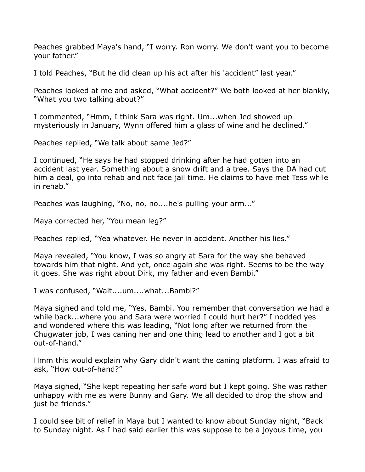Peaches grabbed Maya's hand, "I worry. Ron worry. We don't want you to become your father."

I told Peaches, "But he did clean up his act after his 'accident" last year."

Peaches looked at me and asked, "What accident?" We both looked at her blankly, "What you two talking about?"

I commented, "Hmm, I think Sara was right. Um...when Jed showed up mysteriously in January, Wynn offered him a glass of wine and he declined."

Peaches replied, "We talk about same Jed?"

I continued, "He says he had stopped drinking after he had gotten into an accident last year. Something about a snow drift and a tree. Says the DA had cut him a deal, go into rehab and not face jail time. He claims to have met Tess while in rehab."

Peaches was laughing, "No, no, no....he's pulling your arm..."

Maya corrected her, "You mean leg?"

Peaches replied, "Yea whatever. He never in accident. Another his lies."

Maya revealed, "You know, I was so angry at Sara for the way she behaved towards him that night. And yet, once again she was right. Seems to be the way it goes. She was right about Dirk, my father and even Bambi."

I was confused, "Wait....um....what...Bambi?"

Maya sighed and told me, "Yes, Bambi. You remember that conversation we had a while back...where you and Sara were worried I could hurt her?" I nodded yes and wondered where this was leading, "Not long after we returned from the Chugwater job, I was caning her and one thing lead to another and I got a bit out-of-hand."

Hmm this would explain why Gary didn't want the caning platform. I was afraid to ask, "How out-of-hand?"

Maya sighed, "She kept repeating her safe word but I kept going. She was rather unhappy with me as were Bunny and Gary. We all decided to drop the show and just be friends."

I could see bit of relief in Maya but I wanted to know about Sunday night, "Back to Sunday night. As I had said earlier this was suppose to be a joyous time, you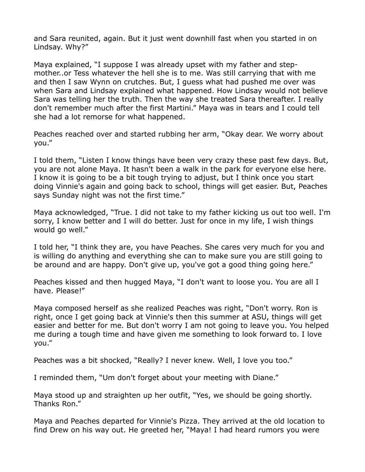and Sara reunited, again. But it just went downhill fast when you started in on Lindsay. Why?"

Maya explained, "I suppose I was already upset with my father and stepmother..or Tess whatever the hell she is to me. Was still carrying that with me and then I saw Wynn on crutches. But, I guess what had pushed me over was when Sara and Lindsay explained what happened. How Lindsay would not believe Sara was telling her the truth. Then the way she treated Sara thereafter. I really don't remember much after the first Martini." Maya was in tears and I could tell she had a lot remorse for what happened.

Peaches reached over and started rubbing her arm, "Okay dear. We worry about you."

I told them, "Listen I know things have been very crazy these past few days. But, you are not alone Maya. It hasn't been a walk in the park for everyone else here. I know it is going to be a bit tough trying to adjust, but I think once you start doing Vinnie's again and going back to school, things will get easier. But, Peaches says Sunday night was not the first time."

Maya acknowledged, "True. I did not take to my father kicking us out too well. I'm sorry, I know better and I will do better. Just for once in my life, I wish things would go well."

I told her, "I think they are, you have Peaches. She cares very much for you and is willing do anything and everything she can to make sure you are still going to be around and are happy. Don't give up, you've got a good thing going here."

Peaches kissed and then hugged Maya, "I don't want to loose you. You are all I have. Please!"

Maya composed herself as she realized Peaches was right, "Don't worry. Ron is right, once I get going back at Vinnie's then this summer at ASU, things will get easier and better for me. But don't worry I am not going to leave you. You helped me during a tough time and have given me something to look forward to. I love you."

Peaches was a bit shocked, "Really? I never knew. Well, I love you too."

I reminded them, "Um don't forget about your meeting with Diane."

Maya stood up and straighten up her outfit, "Yes, we should be going shortly. Thanks Ron."

Maya and Peaches departed for Vinnie's Pizza. They arrived at the old location to find Drew on his way out. He greeted her, "Maya! I had heard rumors you were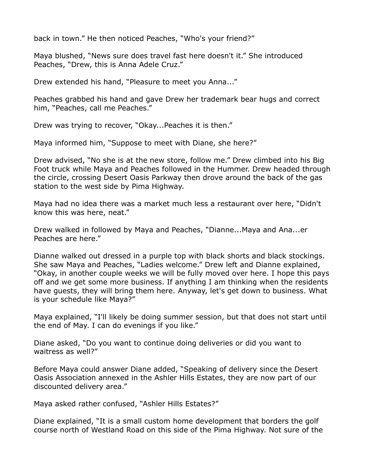back in town." He then noticed Peaches, "Who's your friend?"

Maya blushed, "News sure does travel fast here doesn't it." She introduced Peaches, "Drew, this is Anna Adele Cruz."

Drew extended his hand, "Pleasure to meet you Anna..."

Peaches grabbed his hand and gave Drew her trademark bear hugs and correct him, "Peaches, call me Peaches."

Drew was trying to recover, "Okay...Peaches it is then."

Maya informed him, "Suppose to meet with Diane, she here?"

Drew advised, "No she is at the new store, follow me." Drew climbed into his Big Foot truck while Maya and Peaches followed in the Hummer. Drew headed through the circle, crossing Desert Oasis Parkway then drove around the back of the gas station to the west side by Pima Highway.

Maya had no idea there was a market much less a restaurant over here, "Didn't know this was here, neat."

Drew walked in followed by Maya and Peaches, "Dianne...Maya and Ana...er Peaches are here."

Dianne walked out dressed in a purple top with black shorts and black stockings. She saw Maya and Peaches, "Ladies welcome." Drew left and Dianne explained, "Okay, in another couple weeks we will be fully moved over here. I hope this pays off and we get some more business. If anything I am thinking when the residents have guests, they will bring them here. Anyway, let's get down to business. What is your schedule like Maya?"

Maya explained, "I'll likely be doing summer session, but that does not start until the end of May. I can do evenings if you like."

Diane asked, "Do you want to continue doing deliveries or did you want to waitress as well?"

Before Maya could answer Diane added, "Speaking of delivery since the Desert Oasis Association annexed in the Ashler Hills Estates, they are now part of our discounted delivery area."

Maya asked rather confused, "Ashler Hills Estates?"

Diane explained, "It is a small custom home development that borders the golf course north of Westland Road on this side of the Pima Highway. Not sure of the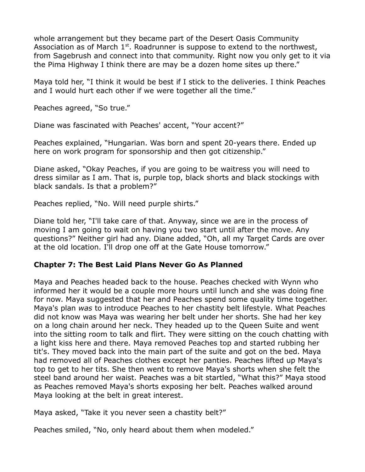whole arrangement but they became part of the Desert Oasis Community Association as of March  $1<sup>st</sup>$ . Roadrunner is suppose to extend to the northwest, from Sagebrush and connect into that community. Right now you only get to it via the Pima Highway I think there are may be a dozen home sites up there."

Maya told her, "I think it would be best if I stick to the deliveries. I think Peaches and I would hurt each other if we were together all the time."

Peaches agreed, "So true."

Diane was fascinated with Peaches' accent, "Your accent?"

Peaches explained, "Hungarian. Was born and spent 20-years there. Ended up here on work program for sponsorship and then got citizenship."

Diane asked, "Okay Peaches, if you are going to be waitress you will need to dress similar as I am. That is, purple top, black shorts and black stockings with black sandals. Is that a problem?"

Peaches replied, "No. Will need purple shirts."

Diane told her, "I'll take care of that. Anyway, since we are in the process of moving I am going to wait on having you two start until after the move. Any questions?" Neither girl had any. Diane added, "Oh, all my Target Cards are over at the old location. I'll drop one off at the Gate House tomorrow."

## **Chapter 7: The Best Laid Plans Never Go As Planned**

Maya and Peaches headed back to the house. Peaches checked with Wynn who informed her it would be a couple more hours until lunch and she was doing fine for now. Maya suggested that her and Peaches spend some quality time together. Maya's plan *was* to introduce Peaches to her chastity belt lifestyle. What Peaches did not know was Maya was wearing her belt under her shorts. She had her key on a long chain around her neck. They headed up to the Queen Suite and went into the sitting room to talk and flirt. They were sitting on the couch chatting with a light kiss here and there. Maya removed Peaches top and started rubbing her tit's. They moved back into the main part of the suite and got on the bed. Maya had removed all of Peaches clothes except her panties. Peaches lifted up Maya's top to get to her tits. She then went to remove Maya's shorts when she felt the steel band around her waist. Peaches was a bit startled, "What this?" Maya stood as Peaches removed Maya's shorts exposing her belt. Peaches walked around Maya looking at the belt in great interest.

Maya asked, "Take it you never seen a chastity belt?"

Peaches smiled, "No, only heard about them when modeled."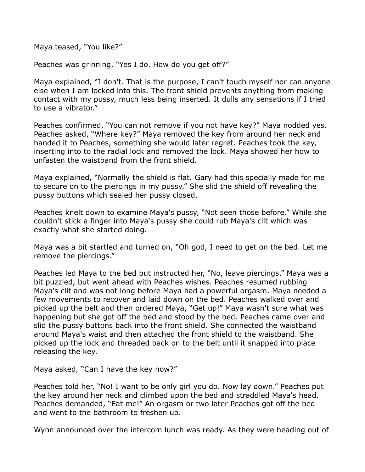Maya teased, "You like?"

Peaches was grinning, "Yes I do. How do you get off?"

Maya explained, "I don't. That is the purpose, I can't touch myself nor can anyone else when I am locked into this. The front shield prevents anything from making contact with my pussy, much less being inserted. It dulls any sensations if I tried to use a vibrator."

Peaches confirmed, "You can not remove if you not have key?" Maya nodded yes. Peaches asked, "Where key?" Maya removed the key from around her neck and handed it to Peaches, something she would later regret. Peaches took the key, inserting into to the radial lock and removed the lock. Maya showed her how to unfasten the waistband from the front shield.

Maya explained, "Normally the shield is flat. Gary had this specially made for me to secure on to the piercings in my pussy." She slid the shield off revealing the pussy buttons which sealed her pussy closed.

Peaches knelt down to examine Maya's pussy, "Not seen those before." While she couldn't stick a finger into Maya's pussy she could rub Maya's clit which was exactly what she started doing.

Maya was a bit startled and turned on, "Oh god, I need to get on the bed. Let me remove the piercings."

Peaches led Maya to the bed but instructed her, "No, leave piercings." Maya was a bit puzzled, but went ahead with Peaches wishes. Peaches resumed rubbing Maya's clit and was not long before Maya had a powerful orgasm. Maya needed a few movements to recover and laid down on the bed. Peaches walked over and picked up the belt and then ordered Maya, "Get up!" Maya wasn't sure what was happening but she got off the bed and stood by the bed. Peaches came over and slid the pussy buttons back into the front shield. She connected the waistband around Maya's waist and then attached the front shield to the waistband. She picked up the lock and threaded back on to the belt until it snapped into place releasing the key.

Maya asked, "Can I have the key now?"

Peaches told her, "No! I want to be only girl you do. Now lay down." Peaches put the key around her neck and climbed upon the bed and straddled Maya's head. Peaches demanded, "Eat me!" An orgasm or two later Peaches got off the bed and went to the bathroom to freshen up.

Wynn announced over the intercom lunch was ready. As they were heading out of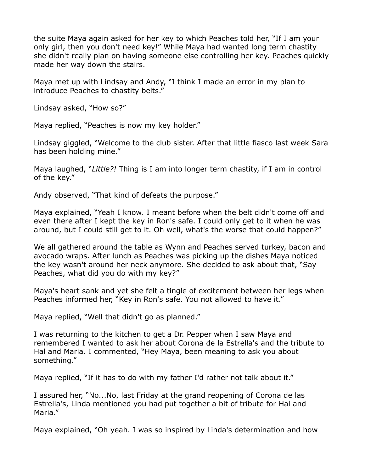the suite Maya again asked for her key to which Peaches told her, "If I am your only girl, then you don't need key!" While Maya had wanted long term chastity she didn't really plan on having someone else controlling her key. Peaches quickly made her way down the stairs.

Maya met up with Lindsay and Andy, "I think I made an error in my plan to introduce Peaches to chastity belts."

Lindsay asked, "How so?"

Maya replied, "Peaches is now my key holder."

Lindsay giggled, "Welcome to the club sister. After that little fiasco last week Sara has been holding mine."

Maya laughed, "*Little?!* Thing is I am into longer term chastity, if I am in control of the key."

Andy observed, "That kind of defeats the purpose."

Maya explained, "Yeah I know. I meant before when the belt didn't come off and even there after I kept the key in Ron's safe. I could only get to it when he was around, but I could still get to it. Oh well, what's the worse that could happen?"

We all gathered around the table as Wynn and Peaches served turkey, bacon and avocado wraps. After lunch as Peaches was picking up the dishes Maya noticed the key wasn't around her neck anymore. She decided to ask about that, "Say Peaches, what did you do with my key?"

Maya's heart sank and yet she felt a tingle of excitement between her legs when Peaches informed her, "Key in Ron's safe. You not allowed to have it."

Maya replied, "Well that didn't go as planned."

I was returning to the kitchen to get a Dr. Pepper when I saw Maya and remembered I wanted to ask her about Corona de la Estrella's and the tribute to Hal and Maria. I commented, "Hey Maya, been meaning to ask you about something."

Maya replied, "If it has to do with my father I'd rather not talk about it."

I assured her, "No...No, last Friday at the grand reopening of Corona de las Estrella's, Linda mentioned you had put together a bit of tribute for Hal and Maria."

Maya explained, "Oh yeah. I was so inspired by Linda's determination and how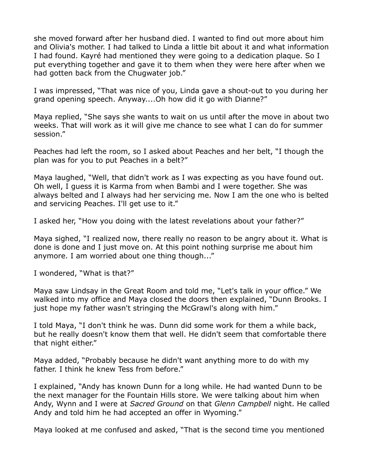she moved forward after her husband died. I wanted to find out more about him and Olivia's mother. I had talked to Linda a little bit about it and what information I had found. Kayré had mentioned they were going to a dedication plaque. So I put everything together and gave it to them when they were here after when we had gotten back from the Chugwater job."

I was impressed, "That was nice of you, Linda gave a shout-out to you during her grand opening speech. Anyway....Oh how did it go with Dianne?"

Maya replied, "She says she wants to wait on us until after the move in about two weeks. That will work as it will give me chance to see what I can do for summer session."

Peaches had left the room, so I asked about Peaches and her belt, "I though the plan was for you to put Peaches in a belt?"

Maya laughed, "Well, that didn't work as I was expecting as you have found out. Oh well, I guess it is Karma from when Bambi and I were together. She was always belted and I always had her servicing me. Now I am the one who is belted and servicing Peaches. I'll get use to it."

I asked her, "How you doing with the latest revelations about your father?"

Maya sighed, "I realized now, there really no reason to be angry about it. What is done is done and I just move on. At this point nothing surprise me about him anymore. I am worried about one thing though..."

I wondered, "What is that?"

Maya saw Lindsay in the Great Room and told me, "Let's talk in your office." We walked into my office and Maya closed the doors then explained, "Dunn Brooks. I just hope my father wasn't stringing the McGrawl's along with him."

I told Maya, "I don't think he was. Dunn did some work for them a while back, but he really doesn't know them that well. He didn't seem that comfortable there that night either."

Maya added, "Probably because he didn't want anything more to do with my father. I think he knew Tess from before."

I explained, "Andy has known Dunn for a long while. He had wanted Dunn to be the next manager for the Fountain Hills store. We were talking about him when Andy, Wynn and I were at *Sacred Ground* on that *Glenn Campbell* night. He called Andy and told him he had accepted an offer in Wyoming."

Maya looked at me confused and asked, "That is the second time you mentioned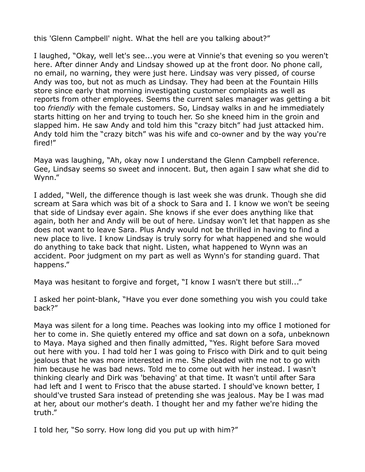this 'Glenn Campbell' night. What the hell are you talking about?"

I laughed, "Okay, well let's see...you were at Vinnie's that evening so you weren't here. After dinner Andy and Lindsay showed up at the front door. No phone call, no email, no warning, they were just here. Lindsay was very pissed, of course Andy was too, but not as much as Lindsay. They had been at the Fountain Hills store since early that morning investigating customer complaints as well as reports from other employees. Seems the current sales manager was getting a bit too *friendly* with the female customers. So, Lindsay walks in and he immediately starts hitting on her and trying to touch her. So she kneed him in the groin and slapped him. He saw Andy and told him this "crazy bitch" had just attacked him. Andy told him the "crazy bitch" was his wife and co-owner and by the way you're fired!"

Maya was laughing, "Ah, okay now I understand the Glenn Campbell reference. Gee, Lindsay seems so sweet and innocent. But, then again I saw what she did to Wynn."

I added, "Well, the difference though is last week she was drunk. Though she did scream at Sara which was bit of a shock to Sara and I. I know we won't be seeing that side of Lindsay ever again. She knows if she ever does anything like that again, both her and Andy will be out of here. Lindsay won't let that happen as she does not want to leave Sara. Plus Andy would not be thrilled in having to find a new place to live. I know Lindsay is truly sorry for what happened and she would do anything to take back that night. Listen, what happened to Wynn was an accident. Poor judgment on my part as well as Wynn's for standing guard. That happens."

Maya was hesitant to forgive and forget, "I know I wasn't there but still..."

I asked her point-blank, "Have you ever done something you wish you could take back?"

Maya was silent for a long time. Peaches was looking into my office I motioned for her to come in. She quietly entered my office and sat down on a sofa, unbeknown to Maya. Maya sighed and then finally admitted, "Yes. Right before Sara moved out here with you. I had told her I was going to Frisco with Dirk and to quit being jealous that he was more interested in me. She pleaded with me not to go with him because he was bad news. Told me to come out with her instead. I wasn't thinking clearly and Dirk was 'behaving' at that time. It wasn't until after Sara had left and I went to Frisco that the abuse started. I should've known better, I should've trusted Sara instead of pretending she was jealous. May be I was mad at her, about our mother's death. I thought her and my father we're hiding the truth."

I told her, "So sorry. How long did you put up with him?"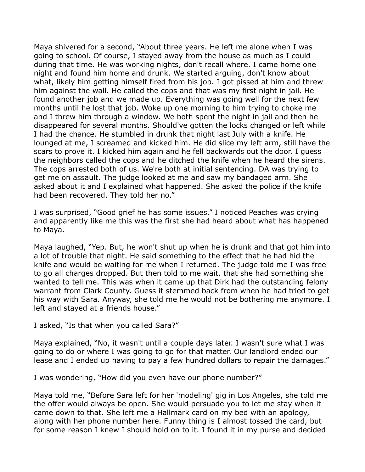Maya shivered for a second, "About three years. He left me alone when I was going to school. Of course, I stayed away from the house as much as I could during that time. He was working nights, don't recall where. I came home one night and found him home and drunk. We started arguing, don't know about what, likely him getting himself fired from his job. I got pissed at him and threw him against the wall. He called the cops and that was my first night in jail. He found another job and we made up. Everything was going well for the next few months until he lost that job. Woke up one morning to him trying to choke me and I threw him through a window. We both spent the night in jail and then he disappeared for several months. Should've gotten the locks changed or left while I had the chance. He stumbled in drunk that night last July with a knife. He lounged at me, I screamed and kicked him. He did slice my left arm, still have the scars to prove it. I kicked him again and he fell backwards out the door. I guess the neighbors called the cops and he ditched the knife when he heard the sirens. The cops arrested both of us. We're both at initial sentencing. DA was trying to get me on assault. The judge looked at me and saw my bandaged arm. She asked about it and I explained what happened. She asked the police if the knife had been recovered. They told her no."

I was surprised, "Good grief he has some issues." I noticed Peaches was crying and apparently like me this was the first she had heard about what has happened to Maya.

Maya laughed, "Yep. But, he won't shut up when he is drunk and that got him into a lot of trouble that night. He said something to the effect that he had hid the knife and would be waiting for me when I returned. The judge told me I was free to go all charges dropped. But then told to me wait, that she had something she wanted to tell me. This was when it came up that Dirk had the outstanding felony warrant from Clark County. Guess it stemmed back from when he had tried to get his way with Sara. Anyway, she told me he would not be bothering me anymore. I left and stayed at a friends house."

I asked, "Is that when you called Sara?"

Maya explained, "No, it wasn't until a couple days later. I wasn't sure what I was going to do or where I was going to go for that matter. Our landlord ended our lease and I ended up having to pay a few hundred dollars to repair the damages."

I was wondering, "How did you even have our phone number?"

Maya told me, "Before Sara left for her 'modeling' gig in Los Angeles, she told me the offer would always be open. She would persuade you to let me stay when it came down to that. She left me a Hallmark card on my bed with an apology, along with her phone number here. Funny thing is I almost tossed the card, but for some reason I knew I should hold on to it. I found it in my purse and decided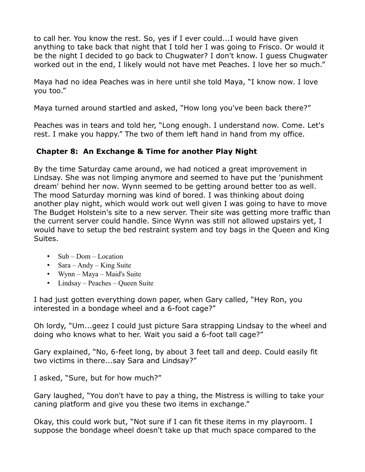to call her. You know the rest. So, yes if I ever could...I would have given anything to take back that night that I told her I was going to Frisco. Or would it be the night I decided to go back to Chugwater? I don't know. I guess Chugwater worked out in the end, I likely would not have met Peaches. I love her so much."

Maya had no idea Peaches was in here until she told Maya, "I know now. I love you too."

Maya turned around startled and asked, "How long you've been back there?"

Peaches was in tears and told her, "Long enough. I understand now. Come. Let's rest. I make you happy." The two of them left hand in hand from my office.

## **Chapter 8: An Exchange & Time for another Play Night**

By the time Saturday came around, we had noticed a great improvement in Lindsay. She was not limping anymore and seemed to have put the 'punishment dream' behind her now. Wynn seemed to be getting around better too as well. The mood Saturday morning was kind of bored. I was thinking about doing another play night, which would work out well given I was going to have to move The Budget Holstein's site to a new server. Their site was getting more traffic than the current server could handle. Since Wynn was still not allowed upstairs yet, I would have to setup the bed restraint system and toy bags in the Queen and King Suites.

- Sub Dom Location
- Sara Andy King Suite
- Wynn Maya Maid's Suite
- Lindsay Peaches Queen Suite

I had just gotten everything down paper, when Gary called, "Hey Ron, you interested in a bondage wheel and a 6-foot cage?"

Oh lordy, "Um...geez I could just picture Sara strapping Lindsay to the wheel and doing who knows what to her. Wait you said a 6-foot tall cage?"

Gary explained, "No, 6-feet long, by about 3 feet tall and deep. Could easily fit two victims in there...say Sara and Lindsay?"

I asked, "Sure, but for how much?"

Gary laughed, "You don't have to pay a thing, the Mistress is willing to take your caning platform and give you these two items in exchange."

Okay, this could work but, "Not sure if I can fit these items in my playroom. I suppose the bondage wheel doesn't take up that much space compared to the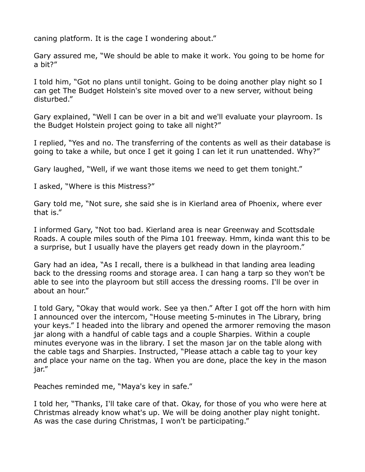caning platform. It is the cage I wondering about."

Gary assured me, "We should be able to make it work. You going to be home for a bit?"

I told him, "Got no plans until tonight. Going to be doing another play night so I can get The Budget Holstein's site moved over to a new server, without being disturbed."

Gary explained, "Well I can be over in a bit and we'll evaluate your playroom. Is the Budget Holstein project going to take all night?"

I replied, "Yes and no. The transferring of the contents as well as their database is going to take a while, but once I get it going I can let it run unattended. Why?"

Gary laughed, "Well, if we want those items we need to get them tonight."

I asked, "Where is this Mistress?"

Gary told me, "Not sure, she said she is in Kierland area of Phoenix, where ever that is."

I informed Gary, "Not too bad. Kierland area is near Greenway and Scottsdale Roads. A couple miles south of the Pima 101 freeway. Hmm, kinda want this to be a surprise, but I usually have the players get ready down in the playroom."

Gary had an idea, "As I recall, there is a bulkhead in that landing area leading back to the dressing rooms and storage area. I can hang a tarp so they won't be able to see into the playroom but still access the dressing rooms. I'll be over in about an hour."

I told Gary, "Okay that would work. See ya then." After I got off the horn with him I announced over the intercom, "House meeting 5-minutes in The Library, bring your keys." I headed into the library and opened the armorer removing the mason jar along with a handful of cable tags and a couple Sharpies. Within a couple minutes everyone was in the library. I set the mason jar on the table along with the cable tags and Sharpies. Instructed, "Please attach a cable tag to your key and place your name on the tag. When you are done, place the key in the mason jar."

Peaches reminded me, "Maya's key in safe."

I told her, "Thanks, I'll take care of that. Okay, for those of you who were here at Christmas already know what's up. We will be doing another play night tonight. As was the case during Christmas, I won't be participating."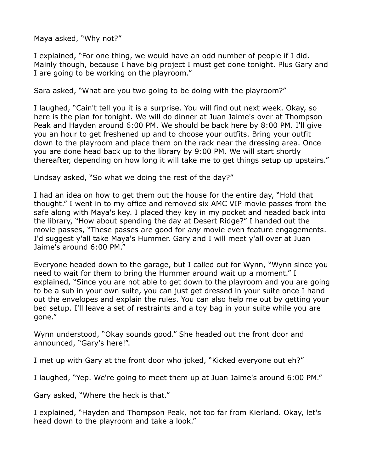Maya asked, "Why not?"

I explained, "For one thing, we would have an odd number of people if I did. Mainly though, because I have big project I must get done tonight. Plus Gary and I are going to be working on the playroom."

Sara asked, "What are you two going to be doing with the playroom?"

I laughed, "Cain't tell you it is a surprise. You will find out next week. Okay, so here is the plan for tonight. We will do dinner at Juan Jaime's over at Thompson Peak and Hayden around 6:00 PM. We should be back here by 8:00 PM. I'll give you an hour to get freshened up and to choose your outfits. Bring your outfit down to the playroom and place them on the rack near the dressing area. Once you are done head back up to the library by 9:00 PM. We will start shortly thereafter, depending on how long it will take me to get things setup up upstairs."

Lindsay asked, "So what we doing the rest of the day?"

I had an idea on how to get them out the house for the entire day, "Hold that thought." I went in to my office and removed six AMC VIP movie passes from the safe along with Maya's key. I placed they key in my pocket and headed back into the library, "How about spending the day at Desert Ridge?" I handed out the movie passes, "These passes are good for *any* movie even feature engagements. I'd suggest y'all take Maya's Hummer. Gary and I will meet y'all over at Juan Jaime's around 6:00 PM."

Everyone headed down to the garage, but I called out for Wynn, "Wynn since you need to wait for them to bring the Hummer around wait up a moment." I explained, "Since you are not able to get down to the playroom and you are going to be a sub in your own suite, you can just get dressed in your suite once I hand out the envelopes and explain the rules. You can also help me out by getting your bed setup. I'll leave a set of restraints and a toy bag in your suite while you are gone."

Wynn understood, "Okay sounds good." She headed out the front door and announced, "Gary's here!".

I met up with Gary at the front door who joked, "Kicked everyone out eh?"

I laughed, "Yep. We're going to meet them up at Juan Jaime's around 6:00 PM."

Gary asked, "Where the heck is that."

I explained, "Hayden and Thompson Peak, not too far from Kierland. Okay, let's head down to the playroom and take a look."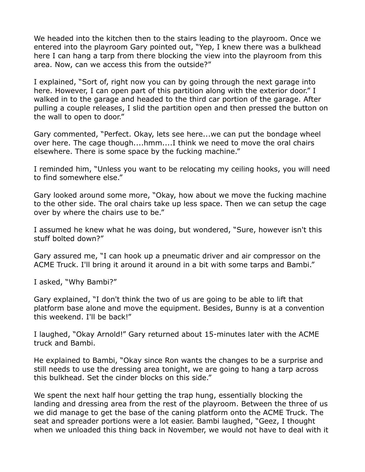We headed into the kitchen then to the stairs leading to the playroom. Once we entered into the playroom Gary pointed out, "Yep, I knew there was a bulkhead here I can hang a tarp from there blocking the view into the playroom from this area. Now, can we access this from the outside?"

I explained, "Sort of, right now you can by going through the next garage into here. However, I can open part of this partition along with the exterior door." I walked in to the garage and headed to the third car portion of the garage. After pulling a couple releases, I slid the partition open and then pressed the button on the wall to open to door."

Gary commented, "Perfect. Okay, lets see here...we can put the bondage wheel over here. The cage though....hmm....I think we need to move the oral chairs elsewhere. There is some space by the fucking machine."

I reminded him, "Unless you want to be relocating my ceiling hooks, you will need to find somewhere else."

Gary looked around some more, "Okay, how about we move the fucking machine to the other side. The oral chairs take up less space. Then we can setup the cage over by where the chairs use to be."

I assumed he knew what he was doing, but wondered, "Sure, however isn't this stuff bolted down?"

Gary assured me, "I can hook up a pneumatic driver and air compressor on the ACME Truck. I'll bring it around it around in a bit with some tarps and Bambi."

I asked, "Why Bambi?"

Gary explained, "I don't think the two of us are going to be able to lift that platform base alone and move the equipment. Besides, Bunny is at a convention this weekend. I'll be back!"

I laughed, "Okay Arnold!" Gary returned about 15-minutes later with the ACME truck and Bambi.

He explained to Bambi, "Okay since Ron wants the changes to be a surprise and still needs to use the dressing area tonight, we are going to hang a tarp across this bulkhead. Set the cinder blocks on this side."

We spent the next half hour getting the trap hung, essentially blocking the landing and dressing area from the rest of the playroom. Between the three of us we did manage to get the base of the caning platform onto the ACME Truck. The seat and spreader portions were a lot easier. Bambi laughed, "Geez, I thought when we unloaded this thing back in November, we would not have to deal with it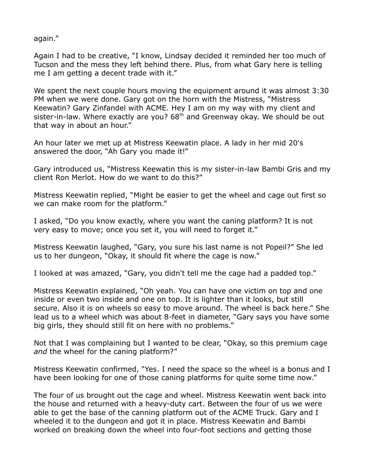again."

Again I had to be creative, "I know, Lindsay decided it reminded her too much of Tucson and the mess they left behind there. Plus, from what Gary here is telling me I am getting a decent trade with it."

We spent the next couple hours moving the equipment around it was almost 3:30 PM when we were done. Gary got on the horn with the Mistress, "Mistress Keewatin? Gary Zinfandel with ACME. Hey I am on my way with my client and sister-in-law. Where exactly are you?  $68<sup>th</sup>$  and Greenway okay. We should be out that way in about an hour."

An hour later we met up at Mistress Keewatin place. A lady in her mid 20's answered the door, "Ah Gary you made it!"

Gary introduced us, "Mistress Keewatin this is my sister-in-law Bambi Gris and my client Ron Merlot. How do we want to do this?"

Mistress Keewatin replied, "Might be easier to get the wheel and cage out first so we can make room for the platform."

I asked, "Do you know exactly, where you want the caning platform? It is not very easy to move; once you set it, you will need to forget it."

Mistress Keewatin laughed, "Gary, you sure his last name is not Popeil?" She led us to her dungeon, "Okay, it should fit where the cage is now."

I looked at was amazed, "Gary, you didn't tell me the cage had a padded top."

Mistress Keewatin explained, "Oh yeah. You can have one victim on top and one inside or even two inside and one on top. It is lighter than it looks, but still secure. Also it is on wheels so easy to move around. The wheel is back here." She lead us to a wheel which was about 8-feet in diameter, "Gary says you have some big girls, they should still fit on here with no problems."

Not that I was complaining but I wanted to be clear, "Okay, so this premium cage *and* the wheel for the caning platform?"

Mistress Keewatin confirmed, "Yes. I need the space so the wheel is a bonus and I have been looking for one of those caning platforms for quite some time now."

The four of us brought out the cage and wheel. Mistress Keewatin went back into the house and returned with a heavy-duty cart. Between the four of us we were able to get the base of the canning platform out of the ACME Truck. Gary and I wheeled it to the dungeon and got it in place. Mistress Keewatin and Bambi worked on breaking down the wheel into four-foot sections and getting those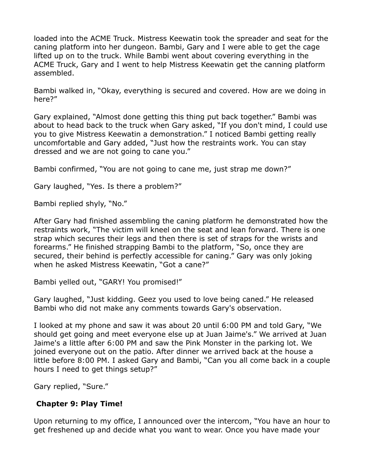loaded into the ACME Truck. Mistress Keewatin took the spreader and seat for the caning platform into her dungeon. Bambi, Gary and I were able to get the cage lifted up on to the truck. While Bambi went about covering everything in the ACME Truck, Gary and I went to help Mistress Keewatin get the canning platform assembled.

Bambi walked in, "Okay, everything is secured and covered. How are we doing in here?"

Gary explained, "Almost done getting this thing put back together." Bambi was about to head back to the truck when Gary asked, "If you don't mind, I could use you to give Mistress Keewatin a demonstration." I noticed Bambi getting really uncomfortable and Gary added, "Just how the restraints work. You can stay dressed and we are not going to cane you."

Bambi confirmed, "You are not going to cane me, just strap me down?"

Gary laughed, "Yes. Is there a problem?"

Bambi replied shyly, "No."

After Gary had finished assembling the caning platform he demonstrated how the restraints work, "The victim will kneel on the seat and lean forward. There is one strap which secures their legs and then there is set of straps for the wrists and forearms." He finished strapping Bambi to the platform, "So, once they are secured, their behind is perfectly accessible for caning." Gary was only joking when he asked Mistress Keewatin, "Got a cane?"

Bambi yelled out, "GARY! You promised!"

Gary laughed, "Just kidding. Geez you used to love being caned." He released Bambi who did not make any comments towards Gary's observation.

I looked at my phone and saw it was about 20 until 6:00 PM and told Gary, "We should get going and meet everyone else up at Juan Jaime's." We arrived at Juan Jaime's a little after 6:00 PM and saw the Pink Monster in the parking lot. We joined everyone out on the patio. After dinner we arrived back at the house a little before 8:00 PM. I asked Gary and Bambi, "Can you all come back in a couple hours I need to get things setup?"

Gary replied, "Sure."

## **Chapter 9: Play Time!**

Upon returning to my office, I announced over the intercom, "You have an hour to get freshened up and decide what you want to wear. Once you have made your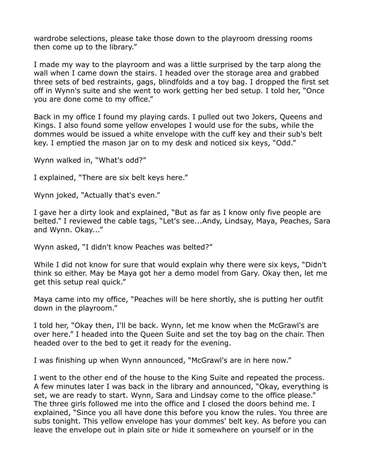wardrobe selections, please take those down to the playroom dressing rooms then come up to the library."

I made my way to the playroom and was a little surprised by the tarp along the wall when I came down the stairs. I headed over the storage area and grabbed three sets of bed restraints, gags, blindfolds and a toy bag. I dropped the first set off in Wynn's suite and she went to work getting her bed setup. I told her, "Once you are done come to my office."

Back in my office I found my playing cards. I pulled out two Jokers, Queens and Kings. I also found some yellow envelopes I would use for the subs, while the dommes would be issued a white envelope with the cuff key and their sub's belt key. I emptied the mason jar on to my desk and noticed six keys, "Odd."

Wynn walked in, "What's odd?"

I explained, "There are six belt keys here."

Wynn joked, "Actually that's even."

I gave her a dirty look and explained, "But as far as I know only five people are belted." I reviewed the cable tags, "Let's see...Andy, Lindsay, Maya, Peaches, Sara and Wynn. Okay..."

Wynn asked, "I didn't know Peaches was belted?"

While I did not know for sure that would explain why there were six keys, "Didn't think so either. May be Maya got her a demo model from Gary. Okay then, let me get this setup real quick."

Maya came into my office, "Peaches will be here shortly, she is putting her outfit down in the playroom."

I told her, "Okay then, I'll be back. Wynn, let me know when the McGrawl's are over here." I headed into the Queen Suite and set the toy bag on the chair. Then headed over to the bed to get it ready for the evening.

I was finishing up when Wynn announced, "McGrawl's are in here now."

I went to the other end of the house to the King Suite and repeated the process. A few minutes later I was back in the library and announced, "Okay, everything is set, we are ready to start. Wynn, Sara and Lindsay come to the office please." The three girls followed me into the office and I closed the doors behind me. I explained, "Since you all have done this before you know the rules. You three are subs tonight. This yellow envelope has your dommes' belt key. As before you can leave the envelope out in plain site or hide it somewhere on yourself or in the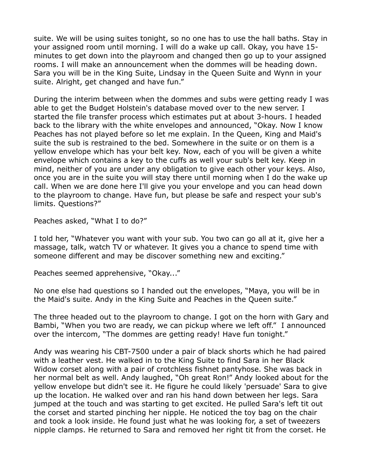suite. We will be using suites tonight, so no one has to use the hall baths. Stay in your assigned room until morning. I will do a wake up call. Okay, you have 15 minutes to get down into the playroom and changed then go up to your assigned rooms. I will make an announcement when the dommes will be heading down. Sara you will be in the King Suite, Lindsay in the Queen Suite and Wynn in your suite. Alright, get changed and have fun."

During the interim between when the dommes and subs were getting ready I was able to get the Budget Holstein's database moved over to the new server. I started the file transfer process which estimates put at about 3-hours. I headed back to the library with the white envelopes and announced, "Okay. Now I know Peaches has not played before so let me explain. In the Queen, King and Maid's suite the sub is restrained to the bed. Somewhere in the suite or on them is a yellow envelope which has your belt key. Now, each of you will be given a white envelope which contains a key to the cuffs as well your sub's belt key. Keep in mind, neither of you are under any obligation to give each other your keys. Also, once you are in the suite you will stay there until morning when I do the wake up call. When we are done here I'll give you your envelope and you can head down to the playroom to change. Have fun, but please be safe and respect your sub's limits. Questions?"

Peaches asked, "What I to do?"

I told her, "Whatever you want with your sub. You two can go all at it, give her a massage, talk, watch TV or whatever. It gives you a chance to spend time with someone different and may be discover something new and exciting."

Peaches seemed apprehensive, "Okay..."

No one else had questions so I handed out the envelopes, "Maya, you will be in the Maid's suite. Andy in the King Suite and Peaches in the Queen suite."

The three headed out to the playroom to change. I got on the horn with Gary and Bambi, "When you two are ready, we can pickup where we left off." I announced over the intercom, "The dommes are getting ready! Have fun tonight."

Andy was wearing his CBT-7500 under a pair of black shorts which he had paired with a leather vest. He walked in to the King Suite to find Sara in her Black Widow corset along with a pair of crotchless fishnet pantyhose. She was back in her normal belt as well. Andy laughed, "Oh great Ron!" Andy looked about for the yellow envelope but didn't see it. He figure he could likely 'persuade' Sara to give up the location. He walked over and ran his hand down between her legs. Sara jumped at the touch and was starting to get excited. He pulled Sara's left tit out the corset and started pinching her nipple. He noticed the toy bag on the chair and took a look inside. He found just what he was looking for, a set of tweezers nipple clamps. He returned to Sara and removed her right tit from the corset. He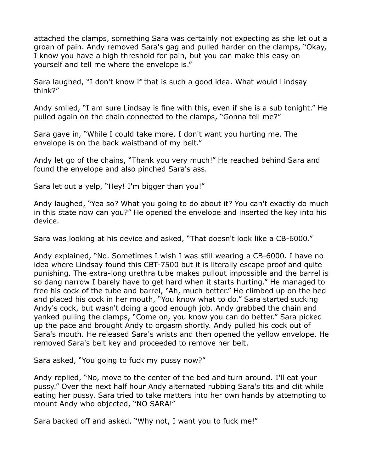attached the clamps, something Sara was certainly not expecting as she let out a groan of pain. Andy removed Sara's gag and pulled harder on the clamps, "Okay, I know you have a high threshold for pain, but you can make this easy on yourself and tell me where the envelope is."

Sara laughed, "I don't know if that is such a good idea. What would Lindsay think?"

Andy smiled, "I am sure Lindsay is fine with this, even if she is a sub tonight." He pulled again on the chain connected to the clamps, "Gonna tell me?"

Sara gave in, "While I could take more, I don't want you hurting me. The envelope is on the back waistband of my belt."

Andy let go of the chains, "Thank you very much!" He reached behind Sara and found the envelope and also pinched Sara's ass.

Sara let out a yelp, "Hey! I'm bigger than you!"

Andy laughed, "Yea so? What you going to do about it? You can't exactly do much in this state now can you?" He opened the envelope and inserted the key into his device.

Sara was looking at his device and asked, "That doesn't look like a CB-6000."

Andy explained, "No. Sometimes I wish I was still wearing a CB-6000. I have no idea where Lindsay found this CBT-7500 but it is literally escape proof and quite punishing. The extra-long urethra tube makes pullout impossible and the barrel is so dang narrow I barely have to get hard when it starts hurting." He managed to free his cock of the tube and barrel, "Ah, much better." He climbed up on the bed and placed his cock in her mouth, "You know what to do." Sara started sucking Andy's cock, but wasn't doing a good enough job. Andy grabbed the chain and yanked pulling the clamps, "Come on, you know you can do better." Sara picked up the pace and brought Andy to orgasm shortly. Andy pulled his cock out of Sara's mouth. He released Sara's wrists and then opened the yellow envelope. He removed Sara's belt key and proceeded to remove her belt.

Sara asked, "You going to fuck my pussy now?"

Andy replied, "No, move to the center of the bed and turn around. I'll eat your pussy." Over the next half hour Andy alternated rubbing Sara's tits and clit while eating her pussy. Sara tried to take matters into her own hands by attempting to mount Andy who objected, "NO SARA!"

Sara backed off and asked, "Why not, I want you to fuck me!"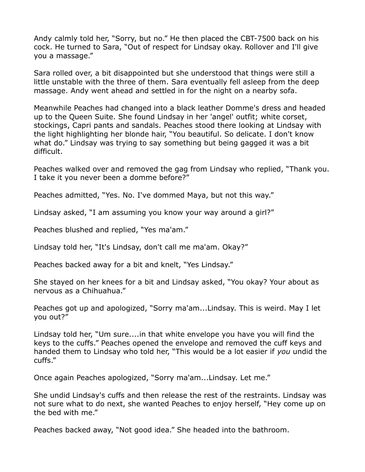Andy calmly told her, "Sorry, but no." He then placed the CBT-7500 back on his cock. He turned to Sara, "Out of respect for Lindsay okay. Rollover and I'll give you a massage."

Sara rolled over, a bit disappointed but she understood that things were still a little unstable with the three of them. Sara eventually fell asleep from the deep massage. Andy went ahead and settled in for the night on a nearby sofa.

Meanwhile Peaches had changed into a black leather Domme's dress and headed up to the Queen Suite. She found Lindsay in her 'angel' outfit; white corset, stockings, Capri pants and sandals. Peaches stood there looking at Lindsay with the light highlighting her blonde hair, "You beautiful. So delicate. I don't know what do." Lindsay was trying to say something but being gagged it was a bit difficult.

Peaches walked over and removed the gag from Lindsay who replied, "Thank you. I take it you never been a domme before?"

Peaches admitted, "Yes. No. I've dommed Maya, but not this way."

Lindsay asked, "I am assuming you know your way around a girl?"

Peaches blushed and replied, "Yes ma'am."

Lindsay told her, "It's Lindsay, don't call me ma'am. Okay?"

Peaches backed away for a bit and knelt, "Yes Lindsay."

She stayed on her knees for a bit and Lindsay asked, "You okay? Your about as nervous as a Chihuahua."

Peaches got up and apologized, "Sorry ma'am...Lindsay. This is weird. May I let you out?"

Lindsay told her, "Um sure....in that white envelope you have you will find the keys to the cuffs." Peaches opened the envelope and removed the cuff keys and handed them to Lindsay who told her, "This would be a lot easier if *you* undid the cuffs."

Once again Peaches apologized, "Sorry ma'am...Lindsay. Let me."

She undid Lindsay's cuffs and then release the rest of the restraints. Lindsay was not sure what to do next, she wanted Peaches to enjoy herself, "Hey come up on the bed with me."

Peaches backed away, "Not good idea." She headed into the bathroom.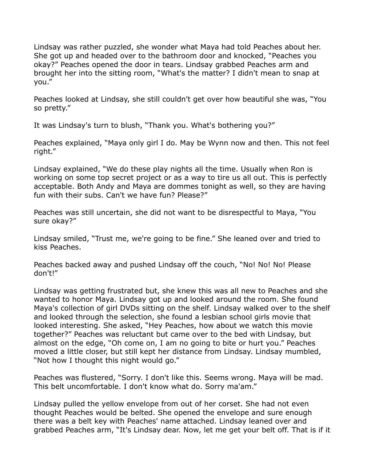Lindsay was rather puzzled, she wonder what Maya had told Peaches about her. She got up and headed over to the bathroom door and knocked, "Peaches you okay?" Peaches opened the door in tears. Lindsay grabbed Peaches arm and brought her into the sitting room, "What's the matter? I didn't mean to snap at you."

Peaches looked at Lindsay, she still couldn't get over how beautiful she was, "You so pretty."

It was Lindsay's turn to blush, "Thank you. What's bothering you?"

Peaches explained, "Maya only girl I do. May be Wynn now and then. This not feel right."

Lindsay explained, "We do these play nights all the time. Usually when Ron is working on some top secret project or as a way to tire us all out. This is perfectly acceptable. Both Andy and Maya are dommes tonight as well, so they are having fun with their subs. Can't we have fun? Please?"

Peaches was still uncertain, she did not want to be disrespectful to Maya, "You sure okay?"

Lindsay smiled, "Trust me, we're going to be fine." She leaned over and tried to kiss Peaches.

Peaches backed away and pushed Lindsay off the couch, "No! No! No! Please don't!"

Lindsay was getting frustrated but, she knew this was all new to Peaches and she wanted to honor Maya. Lindsay got up and looked around the room. She found Maya's collection of girl DVDs sitting on the shelf. Lindsay walked over to the shelf and looked through the selection, she found a lesbian school girls movie that looked interesting. She asked, "Hey Peaches, how about we watch this movie together?" Peaches was reluctant but came over to the bed with Lindsay, but almost on the edge, "Oh come on, I am no going to bite or hurt you." Peaches moved a little closer, but still kept her distance from Lindsay. Lindsay mumbled, "Not how I thought this night would go."

Peaches was flustered, "Sorry. I don't like this. Seems wrong. Maya will be mad. This belt uncomfortable. I don't know what do. Sorry ma'am."

Lindsay pulled the yellow envelope from out of her corset. She had not even thought Peaches would be belted. She opened the envelope and sure enough there was a belt key with Peaches' name attached. Lindsay leaned over and grabbed Peaches arm, "It's Lindsay dear. Now, let me get your belt off. That is if it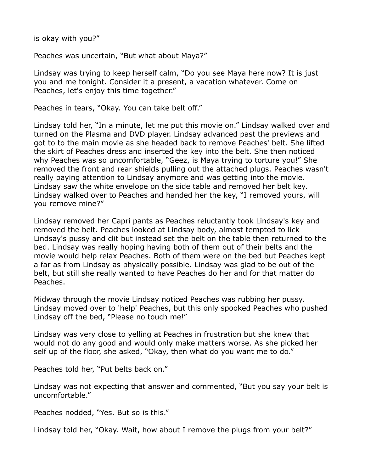is okay with you?"

Peaches was uncertain, "But what about Maya?"

Lindsay was trying to keep herself calm, "Do you see Maya here now? It is just you and me tonight. Consider it a present, a vacation whatever. Come on Peaches, let's enjoy this time together."

Peaches in tears, "Okay. You can take belt off."

Lindsay told her, "In a minute, let me put this movie on." Lindsay walked over and turned on the Plasma and DVD player. Lindsay advanced past the previews and got to to the main movie as she headed back to remove Peaches' belt. She lifted the skirt of Peaches dress and inserted the key into the belt. She then noticed why Peaches was so uncomfortable, "Geez, is Maya trying to torture you!" She removed the front and rear shields pulling out the attached plugs. Peaches wasn't really paying attention to Lindsay anymore and was getting into the movie. Lindsay saw the white envelope on the side table and removed her belt key. Lindsay walked over to Peaches and handed her the key, "I removed yours, will you remove mine?"

Lindsay removed her Capri pants as Peaches reluctantly took Lindsay's key and removed the belt. Peaches looked at Lindsay body, almost tempted to lick Lindsay's pussy and clit but instead set the belt on the table then returned to the bed. Lindsay was really hoping having both of them out of their belts and the movie would help relax Peaches. Both of them were on the bed but Peaches kept a far as from Lindsay as physically possible. Lindsay was glad to be out of the belt, but still she really wanted to have Peaches do her and for that matter do Peaches.

Midway through the movie Lindsay noticed Peaches was rubbing her pussy. Lindsay moved over to 'help' Peaches, but this only spooked Peaches who pushed Lindsay off the bed, "Please no touch me!"

Lindsay was very close to yelling at Peaches in frustration but she knew that would not do any good and would only make matters worse. As she picked her self up of the floor, she asked, "Okay, then what do you want me to do."

Peaches told her, "Put belts back on."

Lindsay was not expecting that answer and commented, "But you say your belt is uncomfortable."

Peaches nodded, "Yes. But so is this."

Lindsay told her, "Okay. Wait, how about I remove the plugs from your belt?"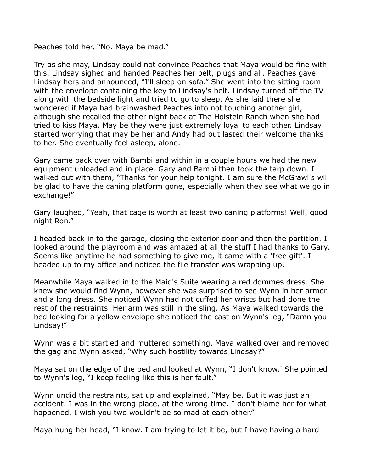Peaches told her, "No. Maya be mad."

Try as she may, Lindsay could not convince Peaches that Maya would be fine with this. Lindsay sighed and handed Peaches her belt, plugs and all. Peaches gave Lindsay hers and announced, "I'll sleep on sofa." She went into the sitting room with the envelope containing the key to Lindsay's belt. Lindsay turned off the TV along with the bedside light and tried to go to sleep. As she laid there she wondered if Maya had brainwashed Peaches into not touching another girl, although she recalled the other night back at The Holstein Ranch when she had tried to kiss Maya. May be they were just extremely loyal to each other. Lindsay started worrying that may be her and Andy had out lasted their welcome thanks to her. She eventually feel asleep, alone.

Gary came back over with Bambi and within in a couple hours we had the new equipment unloaded and in place. Gary and Bambi then took the tarp down. I walked out with them, "Thanks for your help tonight. I am sure the McGrawl's will be glad to have the caning platform gone, especially when they see what we go in exchange!"

Gary laughed, "Yeah, that cage is worth at least two caning platforms! Well, good night Ron."

I headed back in to the garage, closing the exterior door and then the partition. I looked around the playroom and was amazed at all the stuff I had thanks to Gary. Seems like anytime he had something to give me, it came with a 'free gift'. I headed up to my office and noticed the file transfer was wrapping up.

Meanwhile Maya walked in to the Maid's Suite wearing a red dommes dress. She knew she would find Wynn, however she was surprised to see Wynn in her armor and a long dress. She noticed Wynn had not cuffed her wrists but had done the rest of the restraints. Her arm was still in the sling. As Maya walked towards the bed looking for a yellow envelope she noticed the cast on Wynn's leg, "Damn you Lindsay!"

Wynn was a bit startled and muttered something. Maya walked over and removed the gag and Wynn asked, "Why such hostility towards Lindsay?"

Maya sat on the edge of the bed and looked at Wynn, "I don't know.' She pointed to Wynn's leg, "I keep feeling like this is her fault."

Wynn undid the restraints, sat up and explained, "May be. But it was just an accident. I was in the wrong place, at the wrong time. I don't blame her for what happened. I wish you two wouldn't be so mad at each other."

Maya hung her head, "I know. I am trying to let it be, but I have having a hard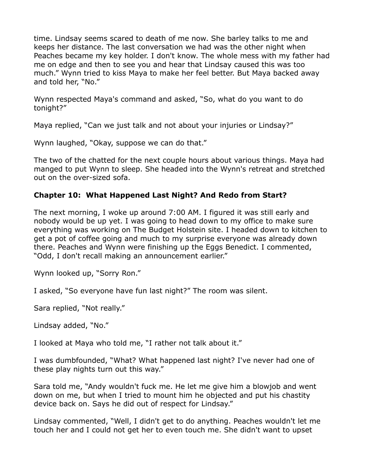time. Lindsay seems scared to death of me now. She barley talks to me and keeps her distance. The last conversation we had was the other night when Peaches became my key holder. I don't know. The whole mess with my father had me on edge and then to see you and hear that Lindsay caused this was too much." Wynn tried to kiss Maya to make her feel better. But Maya backed away and told her, "No."

Wynn respected Maya's command and asked, "So, what do you want to do tonight?"

Maya replied, "Can we just talk and not about your injuries or Lindsay?"

Wynn laughed, "Okay, suppose we can do that."

The two of the chatted for the next couple hours about various things. Maya had manged to put Wynn to sleep. She headed into the Wynn's retreat and stretched out on the over-sized sofa.

## **Chapter 10: What Happened Last Night? And Redo from Start?**

The next morning, I woke up around 7:00 AM. I figured it was still early and nobody would be up yet. I was going to head down to my office to make sure everything was working on The Budget Holstein site. I headed down to kitchen to get a pot of coffee going and much to my surprise everyone was already down there. Peaches and Wynn were finishing up the Eggs Benedict. I commented, "Odd, I don't recall making an announcement earlier."

Wynn looked up, "Sorry Ron."

I asked, "So everyone have fun last night?" The room was silent.

Sara replied, "Not really."

Lindsay added, "No."

I looked at Maya who told me, "I rather not talk about it."

I was dumbfounded, "What? What happened last night? I've never had one of these play nights turn out this way."

Sara told me, "Andy wouldn't fuck me. He let me give him a blowjob and went down on me, but when I tried to mount him he objected and put his chastity device back on. Says he did out of respect for Lindsay."

Lindsay commented, "Well, I didn't get to do anything. Peaches wouldn't let me touch her and I could not get her to even touch me. She didn't want to upset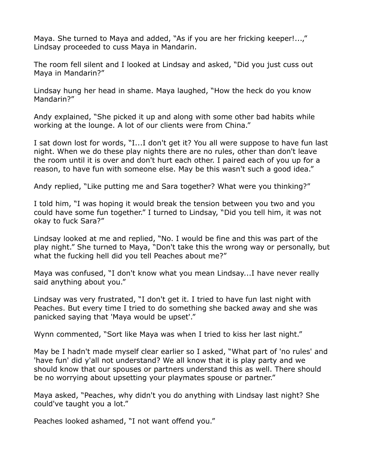Maya. She turned to Maya and added, "As if you are her fricking keeper!...," Lindsay proceeded to cuss Maya in Mandarin.

The room fell silent and I looked at Lindsay and asked, "Did you just cuss out Maya in Mandarin?"

Lindsay hung her head in shame. Maya laughed, "How the heck do you know Mandarin?"

Andy explained, "She picked it up and along with some other bad habits while working at the lounge. A lot of our clients were from China."

I sat down lost for words, "I...I don't get it? You all were suppose to have fun last night. When we do these play nights there are no rules, other than don't leave the room until it is over and don't hurt each other. I paired each of you up for a reason, to have fun with someone else. May be this wasn't such a good idea."

Andy replied, "Like putting me and Sara together? What were you thinking?"

I told him, "I was hoping it would break the tension between you two and you could have some fun together." I turned to Lindsay, "Did you tell him, it was not okay to fuck Sara?"

Lindsay looked at me and replied, "No. I would be fine and this was part of the play night." She turned to Maya, "Don't take this the wrong way or personally, but what the fucking hell did you tell Peaches about me?"

Maya was confused, "I don't know what you mean Lindsay...I have never really said anything about you."

Lindsay was very frustrated, "I don't get it. I tried to have fun last night with Peaches. But every time I tried to do something she backed away and she was panicked saying that 'Maya would be upset'."

Wynn commented, "Sort like Maya was when I tried to kiss her last night."

May be I hadn't made myself clear earlier so I asked, "What part of 'no rules' and 'have fun' did y'all not understand? We all know that it is play party and we should know that our spouses or partners understand this as well. There should be no worrying about upsetting your playmates spouse or partner."

Maya asked, "Peaches, why didn't you do anything with Lindsay last night? She could've taught you a lot."

Peaches looked ashamed, "I not want offend you."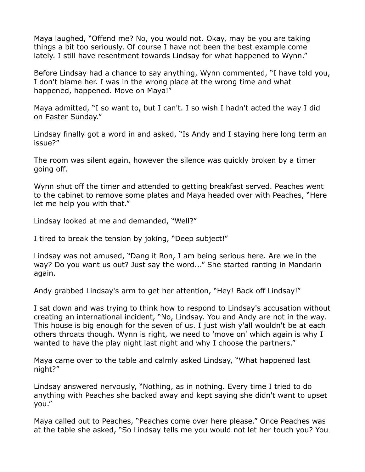Maya laughed, "Offend me? No, you would not. Okay, may be you are taking things a bit too seriously. Of course I have not been the best example come lately. I still have resentment towards Lindsay for what happened to Wynn."

Before Lindsay had a chance to say anything, Wynn commented, "I have told you, I don't blame her. I was in the wrong place at the wrong time and what happened, happened. Move on Maya!"

Maya admitted, "I so want to, but I can't. I so wish I hadn't acted the way I did on Easter Sunday."

Lindsay finally got a word in and asked, "Is Andy and I staying here long term an issue?"

The room was silent again, however the silence was quickly broken by a timer going off.

Wynn shut off the timer and attended to getting breakfast served. Peaches went to the cabinet to remove some plates and Maya headed over with Peaches, "Here let me help you with that."

Lindsay looked at me and demanded, "Well?"

I tired to break the tension by joking, "Deep subject!"

Lindsay was not amused, "Dang it Ron, I am being serious here. Are we in the way? Do you want us out? Just say the word..." She started ranting in Mandarin again.

Andy grabbed Lindsay's arm to get her attention, "Hey! Back off Lindsay!"

I sat down and was trying to think how to respond to Lindsay's accusation without creating an international incident, "No, Lindsay. You and Andy are not in the way. This house is big enough for the seven of us. I just wish y'all wouldn't be at each others throats though. Wynn is right, we need to 'move on' which again is why I wanted to have the play night last night and why I choose the partners."

Maya came over to the table and calmly asked Lindsay, "What happened last night?"

Lindsay answered nervously, "Nothing, as in nothing. Every time I tried to do anything with Peaches she backed away and kept saying she didn't want to upset you."

Maya called out to Peaches, "Peaches come over here please." Once Peaches was at the table she asked, "So Lindsay tells me you would not let her touch you? You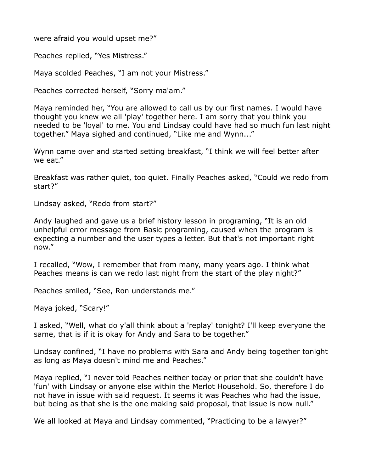were afraid you would upset me?"

Peaches replied, "Yes Mistress."

Maya scolded Peaches, "I am not your Mistress."

Peaches corrected herself, "Sorry ma'am."

Maya reminded her, "You are allowed to call us by our first names. I would have thought you knew we all 'play' together here. I am sorry that you think you needed to be 'loyal' to me. You and Lindsay could have had so much fun last night together." Maya sighed and continued, "Like me and Wynn..."

Wynn came over and started setting breakfast, "I think we will feel better after we eat."

Breakfast was rather quiet, too quiet. Finally Peaches asked, "Could we redo from start?"

Lindsay asked, "Redo from start?"

Andy laughed and gave us a brief history lesson in programing, "It is an old unhelpful error message from Basic programing, caused when the program is expecting a number and the user types a letter. But that's not important right now."

I recalled, "Wow, I remember that from many, many years ago. I think what Peaches means is can we redo last night from the start of the play night?"

Peaches smiled, "See, Ron understands me."

Maya joked, "Scary!"

I asked, "Well, what do y'all think about a 'replay' tonight? I'll keep everyone the same, that is if it is okay for Andy and Sara to be together."

Lindsay confined, "I have no problems with Sara and Andy being together tonight as long as Maya doesn't mind me and Peaches."

Maya replied, "I never told Peaches neither today or prior that she couldn't have 'fun' with Lindsay or anyone else within the Merlot Household. So, therefore I do not have in issue with said request. It seems it was Peaches who had the issue, but being as that she is the one making said proposal, that issue is now null."

We all looked at Maya and Lindsay commented, "Practicing to be a lawyer?"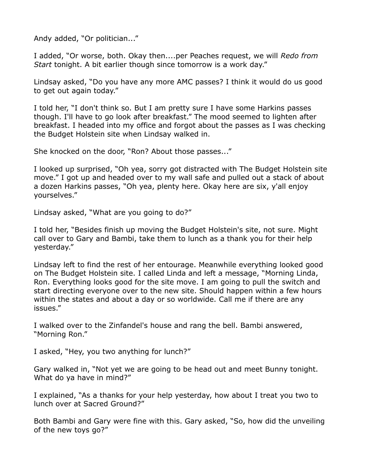Andy added, "Or politician..."

I added, "Or worse, both. Okay then....per Peaches request, we will *Redo from Start* tonight. A bit earlier though since tomorrow is a work day."

Lindsay asked, "Do you have any more AMC passes? I think it would do us good to get out again today."

I told her, "I don't think so. But I am pretty sure I have some Harkins passes though. I'll have to go look after breakfast." The mood seemed to lighten after breakfast. I headed into my office and forgot about the passes as I was checking the Budget Holstein site when Lindsay walked in.

She knocked on the door, "Ron? About those passes..."

I looked up surprised, "Oh yea, sorry got distracted with The Budget Holstein site move." I got up and headed over to my wall safe and pulled out a stack of about a dozen Harkins passes, "Oh yea, plenty here. Okay here are six, y'all enjoy yourselves."

Lindsay asked, "What are you going to do?"

I told her, "Besides finish up moving the Budget Holstein's site, not sure. Might call over to Gary and Bambi, take them to lunch as a thank you for their help yesterday."

Lindsay left to find the rest of her entourage. Meanwhile everything looked good on The Budget Holstein site. I called Linda and left a message, "Morning Linda, Ron. Everything looks good for the site move. I am going to pull the switch and start directing everyone over to the new site. Should happen within a few hours within the states and about a day or so worldwide. Call me if there are any issues."

I walked over to the Zinfandel's house and rang the bell. Bambi answered, "Morning Ron."

I asked, "Hey, you two anything for lunch?"

Gary walked in, "Not yet we are going to be head out and meet Bunny tonight. What do ya have in mind?"

I explained, "As a thanks for your help yesterday, how about I treat you two to lunch over at Sacred Ground?"

Both Bambi and Gary were fine with this. Gary asked, "So, how did the unveiling of the new toys go?"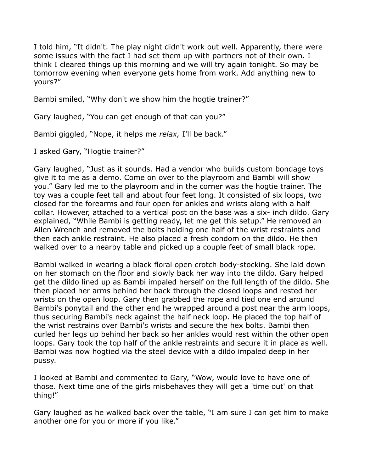I told him, "It didn't. The play night didn't work out well. Apparently, there were some issues with the fact I had set them up with partners not of their own. I think I cleared things up this morning and we will try again tonight. So may be tomorrow evening when everyone gets home from work. Add anything new to yours?"

Bambi smiled, "Why don't we show him the hogtie trainer?"

Gary laughed, "You can get enough of that can you?"

Bambi giggled, "Nope, it helps me *relax,* I'll be back."

I asked Gary, "Hogtie trainer?"

Gary laughed, "Just as it sounds. Had a vendor who builds custom bondage toys give it to me as a demo. Come on over to the playroom and Bambi will show you." Gary led me to the playroom and in the corner was the hogtie trainer. The toy was a couple feet tall and about four feet long. It consisted of six loops, two closed for the forearms and four open for ankles and wrists along with a half collar. However, attached to a vertical post on the base was a six- inch dildo. Gary explained, "While Bambi is getting ready, let me get this setup." He removed an Allen Wrench and removed the bolts holding one half of the wrist restraints and then each ankle restraint. He also placed a fresh condom on the dildo. He then walked over to a nearby table and picked up a couple feet of small black rope.

Bambi walked in wearing a black floral open crotch body-stocking. She laid down on her stomach on the floor and slowly back her way into the dildo. Gary helped get the dildo lined up as Bambi impaled herself on the full length of the dildo. She then placed her arms behind her back through the closed loops and rested her wrists on the open loop. Gary then grabbed the rope and tied one end around Bambi's ponytail and the other end he wrapped around a post near the arm loops, thus securing Bambi's neck against the half neck loop. He placed the top half of the wrist restrains over Bambi's wrists and secure the hex bolts. Bambi then curled her legs up behind her back so her ankles would rest within the other open loops. Gary took the top half of the ankle restraints and secure it in place as well. Bambi was now hogtied via the steel device with a dildo impaled deep in her pussy.

I looked at Bambi and commented to Gary, "Wow, would love to have one of those. Next time one of the girls misbehaves they will get a 'time out' on that thing!"

Gary laughed as he walked back over the table, "I am sure I can get him to make another one for you or more if you like."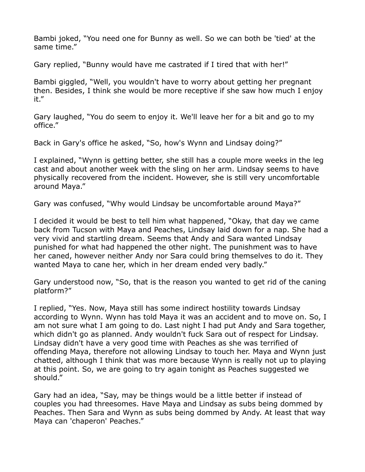Bambi joked, "You need one for Bunny as well. So we can both be 'tied' at the same time."

Gary replied, "Bunny would have me castrated if I tired that with her!"

Bambi giggled, "Well, you wouldn't have to worry about getting her pregnant then. Besides, I think she would be more receptive if she saw how much I enjoy it."

Gary laughed, "You do seem to enjoy it. We'll leave her for a bit and go to my office."

Back in Gary's office he asked, "So, how's Wynn and Lindsay doing?"

I explained, "Wynn is getting better, she still has a couple more weeks in the leg cast and about another week with the sling on her arm. Lindsay seems to have physically recovered from the incident. However, she is still very uncomfortable around Maya."

Gary was confused, "Why would Lindsay be uncomfortable around Maya?"

I decided it would be best to tell him what happened, "Okay, that day we came back from Tucson with Maya and Peaches, Lindsay laid down for a nap. She had a very vivid and startling dream. Seems that Andy and Sara wanted Lindsay punished for what had happened the other night. The punishment was to have her caned, however neither Andy nor Sara could bring themselves to do it. They wanted Maya to cane her, which in her dream ended very badly."

Gary understood now, "So, that is the reason you wanted to get rid of the caning platform?"

I replied, "Yes. Now, Maya still has some indirect hostility towards Lindsay according to Wynn. Wynn has told Maya it was an accident and to move on. So, I am not sure what I am going to do. Last night I had put Andy and Sara together, which didn't go as planned. Andy wouldn't fuck Sara out of respect for Lindsay. Lindsay didn't have a very good time with Peaches as she was terrified of offending Maya, therefore not allowing Lindsay to touch her. Maya and Wynn just chatted, although I think that was more because Wynn is really not up to playing at this point. So, we are going to try again tonight as Peaches suggested we should."

Gary had an idea, "Say, may be things would be a little better if instead of couples you had threesomes. Have Maya and Lindsay as subs being dommed by Peaches. Then Sara and Wynn as subs being dommed by Andy. At least that way Maya can 'chaperon' Peaches."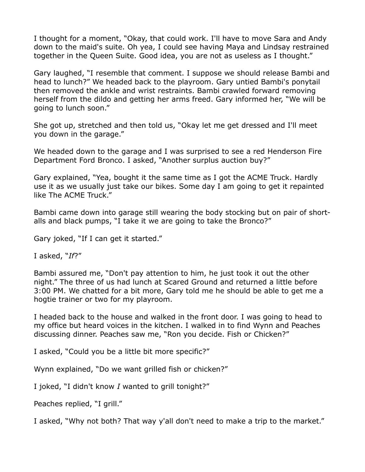I thought for a moment, "Okay, that could work. I'll have to move Sara and Andy down to the maid's suite. Oh yea, I could see having Maya and Lindsay restrained together in the Queen Suite. Good idea, you are not as useless as I thought."

Gary laughed, "I resemble that comment. I suppose we should release Bambi and head to lunch?" We headed back to the playroom. Gary untied Bambi's ponytail then removed the ankle and wrist restraints. Bambi crawled forward removing herself from the dildo and getting her arms freed. Gary informed her, "We will be going to lunch soon."

She got up, stretched and then told us, "Okay let me get dressed and I'll meet you down in the garage."

We headed down to the garage and I was surprised to see a red Henderson Fire Department Ford Bronco. I asked, "Another surplus auction buy?"

Gary explained, "Yea, bought it the same time as I got the ACME Truck. Hardly use it as we usually just take our bikes. Some day I am going to get it repainted like The ACME Truck."

Bambi came down into garage still wearing the body stocking but on pair of shortalls and black pumps, "I take it we are going to take the Bronco?"

Gary joked, "If I can get it started."

I asked, "*If*?"

Bambi assured me, "Don't pay attention to him, he just took it out the other night." The three of us had lunch at Scared Ground and returned a little before 3:00 PM. We chatted for a bit more, Gary told me he should be able to get me a hogtie trainer or two for my playroom.

I headed back to the house and walked in the front door. I was going to head to my office but heard voices in the kitchen. I walked in to find Wynn and Peaches discussing dinner. Peaches saw me, "Ron you decide. Fish or Chicken?"

I asked, "Could you be a little bit more specific?"

Wynn explained, "Do we want grilled fish or chicken?"

I joked, "I didn't know *I* wanted to grill tonight?"

Peaches replied, "I grill."

I asked, "Why not both? That way y'all don't need to make a trip to the market."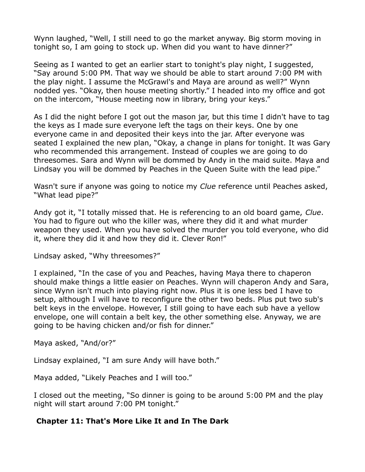Wynn laughed, "Well, I still need to go the market anyway. Big storm moving in tonight so, I am going to stock up. When did you want to have dinner?"

Seeing as I wanted to get an earlier start to tonight's play night, I suggested, "Say around 5:00 PM. That way we should be able to start around 7:00 PM with the play night. I assume the McGrawl's and Maya are around as well?" Wynn nodded yes. "Okay, then house meeting shortly." I headed into my office and got on the intercom, "House meeting now in library, bring your keys."

As I did the night before I got out the mason jar, but this time I didn't have to tag the keys as I made sure everyone left the tags on their keys. One by one everyone came in and deposited their keys into the jar. After everyone was seated I explained the new plan, "Okay, a change in plans for tonight. It was Gary who recommended this arrangement. Instead of couples we are going to do threesomes. Sara and Wynn will be dommed by Andy in the maid suite. Maya and Lindsay you will be dommed by Peaches in the Queen Suite with the lead pipe."

Wasn't sure if anyone was going to notice my *Clue* reference until Peaches asked, "What lead pipe?"

Andy got it, "I totally missed that. He is referencing to an old board game, *Clue*. You had to figure out who the killer was, where they did it and what murder weapon they used. When you have solved the murder you told everyone, who did it, where they did it and how they did it. Clever Ron!"

Lindsay asked, "Why threesomes?"

I explained, "In the case of you and Peaches, having Maya there to chaperon should make things a little easier on Peaches. Wynn will chaperon Andy and Sara, since Wynn isn't much into playing right now. Plus it is one less bed I have to setup, although I will have to reconfigure the other two beds. Plus put two sub's belt keys in the envelope. However, I still going to have each sub have a yellow envelope, one will contain a belt key, the other something else. Anyway, we are going to be having chicken and/or fish for dinner."

Maya asked, "And/or?"

Lindsay explained, "I am sure Andy will have both."

Maya added, "Likely Peaches and I will too."

I closed out the meeting, "So dinner is going to be around 5:00 PM and the play night will start around 7:00 PM tonight."

#### **Chapter 11: That's More Like It and In The Dark**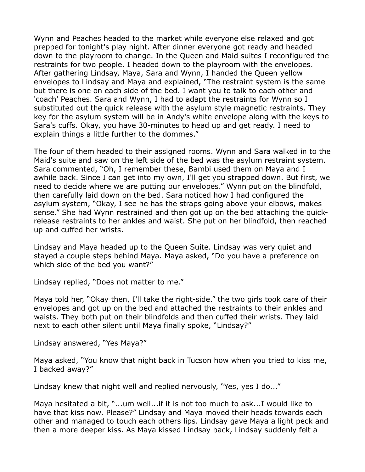Wynn and Peaches headed to the market while everyone else relaxed and got prepped for tonight's play night. After dinner everyone got ready and headed down to the playroom to change. In the Queen and Maid suites I reconfigured the restraints for two people. I headed down to the playroom with the envelopes. After gathering Lindsay, Maya, Sara and Wynn, I handed the Queen yellow envelopes to Lindsay and Maya and explained, "The restraint system is the same but there is one on each side of the bed. I want you to talk to each other and 'coach' Peaches. Sara and Wynn, I had to adapt the restraints for Wynn so I substituted out the quick release with the asylum style magnetic restraints. They key for the asylum system will be in Andy's white envelope along with the keys to Sara's cuffs. Okay, you have 30-minutes to head up and get ready. I need to explain things a little further to the dommes."

The four of them headed to their assigned rooms. Wynn and Sara walked in to the Maid's suite and saw on the left side of the bed was the asylum restraint system. Sara commented, "Oh, I remember these, Bambi used them on Maya and I awhile back. Since I can get into my own, I'll get you strapped down. But first, we need to decide where we are putting our envelopes." Wynn put on the blindfold, then carefully laid down on the bed. Sara noticed how I had configured the asylum system, "Okay, I see he has the straps going above your elbows, makes sense." She had Wynn restrained and then got up on the bed attaching the quickrelease restraints to her ankles and waist. She put on her blindfold, then reached up and cuffed her wrists.

Lindsay and Maya headed up to the Queen Suite. Lindsay was very quiet and stayed a couple steps behind Maya. Maya asked, "Do you have a preference on which side of the bed you want?"

Lindsay replied, "Does not matter to me."

Maya told her, "Okay then, I'll take the right-side." the two girls took care of their envelopes and got up on the bed and attached the restraints to their ankles and waists. They both put on their blindfolds and then cuffed their wrists. They laid next to each other silent until Maya finally spoke, "Lindsay?"

Lindsay answered, "Yes Maya?"

Maya asked, "You know that night back in Tucson how when you tried to kiss me, I backed away?"

Lindsay knew that night well and replied nervously, "Yes, yes I do..."

Maya hesitated a bit, "...um well...if it is not too much to ask...I would like to have that kiss now. Please?" Lindsay and Maya moved their heads towards each other and managed to touch each others lips. Lindsay gave Maya a light peck and then a more deeper kiss. As Maya kissed Lindsay back, Lindsay suddenly felt a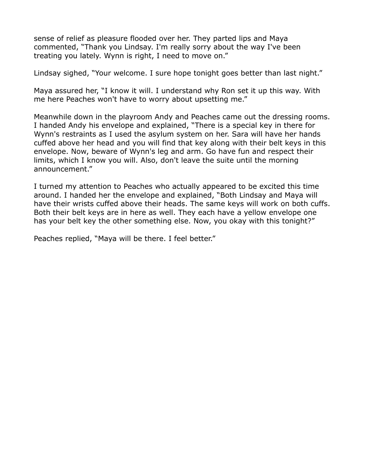sense of relief as pleasure flooded over her. They parted lips and Maya commented, "Thank you Lindsay. I'm really sorry about the way I've been treating you lately. Wynn is right, I need to move on."

Lindsay sighed, "Your welcome. I sure hope tonight goes better than last night."

Maya assured her, "I know it will. I understand why Ron set it up this way. With me here Peaches won't have to worry about upsetting me."

Meanwhile down in the playroom Andy and Peaches came out the dressing rooms. I handed Andy his envelope and explained, "There is a special key in there for Wynn's restraints as I used the asylum system on her. Sara will have her hands cuffed above her head and you will find that key along with their belt keys in this envelope. Now, beware of Wynn's leg and arm. Go have fun and respect their limits, which I know you will. Also, don't leave the suite until the morning announcement."

I turned my attention to Peaches who actually appeared to be excited this time around. I handed her the envelope and explained, "Both Lindsay and Maya will have their wrists cuffed above their heads. The same keys will work on both cuffs. Both their belt keys are in here as well. They each have a yellow envelope one has your belt key the other something else. Now, you okay with this tonight?"

Peaches replied, "Maya will be there. I feel better."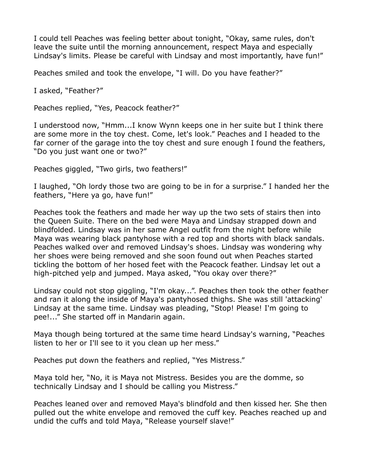I could tell Peaches was feeling better about tonight, "Okay, same rules, don't leave the suite until the morning announcement, respect Maya and especially Lindsay's limits. Please be careful with Lindsay and most importantly, have fun!"

Peaches smiled and took the envelope, "I will. Do you have feather?"

I asked, "Feather?"

Peaches replied, "Yes, Peacock feather?"

I understood now, "Hmm...I know Wynn keeps one in her suite but I think there are some more in the toy chest. Come, let's look." Peaches and I headed to the far corner of the garage into the toy chest and sure enough I found the feathers, "Do you just want one or two?"

Peaches giggled, "Two girls, two feathers!"

I laughed, "Oh lordy those two are going to be in for a surprise." I handed her the feathers, "Here ya go, have fun!"

Peaches took the feathers and made her way up the two sets of stairs then into the Queen Suite. There on the bed were Maya and Lindsay strapped down and blindfolded. Lindsay was in her same Angel outfit from the night before while Maya was wearing black pantyhose with a red top and shorts with black sandals. Peaches walked over and removed Lindsay's shoes. Lindsay was wondering why her shoes were being removed and she soon found out when Peaches started tickling the bottom of her hosed feet with the Peacock feather. Lindsay let out a high-pitched yelp and jumped. Maya asked, "You okay over there?"

Lindsay could not stop giggling, "I'm okay...". Peaches then took the other feather and ran it along the inside of Maya's pantyhosed thighs. She was still 'attacking' Lindsay at the same time. Lindsay was pleading, "Stop! Please! I'm going to pee!..." She started off in Mandarin again.

Maya though being tortured at the same time heard Lindsay's warning, "Peaches listen to her or I'll see to it you clean up her mess."

Peaches put down the feathers and replied, "Yes Mistress."

Maya told her, "No, it is Maya not Mistress. Besides you are the domme, so technically Lindsay and I should be calling you Mistress."

Peaches leaned over and removed Maya's blindfold and then kissed her. She then pulled out the white envelope and removed the cuff key. Peaches reached up and undid the cuffs and told Maya, "Release yourself slave!"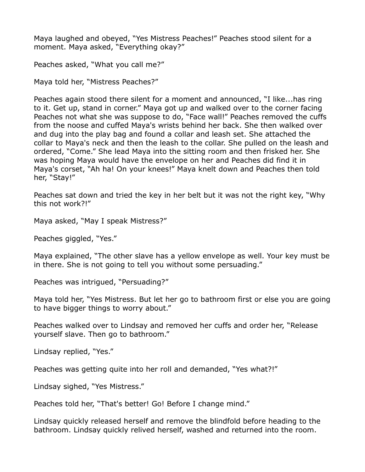Maya laughed and obeyed, "Yes Mistress Peaches!" Peaches stood silent for a moment. Maya asked, "Everything okay?"

Peaches asked, "What you call me?"

Maya told her, "Mistress Peaches?"

Peaches again stood there silent for a moment and announced, "I like...has ring to it. Get up, stand in corner." Maya got up and walked over to the corner facing Peaches not what she was suppose to do, "Face wall!" Peaches removed the cuffs from the noose and cuffed Maya's wrists behind her back. She then walked over and dug into the play bag and found a collar and leash set. She attached the collar to Maya's neck and then the leash to the collar. She pulled on the leash and ordered, "Come." She lead Maya into the sitting room and then frisked her. She was hoping Maya would have the envelope on her and Peaches did find it in Maya's corset, "Ah ha! On your knees!" Maya knelt down and Peaches then told her, "Stay!"

Peaches sat down and tried the key in her belt but it was not the right key, "Why this not work?!"

Maya asked, "May I speak Mistress?"

Peaches giggled, "Yes."

Maya explained, "The other slave has a yellow envelope as well. Your key must be in there. She is not going to tell you without some persuading."

Peaches was intrigued, "Persuading?"

Maya told her, "Yes Mistress. But let her go to bathroom first or else you are going to have bigger things to worry about."

Peaches walked over to Lindsay and removed her cuffs and order her, "Release yourself slave. Then go to bathroom."

Lindsay replied, "Yes."

Peaches was getting quite into her roll and demanded, "Yes what?!"

Lindsay sighed, "Yes Mistress."

Peaches told her, "That's better! Go! Before I change mind."

Lindsay quickly released herself and remove the blindfold before heading to the bathroom. Lindsay quickly relived herself, washed and returned into the room.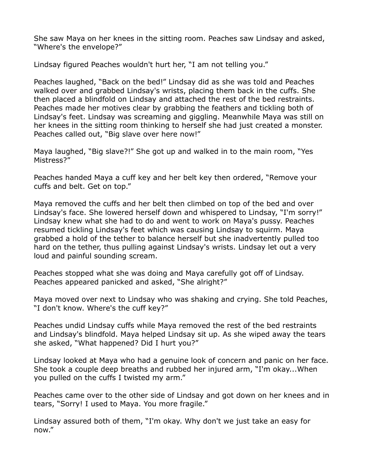She saw Maya on her knees in the sitting room. Peaches saw Lindsay and asked, "Where's the envelope?"

Lindsay figured Peaches wouldn't hurt her, "I am not telling you."

Peaches laughed, "Back on the bed!" Lindsay did as she was told and Peaches walked over and grabbed Lindsay's wrists, placing them back in the cuffs. She then placed a blindfold on Lindsay and attached the rest of the bed restraints. Peaches made her motives clear by grabbing the feathers and tickling both of Lindsay's feet. Lindsay was screaming and giggling. Meanwhile Maya was still on her knees in the sitting room thinking to herself she had just created a monster. Peaches called out, "Big slave over here now!"

Maya laughed, "Big slave?!" She got up and walked in to the main room, "Yes Mistress?"

Peaches handed Maya a cuff key and her belt key then ordered, "Remove your cuffs and belt. Get on top."

Maya removed the cuffs and her belt then climbed on top of the bed and over Lindsay's face. She lowered herself down and whispered to Lindsay, "I'm sorry!" Lindsay knew what she had to do and went to work on Maya's pussy. Peaches resumed tickling Lindsay's feet which was causing Lindsay to squirm. Maya grabbed a hold of the tether to balance herself but she inadvertently pulled too hard on the tether, thus pulling against Lindsay's wrists. Lindsay let out a very loud and painful sounding scream.

Peaches stopped what she was doing and Maya carefully got off of Lindsay. Peaches appeared panicked and asked, "She alright?"

Maya moved over next to Lindsay who was shaking and crying. She told Peaches, "I don't know. Where's the cuff key?"

Peaches undid Lindsay cuffs while Maya removed the rest of the bed restraints and Lindsay's blindfold. Maya helped Lindsay sit up. As she wiped away the tears she asked, "What happened? Did I hurt you?"

Lindsay looked at Maya who had a genuine look of concern and panic on her face. She took a couple deep breaths and rubbed her injured arm, "I'm okay...When you pulled on the cuffs I twisted my arm."

Peaches came over to the other side of Lindsay and got down on her knees and in tears, "Sorry! I used to Maya. You more fragile."

Lindsay assured both of them, "I'm okay. Why don't we just take an easy for now."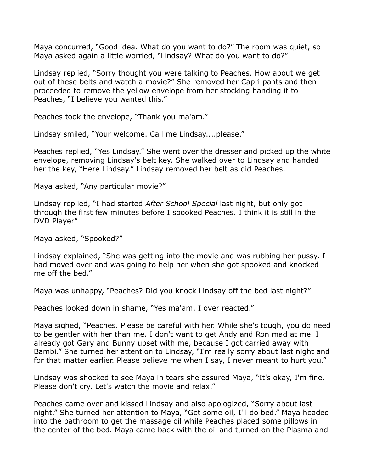Maya concurred, "Good idea. What do you want to do?" The room was quiet, so Maya asked again a little worried, "Lindsay? What do you want to do?"

Lindsay replied, "Sorry thought you were talking to Peaches. How about we get out of these belts and watch a movie?" She removed her Capri pants and then proceeded to remove the yellow envelope from her stocking handing it to Peaches, "I believe you wanted this."

Peaches took the envelope, "Thank you ma'am."

Lindsay smiled, "Your welcome. Call me Lindsay....please."

Peaches replied, "Yes Lindsay." She went over the dresser and picked up the white envelope, removing Lindsay's belt key. She walked over to Lindsay and handed her the key, "Here Lindsay." Lindsay removed her belt as did Peaches.

Maya asked, "Any particular movie?"

Lindsay replied, "I had started *After School Special* last night, but only got through the first few minutes before I spooked Peaches. I think it is still in the DVD Player"

Maya asked, "Spooked?"

Lindsay explained, "She was getting into the movie and was rubbing her pussy. I had moved over and was going to help her when she got spooked and knocked me off the bed."

Maya was unhappy, "Peaches? Did you knock Lindsay off the bed last night?"

Peaches looked down in shame, "Yes ma'am. I over reacted."

Maya sighed, "Peaches. Please be careful with her. While she's tough, you do need to be gentler with her than me. I don't want to get Andy and Ron mad at me. I already got Gary and Bunny upset with me, because I got carried away with Bambi." She turned her attention to Lindsay, "I'm really sorry about last night and for that matter earlier. Please believe me when I say, I never meant to hurt you."

Lindsay was shocked to see Maya in tears she assured Maya, "It's okay, I'm fine. Please don't cry. Let's watch the movie and relax."

Peaches came over and kissed Lindsay and also apologized, "Sorry about last night." She turned her attention to Maya, "Get some oil, I'll do bed." Maya headed into the bathroom to get the massage oil while Peaches placed some pillows in the center of the bed. Maya came back with the oil and turned on the Plasma and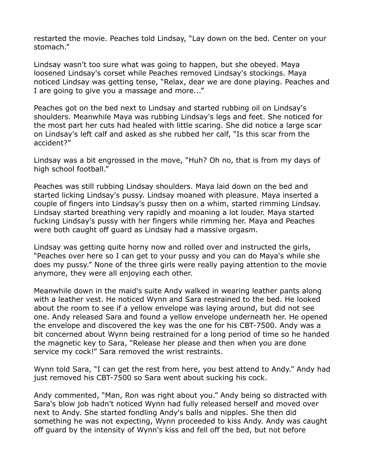restarted the movie. Peaches told Lindsay, "Lay down on the bed. Center on your stomach."

Lindsay wasn't too sure what was going to happen, but she obeyed. Maya loosened Lindsay's corset while Peaches removed Lindsay's stockings. Maya noticed Lindsay was getting tense, "Relax, dear we are done playing. Peaches and I are going to give you a massage and more..."

Peaches got on the bed next to Lindsay and started rubbing oil on Lindsay's shoulders. Meanwhile Maya was rubbing Lindsay's legs and feet. She noticed for the most part her cuts had healed with little scaring. She did notice a large scar on Lindsay's left calf and asked as she rubbed her calf, "Is this scar from the accident?"

Lindsay was a bit engrossed in the move, "Huh? Oh no, that is from my days of high school football."

Peaches was still rubbing Lindsay shoulders. Maya laid down on the bed and started licking Lindsay's pussy. Lindsay moaned with pleasure. Maya inserted a couple of fingers into Lindsay's pussy then on a whim, started rimming Lindsay. Lindsay started breathing very rapidly and moaning a lot louder. Maya started fucking Lindsay's pussy with her fingers while rimming her. Maya and Peaches were both caught off guard as Lindsay had a massive orgasm.

Lindsay was getting quite horny now and rolled over and instructed the girls, "Peaches over here so I can get to your pussy and you can do Maya's while she does my pussy." None of the three girls were really paying attention to the movie anymore, they were all enjoying each other.

Meanwhile down in the maid's suite Andy walked in wearing leather pants along with a leather vest. He noticed Wynn and Sara restrained to the bed. He looked about the room to see if a yellow envelope was laying around, but did not see one. Andy released Sara and found a yellow envelope underneath her. He opened the envelope and discovered the key was the one for his CBT-7500. Andy was a bit concerned about Wynn being restrained for a long period of time so he handed the magnetic key to Sara, "Release her please and then when you are done service my cock!" Sara removed the wrist restraints.

Wynn told Sara, "I can get the rest from here, you best attend to Andy." Andy had just removed his CBT-7500 so Sara went about sucking his cock.

Andy commented, "Man, Ron was right about you." Andy being so distracted with Sara's blow job hadn't noticed Wynn had fully released herself and moved over next to Andy. She started fondling Andy's balls and nipples. She then did something he was not expecting, Wynn proceeded to kiss Andy. Andy was caught off guard by the intensity of Wynn's kiss and fell off the bed, but not before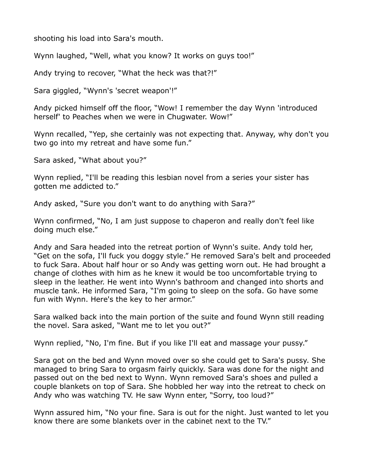shooting his load into Sara's mouth.

Wynn laughed, "Well, what you know? It works on guys too!"

Andy trying to recover, "What the heck was that?!"

Sara giggled, "Wynn's 'secret weapon'!"

Andy picked himself off the floor, "Wow! I remember the day Wynn 'introduced herself' to Peaches when we were in Chugwater. Wow!"

Wynn recalled, "Yep, she certainly was not expecting that. Anyway, why don't you two go into my retreat and have some fun."

Sara asked, "What about you?"

Wynn replied, "I'll be reading this lesbian novel from a series your sister has gotten me addicted to."

Andy asked, "Sure you don't want to do anything with Sara?"

Wynn confirmed, "No, I am just suppose to chaperon and really don't feel like doing much else."

Andy and Sara headed into the retreat portion of Wynn's suite. Andy told her, "Get on the sofa, I'll fuck you doggy style." He removed Sara's belt and proceeded to fuck Sara. About half hour or so Andy was getting worn out. He had brought a change of clothes with him as he knew it would be too uncomfortable trying to sleep in the leather. He went into Wynn's bathroom and changed into shorts and muscle tank. He informed Sara, "I'm going to sleep on the sofa. Go have some fun with Wynn. Here's the key to her armor."

Sara walked back into the main portion of the suite and found Wynn still reading the novel. Sara asked, "Want me to let you out?"

Wynn replied, "No, I'm fine. But if you like I'll eat and massage your pussy."

Sara got on the bed and Wynn moved over so she could get to Sara's pussy. She managed to bring Sara to orgasm fairly quickly. Sara was done for the night and passed out on the bed next to Wynn. Wynn removed Sara's shoes and pulled a couple blankets on top of Sara. She hobbled her way into the retreat to check on Andy who was watching TV. He saw Wynn enter, "Sorry, too loud?"

Wynn assured him, "No your fine. Sara is out for the night. Just wanted to let you know there are some blankets over in the cabinet next to the TV."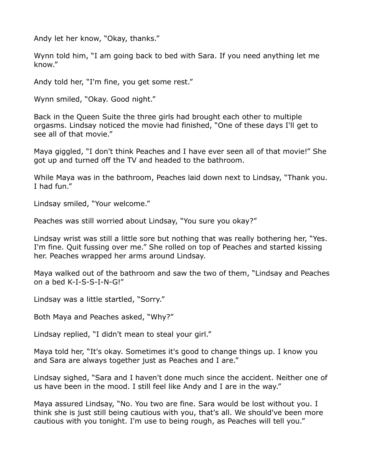Andy let her know, "Okay, thanks."

Wynn told him, "I am going back to bed with Sara. If you need anything let me know."

Andy told her, "I'm fine, you get some rest."

Wynn smiled, "Okay. Good night."

Back in the Queen Suite the three girls had brought each other to multiple orgasms. Lindsay noticed the movie had finished, "One of these days I'll get to see all of that movie."

Maya giggled, "I don't think Peaches and I have ever seen all of that movie!" She got up and turned off the TV and headed to the bathroom.

While Maya was in the bathroom, Peaches laid down next to Lindsay, "Thank you. I had fun."

Lindsay smiled, "Your welcome."

Peaches was still worried about Lindsay, "You sure you okay?"

Lindsay wrist was still a little sore but nothing that was really bothering her, "Yes. I'm fine. Quit fussing over me." She rolled on top of Peaches and started kissing her. Peaches wrapped her arms around Lindsay.

Maya walked out of the bathroom and saw the two of them, "Lindsay and Peaches on a bed K-I-S-S-I-N-G!"

Lindsay was a little startled, "Sorry."

Both Maya and Peaches asked, "Why?"

Lindsay replied, "I didn't mean to steal your girl."

Maya told her, "It's okay. Sometimes it's good to change things up. I know you and Sara are always together just as Peaches and I are."

Lindsay sighed, "Sara and I haven't done much since the accident. Neither one of us have been in the mood. I still feel like Andy and I are in the way."

Maya assured Lindsay, "No. You two are fine. Sara would be lost without you. I think she is just still being cautious with you, that's all. We should've been more cautious with you tonight. I'm use to being rough, as Peaches will tell you."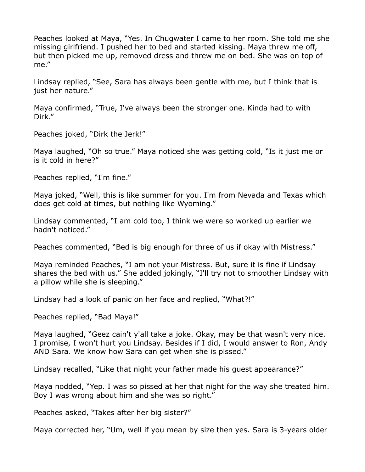Peaches looked at Maya, "Yes. In Chugwater I came to her room. She told me she missing girlfriend. I pushed her to bed and started kissing. Maya threw me off, but then picked me up, removed dress and threw me on bed. She was on top of me."

Lindsay replied, "See, Sara has always been gentle with me, but I think that is just her nature."

Maya confirmed, "True, I've always been the stronger one. Kinda had to with Dirk."

Peaches joked, "Dirk the Jerk!"

Maya laughed, "Oh so true." Maya noticed she was getting cold, "Is it just me or is it cold in here?"

Peaches replied, "I'm fine."

Maya joked, "Well, this is like summer for you. I'm from Nevada and Texas which does get cold at times, but nothing like Wyoming."

Lindsay commented, "I am cold too, I think we were so worked up earlier we hadn't noticed."

Peaches commented, "Bed is big enough for three of us if okay with Mistress."

Maya reminded Peaches, "I am not your Mistress. But, sure it is fine if Lindsay shares the bed with us." She added jokingly, "I'll try not to smoother Lindsay with a pillow while she is sleeping."

Lindsay had a look of panic on her face and replied, "What?!"

Peaches replied, "Bad Maya!"

Maya laughed, "Geez cain't y'all take a joke. Okay, may be that wasn't very nice. I promise, I won't hurt you Lindsay. Besides if I did, I would answer to Ron, Andy AND Sara. We know how Sara can get when she is pissed."

Lindsay recalled, "Like that night your father made his guest appearance?"

Maya nodded, "Yep. I was so pissed at her that night for the way she treated him. Boy I was wrong about him and she was so right."

Peaches asked, "Takes after her big sister?"

Maya corrected her, "Um, well if you mean by size then yes. Sara is 3-years older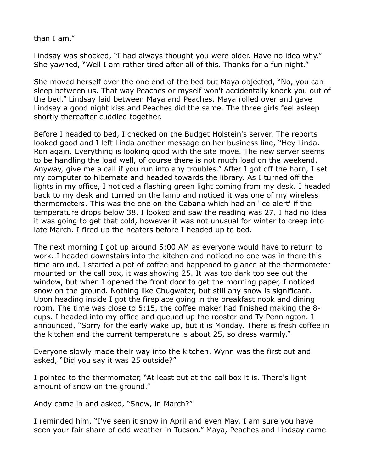than I am."

Lindsay was shocked, "I had always thought you were older. Have no idea why." She yawned, "Well I am rather tired after all of this. Thanks for a fun night."

She moved herself over the one end of the bed but Maya objected, "No, you can sleep between us. That way Peaches or myself won't accidentally knock you out of the bed." Lindsay laid between Maya and Peaches. Maya rolled over and gave Lindsay a good night kiss and Peaches did the same. The three girls feel asleep shortly thereafter cuddled together.

Before I headed to bed, I checked on the Budget Holstein's server. The reports looked good and I left Linda another message on her business line, "Hey Linda. Ron again. Everything is looking good with the site move. The new server seems to be handling the load well, of course there is not much load on the weekend. Anyway, give me a call if you run into any troubles." After I got off the horn, I set my computer to hibernate and headed towards the library. As I turned off the lights in my office, I noticed a flashing green light coming from my desk. I headed back to my desk and turned on the lamp and noticed it was one of my wireless thermometers. This was the one on the Cabana which had an 'ice alert' if the temperature drops below 38. I looked and saw the reading was 27. I had no idea it was going to get that cold, however it was not unusual for winter to creep into late March. I fired up the heaters before I headed up to bed.

The next morning I got up around 5:00 AM as everyone would have to return to work. I headed downstairs into the kitchen and noticed no one was in there this time around. I started a pot of coffee and happened to glance at the thermometer mounted on the call box, it was showing 25. It was too dark too see out the window, but when I opened the front door to get the morning paper, I noticed snow on the ground. Nothing like Chugwater, but still any snow is significant. Upon heading inside I got the fireplace going in the breakfast nook and dining room. The time was close to 5:15, the coffee maker had finished making the 8 cups. I headed into my office and queued up the rooster and Ty Pennington. I announced, "Sorry for the early wake up, but it is Monday. There is fresh coffee in the kitchen and the current temperature is about 25, so dress warmly."

Everyone slowly made their way into the kitchen. Wynn was the first out and asked, "Did you say it was 25 outside?"

I pointed to the thermometer, "At least out at the call box it is. There's light amount of snow on the ground."

Andy came in and asked, "Snow, in March?"

I reminded him, "I've seen it snow in April and even May. I am sure you have seen your fair share of odd weather in Tucson." Maya, Peaches and Lindsay came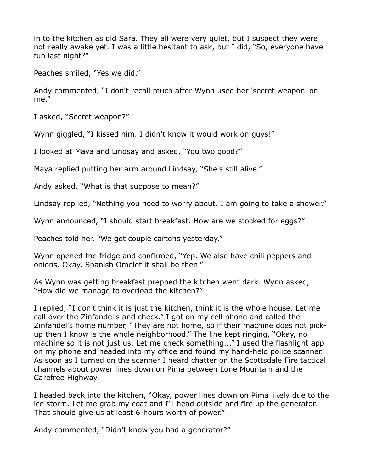in to the kitchen as did Sara. They all were very quiet, but I suspect they were not really awake yet. I was a little hesitant to ask, but I did, "So, everyone have fun last night?"

Peaches smiled, "Yes we did."

Andy commented, "I don't recall much after Wynn used her 'secret weapon' on me."

I asked, "Secret weapon?"

Wynn giggled, "I kissed him. I didn't know it would work on guys!"

I looked at Maya and Lindsay and asked, "You two good?"

Maya replied putting her arm around Lindsay, "She's still alive."

Andy asked, "What is that suppose to mean?"

Lindsay replied, "Nothing you need to worry about. I am going to take a shower."

Wynn announced, "I should start breakfast. How are we stocked for eggs?"

Peaches told her, "We got couple cartons yesterday."

Wynn opened the fridge and confirmed, "Yep. We also have chili peppers and onions. Okay, Spanish Omelet it shall be then."

As Wynn was getting breakfast prepped the kitchen went dark. Wynn asked, "How did we manage to overload the kitchen?"

I replied, "I don't think it is just the kitchen, think it is the whole house. Let me call over the Zinfandel's and check." I got on my cell phone and called the Zinfandel's home number, "They are not home, so if their machine does not pickup then I know is the whole neighborhood." The line kept ringing, "Okay, no machine so it is not just us. Let me check something..." I used the flashlight app on my phone and headed into my office and found my hand-held police scanner. As soon as I turned on the scanner I heard chatter on the Scottsdale Fire tactical channels about power lines down on Pima between Lone Mountain and the Carefree Highway.

I headed back into the kitchen, "Okay, power lines down on Pima likely due to the ice storm. Let me grab my coat and I'll head outside and fire up the generator. That should give us at least 6-hours worth of power."

Andy commented, "Didn't know you had a generator?"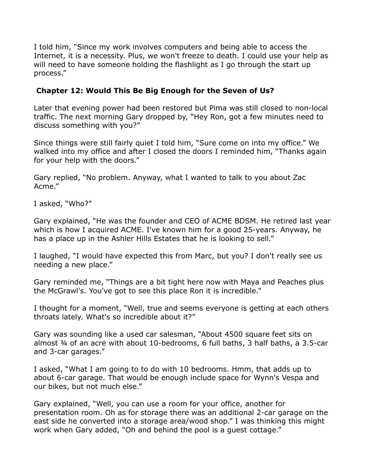I told him, "Since my work involves computers and being able to access the Internet, it is a necessity. Plus, we won't freeze to death. I could use your help as will need to have someone holding the flashlight as I go through the start up process."

## **Chapter 12: Would This Be Big Enough for the Seven of Us?**

Later that evening power had been restored but Pima was still closed to non-local traffic. The next morning Gary dropped by, "Hey Ron, got a few minutes need to discuss something with you?"

Since things were still fairly quiet I told him, "Sure come on into my office." We walked into my office and after I closed the doors I reminded him, "Thanks again for your help with the doors."

Gary replied, "No problem. Anyway, what I wanted to talk to you about Zac Acme."

I asked, "Who?"

Gary explained, "He was the founder and CEO of ACME BDSM. He retired last year which is how I acquired ACME. I've known him for a good 25-years. Anyway, he has a place up in the Ashler Hills Estates that he is looking to sell."

I laughed, "I would have expected this from Marc, but you? I don't really see us needing a new place."

Gary reminded me, "Things are a bit tight here now with Maya and Peaches plus the McGrawl's. You've got to see this place Ron it is incredible."

I thought for a moment, "Well, true and seems everyone is getting at each others throats lately. What's so incredible about it?"

Gary was sounding like a used car salesman, "About 4500 square feet sits on almost ¾ of an acre with about 10-bedrooms, 6 full baths, 3 half baths, a 3.5-car and 3-car garages."

I asked, "What I am going to to do with 10 bedrooms. Hmm, that adds up to about 6-car garage. That would be enough include space for Wynn's Vespa and our bikes, but not much else."

Gary explained, "Well, you can use a room for your office, another for presentation room. Oh as for storage there was an additional 2-car garage on the east side he converted into a storage area/wood shop." I was thinking this might work when Gary added, "Oh and behind the pool is a guest cottage."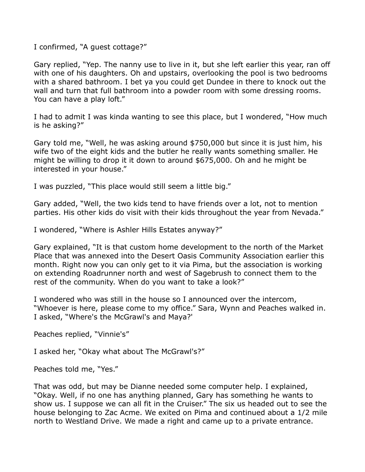I confirmed, "A guest cottage?"

Gary replied, "Yep. The nanny use to live in it, but she left earlier this year, ran off with one of his daughters. Oh and upstairs, overlooking the pool is two bedrooms with a shared bathroom. I bet ya you could get Dundee in there to knock out the wall and turn that full bathroom into a powder room with some dressing rooms. You can have a play loft."

I had to admit I was kinda wanting to see this place, but I wondered, "How much is he asking?"

Gary told me, "Well, he was asking around \$750,000 but since it is just him, his wife two of the eight kids and the butler he really wants something smaller. He might be willing to drop it it down to around \$675,000. Oh and he might be interested in your house."

I was puzzled, "This place would still seem a little big."

Gary added, "Well, the two kids tend to have friends over a lot, not to mention parties. His other kids do visit with their kids throughout the year from Nevada."

I wondered, "Where is Ashler Hills Estates anyway?"

Gary explained, "It is that custom home development to the north of the Market Place that was annexed into the Desert Oasis Community Association earlier this month. Right now you can only get to it via Pima, but the association is working on extending Roadrunner north and west of Sagebrush to connect them to the rest of the community. When do you want to take a look?"

I wondered who was still in the house so I announced over the intercom, "Whoever is here, please come to my office." Sara, Wynn and Peaches walked in. I asked, "Where's the McGrawl's and Maya?'

Peaches replied, "Vinnie's"

I asked her, "Okay what about The McGrawl's?"

Peaches told me, "Yes."

That was odd, but may be Dianne needed some computer help. I explained, "Okay. Well, if no one has anything planned, Gary has something he wants to show us. I suppose we can all fit in the Cruiser." The six us headed out to see the house belonging to Zac Acme. We exited on Pima and continued about a 1/2 mile north to Westland Drive. We made a right and came up to a private entrance.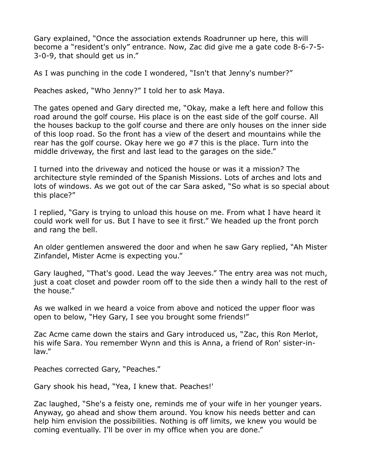Gary explained, "Once the association extends Roadrunner up here, this will become a "resident's only" entrance. Now, Zac did give me a gate code 8-6-7-5- 3-0-9, that should get us in."

As I was punching in the code I wondered, "Isn't that Jenny's number?"

Peaches asked, "Who Jenny?" I told her to ask Maya.

The gates opened and Gary directed me, "Okay, make a left here and follow this road around the golf course. His place is on the east side of the golf course. All the houses backup to the golf course and there are only houses on the inner side of this loop road. So the front has a view of the desert and mountains while the rear has the golf course. Okay here we go #7 this is the place. Turn into the middle driveway, the first and last lead to the garages on the side."

I turned into the driveway and noticed the house or was it a mission? The architecture style reminded of the Spanish Missions. Lots of arches and lots and lots of windows. As we got out of the car Sara asked, "So what is so special about this place?"

I replied, "Gary is trying to unload this house on me. From what I have heard it could work well for us. But I have to see it first." We headed up the front porch and rang the bell.

An older gentlemen answered the door and when he saw Gary replied, "Ah Mister Zinfandel, Mister Acme is expecting you."

Gary laughed, "That's good. Lead the way Jeeves." The entry area was not much, just a coat closet and powder room off to the side then a windy hall to the rest of the house."

As we walked in we heard a voice from above and noticed the upper floor was open to below, "Hey Gary, I see you brought some friends!"

Zac Acme came down the stairs and Gary introduced us, "Zac, this Ron Merlot, his wife Sara. You remember Wynn and this is Anna, a friend of Ron' sister-inlaw."

Peaches corrected Gary, "Peaches."

Gary shook his head, "Yea, I knew that. Peaches!'

Zac laughed, "She's a feisty one, reminds me of your wife in her younger years. Anyway, go ahead and show them around. You know his needs better and can help him envision the possibilities. Nothing is off limits, we knew you would be coming eventually. I'll be over in my office when you are done."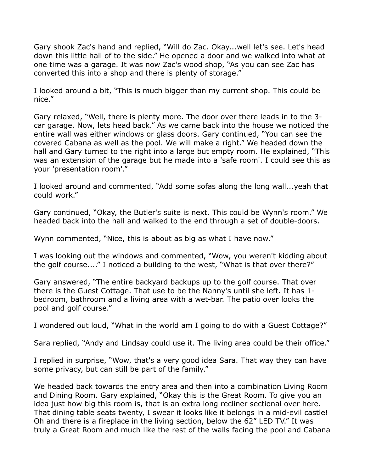Gary shook Zac's hand and replied, "Will do Zac. Okay...well let's see. Let's head down this little hall of to the side." He opened a door and we walked into what at one time was a garage. It was now Zac's wood shop, "As you can see Zac has converted this into a shop and there is plenty of storage."

I looked around a bit, "This is much bigger than my current shop. This could be nice."

Gary relaxed, "Well, there is plenty more. The door over there leads in to the 3 car garage. Now, lets head back." As we came back into the house we noticed the entire wall was either windows or glass doors. Gary continued, "You can see the covered Cabana as well as the pool. We will make a right." We headed down the hall and Gary turned to the right into a large but empty room. He explained, "This was an extension of the garage but he made into a 'safe room'. I could see this as your 'presentation room'."

I looked around and commented, "Add some sofas along the long wall...yeah that could work."

Gary continued, "Okay, the Butler's suite is next. This could be Wynn's room." We headed back into the hall and walked to the end through a set of double-doors.

Wynn commented, "Nice, this is about as big as what I have now."

I was looking out the windows and commented, "Wow, you weren't kidding about the golf course...." I noticed a building to the west, "What is that over there?"

Gary answered, "The entire backyard backups up to the golf course. That over there is the Guest Cottage. That use to be the Nanny's until she left. It has 1 bedroom, bathroom and a living area with a wet-bar. The patio over looks the pool and golf course."

I wondered out loud, "What in the world am I going to do with a Guest Cottage?"

Sara replied, "Andy and Lindsay could use it. The living area could be their office."

I replied in surprise, "Wow, that's a very good idea Sara. That way they can have some privacy, but can still be part of the family."

We headed back towards the entry area and then into a combination Living Room and Dining Room. Gary explained, "Okay this is the Great Room. To give you an idea just how big this room is, that is an extra long recliner sectional over here. That dining table seats twenty, I swear it looks like it belongs in a mid-evil castle! Oh and there is a fireplace in the living section, below the 62" LED TV." It was truly a Great Room and much like the rest of the walls facing the pool and Cabana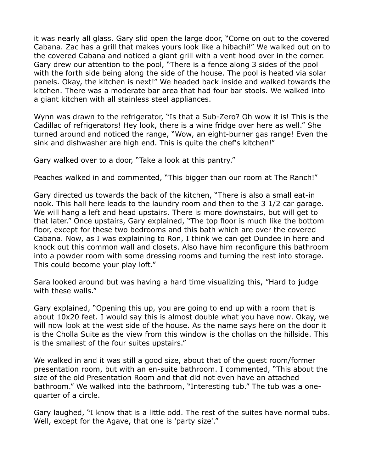it was nearly all glass. Gary slid open the large door, "Come on out to the covered Cabana. Zac has a grill that makes yours look like a hibachi!" We walked out on to the covered Cabana and noticed a giant grill with a vent hood over in the corner. Gary drew our attention to the pool, "There is a fence along 3 sides of the pool with the forth side being along the side of the house. The pool is heated via solar panels. Okay, the kitchen is next!" We headed back inside and walked towards the kitchen. There was a moderate bar area that had four bar stools. We walked into a giant kitchen with all stainless steel appliances.

Wynn was drawn to the refrigerator, "Is that a Sub-Zero? Oh wow it is! This is the Cadillac of refrigerators! Hey look, there is a wine fridge over here as well." She turned around and noticed the range, "Wow, an eight-burner gas range! Even the sink and dishwasher are high end. This is quite the chef's kitchen!"

Gary walked over to a door, "Take a look at this pantry."

Peaches walked in and commented, "This bigger than our room at The Ranch!"

Gary directed us towards the back of the kitchen, "There is also a small eat-in nook. This hall here leads to the laundry room and then to the 3 1/2 car garage. We will hang a left and head upstairs. There is more downstairs, but will get to that later." Once upstairs, Gary explained, "The top floor is much like the bottom floor, except for these two bedrooms and this bath which are over the covered Cabana. Now, as I was explaining to Ron, I think we can get Dundee in here and knock out this common wall and closets. Also have him reconfigure this bathroom into a powder room with some dressing rooms and turning the rest into storage. This could become your play loft."

Sara looked around but was having a hard time visualizing this, "Hard to judge with these walls."

Gary explained, "Opening this up, you are going to end up with a room that is about 10x20 feet. I would say this is almost double what you have now. Okay, we will now look at the west side of the house. As the name says here on the door it is the Cholla Suite as the view from this window is the chollas on the hillside. This is the smallest of the four suites upstairs."

We walked in and it was still a good size, about that of the guest room/former presentation room, but with an en-suite bathroom. I commented, "This about the size of the old Presentation Room and that did not even have an attached bathroom." We walked into the bathroom, "Interesting tub." The tub was a onequarter of a circle.

Gary laughed, "I know that is a little odd. The rest of the suites have normal tubs. Well, except for the Agave, that one is 'party size'."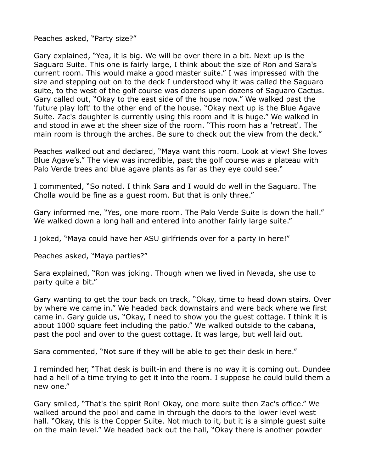Peaches asked, "Party size?"

Gary explained, "Yea, it is big. We will be over there in a bit. Next up is the Saguaro Suite. This one is fairly large, I think about the size of Ron and Sara's current room. This would make a good master suite." I was impressed with the size and stepping out on to the deck I understood why it was called the Saguaro suite, to the west of the golf course was dozens upon dozens of Saguaro Cactus. Gary called out, "Okay to the east side of the house now." We walked past the 'future play loft' to the other end of the house. "Okay next up is the Blue Agave Suite. Zac's daughter is currently using this room and it is huge." We walked in and stood in awe at the sheer size of the room. "This room has a 'retreat'. The main room is through the arches. Be sure to check out the view from the deck."

Peaches walked out and declared, "Maya want this room. Look at view! She loves Blue Agave's." The view was incredible, past the golf course was a plateau with Palo Verde trees and blue agave plants as far as they eye could see."

I commented, "So noted. I think Sara and I would do well in the Saguaro. The Cholla would be fine as a guest room. But that is only three."

Gary informed me, "Yes, one more room. The Palo Verde Suite is down the hall." We walked down a long hall and entered into another fairly large suite."

I joked, "Maya could have her ASU girlfriends over for a party in here!"

Peaches asked, "Maya parties?"

Sara explained, "Ron was joking. Though when we lived in Nevada, she use to party quite a bit."

Gary wanting to get the tour back on track, "Okay, time to head down stairs. Over by where we came in." We headed back downstairs and were back where we first came in. Gary guide us, "Okay, I need to show you the guest cottage. I think it is about 1000 square feet including the patio." We walked outside to the cabana, past the pool and over to the guest cottage. It was large, but well laid out.

Sara commented, "Not sure if they will be able to get their desk in here."

I reminded her, "That desk is built-in and there is no way it is coming out. Dundee had a hell of a time trying to get it into the room. I suppose he could build them a new one."

Gary smiled, "That's the spirit Ron! Okay, one more suite then Zac's office." We walked around the pool and came in through the doors to the lower level west hall. "Okay, this is the Copper Suite. Not much to it, but it is a simple guest suite on the main level." We headed back out the hall, "Okay there is another powder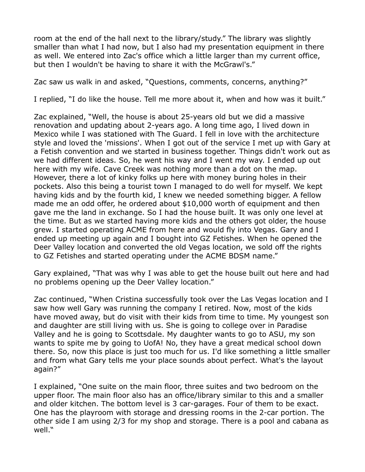room at the end of the hall next to the library/study." The library was slightly smaller than what I had now, but I also had my presentation equipment in there as well. We entered into Zac's office which a little larger than my current office, but then I wouldn't be having to share it with the McGrawl's."

Zac saw us walk in and asked, "Questions, comments, concerns, anything?"

I replied, "I do like the house. Tell me more about it, when and how was it built."

Zac explained, "Well, the house is about 25-years old but we did a massive renovation and updating about 2-years ago. A long time ago, I lived down in Mexico while I was stationed with The Guard. I fell in love with the architecture style and loved the 'missions'. When I got out of the service I met up with Gary at a Fetish convention and we started in business together. Things didn't work out as we had different ideas. So, he went his way and I went my way. I ended up out here with my wife. Cave Creek was nothing more than a dot on the map. However, there a lot of kinky folks up here with money buring holes in their pockets. Also this being a tourist town I managed to do well for myself. We kept having kids and by the fourth kid, I knew we needed something bigger. A fellow made me an odd offer, he ordered about \$10,000 worth of equipment and then gave me the land in exchange. So I had the house built. It was only one level at the time. But as we started having more kids and the others got older, the house grew. I started operating ACME from here and would fly into Vegas. Gary and I ended up meeting up again and I bought into GZ Fetishes. When he opened the Deer Valley location and converted the old Vegas location, we sold off the rights to GZ Fetishes and started operating under the ACME BDSM name."

Gary explained, "That was why I was able to get the house built out here and had no problems opening up the Deer Valley location."

Zac continued, "When Cristina successfully took over the Las Vegas location and I saw how well Gary was running the company I retired. Now, most of the kids have moved away, but do visit with their kids from time to time. My youngest son and daughter are still living with us. She is going to college over in Paradise Valley and he is going to Scottsdale. My daughter wants to go to ASU, my son wants to spite me by going to UofA! No, they have a great medical school down there. So, now this place is just too much for us. I'd like something a little smaller and from what Gary tells me your place sounds about perfect. What's the layout again?"

I explained, "One suite on the main floor, three suites and two bedroom on the upper floor. The main floor also has an office/library similar to this and a smaller and older kitchen. The bottom level is 3 car-garages. Four of them to be exact. One has the playroom with storage and dressing rooms in the 2-car portion. The other side I am using 2/3 for my shop and storage. There is a pool and cabana as well."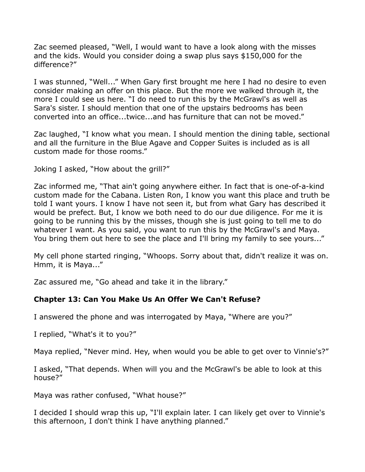Zac seemed pleased, "Well, I would want to have a look along with the misses and the kids. Would you consider doing a swap plus says \$150,000 for the difference?"

I was stunned, "Well..." When Gary first brought me here I had no desire to even consider making an offer on this place. But the more we walked through it, the more I could see us here. "I do need to run this by the McGrawl's as well as Sara's sister. I should mention that one of the upstairs bedrooms has been converted into an office...twice...and has furniture that can not be moved."

Zac laughed, "I know what you mean. I should mention the dining table, sectional and all the furniture in the Blue Agave and Copper Suites is included as is all custom made for those rooms."

Joking I asked, "How about the grill?"

Zac informed me, "That ain't going anywhere either. In fact that is one-of-a-kind custom made for the Cabana. Listen Ron, I know you want this place and truth be told I want yours. I know I have not seen it, but from what Gary has described it would be prefect. But, I know we both need to do our due diligence. For me it is going to be running this by the misses, though she is just going to tell me to do whatever I want. As you said, you want to run this by the McGrawl's and Maya. You bring them out here to see the place and I'll bring my family to see yours..."

My cell phone started ringing, "Whoops. Sorry about that, didn't realize it was on. Hmm, it is Maya..."

Zac assured me, "Go ahead and take it in the library."

# **Chapter 13: Can You Make Us An Offer We Can't Refuse?**

I answered the phone and was interrogated by Maya, "Where are you?"

I replied, "What's it to you?"

Maya replied, "Never mind. Hey, when would you be able to get over to Vinnie's?"

I asked, "That depends. When will you and the McGrawl's be able to look at this house?"

Maya was rather confused, "What house?"

I decided I should wrap this up, "I'll explain later. I can likely get over to Vinnie's this afternoon, I don't think I have anything planned."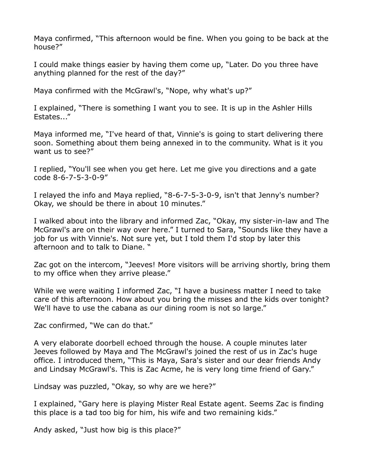Maya confirmed, "This afternoon would be fine. When you going to be back at the house?"

I could make things easier by having them come up, "Later. Do you three have anything planned for the rest of the day?"

Maya confirmed with the McGrawl's, "Nope, why what's up?"

I explained, "There is something I want you to see. It is up in the Ashler Hills Estates..."

Maya informed me, "I've heard of that, Vinnie's is going to start delivering there soon. Something about them being annexed in to the community. What is it you want us to see?"

I replied, "You'll see when you get here. Let me give you directions and a gate code 8-6-7-5-3-0-9"

I relayed the info and Maya replied, "8-6-7-5-3-0-9, isn't that Jenny's number? Okay, we should be there in about 10 minutes."

I walked about into the library and informed Zac, "Okay, my sister-in-law and The McGrawl's are on their way over here." I turned to Sara, "Sounds like they have a job for us with Vinnie's. Not sure yet, but I told them I'd stop by later this afternoon and to talk to Diane. "

Zac got on the intercom, "Jeeves! More visitors will be arriving shortly, bring them to my office when they arrive please."

While we were waiting I informed Zac, "I have a business matter I need to take care of this afternoon. How about you bring the misses and the kids over tonight? We'll have to use the cabana as our dining room is not so large."

Zac confirmed, "We can do that."

A very elaborate doorbell echoed through the house. A couple minutes later Jeeves followed by Maya and The McGrawl's joined the rest of us in Zac's huge office. I introduced them, "This is Maya, Sara's sister and our dear friends Andy and Lindsay McGrawl's. This is Zac Acme, he is very long time friend of Gary."

Lindsay was puzzled, "Okay, so why are we here?"

I explained, "Gary here is playing Mister Real Estate agent. Seems Zac is finding this place is a tad too big for him, his wife and two remaining kids."

Andy asked, "Just how big is this place?"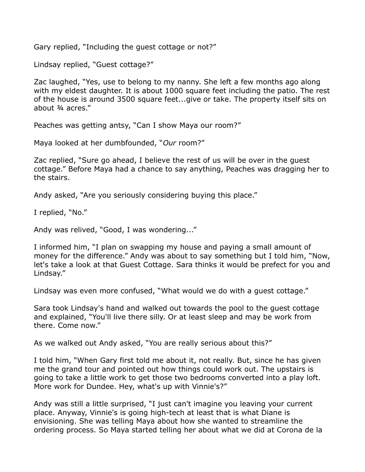Gary replied, "Including the guest cottage or not?"

Lindsay replied, "Guest cottage?"

Zac laughed, "Yes, use to belong to my nanny. She left a few months ago along with my eldest daughter. It is about 1000 square feet including the patio. The rest of the house is around 3500 square feet...give or take. The property itself sits on about ¾ acres."

Peaches was getting antsy, "Can I show Maya our room?"

Maya looked at her dumbfounded, "*Our* room?"

Zac replied, "Sure go ahead, I believe the rest of us will be over in the guest cottage." Before Maya had a chance to say anything, Peaches was dragging her to the stairs.

Andy asked, "Are you seriously considering buying this place."

I replied, "No."

Andy was relived, "Good, I was wondering..."

I informed him, "I plan on swapping my house and paying a small amount of money for the difference." Andy was about to say something but I told him, "Now, let's take a look at that Guest Cottage. Sara thinks it would be prefect for you and Lindsay."

Lindsay was even more confused, "What would we do with a guest cottage."

Sara took Lindsay's hand and walked out towards the pool to the guest cottage and explained, "You'll live there silly. Or at least sleep and may be work from there. Come now."

As we walked out Andy asked, "You are really serious about this?"

I told him, "When Gary first told me about it, not really. But, since he has given me the grand tour and pointed out how things could work out. The upstairs is going to take a little work to get those two bedrooms converted into a play loft. More work for Dundee. Hey, what's up with Vinnie's?"

Andy was still a little surprised, "I just can't imagine you leaving your current place. Anyway, Vinnie's is going high-tech at least that is what Diane is envisioning. She was telling Maya about how she wanted to streamline the ordering process. So Maya started telling her about what we did at Corona de la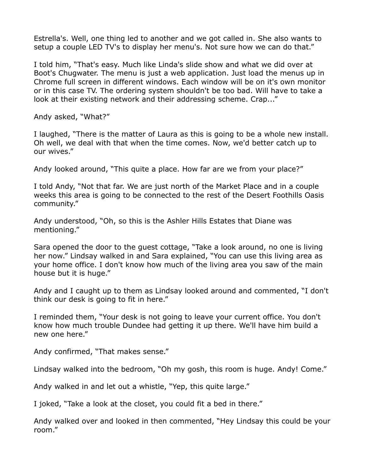Estrella's. Well, one thing led to another and we got called in. She also wants to setup a couple LED TV's to display her menu's. Not sure how we can do that."

I told him, "That's easy. Much like Linda's slide show and what we did over at Boot's Chugwater. The menu is just a web application. Just load the menus up in Chrome full screen in different windows. Each window will be on it's own monitor or in this case TV. The ordering system shouldn't be too bad. Will have to take a look at their existing network and their addressing scheme. Crap..."

Andy asked, "What?"

I laughed, "There is the matter of Laura as this is going to be a whole new install. Oh well, we deal with that when the time comes. Now, we'd better catch up to our wives."

Andy looked around, "This quite a place. How far are we from your place?"

I told Andy, "Not that far. We are just north of the Market Place and in a couple weeks this area is going to be connected to the rest of the Desert Foothills Oasis community."

Andy understood, "Oh, so this is the Ashler Hills Estates that Diane was mentioning."

Sara opened the door to the guest cottage, "Take a look around, no one is living her now." Lindsay walked in and Sara explained, "You can use this living area as your home office. I don't know how much of the living area you saw of the main house but it is huge."

Andy and I caught up to them as Lindsay looked around and commented, "I don't think our desk is going to fit in here."

I reminded them, "Your desk is not going to leave your current office. You don't know how much trouble Dundee had getting it up there. We'll have him build a new one here."

Andy confirmed, "That makes sense."

Lindsay walked into the bedroom, "Oh my gosh, this room is huge. Andy! Come."

Andy walked in and let out a whistle, "Yep, this quite large."

I joked, "Take a look at the closet, you could fit a bed in there."

Andy walked over and looked in then commented, "Hey Lindsay this could be your room."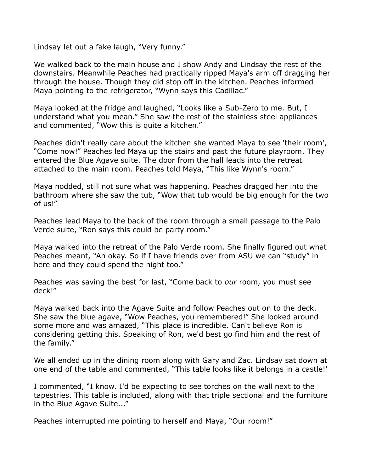Lindsay let out a fake laugh, "Very funny."

We walked back to the main house and I show Andy and Lindsay the rest of the downstairs. Meanwhile Peaches had practically ripped Maya's arm off dragging her through the house. Though they did stop off in the kitchen. Peaches informed Maya pointing to the refrigerator, "Wynn says this Cadillac."

Maya looked at the fridge and laughed, "Looks like a Sub-Zero to me. But, I understand what you mean." She saw the rest of the stainless steel appliances and commented, "Wow this is quite a kitchen."

Peaches didn't really care about the kitchen she wanted Maya to see 'their room', "Come now!" Peaches led Maya up the stairs and past the future playroom. They entered the Blue Agave suite. The door from the hall leads into the retreat attached to the main room. Peaches told Maya, "This like Wynn's room."

Maya nodded, still not sure what was happening. Peaches dragged her into the bathroom where she saw the tub, "Wow that tub would be big enough for the two of us!"

Peaches lead Maya to the back of the room through a small passage to the Palo Verde suite, "Ron says this could be party room."

Maya walked into the retreat of the Palo Verde room. She finally figured out what Peaches meant, "Ah okay. So if I have friends over from ASU we can "study" in here and they could spend the night too."

Peaches was saving the best for last, "Come back to *our* room, you must see deck!"

Maya walked back into the Agave Suite and follow Peaches out on to the deck. She saw the blue agave, "Wow Peaches, you remembered!" She looked around some more and was amazed, "This place is incredible. Can't believe Ron is considering getting this. Speaking of Ron, we'd best go find him and the rest of the family."

We all ended up in the dining room along with Gary and Zac. Lindsay sat down at one end of the table and commented, "This table looks like it belongs in a castle!'

I commented, "I know. I'd be expecting to see torches on the wall next to the tapestries. This table is included, along with that triple sectional and the furniture in the Blue Agave Suite..."

Peaches interrupted me pointing to herself and Maya, "Our room!"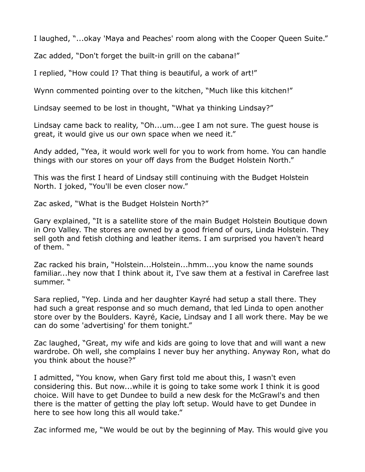I laughed, "...okay 'Maya and Peaches' room along with the Cooper Queen Suite."

Zac added, "Don't forget the built-in grill on the cabana!"

I replied, "How could I? That thing is beautiful, a work of art!"

Wynn commented pointing over to the kitchen, "Much like this kitchen!"

Lindsay seemed to be lost in thought, "What ya thinking Lindsay?"

Lindsay came back to reality, "Oh...um...gee I am not sure. The guest house is great, it would give us our own space when we need it."

Andy added, "Yea, it would work well for you to work from home. You can handle things with our stores on your off days from the Budget Holstein North."

This was the first I heard of Lindsay still continuing with the Budget Holstein North. I joked, "You'll be even closer now."

Zac asked, "What is the Budget Holstein North?"

Gary explained, "It is a satellite store of the main Budget Holstein Boutique down in Oro Valley. The stores are owned by a good friend of ours, Linda Holstein. They sell goth and fetish clothing and leather items. I am surprised you haven't heard of them. "

Zac racked his brain, "Holstein...Holstein...hmm...you know the name sounds familiar...hey now that I think about it, I've saw them at a festival in Carefree last summer. "

Sara replied, "Yep. Linda and her daughter Kayré had setup a stall there. They had such a great response and so much demand, that led Linda to open another store over by the Boulders. Kayré, Kacie, Lindsay and I all work there. May be we can do some 'advertising' for them tonight."

Zac laughed, "Great, my wife and kids are going to love that and will want a new wardrobe. Oh well, she complains I never buy her anything. Anyway Ron, what do you think about the house?"

I admitted, "You know, when Gary first told me about this, I wasn't even considering this. But now...while it is going to take some work I think it is good choice. Will have to get Dundee to build a new desk for the McGrawl's and then there is the matter of getting the play loft setup. Would have to get Dundee in here to see how long this all would take."

Zac informed me, "We would be out by the beginning of May. This would give you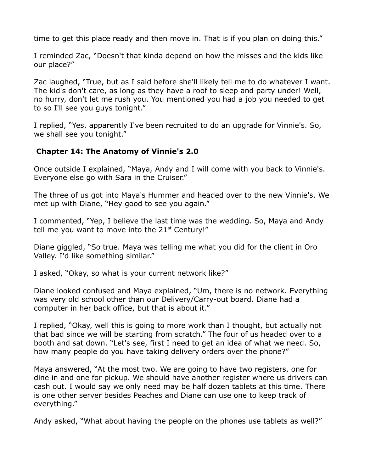time to get this place ready and then move in. That is if you plan on doing this."

I reminded Zac, "Doesn't that kinda depend on how the misses and the kids like our place?"

Zac laughed, "True, but as I said before she'll likely tell me to do whatever I want. The kid's don't care, as long as they have a roof to sleep and party under! Well, no hurry, don't let me rush you. You mentioned you had a job you needed to get to so I'll see you guys tonight."

I replied, "Yes, apparently I've been recruited to do an upgrade for Vinnie's. So, we shall see you tonight."

#### **Chapter 14: The Anatomy of Vinnie's 2.0**

Once outside I explained, "Maya, Andy and I will come with you back to Vinnie's. Everyone else go with Sara in the Cruiser."

The three of us got into Maya's Hummer and headed over to the new Vinnie's. We met up with Diane, "Hey good to see you again."

I commented, "Yep, I believe the last time was the wedding. So, Maya and Andy tell me you want to move into the  $21<sup>st</sup>$  Century!"

Diane giggled, "So true. Maya was telling me what you did for the client in Oro Valley. I'd like something similar."

I asked, "Okay, so what is your current network like?"

Diane looked confused and Maya explained, "Um, there is no network. Everything was very old school other than our Delivery/Carry-out board. Diane had a computer in her back office, but that is about it."

I replied, "Okay, well this is going to more work than I thought, but actually not that bad since we will be starting from scratch." The four of us headed over to a booth and sat down. "Let's see, first I need to get an idea of what we need. So, how many people do you have taking delivery orders over the phone?"

Maya answered, "At the most two. We are going to have two registers, one for dine in and one for pickup. We should have another register where us drivers can cash out. I would say we only need may be half dozen tablets at this time. There is one other server besides Peaches and Diane can use one to keep track of everything."

Andy asked, "What about having the people on the phones use tablets as well?"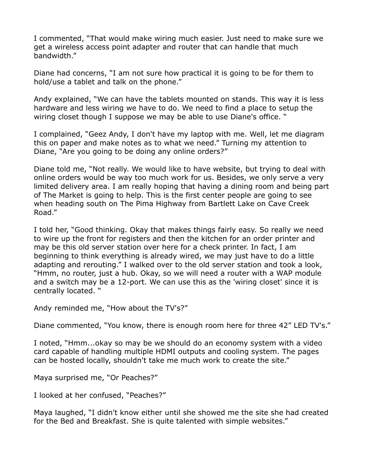I commented, "That would make wiring much easier. Just need to make sure we get a wireless access point adapter and router that can handle that much bandwidth."

Diane had concerns, "I am not sure how practical it is going to be for them to hold/use a tablet and talk on the phone."

Andy explained, "We can have the tablets mounted on stands. This way it is less hardware and less wiring we have to do. We need to find a place to setup the wiring closet though I suppose we may be able to use Diane's office. "

I complained, "Geez Andy, I don't have my laptop with me. Well, let me diagram this on paper and make notes as to what we need." Turning my attention to Diane, "Are you going to be doing any online orders?"

Diane told me, "Not really. We would like to have website, but trying to deal with online orders would be way too much work for us. Besides, we only serve a very limited delivery area. I am really hoping that having a dining room and being part of The Market is going to help. This is the first center people are going to see when heading south on The Pima Highway from Bartlett Lake on Cave Creek Road."

I told her, "Good thinking. Okay that makes things fairly easy. So really we need to wire up the front for registers and then the kitchen for an order printer and may be this old server station over here for a check printer. In fact, I am beginning to think everything is already wired, we may just have to do a little adapting and rerouting." I walked over to the old server station and took a look, "Hmm, no router, just a hub. Okay, so we will need a router with a WAP module and a switch may be a 12-port. We can use this as the 'wiring closet' since it is centrally located. "

Andy reminded me, "How about the TV's?"

Diane commented, "You know, there is enough room here for three 42" LED TV's."

I noted, "Hmm...okay so may be we should do an economy system with a video card capable of handling multiple HDMI outputs and cooling system. The pages can be hosted locally, shouldn't take me much work to create the site."

Maya surprised me, "Or Peaches?"

I looked at her confused, "Peaches?"

Maya laughed, "I didn't know either until she showed me the site she had created for the Bed and Breakfast. She is quite talented with simple websites."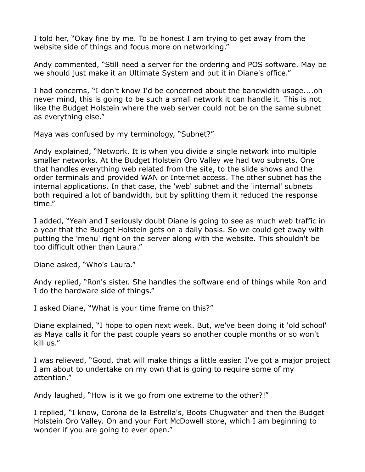I told her, "Okay fine by me. To be honest I am trying to get away from the website side of things and focus more on networking."

Andy commented, "Still need a server for the ordering and POS software. May be we should just make it an Ultimate System and put it in Diane's office."

I had concerns, "I don't know I'd be concerned about the bandwidth usage....oh never mind, this is going to be such a small network it can handle it. This is not like the Budget Holstein where the web server could not be on the same subnet as everything else."

Maya was confused by my terminology, "Subnet?"

Andy explained, "Network. It is when you divide a single network into multiple smaller networks. At the Budget Holstein Oro Valley we had two subnets. One that handles everything web related from the site, to the slide shows and the order terminals and provided WAN or Internet access. The other subnet has the internal applications. In that case, the 'web' subnet and the 'internal' subnets both required a lot of bandwidth, but by splitting them it reduced the response time."

I added, "Yeah and I seriously doubt Diane is going to see as much web traffic in a year that the Budget Holstein gets on a daily basis. So we could get away with putting the 'menu' right on the server along with the website. This shouldn't be too difficult other than Laura."

Diane asked, "Who's Laura."

Andy replied, "Ron's sister. She handles the software end of things while Ron and I do the hardware side of things."

I asked Diane, "What is your time frame on this?"

Diane explained, "I hope to open next week. But, we've been doing it 'old school' as Maya calls it for the past couple years so another couple months or so won't kill us."

I was relieved, "Good, that will make things a little easier. I've got a major project I am about to undertake on my own that is going to require some of my attention."

Andy laughed, "How is it we go from one extreme to the other?!"

I replied, "I know, Corona de la Estrella's, Boots Chugwater and then the Budget Holstein Oro Valley. Oh and your Fort McDowell store, which I am beginning to wonder if you are going to ever open."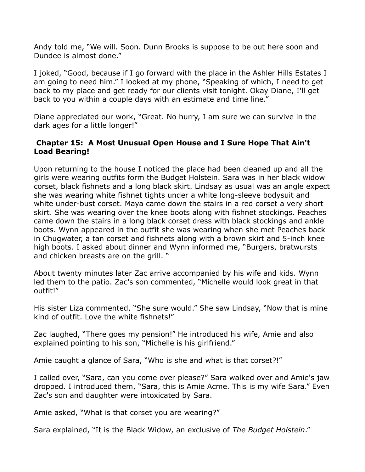Andy told me, "We will. Soon. Dunn Brooks is suppose to be out here soon and Dundee is almost done."

I joked, "Good, because if I go forward with the place in the Ashler Hills Estates I am going to need him." I looked at my phone, "Speaking of which, I need to get back to my place and get ready for our clients visit tonight. Okay Diane, I'll get back to you within a couple days with an estimate and time line."

Diane appreciated our work, "Great. No hurry, I am sure we can survive in the dark ages for a little longer!"

## **Chapter 15: A Most Unusual Open House and I Sure Hope That Ain't Load Bearing!**

Upon returning to the house I noticed the place had been cleaned up and all the girls were wearing outfits form the Budget Holstein. Sara was in her black widow corset, black fishnets and a long black skirt. Lindsay as usual was an angle expect she was wearing white fishnet tights under a white long-sleeve bodysuit and white under-bust corset. Maya came down the stairs in a red corset a very short skirt. She was wearing over the knee boots along with fishnet stockings. Peaches came down the stairs in a long black corset dress with black stockings and ankle boots. Wynn appeared in the outfit she was wearing when she met Peaches back in Chugwater, a tan corset and fishnets along with a brown skirt and 5-inch knee high boots. I asked about dinner and Wynn informed me, "Burgers, bratwursts and chicken breasts are on the grill. "

About twenty minutes later Zac arrive accompanied by his wife and kids. Wynn led them to the patio. Zac's son commented, "Michelle would look great in that outfit!"

His sister Liza commented, "She sure would." She saw Lindsay, "Now that is mine kind of outfit. Love the white fishnets!"

Zac laughed, "There goes my pension!" He introduced his wife, Amie and also explained pointing to his son, "Michelle is his girlfriend."

Amie caught a glance of Sara, "Who is she and what is that corset?!"

I called over, "Sara, can you come over please?" Sara walked over and Amie's jaw dropped. I introduced them, "Sara, this is Amie Acme. This is my wife Sara." Even Zac's son and daughter were intoxicated by Sara.

Amie asked, "What is that corset you are wearing?"

Sara explained, "It is the Black Widow, an exclusive of *The Budget Holstein*."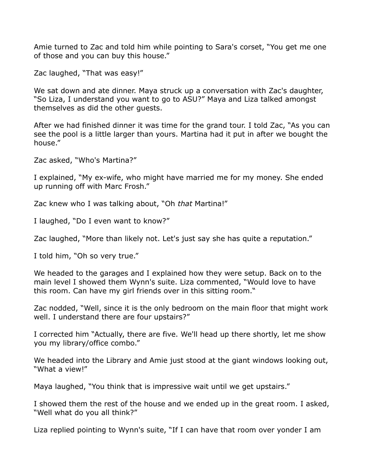Amie turned to Zac and told him while pointing to Sara's corset, "You get me one of those and you can buy this house."

Zac laughed, "That was easy!"

We sat down and ate dinner. Maya struck up a conversation with Zac's daughter, "So Liza, I understand you want to go to ASU?" Maya and Liza talked amongst themselves as did the other guests.

After we had finished dinner it was time for the grand tour. I told Zac, "As you can see the pool is a little larger than yours. Martina had it put in after we bought the house."

Zac asked, "Who's Martina?"

I explained, "My ex-wife, who might have married me for my money. She ended up running off with Marc Frosh."

Zac knew who I was talking about, "Oh *that* Martina!"

I laughed, "Do I even want to know?"

Zac laughed, "More than likely not. Let's just say she has quite a reputation."

I told him, "Oh so very true."

We headed to the garages and I explained how they were setup. Back on to the main level I showed them Wynn's suite. Liza commented, "Would love to have this room. Can have my girl friends over in this sitting room."

Zac nodded, "Well, since it is the only bedroom on the main floor that might work well. I understand there are four upstairs?"

I corrected him "Actually, there are five. We'll head up there shortly, let me show you my library/office combo."

We headed into the Library and Amie just stood at the giant windows looking out, "What a view!"

Maya laughed, "You think that is impressive wait until we get upstairs."

I showed them the rest of the house and we ended up in the great room. I asked, "Well what do you all think?"

Liza replied pointing to Wynn's suite, "If I can have that room over yonder I am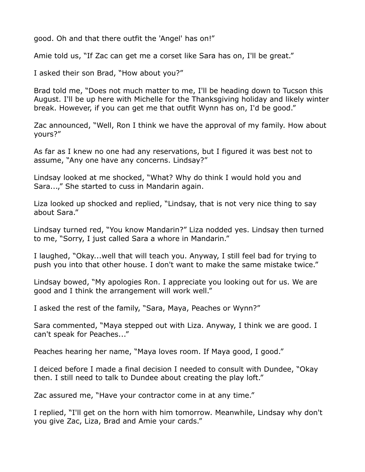good. Oh and that there outfit the 'Angel' has on!"

Amie told us, "If Zac can get me a corset like Sara has on, I'll be great."

I asked their son Brad, "How about you?"

Brad told me, "Does not much matter to me, I'll be heading down to Tucson this August. I'll be up here with Michelle for the Thanksgiving holiday and likely winter break. However, if you can get me that outfit Wynn has on, I'd be good."

Zac announced, "Well, Ron I think we have the approval of my family. How about yours?"

As far as I knew no one had any reservations, but I figured it was best not to assume, "Any one have any concerns. Lindsay?"

Lindsay looked at me shocked, "What? Why do think I would hold you and Sara...," She started to cuss in Mandarin again.

Liza looked up shocked and replied, "Lindsay, that is not very nice thing to say about Sara."

Lindsay turned red, "You know Mandarin?" Liza nodded yes. Lindsay then turned to me, "Sorry, I just called Sara a whore in Mandarin."

I laughed, "Okay...well that will teach you. Anyway, I still feel bad for trying to push you into that other house. I don't want to make the same mistake twice."

Lindsay bowed, "My apologies Ron. I appreciate you looking out for us. We are good and I think the arrangement will work well."

I asked the rest of the family, "Sara, Maya, Peaches or Wynn?"

Sara commented, "Maya stepped out with Liza. Anyway, I think we are good. I can't speak for Peaches..."

Peaches hearing her name, "Maya loves room. If Maya good, I good."

I deiced before I made a final decision I needed to consult with Dundee, "Okay then. I still need to talk to Dundee about creating the play loft."

Zac assured me, "Have your contractor come in at any time."

I replied, "I'll get on the horn with him tomorrow. Meanwhile, Lindsay why don't you give Zac, Liza, Brad and Amie your cards."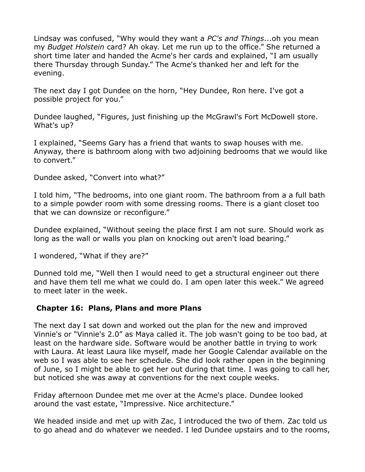Lindsay was confused, "Why would they want a *PC's and Things*...oh you mean my *Budget Holstein* card? Ah okay. Let me run up to the office." She returned a short time later and handed the Acme's her cards and explained, "I am usually there Thursday through Sunday." The Acme's thanked her and left for the evening.

The next day I got Dundee on the horn, "Hey Dundee, Ron here. I've got a possible project for you."

Dundee laughed, "Figures, just finishing up the McGrawl's Fort McDowell store. What's up?

I explained, "Seems Gary has a friend that wants to swap houses with me. Anyway, there is bathroom along with two adjoining bedrooms that we would like to convert."

Dundee asked, "Convert into what?"

I told him, "The bedrooms, into one giant room. The bathroom from a a full bath to a simple powder room with some dressing rooms. There is a giant closet too that we can downsize or reconfigure."

Dundee explained, "Without seeing the place first I am not sure. Should work as long as the wall or walls you plan on knocking out aren't load bearing."

I wondered, "What if they are?"

Dunned told me, "Well then I would need to get a structural engineer out there and have them tell me what we could do. I am open later this week." We agreed to meet later in the week.

## **Chapter 16: Plans, Plans and more Plans**

The next day I sat down and worked out the plan for the new and improved Vinnie's or "Vinnie's 2.0" as Maya called it. The job wasn't going to be too bad, at least on the hardware side. Software would be another battle in trying to work with Laura. At least Laura like myself, made her Google Calendar available on the web so I was able to see her schedule. She did look rather open in the beginning of June, so I might be able to get her out during that time. I was going to call her, but noticed she was away at conventions for the next couple weeks.

Friday afternoon Dundee met me over at the Acme's place. Dundee looked around the vast estate, "Impressive. Nice architecture."

We headed inside and met up with Zac, I introduced the two of them. Zac told us to go ahead and do whatever we needed. I led Dundee upstairs and to the rooms,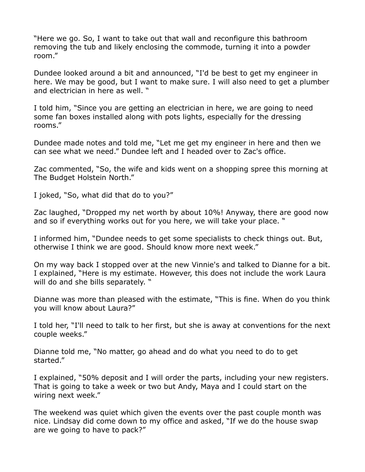"Here we go. So, I want to take out that wall and reconfigure this bathroom removing the tub and likely enclosing the commode, turning it into a powder room."

Dundee looked around a bit and announced, "I'd be best to get my engineer in here. We may be good, but I want to make sure. I will also need to get a plumber and electrician in here as well. "

I told him, "Since you are getting an electrician in here, we are going to need some fan boxes installed along with pots lights, especially for the dressing rooms."

Dundee made notes and told me, "Let me get my engineer in here and then we can see what we need." Dundee left and I headed over to Zac's office.

Zac commented, "So, the wife and kids went on a shopping spree this morning at The Budget Holstein North."

I joked, "So, what did that do to you?"

Zac laughed, "Dropped my net worth by about 10%! Anyway, there are good now and so if everything works out for you here, we will take your place. "

I informed him, "Dundee needs to get some specialists to check things out. But, otherwise I think we are good. Should know more next week."

On my way back I stopped over at the new Vinnie's and talked to Dianne for a bit. I explained, "Here is my estimate. However, this does not include the work Laura will do and she bills separately. "

Dianne was more than pleased with the estimate, "This is fine. When do you think you will know about Laura?"

I told her, "I'll need to talk to her first, but she is away at conventions for the next couple weeks."

Dianne told me, "No matter, go ahead and do what you need to do to get started."

I explained, "50% deposit and I will order the parts, including your new registers. That is going to take a week or two but Andy, Maya and I could start on the wiring next week."

The weekend was quiet which given the events over the past couple month was nice. Lindsay did come down to my office and asked, "If we do the house swap are we going to have to pack?"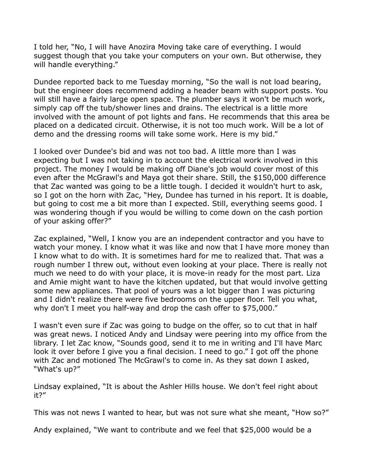I told her, "No, I will have Anozira Moving take care of everything. I would suggest though that you take your computers on your own. But otherwise, they will handle everything."

Dundee reported back to me Tuesday morning, "So the wall is not load bearing, but the engineer does recommend adding a header beam with support posts. You will still have a fairly large open space. The plumber says it won't be much work, simply cap off the tub/shower lines and drains. The electrical is a little more involved with the amount of pot lights and fans. He recommends that this area be placed on a dedicated circuit. Otherwise, it is not too much work. Will be a lot of demo and the dressing rooms will take some work. Here is my bid."

I looked over Dundee's bid and was not too bad. A little more than I was expecting but I was not taking in to account the electrical work involved in this project. The money I would be making off Diane's job would cover most of this even after the McGrawl's and Maya got their share. Still, the \$150,000 difference that Zac wanted was going to be a little tough. I decided it wouldn't hurt to ask, so I got on the horn with Zac, "Hey, Dundee has turned in his report. It is doable, but going to cost me a bit more than I expected. Still, everything seems good. I was wondering though if you would be willing to come down on the cash portion of your asking offer?"

Zac explained, "Well, I know you are an independent contractor and you have to watch your money. I know what it was like and now that I have more money than I know what to do with. It is sometimes hard for me to realized that. That was a rough number I threw out, without even looking at your place. There is really not much we need to do with your place, it is move-in ready for the most part. Liza and Amie might want to have the kitchen updated, but that would involve getting some new appliances. That pool of yours was a lot bigger than I was picturing and I didn't realize there were five bedrooms on the upper floor. Tell you what, why don't I meet you half-way and drop the cash offer to \$75,000."

I wasn't even sure if Zac was going to budge on the offer, so to cut that in half was great news. I noticed Andy and Lindsay were peering into my office from the library. I let Zac know, "Sounds good, send it to me in writing and I'll have Marc look it over before I give you a final decision. I need to go." I got off the phone with Zac and motioned The McGrawl's to come in. As they sat down I asked, "What's up?"

Lindsay explained, "It is about the Ashler Hills house. We don't feel right about it?"

This was not news I wanted to hear, but was not sure what she meant, "How so?"

Andy explained, "We want to contribute and we feel that \$25,000 would be a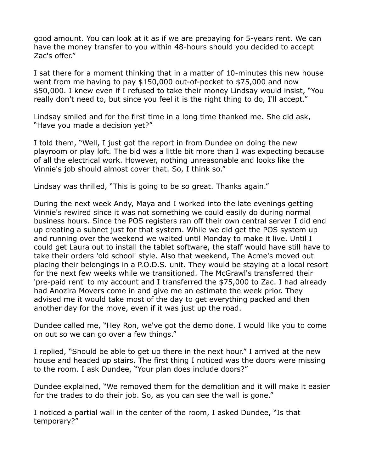good amount. You can look at it as if we are prepaying for 5-years rent. We can have the money transfer to you within 48-hours should you decided to accept Zac's offer."

I sat there for a moment thinking that in a matter of 10-minutes this new house went from me having to pay \$150,000 out-of-pocket to \$75,000 and now \$50,000. I knew even if I refused to take their money Lindsay would insist, "You really don't need to, but since you feel it is the right thing to do, I'll accept."

Lindsay smiled and for the first time in a long time thanked me. She did ask, "Have you made a decision yet?"

I told them, "Well, I just got the report in from Dundee on doing the new playroom or play loft. The bid was a little bit more than I was expecting because of all the electrical work. However, nothing unreasonable and looks like the Vinnie's job should almost cover that. So, I think so."

Lindsay was thrilled, "This is going to be so great. Thanks again."

During the next week Andy, Maya and I worked into the late evenings getting Vinnie's rewired since it was not something we could easily do during normal business hours. Since the POS registers ran off their own central server I did end up creating a subnet just for that system. While we did get the POS system up and running over the weekend we waited until Monday to make it live. Until I could get Laura out to install the tablet software, the staff would have still have to take their orders 'old school' style. Also that weekend, The Acme's moved out placing their belongings in a P.O.D.S. unit. They would be staying at a local resort for the next few weeks while we transitioned. The McGrawl's transferred their 'pre-paid rent' to my account and I transferred the \$75,000 to Zac. I had already had Anozira Movers come in and give me an estimate the week prior. They advised me it would take most of the day to get everything packed and then another day for the move, even if it was just up the road.

Dundee called me, "Hey Ron, we've got the demo done. I would like you to come on out so we can go over a few things."

I replied, "Should be able to get up there in the next hour." I arrived at the new house and headed up stairs. The first thing I noticed was the doors were missing to the room. I ask Dundee, "Your plan does include doors?"

Dundee explained, "We removed them for the demolition and it will make it easier for the trades to do their job. So, as you can see the wall is gone."

I noticed a partial wall in the center of the room, I asked Dundee, "Is that temporary?"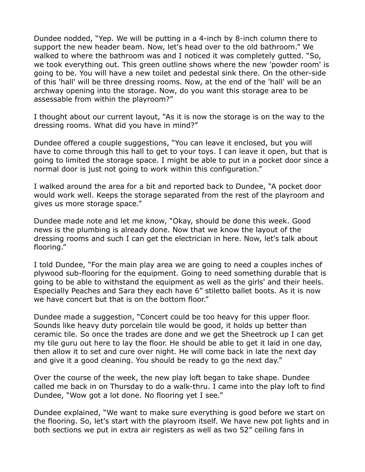Dundee nodded, "Yep. We will be putting in a 4-inch by 8-inch column there to support the new header beam. Now, let's head over to the old bathroom." We walked to where the bathroom was and I noticed it was completely gutted. "So, we took everything out. This green outline shows where the new 'powder room' is going to be. You will have a new toilet and pedestal sink there. On the other-side of this 'hall' will be three dressing rooms. Now, at the end of the 'hall' will be an archway opening into the storage. Now, do you want this storage area to be assessable from within the playroom?"

I thought about our current layout, "As it is now the storage is on the way to the dressing rooms. What did you have in mind?"

Dundee offered a couple suggestions, "You can leave it enclosed, but you will have to come through this hall to get to your toys. I can leave it open, but that is going to limited the storage space. I might be able to put in a pocket door since a normal door is just not going to work within this configuration."

I walked around the area for a bit and reported back to Dundee, "A pocket door would work well. Keeps the storage separated from the rest of the playroom and gives us more storage space."

Dundee made note and let me know, "Okay, should be done this week. Good news is the plumbing is already done. Now that we know the layout of the dressing rooms and such I can get the electrician in here. Now, let's talk about flooring."

I told Dundee, "For the main play area we are going to need a couples inches of plywood sub-flooring for the equipment. Going to need something durable that is going to be able to withstand the equipment as well as the girls' and their heels. Especially Peaches and Sara they each have 6" stiletto ballet boots. As it is now we have concert but that is on the bottom floor."

Dundee made a suggestion, "Concert could be too heavy for this upper floor. Sounds like heavy duty porcelain tile would be good, it holds up better than ceramic tile. So once the trades are done and we get the Sheetrock up I can get my tile guru out here to lay the floor. He should be able to get it laid in one day, then allow it to set and cure over night. He will come back in late the next day and give it a good cleaning. You should be ready to go the next day."

Over the course of the week, the new play loft began to take shape. Dundee called me back in on Thursday to do a walk-thru. I came into the play loft to find Dundee, "Wow got a lot done. No flooring yet I see."

Dundee explained, "We want to make sure everything is good before we start on the flooring. So, let's start with the playroom itself. We have new pot lights and in both sections we put in extra air registers as well as two 52" ceiling fans in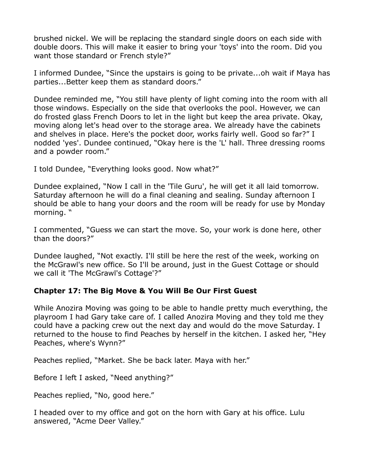brushed nickel. We will be replacing the standard single doors on each side with double doors. This will make it easier to bring your 'toys' into the room. Did you want those standard or French style?"

I informed Dundee, "Since the upstairs is going to be private...oh wait if Maya has parties...Better keep them as standard doors."

Dundee reminded me, "You still have plenty of light coming into the room with all those windows. Especially on the side that overlooks the pool. However, we can do frosted glass French Doors to let in the light but keep the area private. Okay, moving along let's head over to the storage area. We already have the cabinets and shelves in place. Here's the pocket door, works fairly well. Good so far?" I nodded 'yes'. Dundee continued, "Okay here is the 'L' hall. Three dressing rooms and a powder room."

I told Dundee, "Everything looks good. Now what?"

Dundee explained, "Now I call in the 'Tile Guru', he will get it all laid tomorrow. Saturday afternoon he will do a final cleaning and sealing. Sunday afternoon I should be able to hang your doors and the room will be ready for use by Monday morning. "

I commented, "Guess we can start the move. So, your work is done here, other than the doors?"

Dundee laughed, "Not exactly. I'll still be here the rest of the week, working on the McGrawl's new office. So I'll be around, just in the Guest Cottage or should we call it 'The McGrawl's Cottage'?"

## **Chapter 17: The Big Move & You Will Be Our First Guest**

While Anozira Moving was going to be able to handle pretty much everything, the playroom I had Gary take care of. I called Anozira Moving and they told me they could have a packing crew out the next day and would do the move Saturday. I returned to the house to find Peaches by herself in the kitchen. I asked her, "Hey Peaches, where's Wynn?"

Peaches replied, "Market. She be back later. Maya with her."

Before I left I asked, "Need anything?"

Peaches replied, "No, good here."

I headed over to my office and got on the horn with Gary at his office. Lulu answered, "Acme Deer Valley."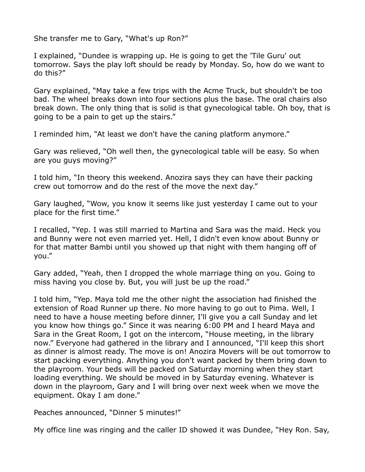She transfer me to Gary, "What's up Ron?"

I explained, "Dundee is wrapping up. He is going to get the 'Tile Guru' out tomorrow. Says the play loft should be ready by Monday. So, how do we want to do this?"

Gary explained, "May take a few trips with the Acme Truck, but shouldn't be too bad. The wheel breaks down into four sections plus the base. The oral chairs also break down. The only thing that is solid is that gynecological table. Oh boy, that is going to be a pain to get up the stairs."

I reminded him, "At least we don't have the caning platform anymore."

Gary was relieved, "Oh well then, the gynecological table will be easy. So when are you guys moving?"

I told him, "In theory this weekend. Anozira says they can have their packing crew out tomorrow and do the rest of the move the next day."

Gary laughed, "Wow, you know it seems like just yesterday I came out to your place for the first time."

I recalled, "Yep. I was still married to Martina and Sara was the maid. Heck you and Bunny were not even married yet. Hell, I didn't even know about Bunny or for that matter Bambi until you showed up that night with them hanging off of you."

Gary added, "Yeah, then I dropped the whole marriage thing on you. Going to miss having you close by. But, you will just be up the road."

I told him, "Yep. Maya told me the other night the association had finished the extension of Road Runner up there. No more having to go out to Pima. Well, I need to have a house meeting before dinner, I'll give you a call Sunday and let you know how things go." Since it was nearing 6:00 PM and I heard Maya and Sara in the Great Room, I got on the intercom, "House meeting, in the library now." Everyone had gathered in the library and I announced, "I'll keep this short as dinner is almost ready. The move is on! Anozira Movers will be out tomorrow to start packing everything. Anything you don't want packed by them bring down to the playroom. Your beds will be packed on Saturday morning when they start loading everything. We should be moved in by Saturday evening. Whatever is down in the playroom, Gary and I will bring over next week when we move the equipment. Okay I am done."

Peaches announced, "Dinner 5 minutes!"

My office line was ringing and the caller ID showed it was Dundee, "Hey Ron. Say,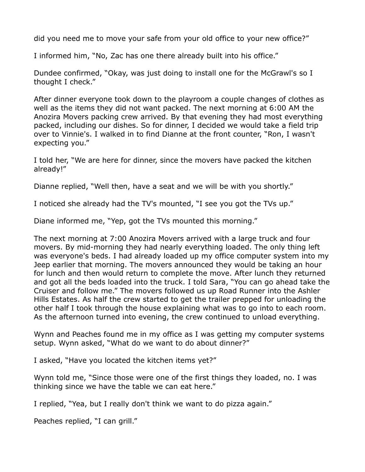did you need me to move your safe from your old office to your new office?"

I informed him, "No, Zac has one there already built into his office."

Dundee confirmed, "Okay, was just doing to install one for the McGrawl's so I thought I check."

After dinner everyone took down to the playroom a couple changes of clothes as well as the items they did not want packed. The next morning at 6:00 AM the Anozira Movers packing crew arrived. By that evening they had most everything packed, including our dishes. So for dinner, I decided we would take a field trip over to Vinnie's. I walked in to find Dianne at the front counter, "Ron, I wasn't expecting you."

I told her, "We are here for dinner, since the movers have packed the kitchen already!"

Dianne replied, "Well then, have a seat and we will be with you shortly."

I noticed she already had the TV's mounted, "I see you got the TVs up."

Diane informed me, "Yep, got the TVs mounted this morning."

The next morning at 7:00 Anozira Movers arrived with a large truck and four movers. By mid-morning they had nearly everything loaded. The only thing left was everyone's beds. I had already loaded up my office computer system into my Jeep earlier that morning. The movers announced they would be taking an hour for lunch and then would return to complete the move. After lunch they returned and got all the beds loaded into the truck. I told Sara, "You can go ahead take the Cruiser and follow me." The movers followed us up Road Runner into the Ashler Hills Estates. As half the crew started to get the trailer prepped for unloading the other half I took through the house explaining what was to go into to each room. As the afternoon turned into evening, the crew continued to unload everything.

Wynn and Peaches found me in my office as I was getting my computer systems setup. Wynn asked, "What do we want to do about dinner?"

I asked, "Have you located the kitchen items yet?"

Wynn told me, "Since those were one of the first things they loaded, no. I was thinking since we have the table we can eat here."

I replied, "Yea, but I really don't think we want to do pizza again."

Peaches replied, "I can grill."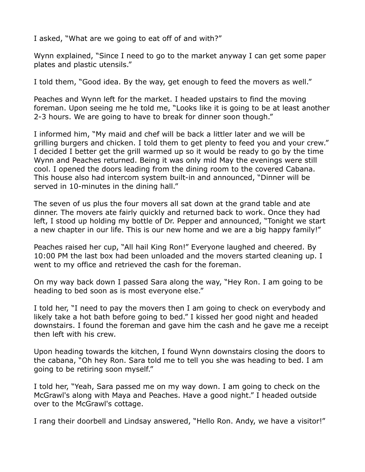I asked, "What are we going to eat off of and with?"

Wynn explained, "Since I need to go to the market anyway I can get some paper plates and plastic utensils."

I told them, "Good idea. By the way, get enough to feed the movers as well."

Peaches and Wynn left for the market. I headed upstairs to find the moving foreman. Upon seeing me he told me, "Looks like it is going to be at least another 2-3 hours. We are going to have to break for dinner soon though."

I informed him, "My maid and chef will be back a littler later and we will be grilling burgers and chicken. I told them to get plenty to feed you and your crew." I decided I better get the grill warmed up so it would be ready to go by the time Wynn and Peaches returned. Being it was only mid May the evenings were still cool. I opened the doors leading from the dining room to the covered Cabana. This house also had intercom system built-in and announced, "Dinner will be served in 10-minutes in the dining hall."

The seven of us plus the four movers all sat down at the grand table and ate dinner. The movers ate fairly quickly and returned back to work. Once they had left, I stood up holding my bottle of Dr. Pepper and announced, "Tonight we start a new chapter in our life. This is our new home and we are a big happy family!"

Peaches raised her cup, "All hail King Ron!" Everyone laughed and cheered. By 10:00 PM the last box had been unloaded and the movers started cleaning up. I went to my office and retrieved the cash for the foreman.

On my way back down I passed Sara along the way, "Hey Ron. I am going to be heading to bed soon as is most everyone else."

I told her, "I need to pay the movers then I am going to check on everybody and likely take a hot bath before going to bed." I kissed her good night and headed downstairs. I found the foreman and gave him the cash and he gave me a receipt then left with his crew.

Upon heading towards the kitchen, I found Wynn downstairs closing the doors to the cabana, "Oh hey Ron. Sara told me to tell you she was heading to bed. I am going to be retiring soon myself."

I told her, "Yeah, Sara passed me on my way down. I am going to check on the McGrawl's along with Maya and Peaches. Have a good night." I headed outside over to the McGrawl's cottage.

I rang their doorbell and Lindsay answered, "Hello Ron. Andy, we have a visitor!"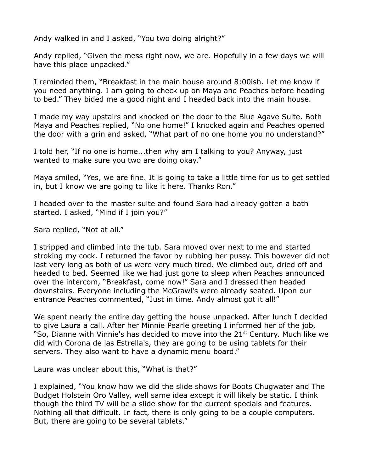Andy walked in and I asked, "You two doing alright?"

Andy replied, "Given the mess right now, we are. Hopefully in a few days we will have this place unpacked."

I reminded them, "Breakfast in the main house around 8:00ish. Let me know if you need anything. I am going to check up on Maya and Peaches before heading to bed." They bided me a good night and I headed back into the main house.

I made my way upstairs and knocked on the door to the Blue Agave Suite. Both Maya and Peaches replied, "No one home!" I knocked again and Peaches opened the door with a grin and asked, "What part of no one home you no understand?"

I told her, "If no one is home...then why am I talking to you? Anyway, just wanted to make sure you two are doing okay."

Maya smiled, "Yes, we are fine. It is going to take a little time for us to get settled in, but I know we are going to like it here. Thanks Ron."

I headed over to the master suite and found Sara had already gotten a bath started. I asked, "Mind if I join you?"

Sara replied, "Not at all."

I stripped and climbed into the tub. Sara moved over next to me and started stroking my cock. I returned the favor by rubbing her pussy. This however did not last very long as both of us were very much tired. We climbed out, dried off and headed to bed. Seemed like we had just gone to sleep when Peaches announced over the intercom, "Breakfast, come now!" Sara and I dressed then headed downstairs. Everyone including the McGrawl's were already seated. Upon our entrance Peaches commented, "Just in time. Andy almost got it all!"

We spent nearly the entire day getting the house unpacked. After lunch I decided to give Laura a call. After her Minnie Pearle greeting I informed her of the job, "So, Dianne with Vinnie's has decided to move into the 21<sup>st</sup> Century. Much like we did with Corona de las Estrella's, they are going to be using tablets for their servers. They also want to have a dynamic menu board."

Laura was unclear about this, "What is that?"

I explained, "You know how we did the slide shows for Boots Chugwater and The Budget Holstein Oro Valley, well same idea except it will likely be static. I think though the third TV will be a slide show for the current specials and features. Nothing all that difficult. In fact, there is only going to be a couple computers. But, there are going to be several tablets."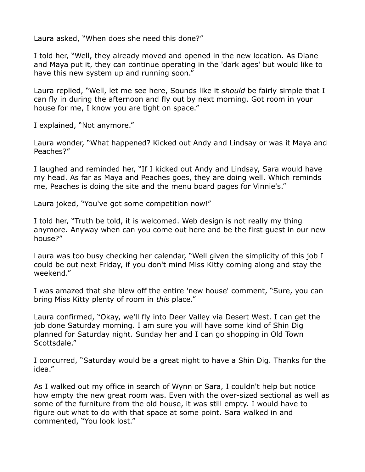Laura asked, "When does she need this done?"

I told her, "Well, they already moved and opened in the new location. As Diane and Maya put it, they can continue operating in the 'dark ages' but would like to have this new system up and running soon."

Laura replied, "Well, let me see here, Sounds like it *should* be fairly simple that I can fly in during the afternoon and fly out by next morning. Got room in your house for me, I know you are tight on space."

I explained, "Not anymore."

Laura wonder, "What happened? Kicked out Andy and Lindsay or was it Maya and Peaches?"

I laughed and reminded her, "If I kicked out Andy and Lindsay, Sara would have my head. As far as Maya and Peaches goes, they are doing well. Which reminds me, Peaches is doing the site and the menu board pages for Vinnie's."

Laura joked, "You've got some competition now!"

I told her, "Truth be told, it is welcomed. Web design is not really my thing anymore. Anyway when can you come out here and be the first guest in our new house?"

Laura was too busy checking her calendar, "Well given the simplicity of this job I could be out next Friday, if you don't mind Miss Kitty coming along and stay the weekend."

I was amazed that she blew off the entire 'new house' comment, "Sure, you can bring Miss Kitty plenty of room in *this* place."

Laura confirmed, "Okay, we'll fly into Deer Valley via Desert West. I can get the job done Saturday morning. I am sure you will have some kind of Shin Dig planned for Saturday night. Sunday her and I can go shopping in Old Town Scottsdale."

I concurred, "Saturday would be a great night to have a Shin Dig. Thanks for the idea."

As I walked out my office in search of Wynn or Sara, I couldn't help but notice how empty the new great room was. Even with the over-sized sectional as well as some of the furniture from the old house, it was still empty. I would have to figure out what to do with that space at some point. Sara walked in and commented, "You look lost."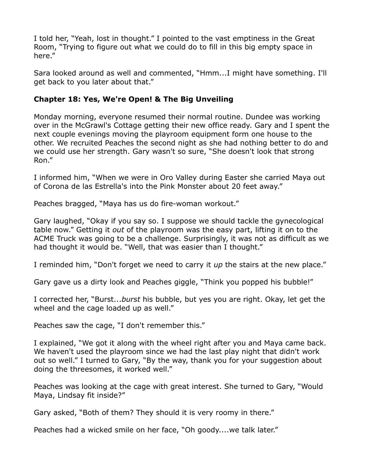I told her, "Yeah, lost in thought." I pointed to the vast emptiness in the Great Room, "Trying to figure out what we could do to fill in this big empty space in here."

Sara looked around as well and commented, "Hmm...I might have something. I'll get back to you later about that."

# **Chapter 18: Yes, We're Open! & The Big Unveiling**

Monday morning, everyone resumed their normal routine. Dundee was working over in the McGrawl's Cottage getting their new office ready. Gary and I spent the next couple evenings moving the playroom equipment form one house to the other. We recruited Peaches the second night as she had nothing better to do and we could use her strength. Gary wasn't so sure, "She doesn't look that strong Ron."

I informed him, "When we were in Oro Valley during Easter she carried Maya out of Corona de las Estrella's into the Pink Monster about 20 feet away."

Peaches bragged, "Maya has us do fire-woman workout."

Gary laughed, "Okay if you say so. I suppose we should tackle the gynecological table now." Getting it *out* of the playroom was the easy part, lifting it on to the ACME Truck was going to be a challenge. Surprisingly, it was not as difficult as we had thought it would be. "Well, that was easier than I thought."

I reminded him, "Don't forget we need to carry it *up* the stairs at the new place."

Gary gave us a dirty look and Peaches giggle, "Think you popped his bubble!"

I corrected her, "Burst...*burst* his bubble, but yes you are right. Okay, let get the wheel and the cage loaded up as well."

Peaches saw the cage, "I don't remember this."

I explained, "We got it along with the wheel right after you and Maya came back. We haven't used the playroom since we had the last play night that didn't work out so well." I turned to Gary, "By the way, thank you for your suggestion about doing the threesomes, it worked well."

Peaches was looking at the cage with great interest. She turned to Gary, "Would Maya, Lindsay fit inside?"

Gary asked, "Both of them? They should it is very roomy in there."

Peaches had a wicked smile on her face, "Oh goody....we talk later."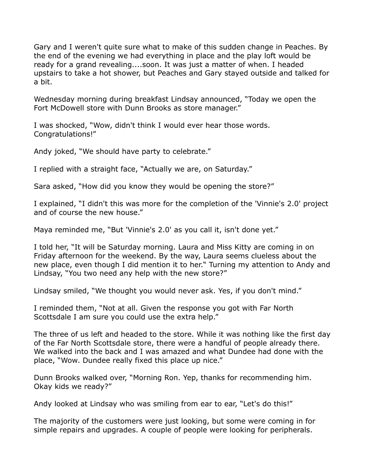Gary and I weren't quite sure what to make of this sudden change in Peaches. By the end of the evening we had everything in place and the play loft would be ready for a grand revealing....soon. It was just a matter of when. I headed upstairs to take a hot shower, but Peaches and Gary stayed outside and talked for a bit.

Wednesday morning during breakfast Lindsay announced, "Today we open the Fort McDowell store with Dunn Brooks as store manager."

I was shocked, "Wow, didn't think I would ever hear those words. Congratulations!"

Andy joked, "We should have party to celebrate."

I replied with a straight face, "Actually we are, on Saturday."

Sara asked, "How did you know they would be opening the store?"

I explained, "I didn't this was more for the completion of the 'Vinnie's 2.0' project and of course the new house."

Maya reminded me, "But 'Vinnie's 2.0' as you call it, isn't done yet."

I told her, "It will be Saturday morning. Laura and Miss Kitty are coming in on Friday afternoon for the weekend. By the way, Laura seems clueless about the new place, even though I did mention it to her." Turning my attention to Andy and Lindsay, "You two need any help with the new store?"

Lindsay smiled, "We thought you would never ask. Yes, if you don't mind."

I reminded them, "Not at all. Given the response you got with Far North Scottsdale I am sure you could use the extra help."

The three of us left and headed to the store. While it was nothing like the first day of the Far North Scottsdale store, there were a handful of people already there. We walked into the back and I was amazed and what Dundee had done with the place, "Wow. Dundee really fixed this place up nice."

Dunn Brooks walked over, "Morning Ron. Yep, thanks for recommending him. Okay kids we ready?"

Andy looked at Lindsay who was smiling from ear to ear, "Let's do this!"

The majority of the customers were just looking, but some were coming in for simple repairs and upgrades. A couple of people were looking for peripherals.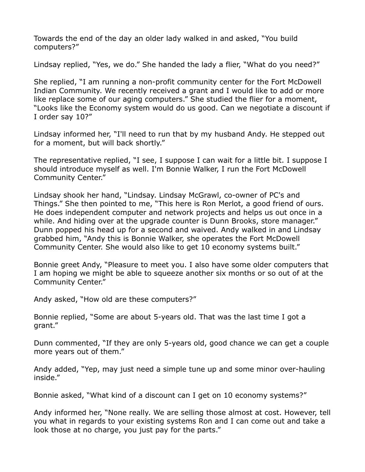Towards the end of the day an older lady walked in and asked, "You build computers?"

Lindsay replied, "Yes, we do." She handed the lady a flier, "What do you need?"

She replied, "I am running a non-profit community center for the Fort McDowell Indian Community. We recently received a grant and I would like to add or more like replace some of our aging computers." She studied the flier for a moment, "Looks like the Economy system would do us good. Can we negotiate a discount if I order say 10?"

Lindsay informed her, "I'll need to run that by my husband Andy. He stepped out for a moment, but will back shortly."

The representative replied, "I see, I suppose I can wait for a little bit. I suppose I should introduce myself as well. I'm Bonnie Walker, I run the Fort McDowell Community Center."

Lindsay shook her hand, "Lindsay. Lindsay McGrawl, co-owner of PC's and Things." She then pointed to me, "This here is Ron Merlot, a good friend of ours. He does independent computer and network projects and helps us out once in a while. And hiding over at the upgrade counter is Dunn Brooks, store manager." Dunn popped his head up for a second and waived. Andy walked in and Lindsay grabbed him, "Andy this is Bonnie Walker, she operates the Fort McDowell Community Center. She would also like to get 10 economy systems built."

Bonnie greet Andy, "Pleasure to meet you. I also have some older computers that I am hoping we might be able to squeeze another six months or so out of at the Community Center."

Andy asked, "How old are these computers?"

Bonnie replied, "Some are about 5-years old. That was the last time I got a grant."

Dunn commented, "If they are only 5-years old, good chance we can get a couple more years out of them."

Andy added, "Yep, may just need a simple tune up and some minor over-hauling inside."

Bonnie asked, "What kind of a discount can I get on 10 economy systems?"

Andy informed her, "None really. We are selling those almost at cost. However, tell you what in regards to your existing systems Ron and I can come out and take a look those at no charge, you just pay for the parts."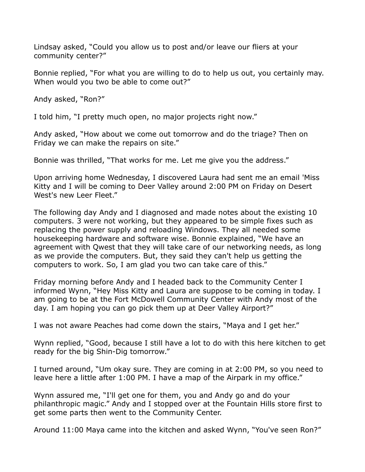Lindsay asked, "Could you allow us to post and/or leave our fliers at your community center?"

Bonnie replied, "For what you are willing to do to help us out, you certainly may. When would you two be able to come out?"

Andy asked, "Ron?"

I told him, "I pretty much open, no major projects right now."

Andy asked, "How about we come out tomorrow and do the triage? Then on Friday we can make the repairs on site."

Bonnie was thrilled, "That works for me. Let me give you the address."

Upon arriving home Wednesday, I discovered Laura had sent me an email 'Miss Kitty and I will be coming to Deer Valley around 2:00 PM on Friday on Desert West's new Leer Fleet."

The following day Andy and I diagnosed and made notes about the existing 10 computers. 3 were not working, but they appeared to be simple fixes such as replacing the power supply and reloading Windows. They all needed some housekeeping hardware and software wise. Bonnie explained, "We have an agreement with Qwest that they will take care of our networking needs, as long as we provide the computers. But, they said they can't help us getting the computers to work. So, I am glad you two can take care of this."

Friday morning before Andy and I headed back to the Community Center I informed Wynn, "Hey Miss Kitty and Laura are suppose to be coming in today. I am going to be at the Fort McDowell Community Center with Andy most of the day. I am hoping you can go pick them up at Deer Valley Airport?"

I was not aware Peaches had come down the stairs, "Maya and I get her."

Wynn replied, "Good, because I still have a lot to do with this here kitchen to get ready for the big Shin-Dig tomorrow."

I turned around, "Um okay sure. They are coming in at 2:00 PM, so you need to leave here a little after 1:00 PM. I have a map of the Airpark in my office."

Wynn assured me, "I'll get one for them, you and Andy go and do your philanthropic magic." Andy and I stopped over at the Fountain Hills store first to get some parts then went to the Community Center.

Around 11:00 Maya came into the kitchen and asked Wynn, "You've seen Ron?"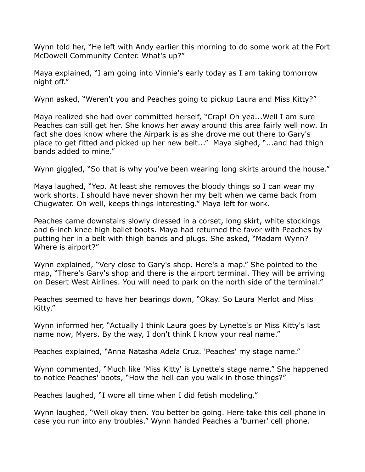Wynn told her, "He left with Andy earlier this morning to do some work at the Fort McDowell Community Center. What's up?"

Maya explained, "I am going into Vinnie's early today as I am taking tomorrow night off."

Wynn asked, "Weren't you and Peaches going to pickup Laura and Miss Kitty?"

Maya realized she had over committed herself, "Crap! Oh yea...Well I am sure Peaches can still get her. She knows her away around this area fairly well now. In fact she does know where the Airpark is as she drove me out there to Gary's place to get fitted and picked up her new belt..." Maya sighed, "...and had thigh bands added to mine."

Wynn giggled, "So that is why you've been wearing long skirts around the house."

Maya laughed, "Yep. At least she removes the bloody things so I can wear my work shorts. I should have never shown her my belt when we came back from Chugwater. Oh well, keeps things interesting." Maya left for work.

Peaches came downstairs slowly dressed in a corset, long skirt, white stockings and 6-inch knee high ballet boots. Maya had returned the favor with Peaches by putting her in a belt with thigh bands and plugs. She asked, "Madam Wynn? Where is airport?"

Wynn explained, "Very close to Gary's shop. Here's a map." She pointed to the map, "There's Gary's shop and there is the airport terminal. They will be arriving on Desert West Airlines. You will need to park on the north side of the terminal."

Peaches seemed to have her bearings down, "Okay. So Laura Merlot and Miss Kitty."

Wynn informed her, "Actually I think Laura goes by Lynette's or Miss Kitty's last name now, Myers. By the way, I don't think I know your real name."

Peaches explained, "Anna Natasha Adela Cruz. 'Peaches' my stage name."

Wynn commented, "Much like 'Miss Kitty' is Lynette's stage name." She happened to notice Peaches' boots, "How the hell can you walk in those things?"

Peaches laughed, "I wore all time when I did fetish modeling."

Wynn laughed, "Well okay then. You better be going. Here take this cell phone in case you run into any troubles." Wynn handed Peaches a 'burner' cell phone.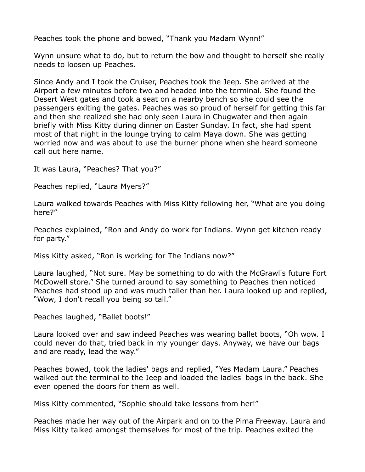Peaches took the phone and bowed, "Thank you Madam Wynn!"

Wynn unsure what to do, but to return the bow and thought to herself she really needs to loosen up Peaches.

Since Andy and I took the Cruiser, Peaches took the Jeep. She arrived at the Airport a few minutes before two and headed into the terminal. She found the Desert West gates and took a seat on a nearby bench so she could see the passengers exiting the gates. Peaches was so proud of herself for getting this far and then she realized she had only seen Laura in Chugwater and then again briefly with Miss Kitty during dinner on Easter Sunday. In fact, she had spent most of that night in the lounge trying to calm Maya down. She was getting worried now and was about to use the burner phone when she heard someone call out here name.

It was Laura, "Peaches? That you?"

Peaches replied, "Laura Myers?"

Laura walked towards Peaches with Miss Kitty following her, "What are you doing here?"

Peaches explained, "Ron and Andy do work for Indians. Wynn get kitchen ready for party."

Miss Kitty asked, "Ron is working for The Indians now?"

Laura laughed, "Not sure. May be something to do with the McGrawl's future Fort McDowell store." She turned around to say something to Peaches then noticed Peaches had stood up and was much taller than her. Laura looked up and replied, "Wow, I don't recall you being so tall."

Peaches laughed, "Ballet boots!"

Laura looked over and saw indeed Peaches was wearing ballet boots, "Oh wow. I could never do that, tried back in my younger days. Anyway, we have our bags and are ready, lead the way."

Peaches bowed, took the ladies' bags and replied, "Yes Madam Laura." Peaches walked out the terminal to the Jeep and loaded the ladies' bags in the back. She even opened the doors for them as well.

Miss Kitty commented, "Sophie should take lessons from her!"

Peaches made her way out of the Airpark and on to the Pima Freeway. Laura and Miss Kitty talked amongst themselves for most of the trip. Peaches exited the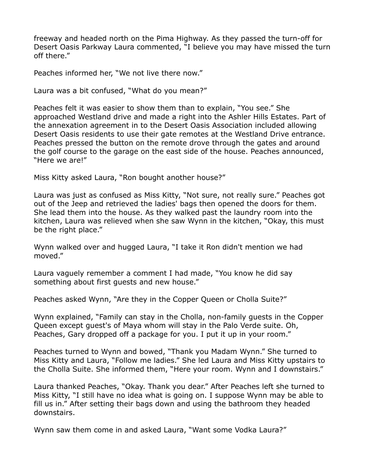freeway and headed north on the Pima Highway. As they passed the turn-off for Desert Oasis Parkway Laura commented, "I believe you may have missed the turn off there."

Peaches informed her, "We not live there now."

Laura was a bit confused, "What do you mean?"

Peaches felt it was easier to show them than to explain, "You see." She approached Westland drive and made a right into the Ashler Hills Estates. Part of the annexation agreement in to the Desert Oasis Association included allowing Desert Oasis residents to use their gate remotes at the Westland Drive entrance. Peaches pressed the button on the remote drove through the gates and around the golf course to the garage on the east side of the house. Peaches announced, "Here we are!"

Miss Kitty asked Laura, "Ron bought another house?"

Laura was just as confused as Miss Kitty, "Not sure, not really sure." Peaches got out of the Jeep and retrieved the ladies' bags then opened the doors for them. She lead them into the house. As they walked past the laundry room into the kitchen, Laura was relieved when she saw Wynn in the kitchen, "Okay, this must be the right place."

Wynn walked over and hugged Laura, "I take it Ron didn't mention we had moved."

Laura vaguely remember a comment I had made, "You know he did say something about first guests and new house."

Peaches asked Wynn, "Are they in the Copper Queen or Cholla Suite?"

Wynn explained, "Family can stay in the Cholla, non-family guests in the Copper Queen except guest's of Maya whom will stay in the Palo Verde suite. Oh, Peaches, Gary dropped off a package for you. I put it up in your room."

Peaches turned to Wynn and bowed, "Thank you Madam Wynn." She turned to Miss Kitty and Laura, "Follow me ladies." She led Laura and Miss Kitty upstairs to the Cholla Suite. She informed them, "Here your room. Wynn and I downstairs."

Laura thanked Peaches, "Okay. Thank you dear." After Peaches left she turned to Miss Kitty, "I still have no idea what is going on. I suppose Wynn may be able to fill us in." After setting their bags down and using the bathroom they headed downstairs.

Wynn saw them come in and asked Laura, "Want some Vodka Laura?"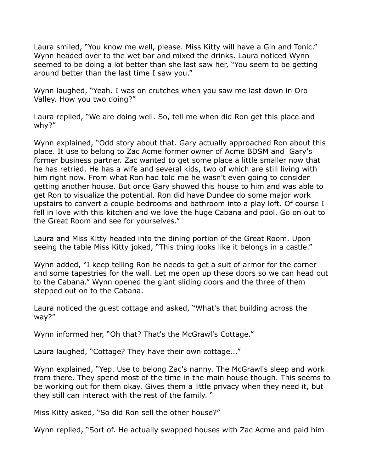Laura smiled, "You know me well, please. Miss Kitty will have a Gin and Tonic." Wynn headed over to the wet bar and mixed the drinks. Laura noticed Wynn seemed to be doing a lot better than she last saw her, "You seem to be getting around better than the last time I saw you."

Wynn laughed, "Yeah. I was on crutches when you saw me last down in Oro Valley. How you two doing?"

Laura replied, "We are doing well. So, tell me when did Ron get this place and why?"

Wynn explained, "Odd story about that. Gary actually approached Ron about this place. It use to belong to Zac Acme former owner of Acme BDSM and Gary's former business partner. Zac wanted to get some place a little smaller now that he has retried. He has a wife and several kids, two of which are still living with him right now. From what Ron had told me he wasn't even going to consider getting another house. But once Gary showed this house to him and was able to get Ron to visualize the potential. Ron did have Dundee do some major work upstairs to convert a couple bedrooms and bathroom into a play loft. Of course I fell in love with this kitchen and we love the huge Cabana and pool. Go on out to the Great Room and see for yourselves."

Laura and Miss Kitty headed into the dining portion of the Great Room. Upon seeing the table Miss Kitty joked, "This thing looks like it belongs in a castle."

Wynn added, "I keep telling Ron he needs to get a suit of armor for the corner and some tapestries for the wall. Let me open up these doors so we can head out to the Cabana." Wynn opened the giant sliding doors and the three of them stepped out on to the Cabana.

Laura noticed the guest cottage and asked, "What's that building across the way?"

Wynn informed her, "Oh that? That's the McGrawl's Cottage."

Laura laughed, "Cottage? They have their own cottage..."

Wynn explained, "Yep. Use to belong Zac's nanny. The McGrawl's sleep and work from there. They spend most of the time in the main house though. This seems to be working out for them okay. Gives them a little privacy when they need it, but they still can interact with the rest of the family. "

Miss Kitty asked, "So did Ron sell the other house?"

Wynn replied, "Sort of. He actually swapped houses with Zac Acme and paid him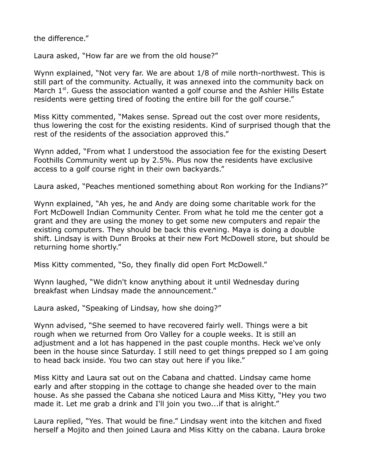the difference."

Laura asked, "How far are we from the old house?"

Wynn explained, "Not very far. We are about 1/8 of mile north-northwest. This is still part of the community. Actually, it was annexed into the community back on March  $1<sup>st</sup>$ . Guess the association wanted a golf course and the Ashler Hills Estate residents were getting tired of footing the entire bill for the golf course."

Miss Kitty commented, "Makes sense. Spread out the cost over more residents, thus lowering the cost for the existing residents. Kind of surprised though that the rest of the residents of the association approved this."

Wynn added, "From what I understood the association fee for the existing Desert Foothills Community went up by 2.5%. Plus now the residents have exclusive access to a golf course right in their own backyards."

Laura asked, "Peaches mentioned something about Ron working for the Indians?"

Wynn explained, "Ah yes, he and Andy are doing some charitable work for the Fort McDowell Indian Community Center. From what he told me the center got a grant and they are using the money to get some new computers and repair the existing computers. They should be back this evening. Maya is doing a double shift. Lindsay is with Dunn Brooks at their new Fort McDowell store, but should be returning home shortly."

Miss Kitty commented, "So, they finally did open Fort McDowell."

Wynn laughed, "We didn't know anything about it until Wednesday during breakfast when Lindsay made the announcement."

Laura asked, "Speaking of Lindsay, how she doing?"

Wynn advised, "She seemed to have recovered fairly well. Things were a bit rough when we returned from Oro Valley for a couple weeks. It is still an adjustment and a lot has happened in the past couple months. Heck we've only been in the house since Saturday. I still need to get things prepped so I am going to head back inside. You two can stay out here if you like."

Miss Kitty and Laura sat out on the Cabana and chatted. Lindsay came home early and after stopping in the cottage to change she headed over to the main house. As she passed the Cabana she noticed Laura and Miss Kitty, "Hey you two made it. Let me grab a drink and I'll join you two...if that is alright."

Laura replied, "Yes. That would be fine." Lindsay went into the kitchen and fixed herself a Mojito and then joined Laura and Miss Kitty on the cabana. Laura broke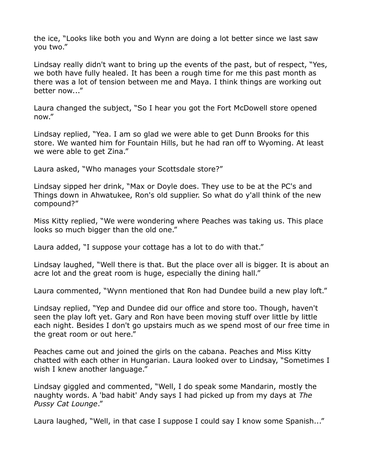the ice, "Looks like both you and Wynn are doing a lot better since we last saw you two."

Lindsay really didn't want to bring up the events of the past, but of respect, "Yes, we both have fully healed. It has been a rough time for me this past month as there was a lot of tension between me and Maya. I think things are working out better now..."

Laura changed the subject, "So I hear you got the Fort McDowell store opened now."

Lindsay replied, "Yea. I am so glad we were able to get Dunn Brooks for this store. We wanted him for Fountain Hills, but he had ran off to Wyoming. At least we were able to get Zina."

Laura asked, "Who manages your Scottsdale store?"

Lindsay sipped her drink, "Max or Doyle does. They use to be at the PC's and Things down in Ahwatukee, Ron's old supplier. So what do y'all think of the new compound?"

Miss Kitty replied, "We were wondering where Peaches was taking us. This place looks so much bigger than the old one."

Laura added, "I suppose your cottage has a lot to do with that."

Lindsay laughed, "Well there is that. But the place over all is bigger. It is about an acre lot and the great room is huge, especially the dining hall."

Laura commented, "Wynn mentioned that Ron had Dundee build a new play loft."

Lindsay replied, "Yep and Dundee did our office and store too. Though, haven't seen the play loft yet. Gary and Ron have been moving stuff over little by little each night. Besides I don't go upstairs much as we spend most of our free time in the great room or out here."

Peaches came out and joined the girls on the cabana. Peaches and Miss Kitty chatted with each other in Hungarian. Laura looked over to Lindsay, "Sometimes I wish I knew another language."

Lindsay giggled and commented, "Well, I do speak some Mandarin, mostly the naughty words. A 'bad habit' Andy says I had picked up from my days at *The Pussy Cat Lounge*."

Laura laughed, "Well, in that case I suppose I could say I know some Spanish..."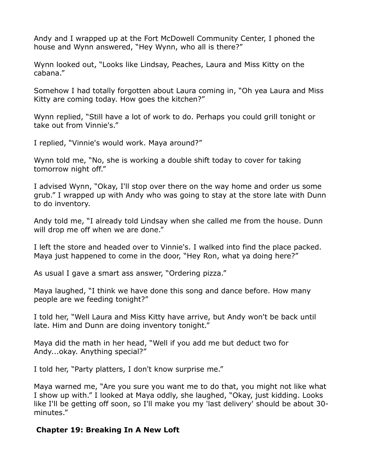Andy and I wrapped up at the Fort McDowell Community Center, I phoned the house and Wynn answered, "Hey Wynn, who all is there?"

Wynn looked out, "Looks like Lindsay, Peaches, Laura and Miss Kitty on the cabana."

Somehow I had totally forgotten about Laura coming in, "Oh yea Laura and Miss Kitty are coming today. How goes the kitchen?"

Wynn replied, "Still have a lot of work to do. Perhaps you could grill tonight or take out from Vinnie's."

I replied, "Vinnie's would work. Maya around?"

Wynn told me, "No, she is working a double shift today to cover for taking tomorrow night off."

I advised Wynn, "Okay, I'll stop over there on the way home and order us some grub." I wrapped up with Andy who was going to stay at the store late with Dunn to do inventory.

Andy told me, "I already told Lindsay when she called me from the house. Dunn will drop me off when we are done."

I left the store and headed over to Vinnie's. I walked into find the place packed. Maya just happened to come in the door, "Hey Ron, what ya doing here?"

As usual I gave a smart ass answer, "Ordering pizza."

Maya laughed, "I think we have done this song and dance before. How many people are we feeding tonight?"

I told her, "Well Laura and Miss Kitty have arrive, but Andy won't be back until late. Him and Dunn are doing inventory tonight."

Maya did the math in her head, "Well if you add me but deduct two for Andy...okay. Anything special?"

I told her, "Party platters, I don't know surprise me."

Maya warned me, "Are you sure you want me to do that, you might not like what I show up with." I looked at Maya oddly, she laughed, "Okay, just kidding. Looks like I'll be getting off soon, so I'll make you my 'last delivery' should be about 30 minutes."

## **Chapter 19: Breaking In A New Loft**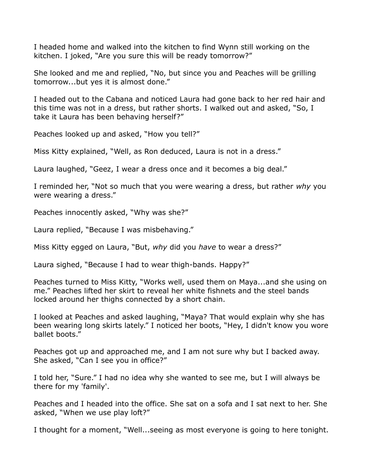I headed home and walked into the kitchen to find Wynn still working on the kitchen. I joked, "Are you sure this will be ready tomorrow?"

She looked and me and replied, "No, but since you and Peaches will be grilling tomorrow...but yes it is almost done."

I headed out to the Cabana and noticed Laura had gone back to her red hair and this time was not in a dress, but rather shorts. I walked out and asked, "So, I take it Laura has been behaving herself?"

Peaches looked up and asked, "How you tell?"

Miss Kitty explained, "Well, as Ron deduced, Laura is not in a dress."

Laura laughed, "Geez, I wear a dress once and it becomes a big deal."

I reminded her, "Not so much that you were wearing a dress, but rather *why* you were wearing a dress."

Peaches innocently asked, "Why was she?"

Laura replied, "Because I was misbehaving."

Miss Kitty egged on Laura, "But, *why* did you *have* to wear a dress?"

Laura sighed, "Because I had to wear thigh-bands. Happy?"

Peaches turned to Miss Kitty, "Works well, used them on Maya...and she using on me." Peaches lifted her skirt to reveal her white fishnets and the steel bands locked around her thighs connected by a short chain.

I looked at Peaches and asked laughing, "Maya? That would explain why she has been wearing long skirts lately." I noticed her boots, "Hey, I didn't know you wore ballet boots."

Peaches got up and approached me, and I am not sure why but I backed away. She asked, "Can I see you in office?"

I told her, "Sure." I had no idea why she wanted to see me, but I will always be there for my 'family'.

Peaches and I headed into the office. She sat on a sofa and I sat next to her. She asked, "When we use play loft?"

I thought for a moment, "Well...seeing as most everyone is going to here tonight.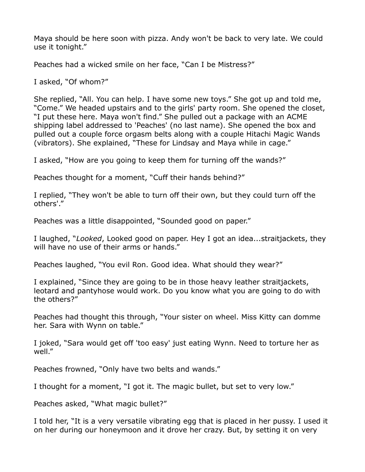Maya should be here soon with pizza. Andy won't be back to very late. We could use it tonight."

Peaches had a wicked smile on her face, "Can I be Mistress?"

I asked, "Of whom?"

She replied, "All. You can help. I have some new toys." She got up and told me, "Come." We headed upstairs and to the girls' party room. She opened the closet, "I put these here. Maya won't find." She pulled out a package with an ACME shipping label addressed to 'Peaches' (no last name). She opened the box and pulled out a couple force orgasm belts along with a couple Hitachi Magic Wands (vibrators). She explained, "These for Lindsay and Maya while in cage."

I asked, "How are you going to keep them for turning off the wands?"

Peaches thought for a moment, "Cuff their hands behind?"

I replied, "They won't be able to turn off their own, but they could turn off the others'."

Peaches was a little disappointed, "Sounded good on paper."

I laughed, "*Looked*, Looked good on paper. Hey I got an idea...straitjackets, they will have no use of their arms or hands."

Peaches laughed, "You evil Ron. Good idea. What should they wear?"

I explained, "Since they are going to be in those heavy leather straitjackets, leotard and pantyhose would work. Do you know what you are going to do with the others?"

Peaches had thought this through, "Your sister on wheel. Miss Kitty can domme her. Sara with Wynn on table."

I joked, "Sara would get off 'too easy' just eating Wynn. Need to torture her as well."

Peaches frowned, "Only have two belts and wands."

I thought for a moment, "I got it. The magic bullet, but set to very low."

Peaches asked, "What magic bullet?"

I told her, "It is a very versatile vibrating egg that is placed in her pussy. I used it on her during our honeymoon and it drove her crazy. But, by setting it on very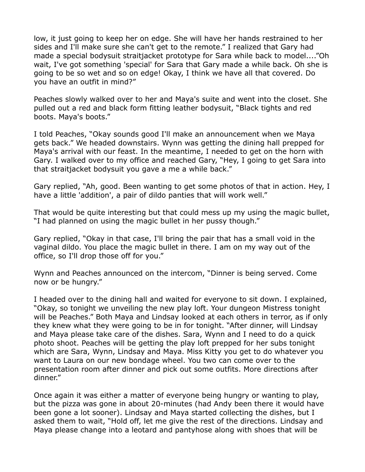low, it just going to keep her on edge. She will have her hands restrained to her sides and I'll make sure she can't get to the remote." I realized that Gary had made a special bodysuit straitjacket prototype for Sara while back to model...."Oh wait, I've got something 'special' for Sara that Gary made a while back. Oh she is going to be so wet and so on edge! Okay, I think we have all that covered. Do you have an outfit in mind?"

Peaches slowly walked over to her and Maya's suite and went into the closet. She pulled out a red and black form fitting leather bodysuit, "Black tights and red boots. Maya's boots."

I told Peaches, "Okay sounds good I'll make an announcement when we Maya gets back." We headed downstairs. Wynn was getting the dining hall prepped for Maya's arrival with our feast. In the meantime, I needed to get on the horn with Gary. I walked over to my office and reached Gary, "Hey, I going to get Sara into that straitjacket bodysuit you gave a me a while back."

Gary replied, "Ah, good. Been wanting to get some photos of that in action. Hey, I have a little 'addition', a pair of dildo panties that will work well."

That would be quite interesting but that could mess up my using the magic bullet, "I had planned on using the magic bullet in her pussy though."

Gary replied, "Okay in that case, I'll bring the pair that has a small void in the vaginal dildo. You place the magic bullet in there. I am on my way out of the office, so I'll drop those off for you."

Wynn and Peaches announced on the intercom, "Dinner is being served. Come now or be hungry."

I headed over to the dining hall and waited for everyone to sit down. I explained, "Okay, so tonight we unveiling the new play loft. Your dungeon Mistress tonight will be Peaches." Both Maya and Lindsay looked at each others in terror, as if only they knew what they were going to be in for tonight. "After dinner, will Lindsay and Maya please take care of the dishes. Sara, Wynn and I need to do a quick photo shoot. Peaches will be getting the play loft prepped for her subs tonight which are Sara, Wynn, Lindsay and Maya. Miss Kitty you get to do whatever you want to Laura on our new bondage wheel. You two can come over to the presentation room after dinner and pick out some outfits. More directions after dinner."

Once again it was either a matter of everyone being hungry or wanting to play, but the pizza was gone in about 20-minutes (had Andy been there it would have been gone a lot sooner). Lindsay and Maya started collecting the dishes, but I asked them to wait, "Hold off, let me give the rest of the directions. Lindsay and Maya please change into a leotard and pantyhose along with shoes that will be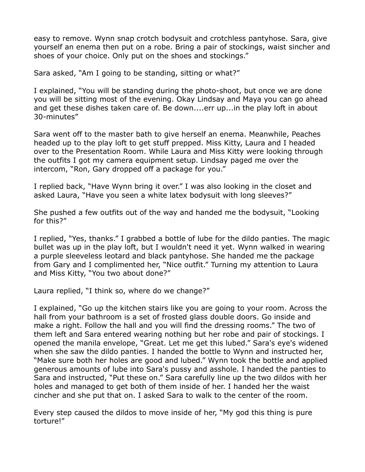easy to remove. Wynn snap crotch bodysuit and crotchless pantyhose. Sara, give yourself an enema then put on a robe. Bring a pair of stockings, waist sincher and shoes of your choice. Only put on the shoes and stockings."

Sara asked, "Am I going to be standing, sitting or what?"

I explained, "You will be standing during the photo-shoot, but once we are done you will be sitting most of the evening. Okay Lindsay and Maya you can go ahead and get these dishes taken care of. Be down....err up...in the play loft in about 30-minutes"

Sara went off to the master bath to give herself an enema. Meanwhile, Peaches headed up to the play loft to get stuff prepped. Miss Kitty, Laura and I headed over to the Presentation Room. While Laura and Miss Kitty were looking through the outfits I got my camera equipment setup. Lindsay paged me over the intercom, "Ron, Gary dropped off a package for you."

I replied back, "Have Wynn bring it over." I was also looking in the closet and asked Laura, "Have you seen a white latex bodysuit with long sleeves?"

She pushed a few outfits out of the way and handed me the bodysuit, "Looking for this?"

I replied, "Yes, thanks." I grabbed a bottle of lube for the dildo panties. The magic bullet was up in the play loft, but I wouldn't need it yet. Wynn walked in wearing a purple sleeveless leotard and black pantyhose. She handed me the package from Gary and I complimented her, "Nice outfit." Turning my attention to Laura and Miss Kitty, "You two about done?"

Laura replied, "I think so, where do we change?"

I explained, "Go up the kitchen stairs like you are going to your room. Across the hall from your bathroom is a set of frosted glass double doors. Go inside and make a right. Follow the hall and you will find the dressing rooms." The two of them left and Sara entered wearing nothing but her robe and pair of stockings. I opened the manila envelope, "Great. Let me get this lubed." Sara's eye's widened when she saw the dildo panties. I handed the bottle to Wynn and instructed her, "Make sure both her holes are good and lubed." Wynn took the bottle and applied generous amounts of lube into Sara's pussy and asshole. I handed the panties to Sara and instructed, "Put these on." Sara carefully line up the two dildos with her holes and managed to get both of them inside of her. I handed her the waist cincher and she put that on. I asked Sara to walk to the center of the room.

Every step caused the dildos to move inside of her, "My god this thing is pure torture!"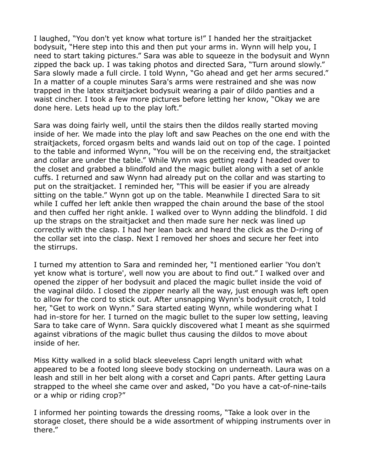I laughed, "You don't yet know what torture is!" I handed her the straitjacket bodysuit, "Here step into this and then put your arms in. Wynn will help you, I need to start taking pictures." Sara was able to squeeze in the bodysuit and Wynn zipped the back up. I was taking photos and directed Sara, "Turn around slowly." Sara slowly made a full circle. I told Wynn, "Go ahead and get her arms secured." In a matter of a couple minutes Sara's arms were restrained and she was now trapped in the latex straitjacket bodysuit wearing a pair of dildo panties and a waist cincher. I took a few more pictures before letting her know, "Okay we are done here. Lets head up to the play loft."

Sara was doing fairly well, until the stairs then the dildos really started moving inside of her. We made into the play loft and saw Peaches on the one end with the straitjackets, forced orgasm belts and wands laid out on top of the cage. I pointed to the table and informed Wynn, "You will be on the receiving end, the straitjacket and collar are under the table." While Wynn was getting ready I headed over to the closet and grabbed a blindfold and the magic bullet along with a set of ankle cuffs. I returned and saw Wynn had already put on the collar and was starting to put on the straitjacket. I reminded her, "This will be easier if you are already sitting on the table." Wynn got up on the table. Meanwhile I directed Sara to sit while I cuffed her left ankle then wrapped the chain around the base of the stool and then cuffed her right ankle. I walked over to Wynn adding the blindfold. I did up the straps on the straitjacket and then made sure her neck was lined up correctly with the clasp. I had her lean back and heard the click as the D-ring of the collar set into the clasp. Next I removed her shoes and secure her feet into the stirrups.

I turned my attention to Sara and reminded her, "I mentioned earlier 'You don't yet know what is torture', well now you are about to find out." I walked over and opened the zipper of her bodysuit and placed the magic bullet inside the void of the vaginal dildo. I closed the zipper nearly all the way, just enough was left open to allow for the cord to stick out. After unsnapping Wynn's bodysuit crotch, I told her, "Get to work on Wynn." Sara started eating Wynn, while wondering what I had in-store for her. I turned on the magic bullet to the super low setting, leaving Sara to take care of Wynn. Sara quickly discovered what I meant as she squirmed against vibrations of the magic bullet thus causing the dildos to move about inside of her.

Miss Kitty walked in a solid black sleeveless Capri length unitard with what appeared to be a footed long sleeve body stocking on underneath. Laura was on a leash and still in her belt along with a corset and Capri pants. After getting Laura strapped to the wheel she came over and asked, "Do you have a cat-of-nine-tails or a whip or riding crop?"

I informed her pointing towards the dressing rooms, "Take a look over in the storage closet, there should be a wide assortment of whipping instruments over in there."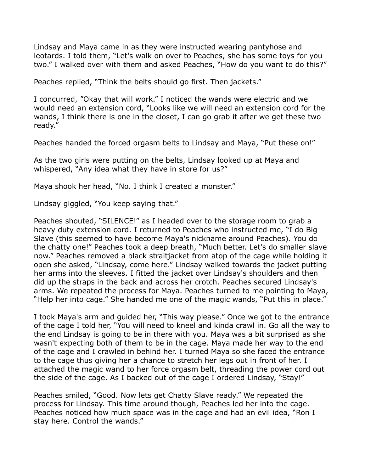Lindsay and Maya came in as they were instructed wearing pantyhose and leotards. I told them, "Let's walk on over to Peaches, she has some toys for you two." I walked over with them and asked Peaches, "How do you want to do this?"

Peaches replied, "Think the belts should go first. Then jackets."

I concurred, "Okay that will work." I noticed the wands were electric and we would need an extension cord, "Looks like we will need an extension cord for the wands, I think there is one in the closet, I can go grab it after we get these two ready."

Peaches handed the forced orgasm belts to Lindsay and Maya, "Put these on!"

As the two girls were putting on the belts, Lindsay looked up at Maya and whispered, "Any idea what they have in store for us?"

Maya shook her head, "No. I think I created a monster."

Lindsay giggled, "You keep saying that."

Peaches shouted, "SILENCE!" as I headed over to the storage room to grab a heavy duty extension cord. I returned to Peaches who instructed me, "I do Big Slave (this seemed to have become Maya's nickname around Peaches). You do the chatty one!" Peaches took a deep breath, "Much better. Let's do smaller slave now." Peaches removed a black straitjacket from atop of the cage while holding it open she asked, "Lindsay, come here." Lindsay walked towards the jacket putting her arms into the sleeves. I fitted the jacket over Lindsay's shoulders and then did up the straps in the back and across her crotch. Peaches secured Lindsay's arms. We repeated the process for Maya. Peaches turned to me pointing to Maya, "Help her into cage." She handed me one of the magic wands, "Put this in place."

I took Maya's arm and guided her, "This way please." Once we got to the entrance of the cage I told her, "You will need to kneel and kinda crawl in. Go all the way to the end Lindsay is going to be in there with you. Maya was a bit surprised as she wasn't expecting both of them to be in the cage. Maya made her way to the end of the cage and I crawled in behind her. I turned Maya so she faced the entrance to the cage thus giving her a chance to stretch her legs out in front of her. I attached the magic wand to her force orgasm belt, threading the power cord out the side of the cage. As I backed out of the cage I ordered Lindsay, "Stay!"

Peaches smiled, "Good. Now lets get Chatty Slave ready." We repeated the process for Lindsay. This time around though, Peaches led her into the cage. Peaches noticed how much space was in the cage and had an evil idea, "Ron I stay here. Control the wands."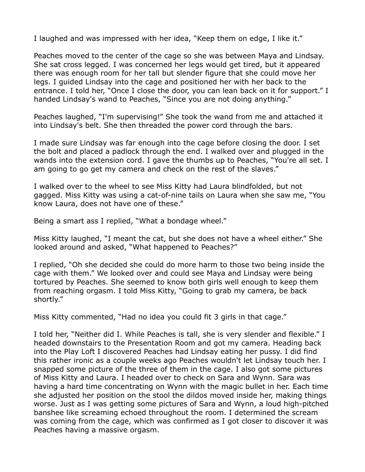I laughed and was impressed with her idea, "Keep them on edge, I like it."

Peaches moved to the center of the cage so she was between Maya and Lindsay. She sat cross legged. I was concerned her legs would get tired, but it appeared there was enough room for her tall but slender figure that she could move her legs. I guided Lindsay into the cage and positioned her with her back to the entrance. I told her, "Once I close the door, you can lean back on it for support." I handed Lindsay's wand to Peaches, "Since you are not doing anything."

Peaches laughed, "I'm supervising!" She took the wand from me and attached it into Lindsay's belt. She then threaded the power cord through the bars.

I made sure Lindsay was far enough into the cage before closing the door. I set the bolt and placed a padlock through the end. I walked over and plugged in the wands into the extension cord. I gave the thumbs up to Peaches, "You're all set. I am going to go get my camera and check on the rest of the slaves."

I walked over to the wheel to see Miss Kitty had Laura blindfolded, but not gagged. Miss Kitty was using a cat-of-nine tails on Laura when she saw me, "You know Laura, does not have one of these."

Being a smart ass I replied, "What a bondage wheel."

Miss Kitty laughed, "I meant the cat, but she does not have a wheel either." She looked around and asked, "What happened to Peaches?"

I replied, "Oh she decided she could do more harm to those two being inside the cage with them." We looked over and could see Maya and Lindsay were being tortured by Peaches. She seemed to know both girls well enough to keep them from reaching orgasm. I told Miss Kitty, "Going to grab my camera, be back shortly."

Miss Kitty commented, "Had no idea you could fit 3 girls in that cage."

I told her, "Neither did I. While Peaches is tall, she is very slender and flexible." I headed downstairs to the Presentation Room and got my camera. Heading back into the Play Loft I discovered Peaches had Lindsay eating her pussy. I did find this rather ironic as a couple weeks ago Peaches wouldn't let Lindsay touch her. I snapped some picture of the three of them in the cage. I also got some pictures of Miss Kitty and Laura. I headed over to check on Sara and Wynn. Sara was having a hard time concentrating on Wynn with the magic bullet in her. Each time she adjusted her position on the stool the dildos moved inside her, making things worse. Just as I was getting some pictures of Sara and Wynn, a loud high-pitched banshee like screaming echoed throughout the room. I determined the scream was coming from the cage, which was confirmed as I got closer to discover it was Peaches having a massive orgasm.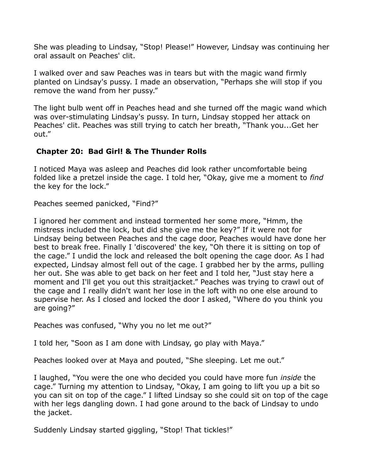She was pleading to Lindsay, "Stop! Please!" However, Lindsay was continuing her oral assault on Peaches' clit.

I walked over and saw Peaches was in tears but with the magic wand firmly planted on Lindsay's pussy. I made an observation, "Perhaps she will stop if you remove the wand from her pussy."

The light bulb went off in Peaches head and she turned off the magic wand which was over-stimulating Lindsay's pussy. In turn, Lindsay stopped her attack on Peaches' clit. Peaches was still trying to catch her breath, "Thank you...Get her out."

# **Chapter 20: Bad Girl! & The Thunder Rolls**

I noticed Maya was asleep and Peaches did look rather uncomfortable being folded like a pretzel inside the cage. I told her, "Okay, give me a moment to *find* the key for the lock."

Peaches seemed panicked, "Find?"

I ignored her comment and instead tormented her some more, "Hmm, the mistress included the lock, but did she give me the key?" If it were not for Lindsay being between Peaches and the cage door, Peaches would have done her best to break free. Finally I 'discovered' the key, "Oh there it is sitting on top of the cage." I undid the lock and released the bolt opening the cage door. As I had expected, Lindsay almost fell out of the cage. I grabbed her by the arms, pulling her out. She was able to get back on her feet and I told her, "Just stay here a moment and I'll get you out this straitjacket." Peaches was trying to crawl out of the cage and I really didn't want her lose in the loft with no one else around to supervise her. As I closed and locked the door I asked, "Where do you think you are going?"

Peaches was confused, "Why you no let me out?"

I told her, "Soon as I am done with Lindsay, go play with Maya."

Peaches looked over at Maya and pouted, "She sleeping. Let me out."

I laughed, "You were the one who decided you could have more fun *inside* the cage." Turning my attention to Lindsay, "Okay, I am going to lift you up a bit so you can sit on top of the cage." I lifted Lindsay so she could sit on top of the cage with her legs dangling down. I had gone around to the back of Lindsay to undo the jacket.

Suddenly Lindsay started giggling, "Stop! That tickles!"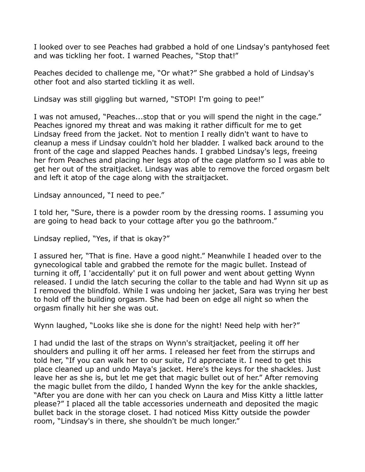I looked over to see Peaches had grabbed a hold of one Lindsay's pantyhosed feet and was tickling her foot. I warned Peaches, "Stop that!"

Peaches decided to challenge me, "Or what?" She grabbed a hold of Lindsay's other foot and also started tickling it as well.

Lindsay was still giggling but warned, "STOP! I'm going to pee!"

I was not amused, "Peaches...stop that or you will spend the night in the cage." Peaches ignored my threat and was making it rather difficult for me to get Lindsay freed from the jacket. Not to mention I really didn't want to have to cleanup a mess if Lindsay couldn't hold her bladder. I walked back around to the front of the cage and slapped Peaches hands. I grabbed Lindsay's legs, freeing her from Peaches and placing her legs atop of the cage platform so I was able to get her out of the straitjacket. Lindsay was able to remove the forced orgasm belt and left it atop of the cage along with the straitjacket.

Lindsay announced, "I need to pee."

I told her, "Sure, there is a powder room by the dressing rooms. I assuming you are going to head back to your cottage after you go the bathroom."

Lindsay replied, "Yes, if that is okay?"

I assured her, "That is fine. Have a good night." Meanwhile I headed over to the gynecological table and grabbed the remote for the magic bullet. Instead of turning it off, I 'accidentally' put it on full power and went about getting Wynn released. I undid the latch securing the collar to the table and had Wynn sit up as I removed the blindfold. While I was undoing her jacket, Sara was trying her best to hold off the building orgasm. She had been on edge all night so when the orgasm finally hit her she was out.

Wynn laughed, "Looks like she is done for the night! Need help with her?"

I had undid the last of the straps on Wynn's straitjacket, peeling it off her shoulders and pulling it off her arms. I released her feet from the stirrups and told her, "If you can walk her to our suite, I'd appreciate it. I need to get this place cleaned up and undo Maya's jacket. Here's the keys for the shackles. Just leave her as she is, but let me get that magic bullet out of her." After removing the magic bullet from the dildo, I handed Wynn the key for the ankle shackles, "After you are done with her can you check on Laura and Miss Kitty a little latter please?" I placed all the table accessories underneath and deposited the magic bullet back in the storage closet. I had noticed Miss Kitty outside the powder room, "Lindsay's in there, she shouldn't be much longer."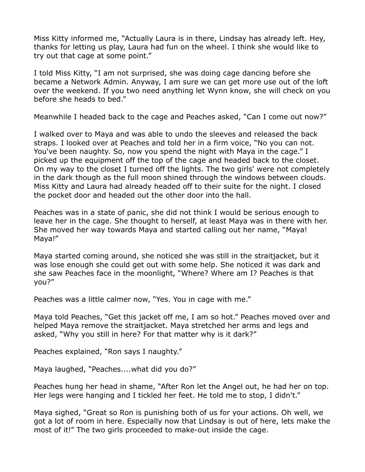Miss Kitty informed me, "Actually Laura is in there, Lindsay has already left. Hey, thanks for letting us play, Laura had fun on the wheel. I think she would like to try out that cage at some point."

I told Miss Kitty, "I am not surprised, she was doing cage dancing before she became a Network Admin. Anyway, I am sure we can get more use out of the loft over the weekend. If you two need anything let Wynn know, she will check on you before she heads to bed."

Meanwhile I headed back to the cage and Peaches asked, "Can I come out now?"

I walked over to Maya and was able to undo the sleeves and released the back straps. I looked over at Peaches and told her in a firm voice, "No you can not. You've been naughty. So, now you spend the night with Maya in the cage." I picked up the equipment off the top of the cage and headed back to the closet. On my way to the closet I turned off the lights. The two girls' were not completely in the dark though as the full moon shined through the windows between clouds. Miss Kitty and Laura had already headed off to their suite for the night. I closed the pocket door and headed out the other door into the hall.

Peaches was in a state of panic, she did not think I would be serious enough to leave her in the cage. She thought to herself, at least Maya was in there with her. She moved her way towards Maya and started calling out her name, "Maya! Maya!"

Maya started coming around, she noticed she was still in the straitjacket, but it was lose enough she could get out with some help. She noticed it was dark and she saw Peaches face in the moonlight, "Where? Where am I? Peaches is that you?"

Peaches was a little calmer now, "Yes. You in cage with me."

Maya told Peaches, "Get this jacket off me, I am so hot." Peaches moved over and helped Maya remove the straitjacket. Maya stretched her arms and legs and asked, "Why you still in here? For that matter why is it dark?"

Peaches explained, "Ron says I naughty."

Maya laughed, "Peaches....what did you do?"

Peaches hung her head in shame, "After Ron let the Angel out, he had her on top. Her legs were hanging and I tickled her feet. He told me to stop, I didn't."

Maya sighed, "Great so Ron is punishing both of us for your actions. Oh well, we got a lot of room in here. Especially now that Lindsay is out of here, lets make the most of it!" The two girls proceeded to make-out inside the cage.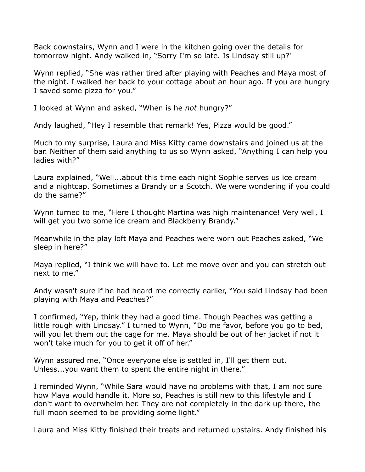Back downstairs, Wynn and I were in the kitchen going over the details for tomorrow night. Andy walked in, "Sorry I'm so late. Is Lindsay still up?'

Wynn replied, "She was rather tired after playing with Peaches and Maya most of the night. I walked her back to your cottage about an hour ago. If you are hungry I saved some pizza for you."

I looked at Wynn and asked, "When is he *not* hungry?"

Andy laughed, "Hey I resemble that remark! Yes, Pizza would be good."

Much to my surprise, Laura and Miss Kitty came downstairs and joined us at the bar. Neither of them said anything to us so Wynn asked, "Anything I can help you ladies with?"

Laura explained, "Well...about this time each night Sophie serves us ice cream and a nightcap. Sometimes a Brandy or a Scotch. We were wondering if you could do the same?"

Wynn turned to me, "Here I thought Martina was high maintenance! Very well, I will get you two some ice cream and Blackberry Brandy."

Meanwhile in the play loft Maya and Peaches were worn out Peaches asked, "We sleep in here?"

Maya replied, "I think we will have to. Let me move over and you can stretch out next to me."

Andy wasn't sure if he had heard me correctly earlier, "You said Lindsay had been playing with Maya and Peaches?"

I confirmed, "Yep, think they had a good time. Though Peaches was getting a little rough with Lindsay." I turned to Wynn, "Do me favor, before you go to bed, will you let them out the cage for me. Maya should be out of her jacket if not it won't take much for you to get it off of her."

Wynn assured me, "Once everyone else is settled in, I'll get them out. Unless...you want them to spent the entire night in there."

I reminded Wynn, "While Sara would have no problems with that, I am not sure how Maya would handle it. More so, Peaches is still new to this lifestyle and I don't want to overwhelm her. They are not completely in the dark up there, the full moon seemed to be providing some light."

Laura and Miss Kitty finished their treats and returned upstairs. Andy finished his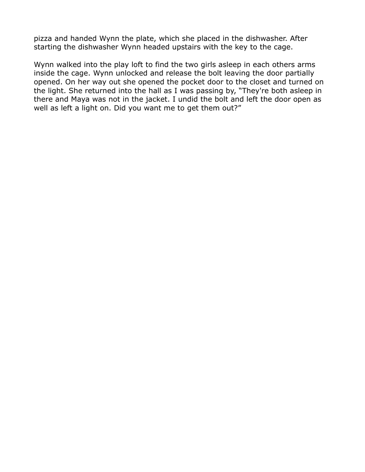pizza and handed Wynn the plate, which she placed in the dishwasher. After starting the dishwasher Wynn headed upstairs with the key to the cage.

Wynn walked into the play loft to find the two girls asleep in each others arms inside the cage. Wynn unlocked and release the bolt leaving the door partially opened. On her way out she opened the pocket door to the closet and turned on the light. She returned into the hall as I was passing by, "They're both asleep in there and Maya was not in the jacket. I undid the bolt and left the door open as well as left a light on. Did you want me to get them out?"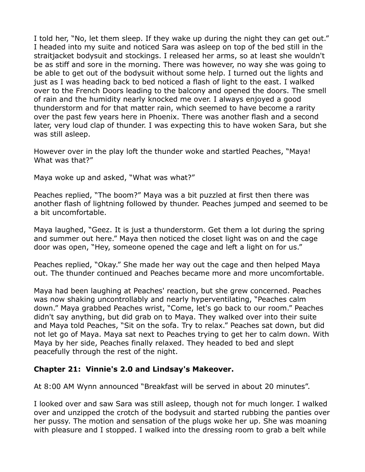I told her, "No, let them sleep. If they wake up during the night they can get out." I headed into my suite and noticed Sara was asleep on top of the bed still in the straitjacket bodysuit and stockings. I released her arms, so at least she wouldn't be as stiff and sore in the morning. There was however, no way she was going to be able to get out of the bodysuit without some help. I turned out the lights and just as I was heading back to bed noticed a flash of light to the east. I walked over to the French Doors leading to the balcony and opened the doors. The smell of rain and the humidity nearly knocked me over. I always enjoyed a good thunderstorm and for that matter rain, which seemed to have become a rarity over the past few years here in Phoenix. There was another flash and a second later, very loud clap of thunder. I was expecting this to have woken Sara, but she was still asleep.

However over in the play loft the thunder woke and startled Peaches, "Maya! What was that?"

Maya woke up and asked, "What was what?"

Peaches replied, "The boom?" Maya was a bit puzzled at first then there was another flash of lightning followed by thunder. Peaches jumped and seemed to be a bit uncomfortable.

Maya laughed, "Geez. It is just a thunderstorm. Get them a lot during the spring and summer out here." Maya then noticed the closet light was on and the cage door was open, "Hey, someone opened the cage and left a light on for us."

Peaches replied, "Okay." She made her way out the cage and then helped Maya out. The thunder continued and Peaches became more and more uncomfortable.

Maya had been laughing at Peaches' reaction, but she grew concerned. Peaches was now shaking uncontrollably and nearly hyperventilating, "Peaches calm down." Maya grabbed Peaches wrist, "Come, let's go back to our room." Peaches didn't say anything, but did grab on to Maya. They walked over into their suite and Maya told Peaches, "Sit on the sofa. Try to relax." Peaches sat down, but did not let go of Maya. Maya sat next to Peaches trying to get her to calm down. With Maya by her side, Peaches finally relaxed. They headed to bed and slept peacefully through the rest of the night.

# **Chapter 21: Vinnie's 2.0 and Lindsay's Makeover.**

At 8:00 AM Wynn announced "Breakfast will be served in about 20 minutes".

I looked over and saw Sara was still asleep, though not for much longer. I walked over and unzipped the crotch of the bodysuit and started rubbing the panties over her pussy. The motion and sensation of the plugs woke her up. She was moaning with pleasure and I stopped. I walked into the dressing room to grab a belt while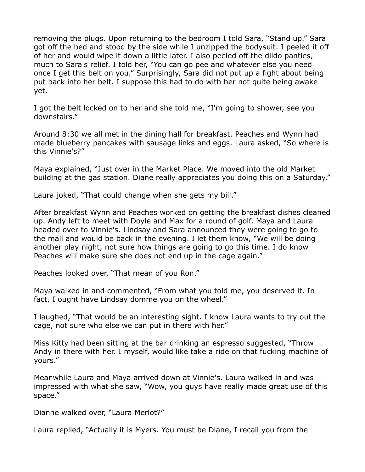removing the plugs. Upon returning to the bedroom I told Sara, "Stand up." Sara got off the bed and stood by the side while I unzipped the bodysuit. I peeled it off of her and would wipe it down a little later. I also peeled off the dildo panties, much to Sara's relief. I told her, "You can go pee and whatever else you need once I get this belt on you." Surprisingly, Sara did not put up a fight about being put back into her belt. I suppose this had to do with her not quite being awake yet.

I got the belt locked on to her and she told me, "I'm going to shower, see you downstairs."

Around 8:30 we all met in the dining hall for breakfast. Peaches and Wynn had made blueberry pancakes with sausage links and eggs. Laura asked, "So where is this Vinnie's?"

Maya explained, "Just over in the Market Place. We moved into the old Market building at the gas station. Diane really appreciates you doing this on a Saturday."

Laura joked, "That could change when she gets my bill."

After breakfast Wynn and Peaches worked on getting the breakfast dishes cleaned up. Andy left to meet with Doyle and Max for a round of golf. Maya and Laura headed over to Vinnie's. Lindsay and Sara announced they were going to go to the mall and would be back in the evening. I let them know, "We will be doing another play night, not sure how things are going to go this time. I do know Peaches will make sure she does not end up in the cage again."

Peaches looked over, "That mean of you Ron."

Maya walked in and commented, "From what you told me, you deserved it. In fact, I ought have Lindsay domme you on the wheel."

I laughed, "That would be an interesting sight. I know Laura wants to try out the cage, not sure who else we can put in there with her."

Miss Kitty had been sitting at the bar drinking an espresso suggested, "Throw Andy in there with her. I myself, would like take a ride on that fucking machine of yours."

Meanwhile Laura and Maya arrived down at Vinnie's. Laura walked in and was impressed with what she saw, "Wow, you guys have really made great use of this space."

Dianne walked over, "Laura Merlot?"

Laura replied, "Actually it is Myers. You must be Diane, I recall you from the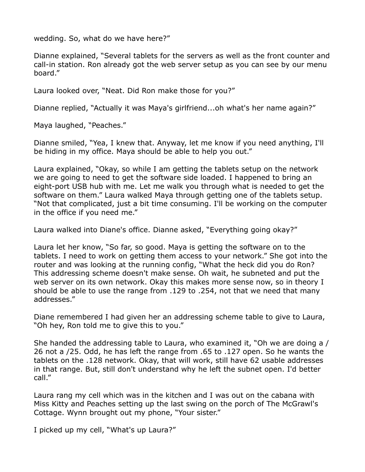wedding. So, what do we have here?"

Dianne explained, "Several tablets for the servers as well as the front counter and call-in station. Ron already got the web server setup as you can see by our menu board."

Laura looked over, "Neat. Did Ron make those for you?"

Dianne replied, "Actually it was Maya's girlfriend...oh what's her name again?"

Maya laughed, "Peaches."

Dianne smiled, "Yea, I knew that. Anyway, let me know if you need anything, I'll be hiding in my office. Maya should be able to help you out."

Laura explained, "Okay, so while I am getting the tablets setup on the network we are going to need to get the software side loaded. I happened to bring an eight-port USB hub with me. Let me walk you through what is needed to get the software on them." Laura walked Maya through getting one of the tablets setup. "Not that complicated, just a bit time consuming. I'll be working on the computer in the office if you need me."

Laura walked into Diane's office. Dianne asked, "Everything going okay?"

Laura let her know, "So far, so good. Maya is getting the software on to the tablets. I need to work on getting them access to your network." She got into the router and was looking at the running config, "What the heck did you do Ron? This addressing scheme doesn't make sense. Oh wait, he subneted and put the web server on its own network. Okay this makes more sense now, so in theory I should be able to use the range from .129 to .254, not that we need that many addresses."

Diane remembered I had given her an addressing scheme table to give to Laura, "Oh hey, Ron told me to give this to you."

She handed the addressing table to Laura, who examined it, "Oh we are doing a / 26 not a /25. Odd, he has left the range from .65 to .127 open. So he wants the tablets on the .128 network. Okay, that will work, still have 62 usable addresses in that range. But, still don't understand why he left the subnet open. I'd better call."

Laura rang my cell which was in the kitchen and I was out on the cabana with Miss Kitty and Peaches setting up the last swing on the porch of The McGrawl's Cottage. Wynn brought out my phone, "Your sister."

I picked up my cell, "What's up Laura?"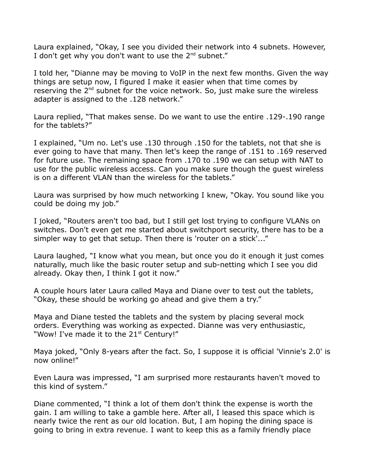Laura explained, "Okay, I see you divided their network into 4 subnets. However, I don't get why you don't want to use the  $2^{nd}$  subnet."

I told her, "Dianne may be moving to VoIP in the next few months. Given the way things are setup now, I figured I make it easier when that time comes by reserving the  $2<sup>nd</sup>$  subnet for the voice network. So, just make sure the wireless adapter is assigned to the .128 network."

Laura replied, "That makes sense. Do we want to use the entire .129-.190 range for the tablets?"

I explained, "Um no. Let's use .130 through .150 for the tablets, not that she is ever going to have that many. Then let's keep the range of .151 to .169 reserved for future use. The remaining space from .170 to .190 we can setup with NAT to use for the public wireless access. Can you make sure though the guest wireless is on a different VLAN than the wireless for the tablets."

Laura was surprised by how much networking I knew, "Okay. You sound like you could be doing my job."

I joked, "Routers aren't too bad, but I still get lost trying to configure VLANs on switches. Don't even get me started about switchport security, there has to be a simpler way to get that setup. Then there is 'router on a stick'..."

Laura laughed, "I know what you mean, but once you do it enough it just comes naturally, much like the basic router setup and sub-netting which I see you did already. Okay then, I think I got it now."

A couple hours later Laura called Maya and Diane over to test out the tablets, "Okay, these should be working go ahead and give them a try."

Maya and Diane tested the tablets and the system by placing several mock orders. Everything was working as expected. Dianne was very enthusiastic, "Wow! I've made it to the  $21<sup>st</sup>$  Century!"

Maya joked, "Only 8-years after the fact. So, I suppose it is official 'Vinnie's 2.0' is now online!"

Even Laura was impressed, "I am surprised more restaurants haven't moved to this kind of system."

Diane commented, "I think a lot of them don't think the expense is worth the gain. I am willing to take a gamble here. After all, I leased this space which is nearly twice the rent as our old location. But, I am hoping the dining space is going to bring in extra revenue. I want to keep this as a family friendly place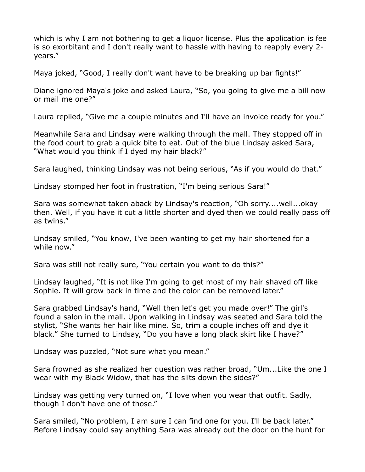which is why I am not bothering to get a liquor license. Plus the application is fee is so exorbitant and I don't really want to hassle with having to reapply every 2 years."

Maya joked, "Good, I really don't want have to be breaking up bar fights!"

Diane ignored Maya's joke and asked Laura, "So, you going to give me a bill now or mail me one?"

Laura replied, "Give me a couple minutes and I'll have an invoice ready for you."

Meanwhile Sara and Lindsay were walking through the mall. They stopped off in the food court to grab a quick bite to eat. Out of the blue Lindsay asked Sara, "What would you think if I dyed my hair black?"

Sara laughed, thinking Lindsay was not being serious, "As if you would do that."

Lindsay stomped her foot in frustration, "I'm being serious Sara!"

Sara was somewhat taken aback by Lindsay's reaction, "Oh sorry....well...okay then. Well, if you have it cut a little shorter and dyed then we could really pass off as twins."

Lindsay smiled, "You know, I've been wanting to get my hair shortened for a while now."

Sara was still not really sure, "You certain you want to do this?"

Lindsay laughed, "It is not like I'm going to get most of my hair shaved off like Sophie. It will grow back in time and the color can be removed later."

Sara grabbed Lindsay's hand, "Well then let's get you made over!" The girl's found a salon in the mall. Upon walking in Lindsay was seated and Sara told the stylist, "She wants her hair like mine. So, trim a couple inches off and dye it black." She turned to Lindsay, "Do you have a long black skirt like I have?"

Lindsay was puzzled, "Not sure what you mean."

Sara frowned as she realized her question was rather broad, "Um...Like the one I wear with my Black Widow, that has the slits down the sides?"

Lindsay was getting very turned on, "I love when you wear that outfit. Sadly, though I don't have one of those."

Sara smiled, "No problem, I am sure I can find one for you. I'll be back later." Before Lindsay could say anything Sara was already out the door on the hunt for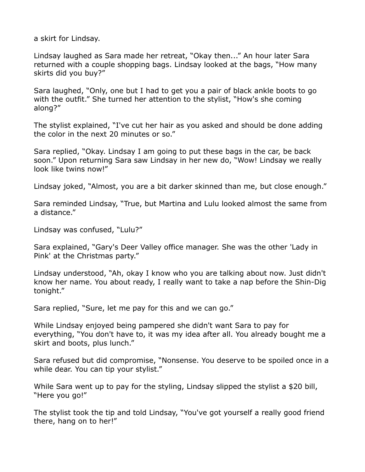a skirt for Lindsay.

Lindsay laughed as Sara made her retreat, "Okay then..." An hour later Sara returned with a couple shopping bags. Lindsay looked at the bags, "How many skirts did you buy?"

Sara laughed, "Only, one but I had to get you a pair of black ankle boots to go with the outfit." She turned her attention to the stylist, "How's she coming along?"

The stylist explained, "I've cut her hair as you asked and should be done adding the color in the next 20 minutes or so."

Sara replied, "Okay. Lindsay I am going to put these bags in the car, be back soon." Upon returning Sara saw Lindsay in her new do, "Wow! Lindsay we really look like twins now!"

Lindsay joked, "Almost, you are a bit darker skinned than me, but close enough."

Sara reminded Lindsay, "True, but Martina and Lulu looked almost the same from a distance."

Lindsay was confused, "Lulu?"

Sara explained, "Gary's Deer Valley office manager. She was the other 'Lady in Pink' at the Christmas party."

Lindsay understood, "Ah, okay I know who you are talking about now. Just didn't know her name. You about ready, I really want to take a nap before the Shin-Dig tonight."

Sara replied, "Sure, let me pay for this and we can go."

While Lindsay enjoyed being pampered she didn't want Sara to pay for everything, "You don't have to, it was my idea after all. You already bought me a skirt and boots, plus lunch."

Sara refused but did compromise, "Nonsense. You deserve to be spoiled once in a while dear. You can tip your stylist."

While Sara went up to pay for the styling, Lindsay slipped the stylist a \$20 bill, "Here you go!"

The stylist took the tip and told Lindsay, "You've got yourself a really good friend there, hang on to her!"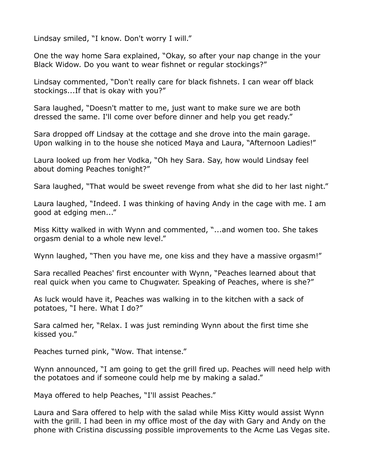Lindsay smiled, "I know. Don't worry I will."

One the way home Sara explained, "Okay, so after your nap change in the your Black Widow. Do you want to wear fishnet or regular stockings?"

Lindsay commented, "Don't really care for black fishnets. I can wear off black stockings...If that is okay with you?"

Sara laughed, "Doesn't matter to me, just want to make sure we are both dressed the same. I'll come over before dinner and help you get ready."

Sara dropped off Lindsay at the cottage and she drove into the main garage. Upon walking in to the house she noticed Maya and Laura, "Afternoon Ladies!"

Laura looked up from her Vodka, "Oh hey Sara. Say, how would Lindsay feel about doming Peaches tonight?"

Sara laughed, "That would be sweet revenge from what she did to her last night."

Laura laughed, "Indeed. I was thinking of having Andy in the cage with me. I am good at edging men..."

Miss Kitty walked in with Wynn and commented, "...and women too. She takes orgasm denial to a whole new level."

Wynn laughed, "Then you have me, one kiss and they have a massive orgasm!"

Sara recalled Peaches' first encounter with Wynn, "Peaches learned about that real quick when you came to Chugwater. Speaking of Peaches, where is she?"

As luck would have it, Peaches was walking in to the kitchen with a sack of potatoes, "I here. What I do?"

Sara calmed her, "Relax. I was just reminding Wynn about the first time she kissed you."

Peaches turned pink, "Wow. That intense."

Wynn announced, "I am going to get the grill fired up. Peaches will need help with the potatoes and if someone could help me by making a salad."

Maya offered to help Peaches, "I'll assist Peaches."

Laura and Sara offered to help with the salad while Miss Kitty would assist Wynn with the grill. I had been in my office most of the day with Gary and Andy on the phone with Cristina discussing possible improvements to the Acme Las Vegas site.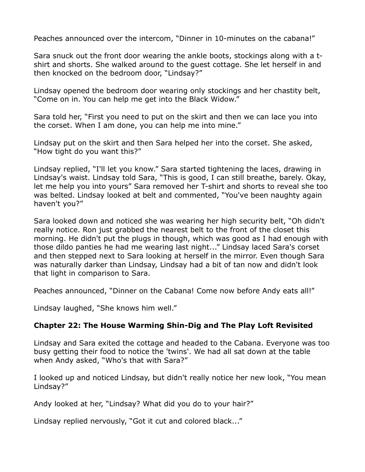Peaches announced over the intercom, "Dinner in 10-minutes on the cabana!"

Sara snuck out the front door wearing the ankle boots, stockings along with a tshirt and shorts. She walked around to the guest cottage. She let herself in and then knocked on the bedroom door, "Lindsay?"

Lindsay opened the bedroom door wearing only stockings and her chastity belt, "Come on in. You can help me get into the Black Widow."

Sara told her, "First you need to put on the skirt and then we can lace you into the corset. When I am done, you can help me into mine."

Lindsay put on the skirt and then Sara helped her into the corset. She asked, "How tight do you want this?"

Lindsay replied, "I'll let you know." Sara started tightening the laces, drawing in Lindsay's waist. Lindsay told Sara, "This is good, I can still breathe, barely. Okay, let me help you into yours" Sara removed her T-shirt and shorts to reveal she too was belted. Lindsay looked at belt and commented, "You've been naughty again haven't you?"

Sara looked down and noticed she was wearing her high security belt, "Oh didn't really notice. Ron just grabbed the nearest belt to the front of the closet this morning. He didn't put the plugs in though, which was good as I had enough with those dildo panties he had me wearing last night..." Lindsay laced Sara's corset and then stepped next to Sara looking at herself in the mirror. Even though Sara was naturally darker than Lindsay, Lindsay had a bit of tan now and didn't look that light in comparison to Sara.

Peaches announced, "Dinner on the Cabana! Come now before Andy eats all!"

Lindsay laughed, "She knows him well."

# **Chapter 22: The House Warming Shin-Dig and The Play Loft Revisited**

Lindsay and Sara exited the cottage and headed to the Cabana. Everyone was too busy getting their food to notice the 'twins'. We had all sat down at the table when Andy asked, "Who's that with Sara?"

I looked up and noticed Lindsay, but didn't really notice her new look, "You mean Lindsay?"

Andy looked at her, "Lindsay? What did you do to your hair?"

Lindsay replied nervously, "Got it cut and colored black..."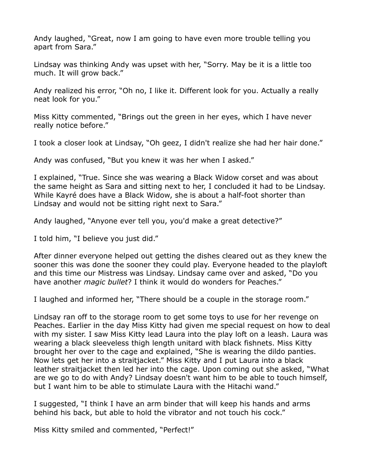Andy laughed, "Great, now I am going to have even more trouble telling you apart from Sara."

Lindsay was thinking Andy was upset with her, "Sorry. May be it is a little too much. It will grow back."

Andy realized his error, "Oh no, I like it. Different look for you. Actually a really neat look for you."

Miss Kitty commented, "Brings out the green in her eyes, which I have never really notice before."

I took a closer look at Lindsay, "Oh geez, I didn't realize she had her hair done."

Andy was confused, "But you knew it was her when I asked."

I explained, "True. Since she was wearing a Black Widow corset and was about the same height as Sara and sitting next to her, I concluded it had to be Lindsay. While Kayré does have a Black Widow, she is about a half-foot shorter than Lindsay and would not be sitting right next to Sara."

Andy laughed, "Anyone ever tell you, you'd make a great detective?"

I told him, "I believe you just did."

After dinner everyone helped out getting the dishes cleared out as they knew the sooner this was done the sooner they could play. Everyone headed to the playloft and this time our Mistress was Lindsay. Lindsay came over and asked, "Do you have another *magic bullet*? I think it would do wonders for Peaches."

I laughed and informed her, "There should be a couple in the storage room."

Lindsay ran off to the storage room to get some toys to use for her revenge on Peaches. Earlier in the day Miss Kitty had given me special request on how to deal with my sister. I saw Miss Kitty lead Laura into the play loft on a leash. Laura was wearing a black sleeveless thigh length unitard with black fishnets. Miss Kitty brought her over to the cage and explained, "She is wearing the dildo panties. Now lets get her into a straitjacket." Miss Kitty and I put Laura into a black leather straitjacket then led her into the cage. Upon coming out she asked, "What are we go to do with Andy? Lindsay doesn't want him to be able to touch himself, but I want him to be able to stimulate Laura with the Hitachi wand."

I suggested, "I think I have an arm binder that will keep his hands and arms behind his back, but able to hold the vibrator and not touch his cock."

Miss Kitty smiled and commented, "Perfect!"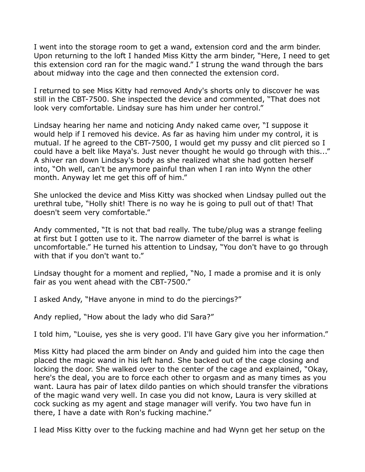I went into the storage room to get a wand, extension cord and the arm binder. Upon returning to the loft I handed Miss Kitty the arm binder, "Here, I need to get this extension cord ran for the magic wand." I strung the wand through the bars about midway into the cage and then connected the extension cord.

I returned to see Miss Kitty had removed Andy's shorts only to discover he was still in the CBT-7500. She inspected the device and commented, "That does not look very comfortable. Lindsay sure has him under her control."

Lindsay hearing her name and noticing Andy naked came over, "I suppose it would help if I removed his device. As far as having him under my control, it is mutual. If he agreed to the CBT-7500, I would get my pussy and clit pierced so I could have a belt like Maya's. Just never thought he would go through with this..." A shiver ran down Lindsay's body as she realized what she had gotten herself into, "Oh well, can't be anymore painful than when I ran into Wynn the other month. Anyway let me get this off of him."

She unlocked the device and Miss Kitty was shocked when Lindsay pulled out the urethral tube, "Holly shit! There is no way he is going to pull out of that! That doesn't seem very comfortable."

Andy commented, "It is not that bad really. The tube/plug was a strange feeling at first but I gotten use to it. The narrow diameter of the barrel is what is uncomfortable." He turned his attention to Lindsay, "You don't have to go through with that if you don't want to."

Lindsay thought for a moment and replied, "No, I made a promise and it is only fair as you went ahead with the CBT-7500."

I asked Andy, "Have anyone in mind to do the piercings?"

Andy replied, "How about the lady who did Sara?"

I told him, "Louise, yes she is very good. I'll have Gary give you her information."

Miss Kitty had placed the arm binder on Andy and guided him into the cage then placed the magic wand in his left hand. She backed out of the cage closing and locking the door. She walked over to the center of the cage and explained, "Okay, here's the deal, you are to force each other to orgasm and as many times as you want. Laura has pair of latex dildo panties on which should transfer the vibrations of the magic wand very well. In case you did not know, Laura is very skilled at cock sucking as my agent and stage manager will verify. You two have fun in there, I have a date with Ron's fucking machine."

I lead Miss Kitty over to the fucking machine and had Wynn get her setup on the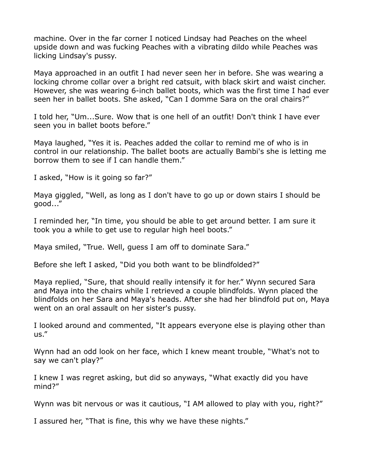machine. Over in the far corner I noticed Lindsay had Peaches on the wheel upside down and was fucking Peaches with a vibrating dildo while Peaches was licking Lindsay's pussy.

Maya approached in an outfit I had never seen her in before. She was wearing a locking chrome collar over a bright red catsuit, with black skirt and waist cincher. However, she was wearing 6-inch ballet boots, which was the first time I had ever seen her in ballet boots. She asked, "Can I domme Sara on the oral chairs?"

I told her, "Um...Sure. Wow that is one hell of an outfit! Don't think I have ever seen you in ballet boots before."

Maya laughed, "Yes it is. Peaches added the collar to remind me of who is in control in our relationship. The ballet boots are actually Bambi's she is letting me borrow them to see if I can handle them."

I asked, "How is it going so far?"

Maya giggled, "Well, as long as I don't have to go up or down stairs I should be good..."

I reminded her, "In time, you should be able to get around better. I am sure it took you a while to get use to regular high heel boots."

Maya smiled, "True. Well, guess I am off to dominate Sara."

Before she left I asked, "Did you both want to be blindfolded?"

Maya replied, "Sure, that should really intensify it for her." Wynn secured Sara and Maya into the chairs while I retrieved a couple blindfolds. Wynn placed the blindfolds on her Sara and Maya's heads. After she had her blindfold put on, Maya went on an oral assault on her sister's pussy.

I looked around and commented, "It appears everyone else is playing other than us."

Wynn had an odd look on her face, which I knew meant trouble, "What's not to say we can't play?"

I knew I was regret asking, but did so anyways, "What exactly did you have mind?"

Wynn was bit nervous or was it cautious, "I AM allowed to play with you, right?"

I assured her, "That is fine, this why we have these nights."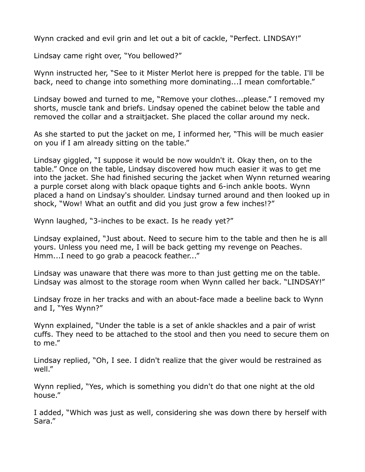Wynn cracked and evil grin and let out a bit of cackle, "Perfect. LINDSAY!"

Lindsay came right over, "You bellowed?"

Wynn instructed her, "See to it Mister Merlot here is prepped for the table. I'll be back, need to change into something more dominating...I mean comfortable."

Lindsay bowed and turned to me, "Remove your clothes...please." I removed my shorts, muscle tank and briefs. Lindsay opened the cabinet below the table and removed the collar and a straitjacket. She placed the collar around my neck.

As she started to put the jacket on me, I informed her, "This will be much easier on you if I am already sitting on the table."

Lindsay giggled, "I suppose it would be now wouldn't it. Okay then, on to the table." Once on the table, Lindsay discovered how much easier it was to get me into the jacket. She had finished securing the jacket when Wynn returned wearing a purple corset along with black opaque tights and 6-inch ankle boots. Wynn placed a hand on Lindsay's shoulder. Lindsay turned around and then looked up in shock, "Wow! What an outfit and did you just grow a few inches!?"

Wynn laughed, "3-inches to be exact. Is he ready yet?"

Lindsay explained, "Just about. Need to secure him to the table and then he is all yours. Unless you need me, I will be back getting my revenge on Peaches. Hmm...I need to go grab a peacock feather..."

Lindsay was unaware that there was more to than just getting me on the table. Lindsay was almost to the storage room when Wynn called her back. "LINDSAY!"

Lindsay froze in her tracks and with an about-face made a beeline back to Wynn and I, "Yes Wynn?"

Wynn explained, "Under the table is a set of ankle shackles and a pair of wrist cuffs. They need to be attached to the stool and then you need to secure them on to me."

Lindsay replied, "Oh, I see. I didn't realize that the giver would be restrained as well."

Wynn replied, "Yes, which is something you didn't do that one night at the old house."

I added, "Which was just as well, considering she was down there by herself with Sara."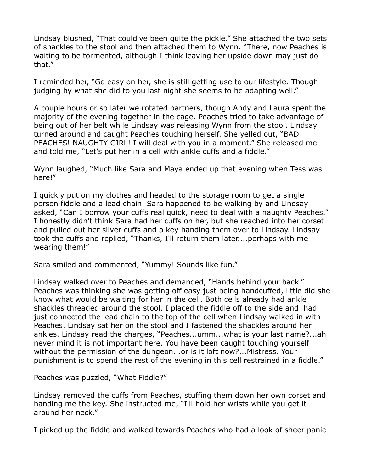Lindsay blushed, "That could've been quite the pickle." She attached the two sets of shackles to the stool and then attached them to Wynn. "There, now Peaches is waiting to be tormented, although I think leaving her upside down may just do that."

I reminded her, "Go easy on her, she is still getting use to our lifestyle. Though judging by what she did to you last night she seems to be adapting well."

A couple hours or so later we rotated partners, though Andy and Laura spent the majority of the evening together in the cage. Peaches tried to take advantage of being out of her belt while Lindsay was releasing Wynn from the stool. Lindsay turned around and caught Peaches touching herself. She yelled out, "BAD PEACHES! NAUGHTY GIRL! I will deal with you in a moment." She released me and told me, "Let's put her in a cell with ankle cuffs and a fiddle."

Wynn laughed, "Much like Sara and Maya ended up that evening when Tess was here!"

I quickly put on my clothes and headed to the storage room to get a single person fiddle and a lead chain. Sara happened to be walking by and Lindsay asked, "Can I borrow your cuffs real quick, need to deal with a naughty Peaches." I honestly didn't think Sara had her cuffs on her, but she reached into her corset and pulled out her silver cuffs and a key handing them over to Lindsay. Lindsay took the cuffs and replied, "Thanks, I'll return them later....perhaps with me wearing them!"

Sara smiled and commented, "Yummy! Sounds like fun."

Lindsay walked over to Peaches and demanded, "Hands behind your back." Peaches was thinking she was getting off easy just being handcuffed, little did she know what would be waiting for her in the cell. Both cells already had ankle shackles threaded around the stool. I placed the fiddle off to the side and had just connected the lead chain to the top of the cell when Lindsay walked in with Peaches. Lindsay sat her on the stool and I fastened the shackles around her ankles. Lindsay read the charges, "Peaches...umm...what is your last name?...ah never mind it is not important here. You have been caught touching yourself without the permission of the dungeon...or is it loft now?...Mistress. Your punishment is to spend the rest of the evening in this cell restrained in a fiddle."

Peaches was puzzled, "What Fiddle?"

Lindsay removed the cuffs from Peaches, stuffing them down her own corset and handing me the key. She instructed me, "I'll hold her wrists while you get it around her neck."

I picked up the fiddle and walked towards Peaches who had a look of sheer panic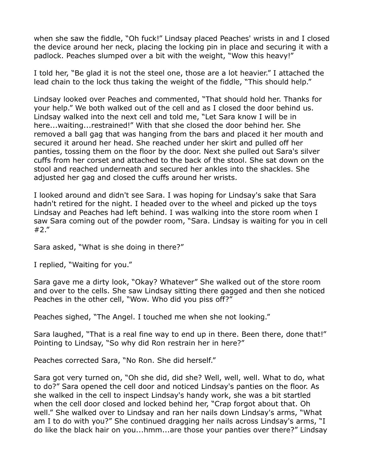when she saw the fiddle, "Oh fuck!" Lindsay placed Peaches' wrists in and I closed the device around her neck, placing the locking pin in place and securing it with a padlock. Peaches slumped over a bit with the weight, "Wow this heavy!"

I told her, "Be glad it is not the steel one, those are a lot heavier." I attached the lead chain to the lock thus taking the weight of the fiddle, "This should help."

Lindsay looked over Peaches and commented, "That should hold her. Thanks for your help." We both walked out of the cell and as I closed the door behind us. Lindsay walked into the next cell and told me, "Let Sara know I will be in here...waiting...restrained!" With that she closed the door behind her. She removed a ball gag that was hanging from the bars and placed it her mouth and secured it around her head. She reached under her skirt and pulled off her panties, tossing them on the floor by the door. Next she pulled out Sara's silver cuffs from her corset and attached to the back of the stool. She sat down on the stool and reached underneath and secured her ankles into the shackles. She adjusted her gag and closed the cuffs around her wrists.

I looked around and didn't see Sara. I was hoping for Lindsay's sake that Sara hadn't retired for the night. I headed over to the wheel and picked up the toys Lindsay and Peaches had left behind. I was walking into the store room when I saw Sara coming out of the powder room, "Sara. Lindsay is waiting for you in cell #2."

Sara asked, "What is she doing in there?"

I replied, "Waiting for you."

Sara gave me a dirty look, "Okay? Whatever" She walked out of the store room and over to the cells. She saw Lindsay sitting there gagged and then she noticed Peaches in the other cell, "Wow. Who did you piss off?"

Peaches sighed, "The Angel. I touched me when she not looking."

Sara laughed, "That is a real fine way to end up in there. Been there, done that!" Pointing to Lindsay, "So why did Ron restrain her in here?"

Peaches corrected Sara, "No Ron. She did herself."

Sara got very turned on, "Oh she did, did she? Well, well, well. What to do, what to do?" Sara opened the cell door and noticed Lindsay's panties on the floor. As she walked in the cell to inspect Lindsay's handy work, she was a bit startled when the cell door closed and locked behind her, "Crap forgot about that. Oh well." She walked over to Lindsay and ran her nails down Lindsay's arms, "What am I to do with you?" She continued dragging her nails across Lindsay's arms, "I do like the black hair on you...hmm...are those your panties over there?" Lindsay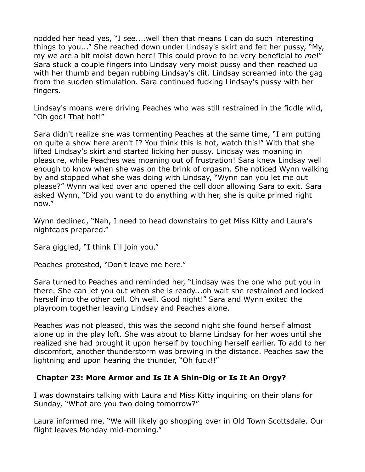nodded her head yes, "I see....well then that means I can do such interesting things to you..." She reached down under Lindsay's skirt and felt her pussy, "My, my we are a bit moist down here! This could prove to be very beneficial to *me*!" Sara stuck a couple fingers into Lindsay very moist pussy and then reached up with her thumb and began rubbing Lindsay's clit. Lindsay screamed into the gag from the sudden stimulation. Sara continued fucking Lindsay's pussy with her fingers.

Lindsay's moans were driving Peaches who was still restrained in the fiddle wild, "Oh god! That hot!"

Sara didn't realize she was tormenting Peaches at the same time, "I am putting on quite a show here aren't I? You think this is hot, watch this!" With that she lifted Lindsay's skirt and started licking her pussy. Lindsay was moaning in pleasure, while Peaches was moaning out of frustration! Sara knew Lindsay well enough to know when she was on the brink of orgasm. She noticed Wynn walking by and stopped what she was doing with Lindsay, "Wynn can you let me out please?" Wynn walked over and opened the cell door allowing Sara to exit. Sara asked Wynn, "Did you want to do anything with her, she is quite primed right now."

Wynn declined, "Nah, I need to head downstairs to get Miss Kitty and Laura's nightcaps prepared."

Sara giggled, "I think I'll join you."

Peaches protested, "Don't leave me here."

Sara turned to Peaches and reminded her, "Lindsay was the one who put you in there. She can let you out when she is ready...oh wait she restrained and locked herself into the other cell. Oh well. Good night!" Sara and Wynn exited the playroom together leaving Lindsay and Peaches alone.

Peaches was not pleased, this was the second night she found herself almost alone up in the play loft. She was about to blame Lindsay for her woes until she realized she had brought it upon herself by touching herself earlier. To add to her discomfort, another thunderstorm was brewing in the distance. Peaches saw the lightning and upon hearing the thunder, "Oh fuck!!"

# **Chapter 23: More Armor and Is It A Shin-Dig or Is It An Orgy?**

I was downstairs talking with Laura and Miss Kitty inquiring on their plans for Sunday, "What are you two doing tomorrow?"

Laura informed me, "We will likely go shopping over in Old Town Scottsdale. Our flight leaves Monday mid-morning."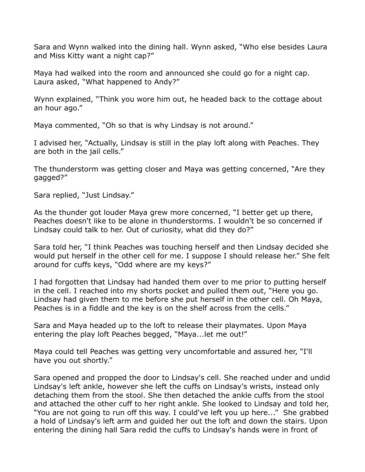Sara and Wynn walked into the dining hall. Wynn asked, "Who else besides Laura and Miss Kitty want a night cap?"

Maya had walked into the room and announced she could go for a night cap. Laura asked, "What happened to Andy?"

Wynn explained, "Think you wore him out, he headed back to the cottage about an hour ago."

Maya commented, "Oh so that is why Lindsay is not around."

I advised her, "Actually, Lindsay is still in the play loft along with Peaches. They are both in the jail cells."

The thunderstorm was getting closer and Maya was getting concerned, "Are they gagged?"

Sara replied, "Just Lindsay."

As the thunder got louder Maya grew more concerned, "I better get up there, Peaches doesn't like to be alone in thunderstorms. I wouldn't be so concerned if Lindsay could talk to her. Out of curiosity, what did they do?"

Sara told her, "I think Peaches was touching herself and then Lindsay decided she would put herself in the other cell for me. I suppose I should release her." She felt around for cuffs keys, "Odd where are my keys?"

I had forgotten that Lindsay had handed them over to me prior to putting herself in the cell. I reached into my shorts pocket and pulled them out, "Here you go. Lindsay had given them to me before she put herself in the other cell. Oh Maya, Peaches is in a fiddle and the key is on the shelf across from the cells."

Sara and Maya headed up to the loft to release their playmates. Upon Maya entering the play loft Peaches begged, "Maya...let me out!"

Maya could tell Peaches was getting very uncomfortable and assured her, "I'll have you out shortly."

Sara opened and propped the door to Lindsay's cell. She reached under and undid Lindsay's left ankle, however she left the cuffs on Lindsay's wrists, instead only detaching them from the stool. She then detached the ankle cuffs from the stool and attached the other cuff to her right ankle. She looked to Lindsay and told her, "You are not going to run off this way. I could've left you up here..." She grabbed a hold of Lindsay's left arm and guided her out the loft and down the stairs. Upon entering the dining hall Sara redid the cuffs to Lindsay's hands were in front of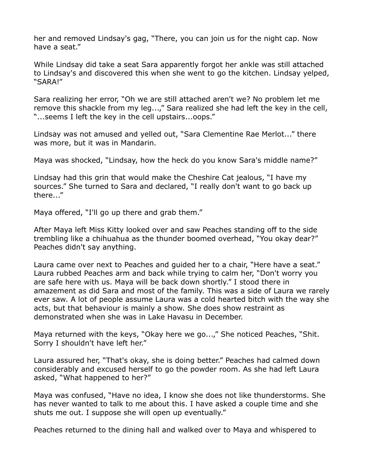her and removed Lindsay's gag, "There, you can join us for the night cap. Now have a seat."

While Lindsay did take a seat Sara apparently forgot her ankle was still attached to Lindsay's and discovered this when she went to go the kitchen. Lindsay yelped, "SARA!"

Sara realizing her error, "Oh we are still attached aren't we? No problem let me remove this shackle from my leg...," Sara realized she had left the key in the cell, "...seems I left the key in the cell upstairs...oops."

Lindsay was not amused and yelled out, "Sara Clementine Rae Merlot..." there was more, but it was in Mandarin.

Maya was shocked, "Lindsay, how the heck do you know Sara's middle name?"

Lindsay had this grin that would make the Cheshire Cat jealous, "I have my sources." She turned to Sara and declared, "I really don't want to go back up there..."

Maya offered, "I'll go up there and grab them."

After Maya left Miss Kitty looked over and saw Peaches standing off to the side trembling like a chihuahua as the thunder boomed overhead, "You okay dear?" Peaches didn't say anything.

Laura came over next to Peaches and guided her to a chair, "Here have a seat." Laura rubbed Peaches arm and back while trying to calm her, "Don't worry you are safe here with us. Maya will be back down shortly." I stood there in amazement as did Sara and most of the family. This was a side of Laura we rarely ever saw. A lot of people assume Laura was a cold hearted bitch with the way she acts, but that behaviour is mainly a show. She does show restraint as demonstrated when she was in Lake Havasu in December.

Maya returned with the keys, "Okay here we go...," She noticed Peaches, "Shit. Sorry I shouldn't have left her."

Laura assured her, "That's okay, she is doing better." Peaches had calmed down considerably and excused herself to go the powder room. As she had left Laura asked, "What happened to her?"

Maya was confused, "Have no idea, I know she does not like thunderstorms. She has never wanted to talk to me about this. I have asked a couple time and she shuts me out. I suppose she will open up eventually."

Peaches returned to the dining hall and walked over to Maya and whispered to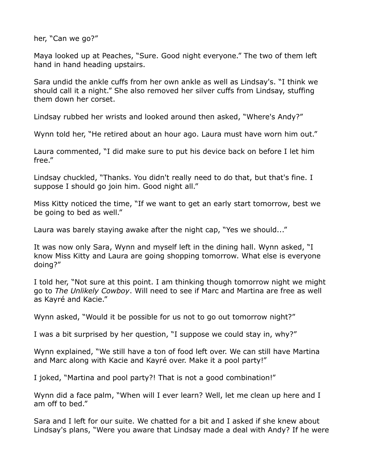her, "Can we go?"

Maya looked up at Peaches, "Sure. Good night everyone." The two of them left hand in hand heading upstairs.

Sara undid the ankle cuffs from her own ankle as well as Lindsay's. "I think we should call it a night." She also removed her silver cuffs from Lindsay, stuffing them down her corset.

Lindsay rubbed her wrists and looked around then asked, "Where's Andy?"

Wynn told her, "He retired about an hour ago. Laura must have worn him out."

Laura commented, "I did make sure to put his device back on before I let him free."

Lindsay chuckled, "Thanks. You didn't really need to do that, but that's fine. I suppose I should go join him. Good night all."

Miss Kitty noticed the time, "If we want to get an early start tomorrow, best we be going to bed as well."

Laura was barely staying awake after the night cap, "Yes we should..."

It was now only Sara, Wynn and myself left in the dining hall. Wynn asked, "I know Miss Kitty and Laura are going shopping tomorrow. What else is everyone doing?"

I told her, "Not sure at this point. I am thinking though tomorrow night we might go to *The Unlikely Cowboy*. Will need to see if Marc and Martina are free as well as Kayré and Kacie."

Wynn asked, "Would it be possible for us not to go out tomorrow night?"

I was a bit surprised by her question, "I suppose we could stay in, why?"

Wynn explained, "We still have a ton of food left over. We can still have Martina and Marc along with Kacie and Kayré over. Make it a pool party!"

I joked, "Martina and pool party?! That is not a good combination!"

Wynn did a face palm, "When will I ever learn? Well, let me clean up here and I am off to bed."

Sara and I left for our suite. We chatted for a bit and I asked if she knew about Lindsay's plans, "Were you aware that Lindsay made a deal with Andy? If he were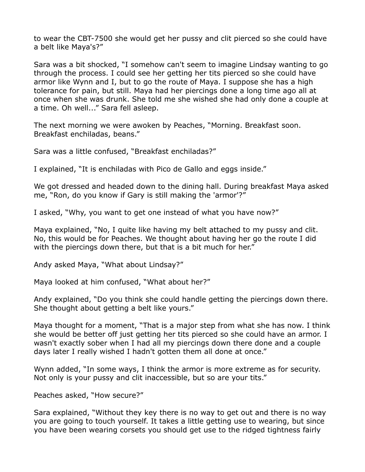to wear the CBT-7500 she would get her pussy and clit pierced so she could have a belt like Maya's?"

Sara was a bit shocked, "I somehow can't seem to imagine Lindsay wanting to go through the process. I could see her getting her tits pierced so she could have armor like Wynn and I, but to go the route of Maya. I suppose she has a high tolerance for pain, but still. Maya had her piercings done a long time ago all at once when she was drunk. She told me she wished she had only done a couple at a time. Oh well..." Sara fell asleep.

The next morning we were awoken by Peaches, "Morning. Breakfast soon. Breakfast enchiladas, beans."

Sara was a little confused, "Breakfast enchiladas?"

I explained, "It is enchiladas with Pico de Gallo and eggs inside."

We got dressed and headed down to the dining hall. During breakfast Maya asked me, "Ron, do you know if Gary is still making the 'armor'?"

I asked, "Why, you want to get one instead of what you have now?"

Maya explained, "No, I quite like having my belt attached to my pussy and clit. No, this would be for Peaches. We thought about having her go the route I did with the piercings down there, but that is a bit much for her."

Andy asked Maya, "What about Lindsay?"

Maya looked at him confused, "What about her?"

Andy explained, "Do you think she could handle getting the piercings down there. She thought about getting a belt like yours."

Maya thought for a moment, "That is a major step from what she has now. I think she would be better off just getting her tits pierced so she could have an armor. I wasn't exactly sober when I had all my piercings down there done and a couple days later I really wished I hadn't gotten them all done at once."

Wynn added, "In some ways, I think the armor is more extreme as for security. Not only is your pussy and clit inaccessible, but so are your tits."

Peaches asked, "How secure?"

Sara explained, "Without they key there is no way to get out and there is no way you are going to touch yourself. It takes a little getting use to wearing, but since you have been wearing corsets you should get use to the ridged tightness fairly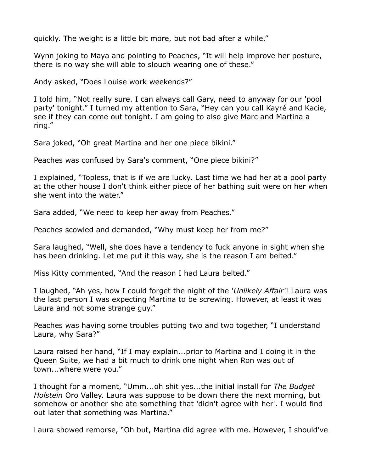quickly. The weight is a little bit more, but not bad after a while."

Wynn joking to Maya and pointing to Peaches, "It will help improve her posture, there is no way she will able to slouch wearing one of these."

Andy asked, "Does Louise work weekends?"

I told him, "Not really sure. I can always call Gary, need to anyway for our 'pool party' tonight." I turned my attention to Sara, "Hey can you call Kayré and Kacie, see if they can come out tonight. I am going to also give Marc and Martina a ring."

Sara joked, "Oh great Martina and her one piece bikini."

Peaches was confused by Sara's comment, "One piece bikini?"

I explained, "Topless, that is if we are lucky. Last time we had her at a pool party at the other house I don't think either piece of her bathing suit were on her when she went into the water."

Sara added, "We need to keep her away from Peaches."

Peaches scowled and demanded, "Why must keep her from me?"

Sara laughed, "Well, she does have a tendency to fuck anyone in sight when she has been drinking. Let me put it this way, she is the reason I am belted."

Miss Kitty commented, "And the reason I had Laura belted."

I laughed, "Ah yes, how I could forget the night of the '*Unlikely Affair'*! Laura was the last person I was expecting Martina to be screwing. However, at least it was Laura and not some strange guy."

Peaches was having some troubles putting two and two together, "I understand Laura, why Sara?"

Laura raised her hand, "If I may explain...prior to Martina and I doing it in the Queen Suite, we had a bit much to drink one night when Ron was out of town...where were you."

I thought for a moment, "Umm...oh shit yes...the initial install for *The Budget Holstein* Oro Valley. Laura was suppose to be down there the next morning, but somehow or another she ate something that 'didn't agree with her'. I would find out later that something was Martina."

Laura showed remorse, "Oh but, Martina did agree with me. However, I should've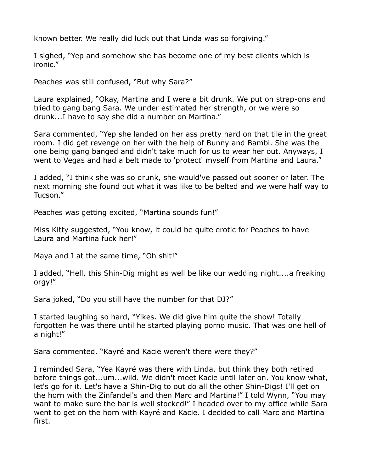known better. We really did luck out that Linda was so forgiving."

I sighed, "Yep and somehow she has become one of my best clients which is ironic."

Peaches was still confused, "But why Sara?"

Laura explained, "Okay, Martina and I were a bit drunk. We put on strap-ons and tried to gang bang Sara. We under estimated her strength, or we were so drunk...I have to say she did a number on Martina."

Sara commented, "Yep she landed on her ass pretty hard on that tile in the great room. I did get revenge on her with the help of Bunny and Bambi. She was the one being gang banged and didn't take much for us to wear her out. Anyways, I went to Vegas and had a belt made to 'protect' myself from Martina and Laura."

I added, "I think she was so drunk, she would've passed out sooner or later. The next morning she found out what it was like to be belted and we were half way to Tucson."

Peaches was getting excited, "Martina sounds fun!"

Miss Kitty suggested, "You know, it could be quite erotic for Peaches to have Laura and Martina fuck her!"

Maya and I at the same time, "Oh shit!"

I added, "Hell, this Shin-Dig might as well be like our wedding night....a freaking orgy!"

Sara joked, "Do you still have the number for that DJ?"

I started laughing so hard, "Yikes. We did give him quite the show! Totally forgotten he was there until he started playing porno music. That was one hell of a night!"

Sara commented, "Kayré and Kacie weren't there were they?"

I reminded Sara, "Yea Kayré was there with Linda, but think they both retired before things got...um...wild. We didn't meet Kacie until later on. You know what, let's go for it. Let's have a Shin-Dig to out do all the other Shin-Digs! I'll get on the horn with the Zinfandel's and then Marc and Martina!" I told Wynn, "You may want to make sure the bar is well stocked!" I headed over to my office while Sara went to get on the horn with Kayré and Kacie. I decided to call Marc and Martina first.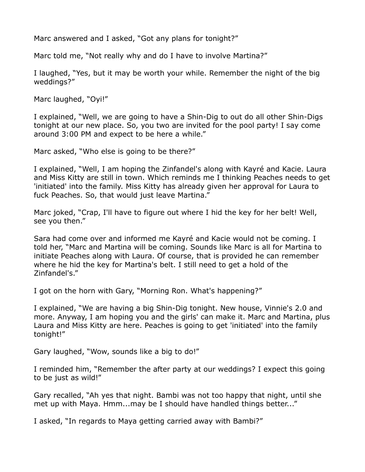Marc answered and I asked, "Got any plans for tonight?"

Marc told me, "Not really why and do I have to involve Martina?"

I laughed, "Yes, but it may be worth your while. Remember the night of the big weddings?"

Marc laughed, "Oyi!"

I explained, "Well, we are going to have a Shin-Dig to out do all other Shin-Digs tonight at our new place. So, you two are invited for the pool party! I say come around 3:00 PM and expect to be here a while."

Marc asked, "Who else is going to be there?"

I explained, "Well, I am hoping the Zinfandel's along with Kayré and Kacie. Laura and Miss Kitty are still in town. Which reminds me I thinking Peaches needs to get 'initiated' into the family. Miss Kitty has already given her approval for Laura to fuck Peaches. So, that would just leave Martina."

Marc joked, "Crap, I'll have to figure out where I hid the key for her belt! Well, see you then."

Sara had come over and informed me Kayré and Kacie would not be coming. I told her, "Marc and Martina will be coming. Sounds like Marc is all for Martina to initiate Peaches along with Laura. Of course, that is provided he can remember where he hid the key for Martina's belt. I still need to get a hold of the Zinfandel's."

I got on the horn with Gary, "Morning Ron. What's happening?"

I explained, "We are having a big Shin-Dig tonight. New house, Vinnie's 2.0 and more. Anyway, I am hoping you and the girls' can make it. Marc and Martina, plus Laura and Miss Kitty are here. Peaches is going to get 'initiated' into the family tonight!"

Gary laughed, "Wow, sounds like a big to do!"

I reminded him, "Remember the after party at our weddings? I expect this going to be just as wild!"

Gary recalled, "Ah yes that night. Bambi was not too happy that night, until she met up with Maya. Hmm...may be I should have handled things better..."

I asked, "In regards to Maya getting carried away with Bambi?"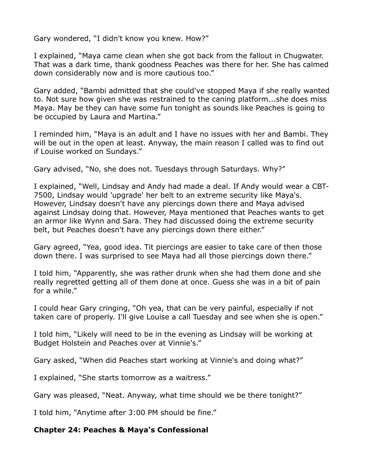Gary wondered, "I didn't know you knew. How?"

I explained, "Maya came clean when she got back from the fallout in Chugwater. That was a dark time, thank goodness Peaches was there for her. She has calmed down considerably now and is more cautious too."

Gary added, "Bambi admitted that she could've stopped Maya if she really wanted to. Not sure how given she was restrained to the caning platform...she does miss Maya. May be they can have some fun tonight as sounds like Peaches is going to be occupied by Laura and Martina."

I reminded him, "Maya is an adult and I have no issues with her and Bambi. They will be out in the open at least. Anyway, the main reason I called was to find out if Louise worked on Sundays."

Gary advised, "No, she does not. Tuesdays through Saturdays. Why?"

I explained, "Well, Lindsay and Andy had made a deal. If Andy would wear a CBT-7500, Lindsay would 'upgrade' her belt to an extreme security like Maya's. However, Lindsay doesn't have any piercings down there and Maya advised against Lindsay doing that. However, Maya mentioned that Peaches wants to get an armor like Wynn and Sara. They had discussed doing the extreme security belt, but Peaches doesn't have any piercings down there either."

Gary agreed, "Yea, good idea. Tit piercings are easier to take care of then those down there. I was surprised to see Maya had all those piercings down there."

I told him, "Apparently, she was rather drunk when she had them done and she really regretted getting all of them done at once. Guess she was in a bit of pain for a while."

I could hear Gary cringing, "Oh yea, that can be very painful, especially if not taken care of properly. I'll give Louise a call Tuesday and see when she is open."

I told him, "Likely will need to be in the evening as Lindsay will be working at Budget Holstein and Peaches over at Vinnie's."

Gary asked, "When did Peaches start working at Vinnie's and doing what?"

I explained, "She starts tomorrow as a waitress."

Gary was pleased, "Neat. Anyway, what time should we be there tonight?"

I told him, "Anytime after 3:00 PM should be fine."

### **Chapter 24: Peaches & Maya's Confessional**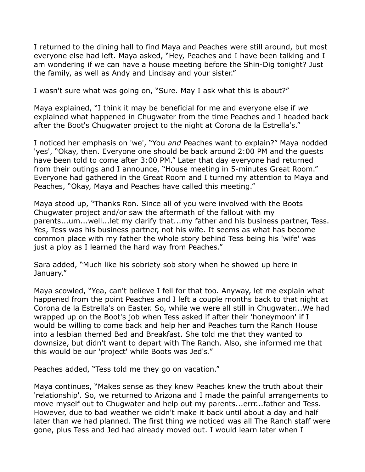I returned to the dining hall to find Maya and Peaches were still around, but most everyone else had left. Maya asked, "Hey, Peaches and I have been talking and I am wondering if we can have a house meeting before the Shin-Dig tonight? Just the family, as well as Andy and Lindsay and your sister."

I wasn't sure what was going on, "Sure. May I ask what this is about?"

Maya explained, "I think it may be beneficial for me and everyone else if *we* explained what happened in Chugwater from the time Peaches and I headed back after the Boot's Chugwater project to the night at Corona de la Estrella's."

I noticed her emphasis on 'we', "You *and* Peaches want to explain?" Maya nodded 'yes', "Okay, then. Everyone one should be back around 2:00 PM and the guests have been told to come after 3:00 PM." Later that day everyone had returned from their outings and I announce, "House meeting in 5-minutes Great Room." Everyone had gathered in the Great Room and I turned my attention to Maya and Peaches, "Okay, Maya and Peaches have called this meeting."

Maya stood up, "Thanks Ron. Since all of you were involved with the Boots Chugwater project and/or saw the aftermath of the fallout with my parents...um...well...let my clarify that...my father and his business partner, Tess. Yes, Tess was his business partner, not his wife. It seems as what has become common place with my father the whole story behind Tess being his 'wife' was just a ploy as I learned the hard way from Peaches."

Sara added, "Much like his sobriety sob story when he showed up here in January."

Maya scowled, "Yea, can't believe I fell for that too. Anyway, let me explain what happened from the point Peaches and I left a couple months back to that night at Corona de la Estrella's on Easter. So, while we were all still in Chugwater...We had wrapped up on the Boot's job when Tess asked if after their 'honeymoon' if I would be willing to come back and help her and Peaches turn the Ranch House into a lesbian themed Bed and Breakfast. She told me that they wanted to downsize, but didn't want to depart with The Ranch. Also, she informed me that this would be our 'project' while Boots was Jed's."

Peaches added, "Tess told me they go on vacation."

Maya continues, "Makes sense as they knew Peaches knew the truth about their 'relationship'. So, we returned to Arizona and I made the painful arrangements to move myself out to Chugwater and help out my parents...errr...father and Tess. However, due to bad weather we didn't make it back until about a day and half later than we had planned. The first thing we noticed was all The Ranch staff were gone, plus Tess and Jed had already moved out. I would learn later when I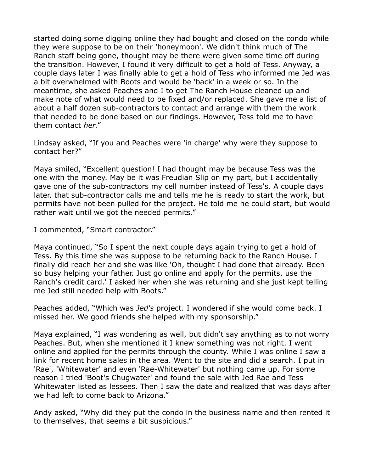started doing some digging online they had bought and closed on the condo while they were suppose to be on their 'honeymoon'. We didn't think much of The Ranch staff being gone, thought may be there were given some time off during the transition. However, I found it very difficult to get a hold of Tess. Anyway, a couple days later I was finally able to get a hold of Tess who informed me Jed was a bit overwhelmed with Boots and would be 'back' in a week or so. In the meantime, she asked Peaches and I to get The Ranch House cleaned up and make note of what would need to be fixed and/or replaced. She gave me a list of about a half dozen sub-contractors to contact and arrange with them the work that needed to be done based on our findings. However, Tess told me to have them contact *her*."

Lindsay asked, "If you and Peaches were 'in charge' why were they suppose to contact her?"

Maya smiled, "Excellent question! I had thought may be because Tess was the one with the money. May be it was Freudian Slip on my part, but I accidentally gave one of the sub-contractors my cell number instead of Tess's. A couple days later, that sub-contractor calls me and tells me he is ready to start the work, but permits have not been pulled for the project. He told me he could start, but would rather wait until we got the needed permits."

I commented, "Smart contractor."

Maya continued, "So I spent the next couple days again trying to get a hold of Tess. By this time she was suppose to be returning back to the Ranch House. I finally did reach her and she was like 'Oh, thought I had done that already. Been so busy helping your father. Just go online and apply for the permits, use the Ranch's credit card.' I asked her when she was returning and she just kept telling me Jed still needed help with Boots."

Peaches added, "Which was *Jed's* project. I wondered if she would come back. I missed her. We good friends she helped with my sponsorship."

Maya explained, "I was wondering as well, but didn't say anything as to not worry Peaches. But, when she mentioned it I knew something was not right. I went online and applied for the permits through the county. While I was online I saw a link for recent home sales in the area. Went to the site and did a search. I put in 'Rae', 'Whitewater' and even 'Rae-Whitewater' but nothing came up. For some reason I tried 'Boot's Chugwater' and found the sale with Jed Rae and Tess Whitewater listed as lessees. Then I saw the date and realized that was days after we had left to come back to Arizona."

Andy asked, "Why did they put the condo in the business name and then rented it to themselves, that seems a bit suspicious."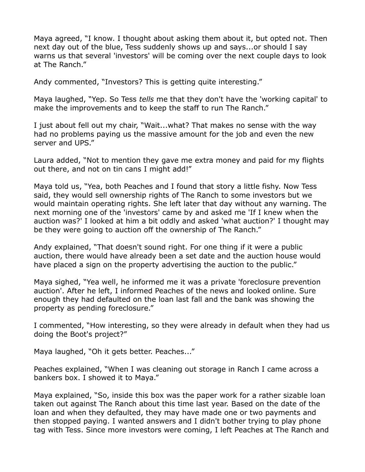Maya agreed, "I know. I thought about asking them about it, but opted not. Then next day out of the blue, Tess suddenly shows up and says...or should I say warns us that several 'investors' will be coming over the next couple days to look at The Ranch."

Andy commented, "Investors? This is getting quite interesting."

Maya laughed, "Yep. So Tess *tells* me that they don't have the 'working capital' to make the improvements and to keep the staff to run The Ranch."

I just about fell out my chair, "Wait...what? That makes no sense with the way had no problems paying us the massive amount for the job and even the new server and UPS."

Laura added, "Not to mention they gave me extra money and paid for my flights out there, and not on tin cans I might add!"

Maya told us, "Yea, both Peaches and I found that story a little fishy. Now Tess said, they would sell ownership rights of The Ranch to some investors but we would maintain operating rights. She left later that day without any warning. The next morning one of the 'investors' came by and asked me 'If I knew when the auction was?' I looked at him a bit oddly and asked 'what auction?' I thought may be they were going to auction off the ownership of The Ranch."

Andy explained, "That doesn't sound right. For one thing if it were a public auction, there would have already been a set date and the auction house would have placed a sign on the property advertising the auction to the public."

Maya sighed, "Yea well, he informed me it was a private 'foreclosure prevention auction'. After he left, I informed Peaches of the news and looked online. Sure enough they had defaulted on the loan last fall and the bank was showing the property as pending foreclosure."

I commented, "How interesting, so they were already in default when they had us doing the Boot's project?"

Maya laughed, "Oh it gets better. Peaches..."

Peaches explained, "When I was cleaning out storage in Ranch I came across a bankers box. I showed it to Maya."

Maya explained, "So, inside this box was the paper work for a rather sizable loan taken out against The Ranch about this time last year. Based on the date of the loan and when they defaulted, they may have made one or two payments and then stopped paying. I wanted answers and I didn't bother trying to play phone tag with Tess. Since more investors were coming, I left Peaches at The Ranch and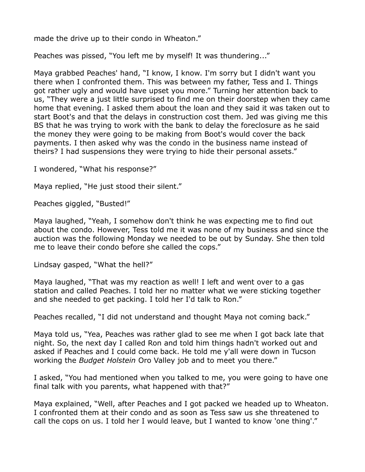made the drive up to their condo in Wheaton."

Peaches was pissed, "You left me by myself! It was thundering..."

Maya grabbed Peaches' hand, "I know, I know. I'm sorry but I didn't want you there when I confronted them. This was between my father, Tess and I. Things got rather ugly and would have upset you more." Turning her attention back to us, "They were a just little surprised to find me on their doorstep when they came home that evening. I asked them about the loan and they said it was taken out to start Boot's and that the delays in construction cost them. Jed was giving me this BS that he was trying to work with the bank to delay the foreclosure as he said the money they were going to be making from Boot's would cover the back payments. I then asked why was the condo in the business name instead of theirs? I had suspensions they were trying to hide their personal assets."

I wondered, "What his response?"

Maya replied, "He just stood their silent."

Peaches giggled, "Busted!"

Maya laughed, "Yeah, I somehow don't think he was expecting me to find out about the condo. However, Tess told me it was none of my business and since the auction was the following Monday we needed to be out by Sunday. She then told me to leave their condo before she called the cops."

Lindsay gasped, "What the hell?"

Maya laughed, "That was my reaction as well! I left and went over to a gas station and called Peaches. I told her no matter what we were sticking together and she needed to get packing. I told her I'd talk to Ron."

Peaches recalled, "I did not understand and thought Maya not coming back."

Maya told us, "Yea, Peaches was rather glad to see me when I got back late that night. So, the next day I called Ron and told him things hadn't worked out and asked if Peaches and I could come back. He told me y'all were down in Tucson working the *Budget Holstein* Oro Valley job and to meet you there."

I asked, "You had mentioned when you talked to me, you were going to have one final talk with you parents, what happened with that?"

Maya explained, "Well, after Peaches and I got packed we headed up to Wheaton. I confronted them at their condo and as soon as Tess saw us she threatened to call the cops on us. I told her I would leave, but I wanted to know 'one thing'."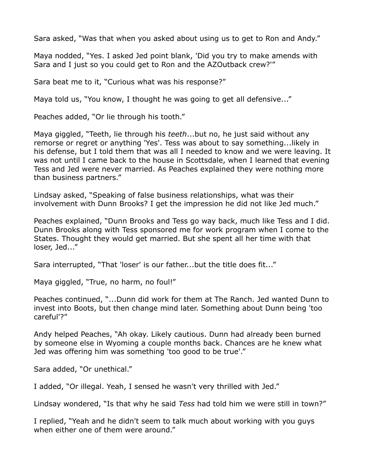Sara asked, "Was that when you asked about using us to get to Ron and Andy."

Maya nodded, "Yes. I asked Jed point blank, 'Did you try to make amends with Sara and I just so you could get to Ron and the AZOutback crew?'"

Sara beat me to it, "Curious what was his response?"

Maya told us, "You know, I thought he was going to get all defensive..."

Peaches added, "Or lie through his tooth."

Maya giggled, "Teeth, lie through his *teeth*...but no, he just said without any remorse or regret or anything 'Yes'. Tess was about to say something...likely in his defense, but I told them that was all I needed to know and we were leaving. It was not until I came back to the house in Scottsdale, when I learned that evening Tess and Jed were never married. As Peaches explained they were nothing more than business partners."

Lindsay asked, "Speaking of false business relationships, what was their involvement with Dunn Brooks? I get the impression he did not like Jed much."

Peaches explained, "Dunn Brooks and Tess go way back, much like Tess and I did. Dunn Brooks along with Tess sponsored me for work program when I come to the States. Thought they would get married. But she spent all her time with that loser, Jed..."

Sara interrupted, "That 'loser' is our father...but the title does fit..."

Maya giggled, "True, no harm, no foul!"

Peaches continued, "...Dunn did work for them at The Ranch. Jed wanted Dunn to invest into Boots, but then change mind later. Something about Dunn being 'too careful'?"

Andy helped Peaches, "Ah okay. Likely cautious. Dunn had already been burned by someone else in Wyoming a couple months back. Chances are he knew what Jed was offering him was something 'too good to be true'."

Sara added, "Or unethical."

I added, "Or illegal. Yeah, I sensed he wasn't very thrilled with Jed."

Lindsay wondered, "Is that why he said *Tess* had told him we were still in town?"

I replied, "Yeah and he didn't seem to talk much about working with you guys when either one of them were around."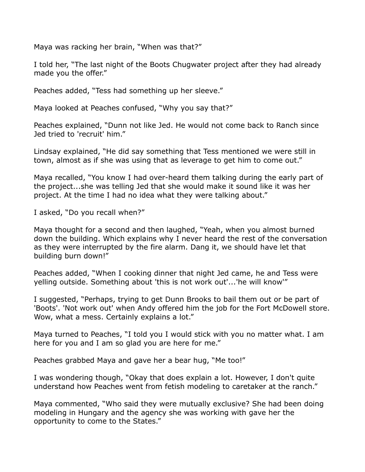Maya was racking her brain, "When was that?"

I told her, "The last night of the Boots Chugwater project after they had already made you the offer."

Peaches added, "Tess had something up her sleeve."

Maya looked at Peaches confused, "Why you say that?"

Peaches explained, "Dunn not like Jed. He would not come back to Ranch since Jed tried to 'recruit' him."

Lindsay explained, "He did say something that Tess mentioned we were still in town, almost as if she was using that as leverage to get him to come out."

Maya recalled, "You know I had over-heard them talking during the early part of the project...she was telling Jed that she would make it sound like it was her project. At the time I had no idea what they were talking about."

I asked, "Do you recall when?"

Maya thought for a second and then laughed, "Yeah, when you almost burned down the building. Which explains why I never heard the rest of the conversation as they were interrupted by the fire alarm. Dang it, we should have let that building burn down!"

Peaches added, "When I cooking dinner that night Jed came, he and Tess were yelling outside. Something about 'this is not work out'...'he will know'"

I suggested, "Perhaps, trying to get Dunn Brooks to bail them out or be part of 'Boots'. 'Not work out' when Andy offered him the job for the Fort McDowell store. Wow, what a mess. Certainly explains a lot."

Maya turned to Peaches, "I told you I would stick with you no matter what. I am here for you and I am so glad you are here for me."

Peaches grabbed Maya and gave her a bear hug, "Me too!"

I was wondering though, "Okay that does explain a lot. However, I don't quite understand how Peaches went from fetish modeling to caretaker at the ranch."

Maya commented, "Who said they were mutually exclusive? She had been doing modeling in Hungary and the agency she was working with gave her the opportunity to come to the States."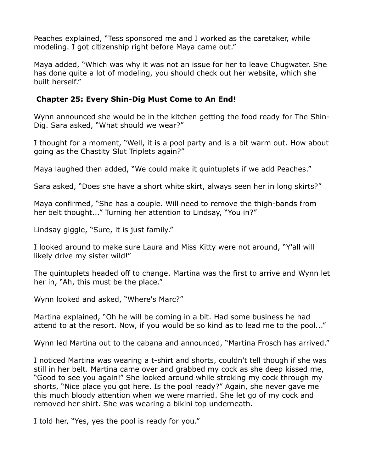Peaches explained, "Tess sponsored me and I worked as the caretaker, while modeling. I got citizenship right before Maya came out."

Maya added, "Which was why it was not an issue for her to leave Chugwater. She has done quite a lot of modeling, you should check out her website, which she built herself."

### **Chapter 25: Every Shin-Dig Must Come to An End!**

Wynn announced she would be in the kitchen getting the food ready for The Shin-Dig. Sara asked, "What should we wear?"

I thought for a moment, "Well, it is a pool party and is a bit warm out. How about going as the Chastity Slut Triplets again?"

Maya laughed then added, "We could make it quintuplets if we add Peaches."

Sara asked, "Does she have a short white skirt, always seen her in long skirts?"

Maya confirmed, "She has a couple. Will need to remove the thigh-bands from her belt thought..." Turning her attention to Lindsay, "You in?"

Lindsay giggle, "Sure, it is just family."

I looked around to make sure Laura and Miss Kitty were not around, "Y'all will likely drive my sister wild!"

The quintuplets headed off to change. Martina was the first to arrive and Wynn let her in, "Ah, this must be the place."

Wynn looked and asked, "Where's Marc?"

Martina explained, "Oh he will be coming in a bit. Had some business he had attend to at the resort. Now, if you would be so kind as to lead me to the pool..."

Wynn led Martina out to the cabana and announced, "Martina Frosch has arrived."

I noticed Martina was wearing a t-shirt and shorts, couldn't tell though if she was still in her belt. Martina came over and grabbed my cock as she deep kissed me, "Good to see you again!" She looked around while stroking my cock through my shorts, "Nice place you got here. Is the pool ready?" Again, she never gave me this much bloody attention when we were married. She let go of my cock and removed her shirt. She was wearing a bikini top underneath.

I told her, "Yes, yes the pool is ready for you."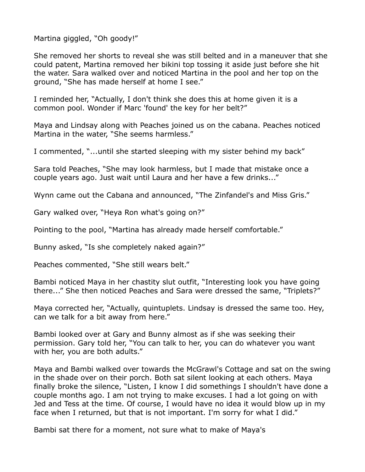Martina giggled, "Oh goody!"

She removed her shorts to reveal she was still belted and in a maneuver that she could patent, Martina removed her bikini top tossing it aside just before she hit the water. Sara walked over and noticed Martina in the pool and her top on the ground, "She has made herself at home I see."

I reminded her, "Actually, I don't think she does this at home given it is a common pool. Wonder if Marc 'found' the key for her belt?"

Maya and Lindsay along with Peaches joined us on the cabana. Peaches noticed Martina in the water, "She seems harmless."

I commented, "...until she started sleeping with my sister behind my back"

Sara told Peaches, "She may look harmless, but I made that mistake once a couple years ago. Just wait until Laura and her have a few drinks..."

Wynn came out the Cabana and announced, "The Zinfandel's and Miss Gris."

Gary walked over, "Heya Ron what's going on?"

Pointing to the pool, "Martina has already made herself comfortable."

Bunny asked, "Is she completely naked again?"

Peaches commented, "She still wears belt."

Bambi noticed Maya in her chastity slut outfit, "Interesting look you have going there..." She then noticed Peaches and Sara were dressed the same, "Triplets?"

Maya corrected her, "Actually, quintuplets. Lindsay is dressed the same too. Hey, can we talk for a bit away from here."

Bambi looked over at Gary and Bunny almost as if she was seeking their permission. Gary told her, "You can talk to her, you can do whatever you want with her, you are both adults."

Maya and Bambi walked over towards the McGrawl's Cottage and sat on the swing in the shade over on their porch. Both sat silent looking at each others. Maya finally broke the silence, "Listen, I know I did somethings I shouldn't have done a couple months ago. I am not trying to make excuses. I had a lot going on with Jed and Tess at the time. Of course, I would have no idea it would blow up in my face when I returned, but that is not important. I'm sorry for what I did."

Bambi sat there for a moment, not sure what to make of Maya's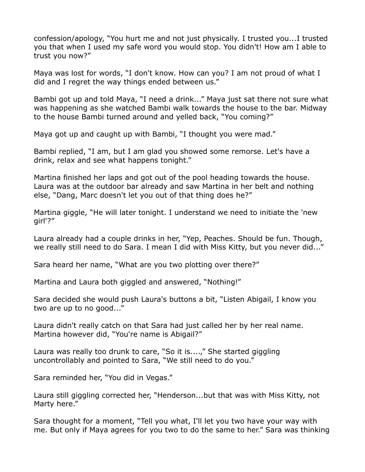confession/apology, "You hurt me and not just physically. I trusted you...I trusted you that when I used my safe word you would stop. You didn't! How am I able to trust you now?"

Maya was lost for words, "I don't know. How can you? I am not proud of what I did and I regret the way things ended between us."

Bambi got up and told Maya, "I need a drink..." Maya just sat there not sure what was happening as she watched Bambi walk towards the house to the bar. Midway to the house Bambi turned around and yelled back, "You coming?"

Maya got up and caught up with Bambi, "I thought you were mad."

Bambi replied, "I am, but I am glad you showed some remorse. Let's have a drink, relax and see what happens tonight."

Martina finished her laps and got out of the pool heading towards the house. Laura was at the outdoor bar already and saw Martina in her belt and nothing else, "Dang, Marc doesn't let you out of that thing does he?"

Martina giggle, "He will later tonight. I understand we need to initiate the 'new girl'?"

Laura already had a couple drinks in her, "Yep, Peaches. Should be fun. Though, we really still need to do Sara. I mean I did with Miss Kitty, but you never did..."

Sara heard her name, "What are you two plotting over there?"

Martina and Laura both giggled and answered, "Nothing!"

Sara decided she would push Laura's buttons a bit, "Listen Abigail, I know you two are up to no good..."

Laura didn't really catch on that Sara had just called her by her real name. Martina however did, "You're name is Abigail?"

Laura was really too drunk to care, "So it is....," She started giggling uncontrollably and pointed to Sara, "We still need to do you."

Sara reminded her, "You did in Vegas."

Laura still giggling corrected her, "Henderson...but that was with Miss Kitty, not Marty here."

Sara thought for a moment, "Tell you what, I'll let you two have your way with me. But only if Maya agrees for you two to do the same to her." Sara was thinking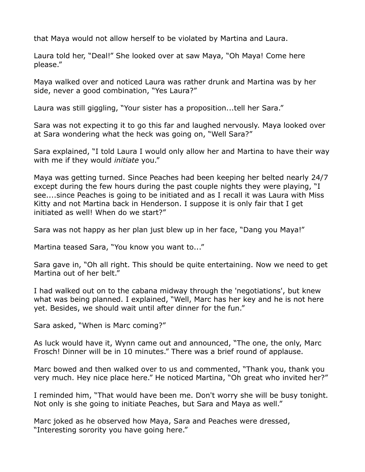that Maya would not allow herself to be violated by Martina and Laura.

Laura told her, "Deal!" She looked over at saw Maya, "Oh Maya! Come here please."

Maya walked over and noticed Laura was rather drunk and Martina was by her side, never a good combination, "Yes Laura?"

Laura was still giggling, "Your sister has a proposition...tell her Sara."

Sara was not expecting it to go this far and laughed nervously. Maya looked over at Sara wondering what the heck was going on, "Well Sara?"

Sara explained, "I told Laura I would only allow her and Martina to have their way with me if they would *initiate* you."

Maya was getting turned. Since Peaches had been keeping her belted nearly 24/7 except during the few hours during the past couple nights they were playing, "I see....since Peaches is going to be initiated and as I recall it was Laura with Miss Kitty and not Martina back in Henderson. I suppose it is only fair that I get initiated as well! When do we start?"

Sara was not happy as her plan just blew up in her face, "Dang you Maya!"

Martina teased Sara, "You know you want to..."

Sara gave in, "Oh all right. This should be quite entertaining. Now we need to get Martina out of her belt."

I had walked out on to the cabana midway through the 'negotiations', but knew what was being planned. I explained, "Well, Marc has her key and he is not here yet. Besides, we should wait until after dinner for the fun."

Sara asked, "When is Marc coming?"

As luck would have it, Wynn came out and announced, "The one, the only, Marc Frosch! Dinner will be in 10 minutes." There was a brief round of applause.

Marc bowed and then walked over to us and commented, "Thank you, thank you very much. Hey nice place here." He noticed Martina, "Oh great who invited her?"

I reminded him, "That would have been me. Don't worry she will be busy tonight. Not only is she going to initiate Peaches, but Sara and Maya as well."

Marc joked as he observed how Maya, Sara and Peaches were dressed, "Interesting sorority you have going here."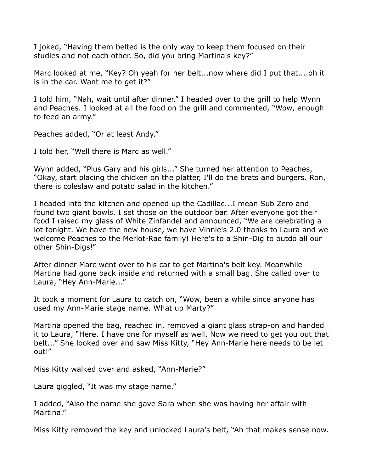I joked, "Having them belted is the only way to keep them focused on their studies and not each other. So, did you bring Martina's key?"

Marc looked at me, "Key? Oh yeah for her belt...now where did I put that....oh it is in the car. Want me to get it?"

I told him, "Nah, wait until after dinner." I headed over to the grill to help Wynn and Peaches. I looked at all the food on the grill and commented, "Wow, enough to feed an army."

Peaches added, "Or at least Andy."

I told her, "Well there is Marc as well."

Wynn added, "Plus Gary and his girls..." She turned her attention to Peaches, "Okay, start placing the chicken on the platter, I'll do the brats and burgers. Ron, there is coleslaw and potato salad in the kitchen."

I headed into the kitchen and opened up the Cadillac...I mean Sub Zero and found two giant bowls. I set those on the outdoor bar. After everyone got their food I raised my glass of White Zinfandel and announced, "We are celebrating a lot tonight. We have the new house, we have Vinnie's 2.0 thanks to Laura and we welcome Peaches to the Merlot-Rae family! Here's to a Shin-Dig to outdo all our other Shin-Digs!"

After dinner Marc went over to his car to get Martina's belt key. Meanwhile Martina had gone back inside and returned with a small bag. She called over to Laura, "Hey Ann-Marie..."

It took a moment for Laura to catch on, "Wow, been a while since anyone has used my Ann-Marie stage name. What up Marty?"

Martina opened the bag, reached in, removed a giant glass strap-on and handed it to Laura, "Here. I have one for myself as well. Now we need to get you out that belt..." She looked over and saw Miss Kitty, "Hey Ann-Marie here needs to be let out!"

Miss Kitty walked over and asked, "Ann-Marie?"

Laura giggled, "It was my stage name."

I added, "Also the name she gave Sara when she was having her affair with Martina."

Miss Kitty removed the key and unlocked Laura's belt, "Ah that makes sense now.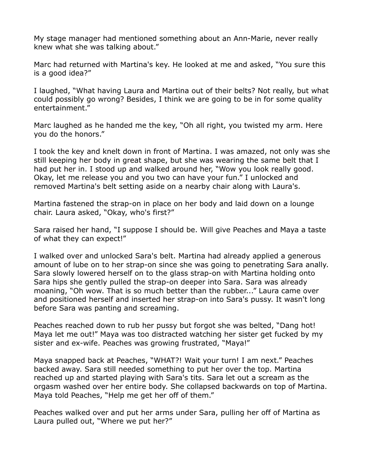My stage manager had mentioned something about an Ann-Marie, never really knew what she was talking about."

Marc had returned with Martina's key. He looked at me and asked, "You sure this is a good idea?"

I laughed, "What having Laura and Martina out of their belts? Not really, but what could possibly go wrong? Besides, I think we are going to be in for some quality entertainment."

Marc laughed as he handed me the key, "Oh all right, you twisted my arm. Here you do the honors."

I took the key and knelt down in front of Martina. I was amazed, not only was she still keeping her body in great shape, but she was wearing the same belt that I had put her in. I stood up and walked around her, "Wow you look really good. Okay, let me release you and you two can have your fun." I unlocked and removed Martina's belt setting aside on a nearby chair along with Laura's.

Martina fastened the strap-on in place on her body and laid down on a lounge chair. Laura asked, "Okay, who's first?"

Sara raised her hand, "I suppose I should be. Will give Peaches and Maya a taste of what they can expect!"

I walked over and unlocked Sara's belt. Martina had already applied a generous amount of lube on to her strap-on since she was going to penetrating Sara anally. Sara slowly lowered herself on to the glass strap-on with Martina holding onto Sara hips she gently pulled the strap-on deeper into Sara. Sara was already moaning, "Oh wow. That is so much better than the rubber..." Laura came over and positioned herself and inserted her strap-on into Sara's pussy. It wasn't long before Sara was panting and screaming.

Peaches reached down to rub her pussy but forgot she was belted, "Dang hot! Maya let me out!" Maya was too distracted watching her sister get fucked by my sister and ex-wife. Peaches was growing frustrated, "Maya!"

Maya snapped back at Peaches, "WHAT?! Wait your turn! I am next." Peaches backed away. Sara still needed something to put her over the top. Martina reached up and started playing with Sara's tits. Sara let out a scream as the orgasm washed over her entire body. She collapsed backwards on top of Martina. Maya told Peaches, "Help me get her off of them."

Peaches walked over and put her arms under Sara, pulling her off of Martina as Laura pulled out, "Where we put her?"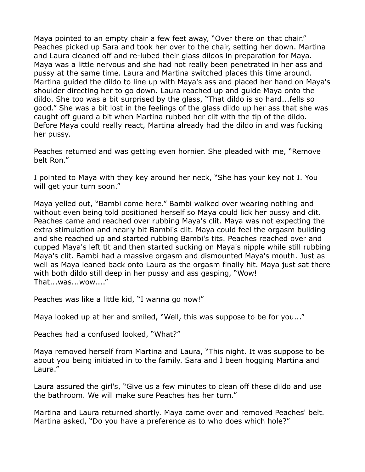Maya pointed to an empty chair a few feet away, "Over there on that chair." Peaches picked up Sara and took her over to the chair, setting her down. Martina and Laura cleaned off and re-lubed their glass dildos in preparation for Maya. Maya was a little nervous and she had not really been penetrated in her ass and pussy at the same time. Laura and Martina switched places this time around. Martina guided the dildo to line up with Maya's ass and placed her hand on Maya's shoulder directing her to go down. Laura reached up and guide Maya onto the dildo. She too was a bit surprised by the glass, "That dildo is so hard...fells so good." She was a bit lost in the feelings of the glass dildo up her ass that she was caught off guard a bit when Martina rubbed her clit with the tip of the dildo. Before Maya could really react, Martina already had the dildo in and was fucking her pussy.

Peaches returned and was getting even hornier. She pleaded with me, "Remove belt Ron."

I pointed to Maya with they key around her neck, "She has your key not I. You will get your turn soon."

Maya yelled out, "Bambi come here." Bambi walked over wearing nothing and without even being told positioned herself so Maya could lick her pussy and clit. Peaches came and reached over rubbing Maya's clit. Maya was not expecting the extra stimulation and nearly bit Bambi's clit. Maya could feel the orgasm building and she reached up and started rubbing Bambi's tits. Peaches reached over and cupped Maya's left tit and then started sucking on Maya's nipple while still rubbing Maya's clit. Bambi had a massive orgasm and dismounted Maya's mouth. Just as well as Maya leaned back onto Laura as the orgasm finally hit. Maya just sat there with both dildo still deep in her pussy and ass gasping, "Wow! That...was...wow...."

Peaches was like a little kid, "I wanna go now!"

Maya looked up at her and smiled, "Well, this was suppose to be for you..."

Peaches had a confused looked, "What?"

Maya removed herself from Martina and Laura, "This night. It was suppose to be about you being initiated in to the family. Sara and I been hogging Martina and Laura."

Laura assured the girl's, "Give us a few minutes to clean off these dildo and use the bathroom. We will make sure Peaches has her turn."

Martina and Laura returned shortly. Maya came over and removed Peaches' belt. Martina asked, "Do you have a preference as to who does which hole?"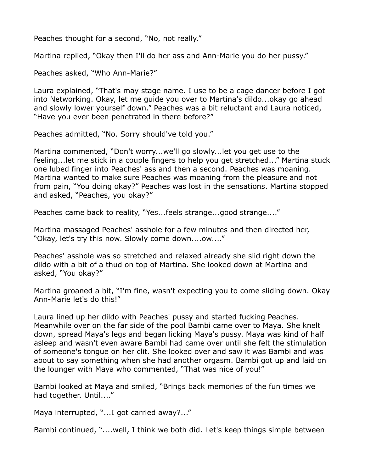Peaches thought for a second, "No, not really."

Martina replied, "Okay then I'll do her ass and Ann-Marie you do her pussy."

Peaches asked, "Who Ann-Marie?"

Laura explained, "That's may stage name. I use to be a cage dancer before I got into Networking. Okay, let me guide you over to Martina's dildo...okay go ahead and slowly lower yourself down." Peaches was a bit reluctant and Laura noticed, "Have you ever been penetrated in there before?"

Peaches admitted, "No. Sorry should've told you."

Martina commented, "Don't worry...we'll go slowly...let you get use to the feeling...let me stick in a couple fingers to help you get stretched..." Martina stuck one lubed finger into Peaches' ass and then a second. Peaches was moaning. Martina wanted to make sure Peaches was moaning from the pleasure and not from pain, "You doing okay?" Peaches was lost in the sensations. Martina stopped and asked, "Peaches, you okay?"

Peaches came back to reality, "Yes...feels strange...good strange...."

Martina massaged Peaches' asshole for a few minutes and then directed her, "Okay, let's try this now. Slowly come down....ow...."

Peaches' asshole was so stretched and relaxed already she slid right down the dildo with a bit of a thud on top of Martina. She looked down at Martina and asked, "You okay?"

Martina groaned a bit, "I'm fine, wasn't expecting you to come sliding down. Okay Ann-Marie let's do this!"

Laura lined up her dildo with Peaches' pussy and started fucking Peaches. Meanwhile over on the far side of the pool Bambi came over to Maya. She knelt down, spread Maya's legs and began licking Maya's pussy. Maya was kind of half asleep and wasn't even aware Bambi had came over until she felt the stimulation of someone's tongue on her clit. She looked over and saw it was Bambi and was about to say something when she had another orgasm. Bambi got up and laid on the lounger with Maya who commented, "That was nice of you!"

Bambi looked at Maya and smiled, "Brings back memories of the fun times we had together. Until...."

Maya interrupted, "...I got carried away?..."

Bambi continued, "....well, I think we both did. Let's keep things simple between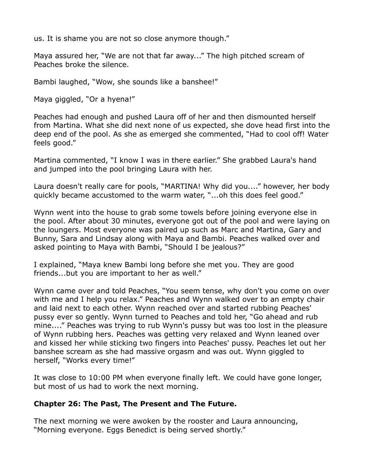us. It is shame you are not so close anymore though."

Maya assured her, "We are not that far away..." The high pitched scream of Peaches broke the silence.

Bambi laughed, "Wow, she sounds like a banshee!"

Maya giggled, "Or a hyena!"

Peaches had enough and pushed Laura off of her and then dismounted herself from Martina. What she did next none of us expected, she dove head first into the deep end of the pool. As she as emerged she commented, "Had to cool off! Water feels good."

Martina commented, "I know I was in there earlier." She grabbed Laura's hand and jumped into the pool bringing Laura with her.

Laura doesn't really care for pools, "MARTINA! Why did you...." however, her body quickly became accustomed to the warm water, "...oh this does feel good."

Wynn went into the house to grab some towels before joining everyone else in the pool. After about 30 minutes, everyone got out of the pool and were laying on the loungers. Most everyone was paired up such as Marc and Martina, Gary and Bunny, Sara and Lindsay along with Maya and Bambi. Peaches walked over and asked pointing to Maya with Bambi, "Should I be jealous?"

I explained, "Maya knew Bambi long before she met you. They are good friends...but you are important to her as well."

Wynn came over and told Peaches, "You seem tense, why don't you come on over with me and I help you relax." Peaches and Wynn walked over to an empty chair and laid next to each other. Wynn reached over and started rubbing Peaches' pussy ever so gently. Wynn turned to Peaches and told her, "Go ahead and rub mine...." Peaches was trying to rub Wynn's pussy but was too lost in the pleasure of Wynn rubbing hers. Peaches was getting very relaxed and Wynn leaned over and kissed her while sticking two fingers into Peaches' pussy. Peaches let out her banshee scream as she had massive orgasm and was out. Wynn giggled to herself, "Works every time!"

It was close to 10:00 PM when everyone finally left. We could have gone longer, but most of us had to work the next morning.

## **Chapter 26: The Past, The Present and The Future.**

The next morning we were awoken by the rooster and Laura announcing, "Morning everyone. Eggs Benedict is being served shortly."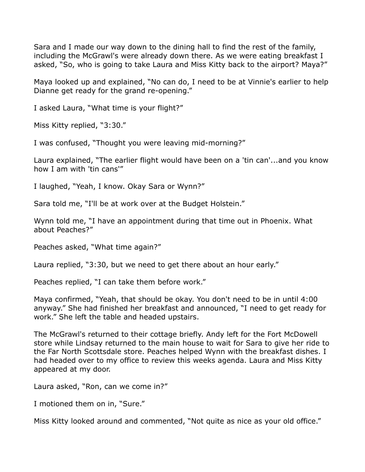Sara and I made our way down to the dining hall to find the rest of the family, including the McGrawl's were already down there. As we were eating breakfast I asked, "So, who is going to take Laura and Miss Kitty back to the airport? Maya?"

Maya looked up and explained, "No can do, I need to be at Vinnie's earlier to help Dianne get ready for the grand re-opening."

I asked Laura, "What time is your flight?"

Miss Kitty replied, "3:30."

I was confused, "Thought you were leaving mid-morning?"

Laura explained, "The earlier flight would have been on a 'tin can'...and you know how I am with 'tin cans'"

I laughed, "Yeah, I know. Okay Sara or Wynn?"

Sara told me, "I'll be at work over at the Budget Holstein."

Wynn told me, "I have an appointment during that time out in Phoenix. What about Peaches?"

Peaches asked, "What time again?"

Laura replied, "3:30, but we need to get there about an hour early."

Peaches replied, "I can take them before work."

Maya confirmed, "Yeah, that should be okay. You don't need to be in until 4:00 anyway." She had finished her breakfast and announced, "I need to get ready for work." She left the table and headed upstairs.

The McGrawl's returned to their cottage briefly. Andy left for the Fort McDowell store while Lindsay returned to the main house to wait for Sara to give her ride to the Far North Scottsdale store. Peaches helped Wynn with the breakfast dishes. I had headed over to my office to review this weeks agenda. Laura and Miss Kitty appeared at my door.

Laura asked, "Ron, can we come in?"

I motioned them on in, "Sure."

Miss Kitty looked around and commented, "Not quite as nice as your old office."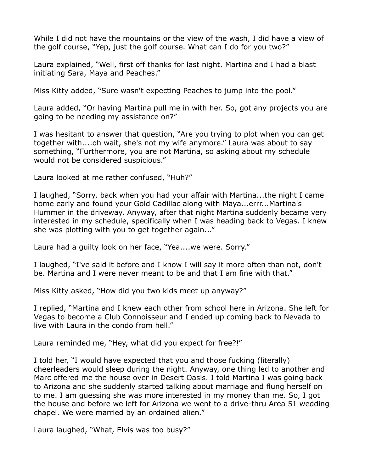While I did not have the mountains or the view of the wash, I did have a view of the golf course, "Yep, just the golf course. What can I do for you two?"

Laura explained, "Well, first off thanks for last night. Martina and I had a blast initiating Sara, Maya and Peaches."

Miss Kitty added, "Sure wasn't expecting Peaches to jump into the pool."

Laura added, "Or having Martina pull me in with her. So, got any projects you are going to be needing my assistance on?"

I was hesitant to answer that question, "Are you trying to plot when you can get together with....oh wait, she's not my wife anymore." Laura was about to say something, "Furthermore, you are not Martina, so asking about my schedule would not be considered suspicious."

Laura looked at me rather confused, "Huh?"

I laughed, "Sorry, back when you had your affair with Martina...the night I came home early and found your Gold Cadillac along with Maya...errr...Martina's Hummer in the driveway. Anyway, after that night Martina suddenly became very interested in my schedule, specifically when I was heading back to Vegas. I knew she was plotting with you to get together again..."

Laura had a guilty look on her face, "Yea....we were. Sorry."

I laughed, "I've said it before and I know I will say it more often than not, don't be. Martina and I were never meant to be and that I am fine with that."

Miss Kitty asked, "How did you two kids meet up anyway?"

I replied, "Martina and I knew each other from school here in Arizona. She left for Vegas to become a Club Connoisseur and I ended up coming back to Nevada to live with Laura in the condo from hell."

Laura reminded me, "Hey, what did you expect for free?!"

I told her, "I would have expected that you and those fucking (literally) cheerleaders would sleep during the night. Anyway, one thing led to another and Marc offered me the house over in Desert Oasis. I told Martina I was going back to Arizona and she suddenly started talking about marriage and flung herself on to me. I am guessing she was more interested in my money than me. So, I got the house and before we left for Arizona we went to a drive-thru Area 51 wedding chapel. We were married by an ordained alien."

Laura laughed, "What, Elvis was too busy?"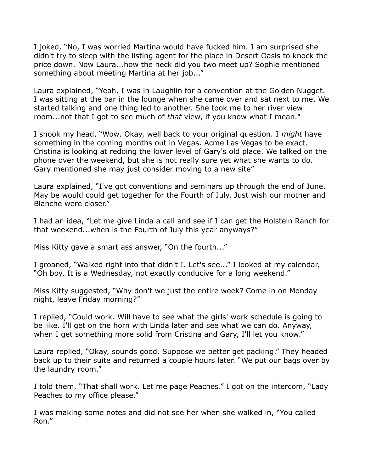I joked, "No, I was worried Martina would have fucked him. I am surprised she didn't try to sleep with the listing agent for the place in Desert Oasis to knock the price down. Now Laura...how the heck did you two meet up? Sophie mentioned something about meeting Martina at her job..."

Laura explained, "Yeah, I was in Laughlin for a convention at the Golden Nugget. I was sitting at the bar in the lounge when she came over and sat next to me. We started talking and one thing led to another. She took me to her river view room...not that I got to see much of *that* view, if you know what I mean."

I shook my head, "Wow. Okay, well back to your original question. I *might* have something in the coming months out in Vegas. Acme Las Vegas to be exact. Cristina is looking at redoing the lower level of Gary's old place. We talked on the phone over the weekend, but she is not really sure yet what she wants to do. Gary mentioned she may just consider moving to a new site"

Laura explained, "I've got conventions and seminars up through the end of June. May be would could get together for the Fourth of July. Just wish our mother and Blanche were closer."

I had an idea, "Let me give Linda a call and see if I can get the Holstein Ranch for that weekend...when is the Fourth of July this year anyways?"

Miss Kitty gave a smart ass answer, "On the fourth..."

I groaned, "Walked right into that didn't I. Let's see..." I looked at my calendar, "Oh boy. It is a Wednesday, not exactly conducive for a long weekend."

Miss Kitty suggested, "Why don't we just the entire week? Come in on Monday night, leave Friday morning?"

I replied, "Could work. Will have to see what the girls' work schedule is going to be like. I'll get on the horn with Linda later and see what we can do. Anyway, when I get something more solid from Cristina and Gary, I'll let you know."

Laura replied, "Okay, sounds good. Suppose we better get packing." They headed back up to their suite and returned a couple hours later. "We put our bags over by the laundry room."

I told them, "That shall work. Let me page Peaches." I got on the intercom, "Lady Peaches to my office please."

I was making some notes and did not see her when she walked in, "You called Ron."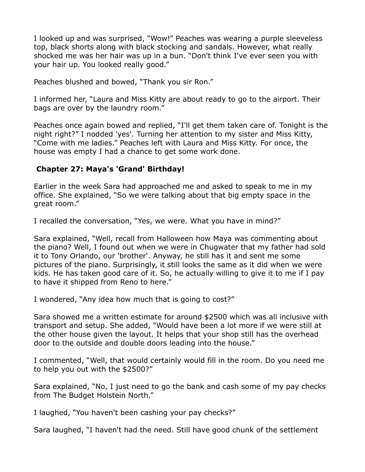I looked up and was surprised, "Wow!" Peaches was wearing a purple sleeveless top, black shorts along with black stocking and sandals. However, what really shocked me was her hair was up in a bun. "Don't think I've ever seen you with your hair up. You looked really good."

Peaches blushed and bowed, "Thank you sir Ron."

I informed her, "Laura and Miss Kitty are about ready to go to the airport. Their bags are over by the laundry room."

Peaches once again bowed and replied, "I'll get them taken care of. Tonight is the night right?" I nodded 'yes'. Turning her attention to my sister and Miss Kitty, "Come with me ladies." Peaches left with Laura and Miss Kitty. For once, the house was empty I had a chance to get some work done.

## **Chapter 27: Maya's 'Grand' Birthday!**

Earlier in the week Sara had approached me and asked to speak to me in my office. She explained, "So we were talking about that big empty space in the great room."

I recalled the conversation, "Yes, we were. What you have in mind?"

Sara explained, "Well, recall from Halloween how Maya was commenting about the piano? Well, I found out when we were in Chugwater that my father had sold it to Tony Orlando, our 'brother'. Anyway, he still has it and sent me some pictures of the piano. Surprisingly, it still looks the same as it did when we were kids. He has taken good care of it. So, he actually willing to give it to me if I pay to have it shipped from Reno to here."

I wondered, "Any idea how much that is going to cost?"

Sara showed me a written estimate for around \$2500 which was all inclusive with transport and setup. She added, "Would have been a lot more if we were still at the other house given the layout. It helps that your shop still has the overhead door to the outside and double doors leading into the house."

I commented, "Well, that would certainly would fill in the room. Do you need me to help you out with the \$2500?"

Sara explained, "No, I just need to go the bank and cash some of my pay checks from The Budget Holstein North."

I laughed, "You haven't been cashing your pay checks?"

Sara laughed, "I haven't had the need. Still have good chunk of the settlement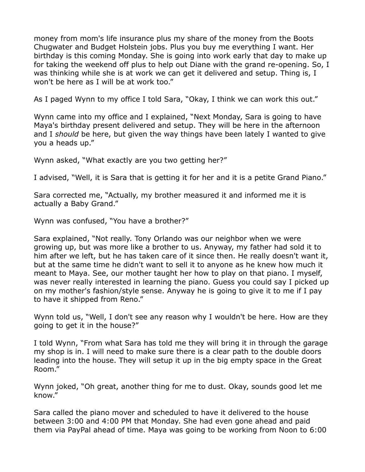money from mom's life insurance plus my share of the money from the Boots Chugwater and Budget Holstein jobs. Plus you buy me everything I want. Her birthday is this coming Monday. She is going into work early that day to make up for taking the weekend off plus to help out Diane with the grand re-opening. So, I was thinking while she is at work we can get it delivered and setup. Thing is, I won't be here as I will be at work too."

As I paged Wynn to my office I told Sara, "Okay, I think we can work this out."

Wynn came into my office and I explained, "Next Monday, Sara is going to have Maya's birthday present delivered and setup. They will be here in the afternoon and I *should* be here, but given the way things have been lately I wanted to give you a heads up."

Wynn asked, "What exactly are you two getting her?"

I advised, "Well, it is Sara that is getting it for her and it is a petite Grand Piano."

Sara corrected me, "Actually, my brother measured it and informed me it is actually a Baby Grand."

Wynn was confused, "You have a brother?"

Sara explained, "Not really. Tony Orlando was our neighbor when we were growing up, but was more like a brother to us. Anyway, my father had sold it to him after we left, but he has taken care of it since then. He really doesn't want it, but at the same time he didn't want to sell it to anyone as he knew how much it meant to Maya. See, our mother taught her how to play on that piano. I myself, was never really interested in learning the piano. Guess you could say I picked up on my mother's fashion/style sense. Anyway he is going to give it to me if I pay to have it shipped from Reno."

Wynn told us, "Well, I don't see any reason why I wouldn't be here. How are they going to get it in the house?"

I told Wynn, "From what Sara has told me they will bring it in through the garage my shop is in. I will need to make sure there is a clear path to the double doors leading into the house. They will setup it up in the big empty space in the Great Room."

Wynn joked, "Oh great, another thing for me to dust. Okay, sounds good let me know."

Sara called the piano mover and scheduled to have it delivered to the house between 3:00 and 4:00 PM that Monday. She had even gone ahead and paid them via PayPal ahead of time. Maya was going to be working from Noon to 6:00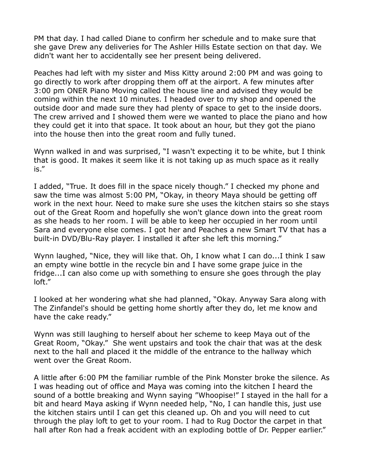PM that day. I had called Diane to confirm her schedule and to make sure that she gave Drew any deliveries for The Ashler Hills Estate section on that day. We didn't want her to accidentally see her present being delivered.

Peaches had left with my sister and Miss Kitty around 2:00 PM and was going to go directly to work after dropping them off at the airport. A few minutes after 3:00 pm ONER Piano Moving called the house line and advised they would be coming within the next 10 minutes. I headed over to my shop and opened the outside door and made sure they had plenty of space to get to the inside doors. The crew arrived and I showed them were we wanted to place the piano and how they could get it into that space. It took about an hour, but they got the piano into the house then into the great room and fully tuned.

Wynn walked in and was surprised, "I wasn't expecting it to be white, but I think that is good. It makes it seem like it is not taking up as much space as it really is."

I added, "True. It does fill in the space nicely though." I checked my phone and saw the time was almost 5:00 PM, "Okay, in theory Maya should be getting off work in the next hour. Need to make sure she uses the kitchen stairs so she stays out of the Great Room and hopefully she won't glance down into the great room as she heads to her room. I will be able to keep her occupied in her room until Sara and everyone else comes. I got her and Peaches a new Smart TV that has a built-in DVD/Blu-Ray player. I installed it after she left this morning."

Wynn laughed, "Nice, they will like that. Oh, I know what I can do...I think I saw an empty wine bottle in the recycle bin and I have some grape juice in the fridge...I can also come up with something to ensure she goes through the play loft."

I looked at her wondering what she had planned, "Okay. Anyway Sara along with The Zinfandel's should be getting home shortly after they do, let me know and have the cake ready."

Wynn was still laughing to herself about her scheme to keep Maya out of the Great Room, "Okay." She went upstairs and took the chair that was at the desk next to the hall and placed it the middle of the entrance to the hallway which went over the Great Room.

A little after 6:00 PM the familiar rumble of the Pink Monster broke the silence. As I was heading out of office and Maya was coming into the kitchen I heard the sound of a bottle breaking and Wynn saying "Whoopise!" I stayed in the hall for a bit and heard Maya asking if Wynn needed help, "No, I can handle this, just use the kitchen stairs until I can get this cleaned up. Oh and you will need to cut through the play loft to get to your room. I had to Rug Doctor the carpet in that hall after Ron had a freak accident with an exploding bottle of Dr. Pepper earlier."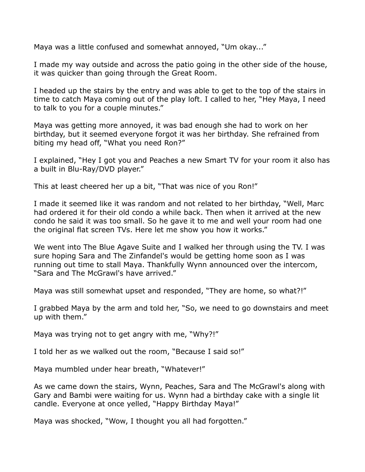Maya was a little confused and somewhat annoyed, "Um okay..."

I made my way outside and across the patio going in the other side of the house, it was quicker than going through the Great Room.

I headed up the stairs by the entry and was able to get to the top of the stairs in time to catch Maya coming out of the play loft. I called to her, "Hey Maya, I need to talk to you for a couple minutes."

Maya was getting more annoyed, it was bad enough she had to work on her birthday, but it seemed everyone forgot it was her birthday. She refrained from biting my head off, "What you need Ron?"

I explained, "Hey I got you and Peaches a new Smart TV for your room it also has a built in Blu-Ray/DVD player."

This at least cheered her up a bit, "That was nice of you Ron!"

I made it seemed like it was random and not related to her birthday, "Well, Marc had ordered it for their old condo a while back. Then when it arrived at the new condo he said it was too small. So he gave it to me and well your room had one the original flat screen TVs. Here let me show you how it works."

We went into The Blue Agave Suite and I walked her through using the TV. I was sure hoping Sara and The Zinfandel's would be getting home soon as I was running out time to stall Maya. Thankfully Wynn announced over the intercom, "Sara and The McGrawl's have arrived."

Maya was still somewhat upset and responded, "They are home, so what?!"

I grabbed Maya by the arm and told her, "So, we need to go downstairs and meet up with them."

Maya was trying not to get angry with me, "Why?!"

I told her as we walked out the room, "Because I said so!"

Maya mumbled under hear breath, "Whatever!"

As we came down the stairs, Wynn, Peaches, Sara and The McGrawl's along with Gary and Bambi were waiting for us. Wynn had a birthday cake with a single lit candle. Everyone at once yelled, "Happy Birthday Maya!"

Maya was shocked, "Wow, I thought you all had forgotten."